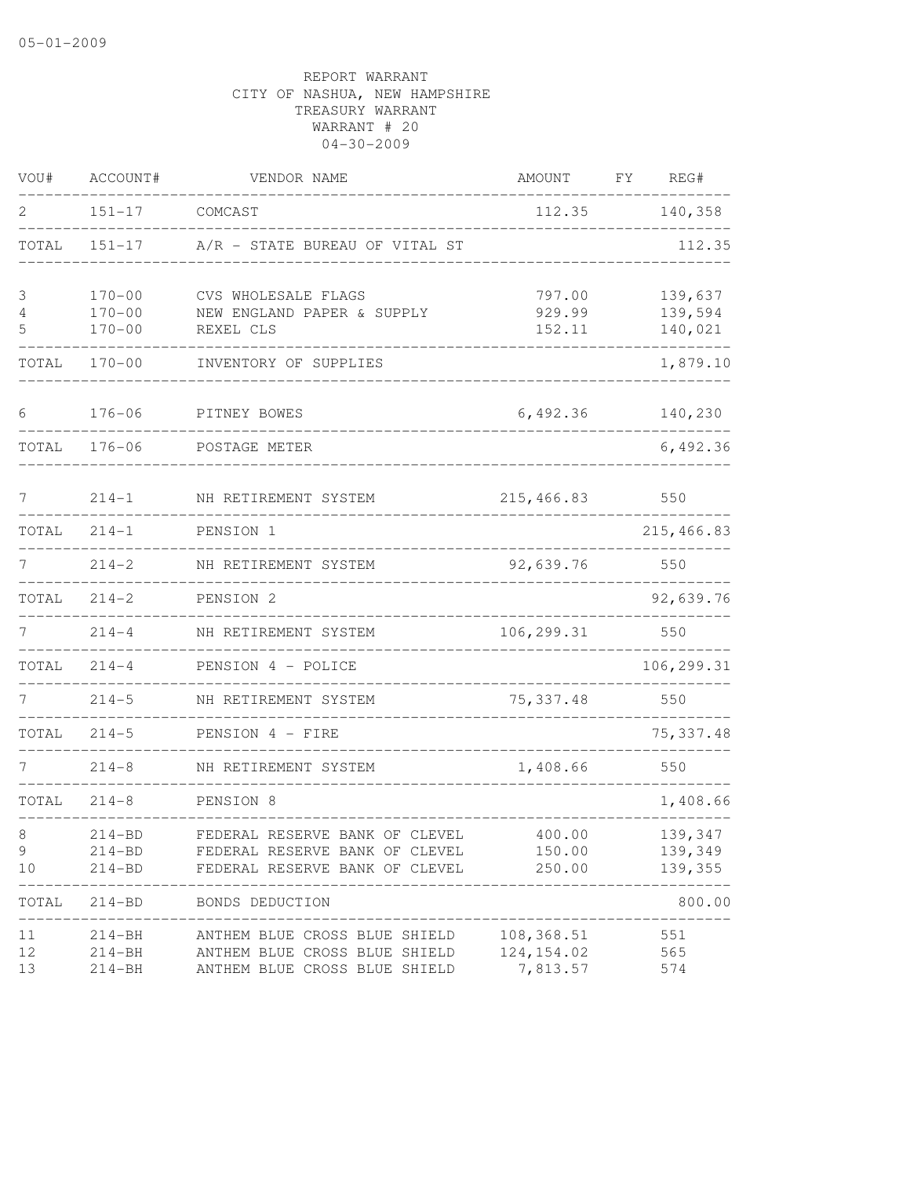| VOU#           | ACCOUNT#                           | VENDOR NAME                                                                                     | AMOUNT                                | FΥ<br>REG#         |
|----------------|------------------------------------|-------------------------------------------------------------------------------------------------|---------------------------------------|--------------------|
| 2              | $151 - 17$                         | COMCAST                                                                                         | 112.35                                | 140,358            |
| TOTAL          | $151 - 17$                         | A/R - STATE BUREAU OF VITAL ST                                                                  |                                       | 112.35             |
| 3              | $170 - 00$                         | CVS WHOLESALE FLAGS                                                                             | 797.00                                | 139,637            |
| 4<br>5         | $170 - 00$<br>$170 - 00$           | NEW ENGLAND PAPER & SUPPLY<br>REXEL CLS                                                         | 929.99<br>152.11                      | 139,594<br>140,021 |
| TOTAL          | $170 - 00$                         | INVENTORY OF SUPPLIES                                                                           |                                       | 1,879.10           |
| 6              | $176 - 06$                         | PITNEY BOWES                                                                                    | 6,492.36                              | 140,230            |
| TOTAL          | $176 - 06$                         | POSTAGE METER                                                                                   |                                       | 6,492.36           |
| 7              | $214 - 1$                          | NH RETIREMENT SYSTEM                                                                            | 215, 466.83                           | 550                |
| TOTAL          | $214 - 1$                          | PENSION 1                                                                                       |                                       | 215, 466.83        |
| 7              | $214 - 2$                          | NH RETIREMENT SYSTEM                                                                            | 92,639.76                             | 550                |
| TOTAL          | $214 - 2$                          | PENSION 2                                                                                       |                                       | 92,639.76          |
| 7              | $214 - 4$                          | NH RETIREMENT SYSTEM                                                                            | 106,299.31                            | 550                |
| TOTAL          | $214 - 4$                          | PENSION 4 - POLICE                                                                              |                                       | 106,299.31         |
|                | $214 - 5$                          | NH RETIREMENT SYSTEM                                                                            | 75, 337.48                            | 550                |
| TOTAL          | $214 - 5$                          | PENSION 4 - FIRE                                                                                |                                       | 75, 337.48         |
|                | $214 - 8$                          | NH RETIREMENT SYSTEM                                                                            | 1,408.66                              | 550                |
| TOTAL          | $214 - 8$                          | PENSION 8                                                                                       |                                       | 1,408.66           |
| 8              | $214 - BD$                         | FEDERAL RESERVE BANK OF CLEVEL                                                                  | 400.00                                | 139,347            |
| 9<br>10        | $214 - BD$<br>$214 - BD$           | FEDERAL RESERVE BANK OF CLEVEL<br>FEDERAL RESERVE BANK OF CLEVEL                                | 150.00<br>250.00                      | 139,349<br>139,355 |
| TOTAL          | 214-BD                             | BONDS DEDUCTION                                                                                 |                                       | 800.00             |
| 11<br>12<br>13 | 214-BH<br>$214 - BH$<br>$214 - BH$ | ANTHEM BLUE CROSS BLUE SHIELD<br>ANTHEM BLUE CROSS BLUE SHIELD<br>ANTHEM BLUE CROSS BLUE SHIELD | 108,368.51<br>124, 154.02<br>7,813.57 | 551<br>565<br>574  |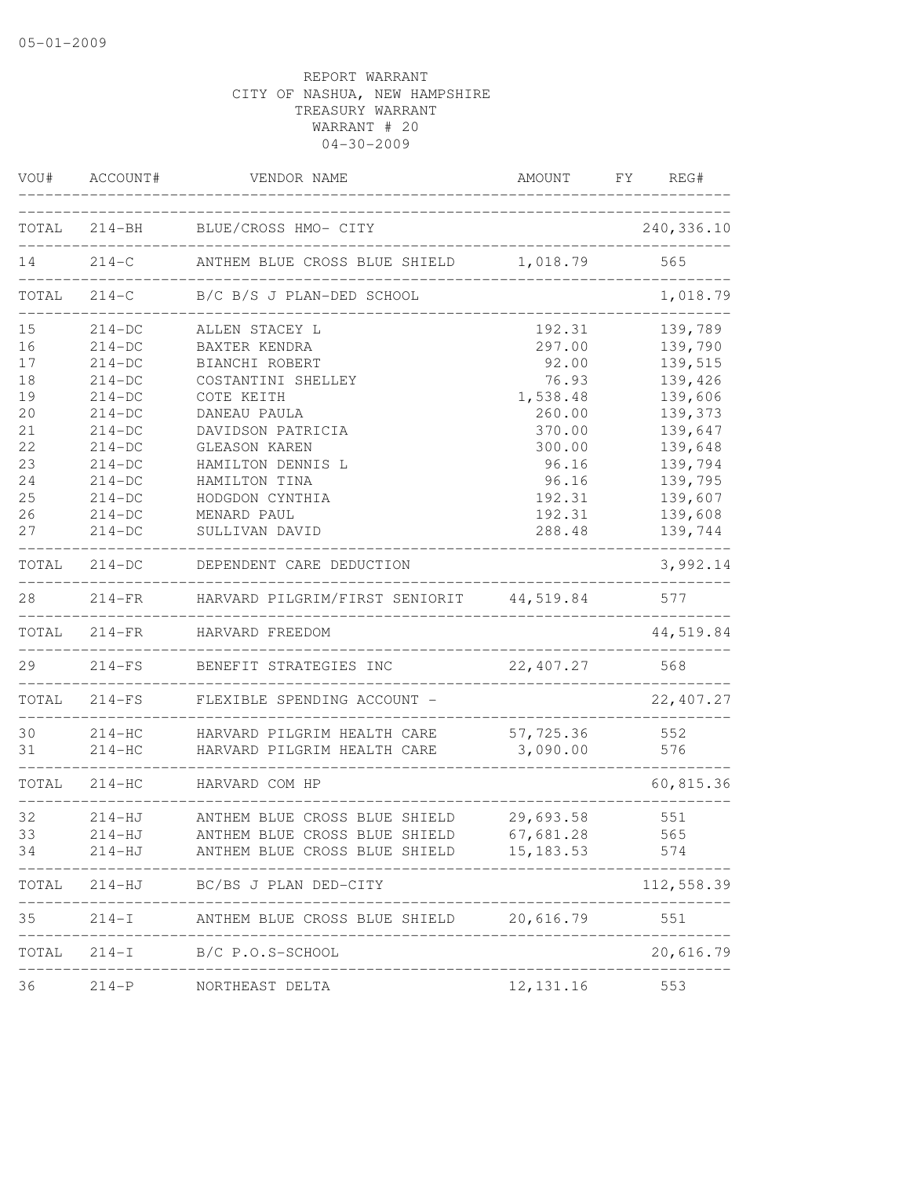| VOU#  | ACCOUNT#             | VENDOR NAME                                                                               |                                       | AMOUNT FY REG# |
|-------|----------------------|-------------------------------------------------------------------------------------------|---------------------------------------|----------------|
|       |                      | TOTAL 214-BH BLUE/CROSS HMO- CITY                                                         |                                       | 240,336.10     |
| 14 \, | $214-C$              | ANTHEM BLUE CROSS BLUE SHIELD 1,018.79                                                    |                                       | 565            |
| TOTAL | $214-C$              | B/C B/S J PLAN-DED SCHOOL                                                                 |                                       | 1,018.79       |
| 15    | $214-DC$             | ALLEN STACEY L                                                                            | 192.31                                | 139,789        |
| 16    | $214-DC$             | BAXTER KENDRA                                                                             | 297.00                                | 139,790        |
| 17    | $214-DC$             | BIANCHI ROBERT                                                                            | 92.00                                 | 139,515        |
| 18    | $214-DC$             | COSTANTINI SHELLEY                                                                        | 76.93                                 | 139,426        |
| 19    | $214-DC$             | COTE KEITH                                                                                | 1,538.48                              | 139,606        |
| 20    | $214-DC$             | DANEAU PAULA                                                                              | 260.00                                | 139,373        |
| 21    | $214-DC$             | DAVIDSON PATRICIA                                                                         | 370.00                                | 139,647        |
| 22    | $214-DC$             | <b>GLEASON KAREN</b>                                                                      | 300.00                                | 139,648        |
| 23    | $214-DC$             | HAMILTON DENNIS L                                                                         | 96.16                                 | 139,794        |
| 24    | $214-DC$             | HAMILTON TINA                                                                             | 96.16                                 | 139,795        |
| 25    | $214-DC$             | HODGDON CYNTHIA                                                                           | 192.31                                | 139,607        |
| 26    | $214-DC$             | MENARD PAUL                                                                               | 192.31                                | 139,608        |
| 27    | $214-DC$             | SULLIVAN DAVID                                                                            | 288.48                                | 139,744        |
|       |                      | TOTAL 214-DC DEPENDENT CARE DEDUCTION                                                     |                                       | 3,992.14       |
| 28    |                      | 214-FR HARVARD PILGRIM/FIRST SENIORIT 44,519.84<br>______________________________________ |                                       | 577            |
| TOTAL | 214-FR               | HARVARD FREEDOM<br>_____________                                                          |                                       | 44,519.84      |
| 29    | $214-FS$             | BENEFIT STRATEGIES INC                                                                    | 22,407.27                             | 568            |
| TOTAL | $214-FS$             | FLEXIBLE SPENDING ACCOUNT -                                                               |                                       | 22, 407.27     |
| 30    | $214-HC$             | HARVARD PILGRIM HEALTH CARE                                                               | 57,725.36                             | 552            |
| 31    | $214-HC$             | HARVARD PILGRIM HEALTH CARE                                                               | 3,090.00                              | 576            |
|       |                      |                                                                                           |                                       |                |
|       | TOTAL 214-HC         | HARVARD COM HP                                                                            |                                       | 60,815.36      |
| 32    | 214-HJ               | ANTHEM BLUE CROSS BLUE SHIELD 29,693.58                                                   |                                       | 551            |
| 33    | 214-HJ               | ANTHEM BLUE CROSS BLUE SHIELD 67,681.28                                                   |                                       | 565            |
| 34    | $214 - HJ$           | ANTHEM BLUE CROSS BLUE SHIELD                                                             | 15,183.53                             | 574            |
| TOTAL | ____________________ | 214-HJ BC/BS J PLAN DED-CITY<br>------------------------                                  |                                       | 112,558.39     |
| 35    |                      | 214-I ANTHEM BLUE CROSS BLUE SHIELD 20,616.79                                             |                                       | 551            |
| TOTAL |                      | 214-I B/C P.O.S-SCHOOL                                                                    | ------------------------------------- | 20,616.79      |
| 36    |                      | 214-P NORTHEAST DELTA                                                                     | 12, 131.16                            | 553            |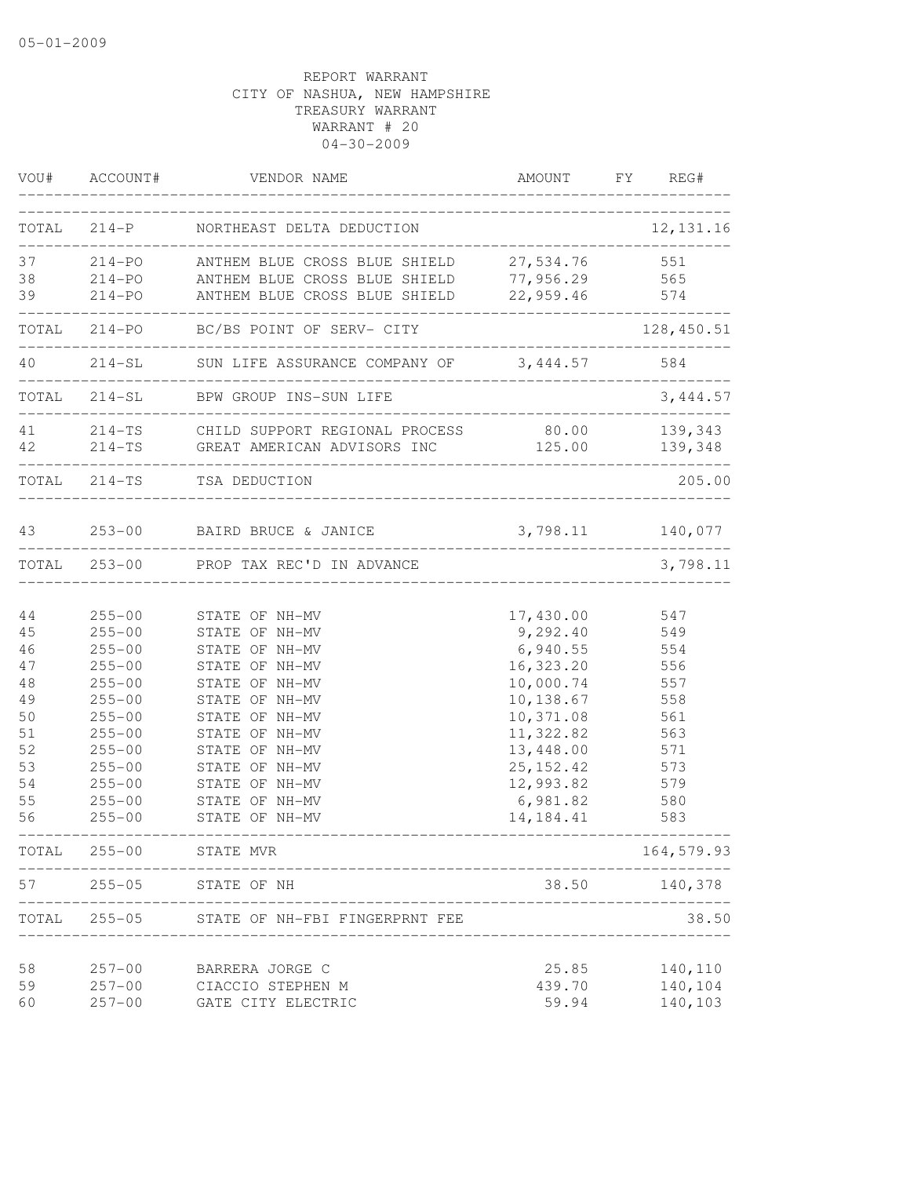|       | VOU# ACCOUNT# | VENDOR NAME                                                                     |             | AMOUNT FY REG#     |
|-------|---------------|---------------------------------------------------------------------------------|-------------|--------------------|
|       |               | TOTAL 214-P NORTHEAST DELTA DEDUCTION<br>______________________________________ |             | 12, 131.16         |
| 37    |               | 214-PO ANTHEM BLUE CROSS BLUE SHIELD 27,534.76                                  |             | 551                |
| 38    |               | 214-PO ANTHEM BLUE CROSS BLUE SHIELD 77,956.29                                  |             | 565                |
| 39    |               | 214-PO ANTHEM BLUE CROSS BLUE SHIELD 22,959.46                                  |             | 574                |
|       |               | TOTAL 214-PO BC/BS POINT OF SERV- CITY                                          |             | 128,450.51         |
|       |               | 40 214-SL SUN LIFE ASSURANCE COMPANY OF 3,444.57 584                            |             |                    |
|       |               | TOTAL 214-SL BPW GROUP INS-SUN LIFE                                             |             | 3, 444.57          |
| 41    |               | 214-TS CHILD SUPPORT REGIONAL PROCESS                                           | 80.00       | 139,343            |
|       |               | 42 214-TS GREAT AMERICAN ADVISORS INC 125.00                                    |             | 139,348            |
|       |               | TOTAL 214-TS TSA DEDUCTION                                                      |             | 205.00             |
| 43    |               | 253-00 BAIRD BRUCE & JANICE                                                     |             | $3,798.11$ 140,077 |
|       |               | TOTAL 253-00 PROP TAX REC'D IN ADVANCE                                          |             | 3,798.11           |
|       |               | ___________________                                                             |             |                    |
| 44    | $255 - 00$    | STATE OF NH-MV                                                                  | 17,430.00   | 547                |
| 45    | $255 - 00$    | STATE OF NH-MV                                                                  | 9,292.40    | 549                |
| 46    | $255 - 00$    | STATE OF NH-MV                                                                  | 6,940.55    | 554                |
| 47    | $255 - 00$    | STATE OF NH-MV                                                                  | 16,323.20   | 556                |
| 48    | $255 - 00$    | STATE OF NH-MV                                                                  | 10,000.74   | 557                |
| 49    | $255 - 00$    | STATE OF NH-MV                                                                  | 10,138.67   | 558                |
| 50    | $255 - 00$    | STATE OF NH-MV                                                                  | 10,371.08   | 561                |
| 51    | $255 - 00$    | STATE OF NH-MV                                                                  | 11,322.82   | 563                |
| 52    | $255 - 00$    | STATE OF NH-MV                                                                  | 13,448.00   | 571                |
| 53    | $255 - 00$    | STATE OF NH-MV                                                                  | 25, 152.42  | 573                |
| 54    | $255 - 00$    | STATE OF NH-MV                                                                  | 12,993.82   | 579                |
| 55    | $255 - 00$    | STATE OF NH-MV                                                                  | 6,981.82    | 580                |
| 56    | $255 - 00$    | STATE OF NH-MV                                                                  | 14, 184. 41 | 583                |
| TOTAL | $255 - 00$    | STATE MVR                                                                       |             | 164,579.93         |
| 57    | $255 - 05$    | STATE OF NH                                                                     | 38.50       | 140,378            |
| TOTAL | $255 - 05$    | STATE OF NH-FBI FINGERPRNT FEE                                                  |             | 38.50              |
|       |               |                                                                                 |             |                    |
| 58    | $257 - 00$    | BARRERA JORGE C                                                                 | 25.85       | 140,110            |
| 59    | $257 - 00$    | CIACCIO STEPHEN M                                                               | 439.70      | 140,104            |
| 60    | $257 - 00$    | GATE CITY ELECTRIC                                                              | 59.94       | 140,103            |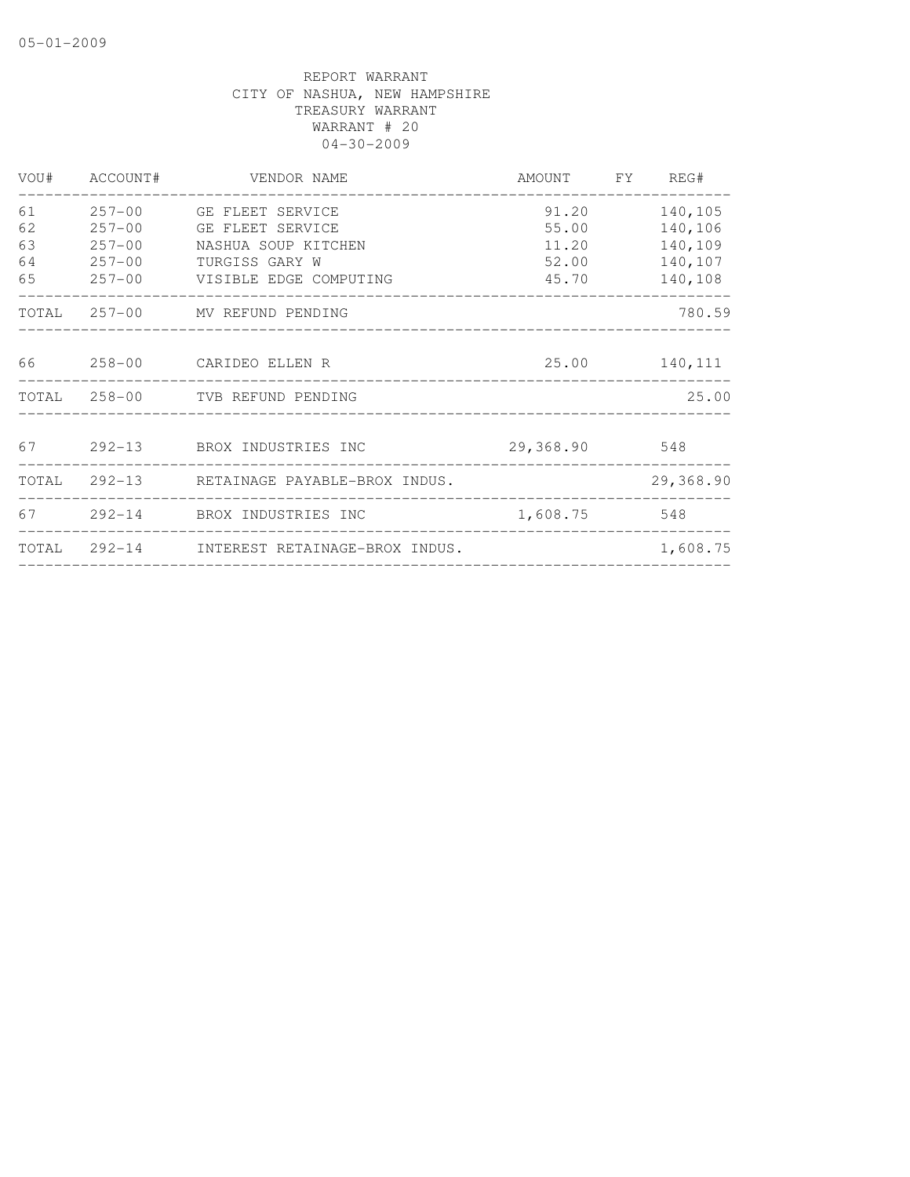| VOU# | ACCOUNT#   | VENDOR NAME                                                | AMOUNT FY REG#               |               |
|------|------------|------------------------------------------------------------|------------------------------|---------------|
| 61   |            | 257-00 GE FLEET SERVICE                                    | 91.20                        | 140,105       |
| 62   | $257 - 00$ | GE FLEET SERVICE                                           | 55.00                        | 140,106       |
| 63   | $257 - 00$ | NASHUA SOUP KITCHEN                                        | 11.20                        | 140,109       |
| 64   | $257 - 00$ | TURGISS GARY W                                             | 52.00                        | 140,107       |
| 65   |            | 257-00 VISIBLE EDGE COMPUTING                              | 45.70                        | 140,108       |
|      |            | TOTAL 257-00 MV REFUND PENDING                             |                              | 780.59        |
|      |            | 66 258-00 CARIDEO ELLEN R<br>_____________________________ |                              | 25.00 140,111 |
|      |            | TOTAL 258-00 TVB REFUND PENDING                            |                              | 25.00         |
|      |            | 67 292-13 BROX INDUSTRIES INC                              | 29,368.90 548                |               |
|      |            | TOTAL 292-13 RETAINAGE PAYABLE-BROX INDUS.                 |                              | 29,368.90     |
|      |            | 67 292-14 BROX INDUSTRIES INC                              | 1,608.75 548                 |               |
|      |            | TOTAL 292-14 INTEREST RETAINAGE-BROX INDUS.                | ____________________________ | 1,608.75      |
|      |            |                                                            |                              |               |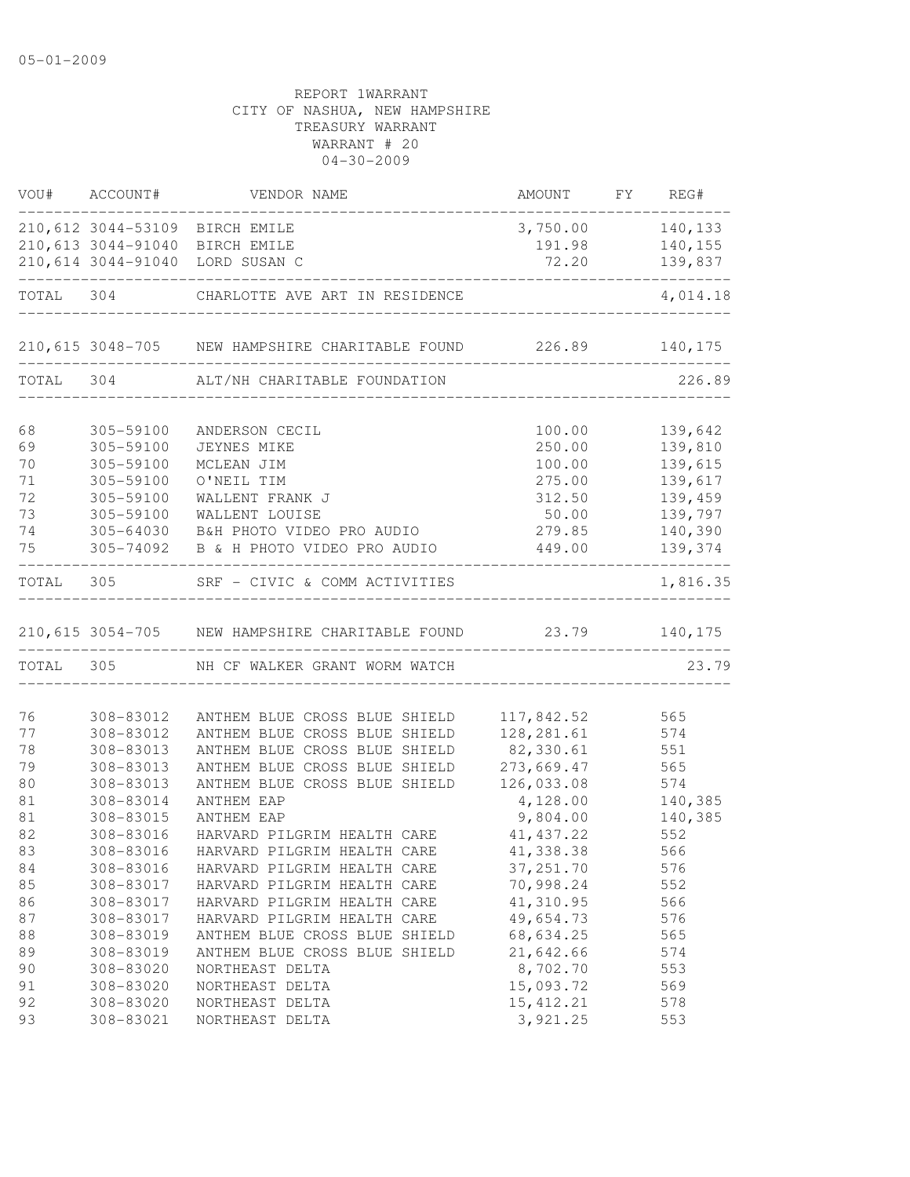| VOU#     | ACCOUNT#  | VENDOR NAME                                                    | AMOUNT           | FY REG#             |
|----------|-----------|----------------------------------------------------------------|------------------|---------------------|
|          |           | 210,612 3044-53109 BIRCH EMILE                                 | 3,750.00 140,133 |                     |
|          |           | 210,613 3044-91040 BIRCH EMILE                                 | 191.98           | 140,155             |
|          |           | 210,614 3044-91040 LORD SUSAN C                                | 72.20            | 139,837             |
|          |           | TOTAL 304 CHARLOTTE AVE ART IN RESIDENCE                       |                  | 4,014.18            |
|          |           | 210,615 3048-705 NEW HAMPSHIRE CHARITABLE FOUND 226.89 140,175 |                  |                     |
|          |           | TOTAL 304 ALT/NH CHARITABLE FOUNDATION                         |                  | 226.89              |
|          |           |                                                                |                  |                     |
| 68       | 305-59100 | ANDERSON CECIL                                                 | 100.00           | 139,642             |
| 69       | 305-59100 | JEYNES MIKE                                                    | 250.00           | 139,810             |
| 70       | 305-59100 | MCLEAN JIM                                                     | 100.00           | 139,615             |
| 71       | 305-59100 | O'NEIL TIM                                                     | 275.00           | 139,617             |
| 72       | 305-59100 | WALLENT FRANK J                                                | 312.50           | 139,459             |
| 73       | 305-59100 | WALLENT LOUISE                                                 | 50.00            | 139,797             |
| 74       | 305-64030 | B&H PHOTO VIDEO PRO AUDIO                                      | 279.85           | 140,390             |
| 75       | 305-74092 | B & H PHOTO VIDEO PRO AUDIO                                    | 449.00           | 139,374<br>-------- |
| TOTAL    | 305       | SRF - CIVIC & COMM ACTIVITIES                                  |                  | 1,816.35            |
|          |           | 210,615 3054-705 NEW HAMPSHIRE CHARITABLE FOUND 23.79 140,175  |                  |                     |
|          |           | TOTAL 305 NH CF WALKER GRANT WORM WATCH                        |                  | 23.79               |
|          |           |                                                                |                  |                     |
| 76       | 308-83012 | ANTHEM BLUE CROSS BLUE SHIELD                                  | 117,842.52       | 565                 |
| 77       | 308-83012 | ANTHEM BLUE CROSS BLUE SHIELD                                  | 128, 281.61      | 574                 |
| 78       | 308-83013 | ANTHEM BLUE CROSS BLUE SHIELD                                  | 82,330.61        | 551                 |
| 79       | 308-83013 | ANTHEM BLUE CROSS BLUE SHIELD                                  | 273,669.47       | 565                 |
| 80       | 308-83013 | ANTHEM BLUE CROSS BLUE SHIELD                                  | 126,033.08       | 574                 |
| 81       | 308-83014 | ANTHEM EAP                                                     | 4,128.00         | 140,385             |
| 81<br>82 | 308-83015 | ANTHEM EAP                                                     | 9,804.00         | 140,385             |
|          | 308-83016 | HARVARD PILGRIM HEALTH CARE                                    | 41, 437.22       | 552                 |
| 83       | 308-83016 | HARVARD PILGRIM HEALTH CARE                                    | 41,338.38        | 566                 |
| 84       | 308-83016 | HARVARD PILGRIM HEALTH CARE                                    | 37, 251.70       | 576                 |
| 85       | 308-83017 | HARVARD PILGRIM HEALTH CARE                                    | 70,998.24        | 552                 |
| 86       | 308-83017 | HARVARD PILGRIM HEALTH CARE                                    | 41,310.95        | 566                 |
| 87       | 308-83017 | HARVARD PILGRIM HEALTH CARE                                    | 49,654.73        | 576                 |
| 88       | 308-83019 | ANTHEM BLUE CROSS BLUE SHIELD                                  | 68,634.25        | 565                 |
| 89       | 308-83019 | ANTHEM BLUE CROSS BLUE SHIELD                                  | 21,642.66        | 574                 |
| 90       | 308-83020 | NORTHEAST DELTA                                                | 8,702.70         | 553                 |
| 91       | 308-83020 | NORTHEAST DELTA                                                | 15,093.72        | 569                 |
| 92       | 308-83020 | NORTHEAST DELTA                                                | 15, 412.21       | 578                 |
| 93       | 308-83021 | NORTHEAST DELTA                                                | 3,921.25         | 553                 |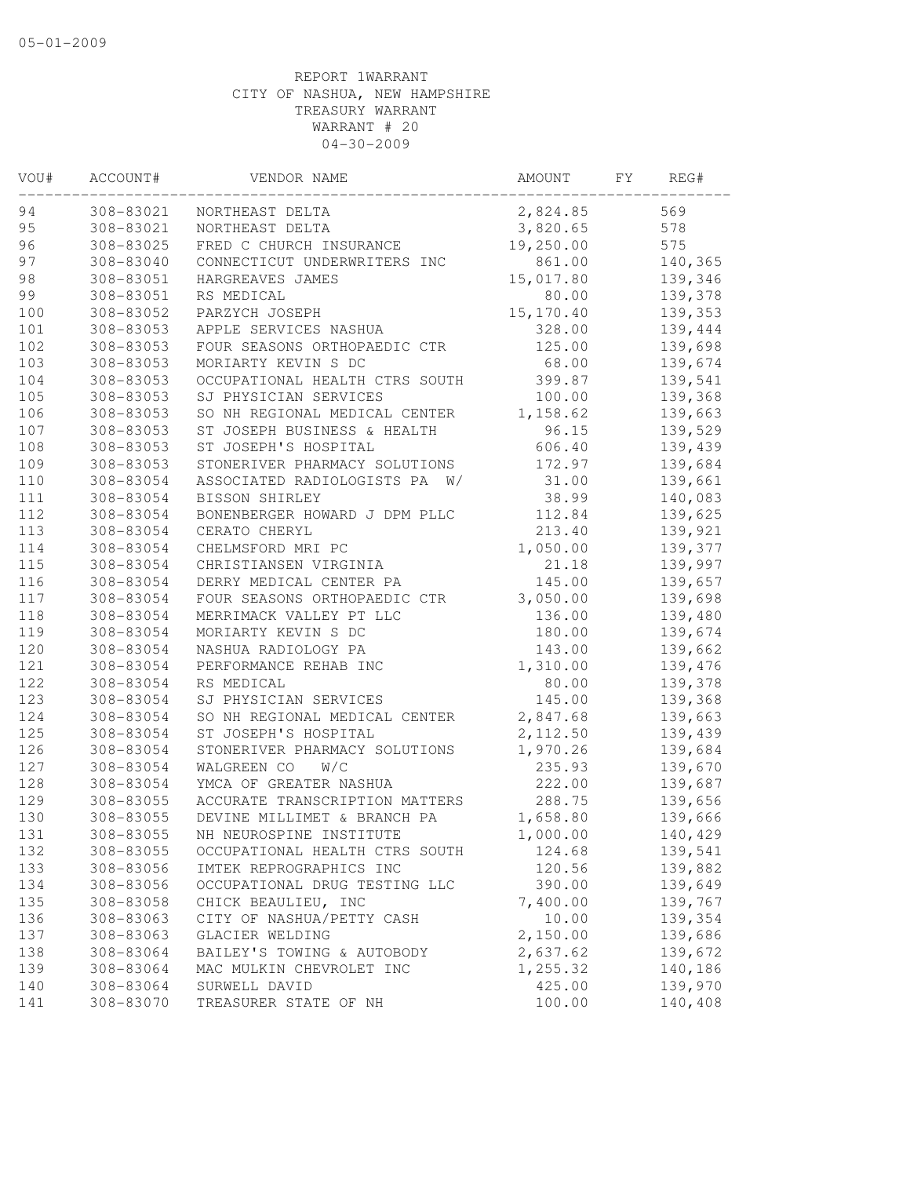| VOU#  | ACCOUNT#  | VENDOR NAME                    | AMOUNT    | FY | REG#    |
|-------|-----------|--------------------------------|-----------|----|---------|
| 94    | 308-83021 | NORTHEAST DELTA                | 2,824.85  |    | 569     |
| 95    | 308-83021 | NORTHEAST DELTA                | 3,820.65  |    | 578     |
| 96    | 308-83025 | FRED C CHURCH INSURANCE        | 19,250.00 |    | 575     |
| 97    | 308-83040 | CONNECTICUT UNDERWRITERS INC   | 861.00    |    | 140,365 |
| 98    | 308-83051 | HARGREAVES JAMES               | 15,017.80 |    | 139,346 |
| 99    | 308-83051 | RS MEDICAL                     | 80.00     |    | 139,378 |
| $100$ | 308-83052 | PARZYCH JOSEPH                 | 15,170.40 |    | 139,353 |
| $101$ | 308-83053 | APPLE SERVICES NASHUA          | 328.00    |    | 139,444 |
| 102   | 308-83053 | FOUR SEASONS ORTHOPAEDIC CTR   | 125.00    |    | 139,698 |
| 103   | 308-83053 | MORIARTY KEVIN S DC            | 68.00     |    | 139,674 |
| 104   | 308-83053 | OCCUPATIONAL HEALTH CTRS SOUTH | 399.87    |    | 139,541 |
| 105   | 308-83053 | SJ PHYSICIAN SERVICES          | 100.00    |    | 139,368 |
| 106   | 308-83053 | SO NH REGIONAL MEDICAL CENTER  | 1,158.62  |    | 139,663 |
| 107   | 308-83053 | ST JOSEPH BUSINESS & HEALTH    | 96.15     |    | 139,529 |
| 108   | 308-83053 | ST JOSEPH'S HOSPITAL           | 606.40    |    | 139,439 |
| 109   | 308-83053 | STONERIVER PHARMACY SOLUTIONS  | 172.97    |    | 139,684 |
| $110$ | 308-83054 | ASSOCIATED RADIOLOGISTS PA W/  | 31.00     |    | 139,661 |
| 111   | 308-83054 | BISSON SHIRLEY                 | 38.99     |    | 140,083 |
| 112   | 308-83054 | BONENBERGER HOWARD J DPM PLLC  | 112.84    |    | 139,625 |
| 113   | 308-83054 | CERATO CHERYL                  | 213.40    |    | 139,921 |
| 114   | 308-83054 | CHELMSFORD MRI PC              | 1,050.00  |    | 139,377 |
| 115   | 308-83054 | CHRISTIANSEN VIRGINIA          | 21.18     |    | 139,997 |
| 116   | 308-83054 | DERRY MEDICAL CENTER PA        | 145.00    |    | 139,657 |
| 117   | 308-83054 | FOUR SEASONS ORTHOPAEDIC CTR   | 3,050.00  |    | 139,698 |
| 118   | 308-83054 | MERRIMACK VALLEY PT LLC        | 136.00    |    | 139,480 |
| 119   | 308-83054 | MORIARTY KEVIN S DC            | 180.00    |    | 139,674 |
| 120   | 308-83054 | NASHUA RADIOLOGY PA            | 143.00    |    | 139,662 |
| 121   | 308-83054 | PERFORMANCE REHAB INC          | 1,310.00  |    | 139,476 |
| 122   | 308-83054 | RS MEDICAL                     | 80.00     |    | 139,378 |
| 123   | 308-83054 | SJ PHYSICIAN SERVICES          | 145.00    |    | 139,368 |
| 124   | 308-83054 | SO NH REGIONAL MEDICAL CENTER  | 2,847.68  |    | 139,663 |
| 125   | 308-83054 | ST JOSEPH'S HOSPITAL           | 2,112.50  |    | 139,439 |
| 126   | 308-83054 | STONERIVER PHARMACY SOLUTIONS  | 1,970.26  |    | 139,684 |
| 127   | 308-83054 | WALGREEN CO<br>W/C             | 235.93    |    | 139,670 |
| 128   | 308-83054 | YMCA OF GREATER NASHUA         | 222.00    |    | 139,687 |
| 129   | 308-83055 | ACCURATE TRANSCRIPTION MATTERS | 288.75    |    | 139,656 |
| 130   | 308-83055 | DEVINE MILLIMET & BRANCH PA    | 1,658.80  |    | 139,666 |
| 131   | 308-83055 | NH NEUROSPINE INSTITUTE        | 1,000.00  |    | 140,429 |
| 132   | 308-83055 | OCCUPATIONAL HEALTH CTRS SOUTH | 124.68    |    | 139,541 |
| 133   | 308-83056 | IMTEK REPROGRAPHICS INC        | 120.56    |    | 139,882 |
| 134   | 308-83056 | OCCUPATIONAL DRUG TESTING LLC  | 390.00    |    | 139,649 |
| 135   | 308-83058 | CHICK BEAULIEU, INC            | 7,400.00  |    | 139,767 |
| 136   | 308-83063 | CITY OF NASHUA/PETTY CASH      | 10.00     |    | 139,354 |
| 137   | 308-83063 | GLACIER WELDING                | 2,150.00  |    | 139,686 |
| 138   | 308-83064 | BAILEY'S TOWING & AUTOBODY     | 2,637.62  |    | 139,672 |
| 139   | 308-83064 | MAC MULKIN CHEVROLET INC       | 1,255.32  |    | 140,186 |
| 140   | 308-83064 | SURWELL DAVID                  | 425.00    |    | 139,970 |
| 141   | 308-83070 | TREASURER STATE OF NH          | 100.00    |    | 140,408 |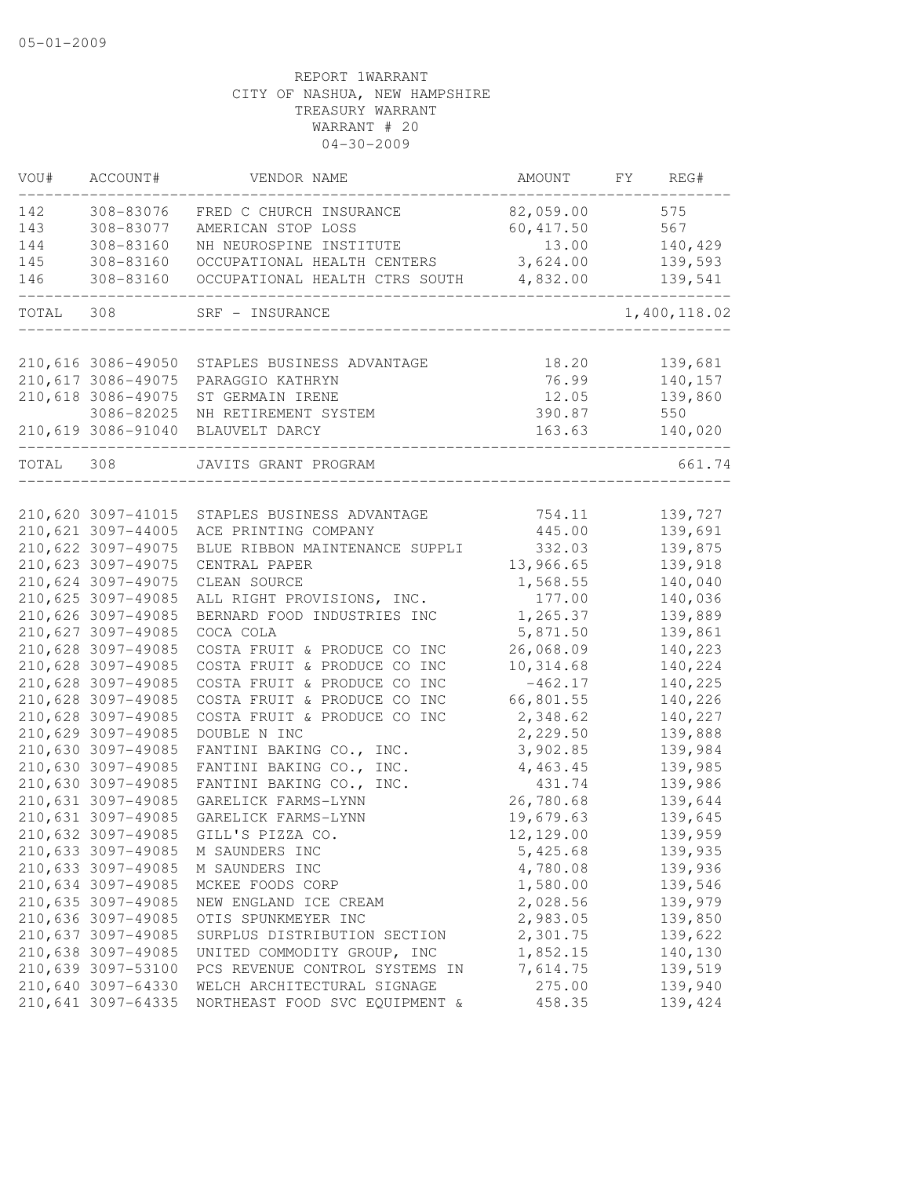| VOU#  | ACCOUNT#                                 | VENDOR NAME                                                   | AMOUNT              | FY | REG#               |
|-------|------------------------------------------|---------------------------------------------------------------|---------------------|----|--------------------|
| 142   | 308-83076                                | FRED C CHURCH INSURANCE                                       | 82,059.00           |    | 575                |
| 143   | 308-83077                                | AMERICAN STOP LOSS                                            | 60, 417.50          |    | 567                |
| 144   | 308-83160                                | NH NEUROSPINE INSTITUTE                                       | 13.00               |    | 140,429            |
| 145   | 308-83160                                | OCCUPATIONAL HEALTH CENTERS                                   | 3,624.00            |    | 139,593            |
| 146   | 308-83160                                | OCCUPATIONAL HEALTH CTRS SOUTH                                | 4,832.00            |    | 139,541            |
| TOTAL | 308                                      | SRF - INSURANCE                                               |                     |    | 1,400,118.02       |
|       |                                          |                                                               |                     |    |                    |
|       | 210,616 3086-49050                       | STAPLES BUSINESS ADVANTAGE                                    | 18.20               |    | 139,681            |
|       | 210,617 3086-49075                       | PARAGGIO KATHRYN                                              | 76.99               |    | 140,157            |
|       | 210,618 3086-49075                       | ST GERMAIN IRENE                                              | 12.05               |    | 139,860            |
|       | 3086-82025                               | NH RETIREMENT SYSTEM                                          | 390.87              |    | 550                |
|       | 210,619 3086-91040                       | BLAUVELT DARCY                                                | 163.63              |    | 140,020            |
| TOTAL | 308                                      | JAVITS GRANT PROGRAM                                          |                     |    | 661.74             |
|       | 210,620 3097-41015                       |                                                               |                     |    |                    |
|       | 210,621 3097-44005                       | STAPLES BUSINESS ADVANTAGE                                    | 754.11<br>445.00    |    | 139,727<br>139,691 |
|       |                                          | ACE PRINTING COMPANY<br>BLUE RIBBON MAINTENANCE SUPPLI        |                     |    | 139,875            |
|       | 210,622 3097-49075<br>210,623 3097-49075 |                                                               | 332.03<br>13,966.65 |    |                    |
|       |                                          | CENTRAL PAPER                                                 |                     |    | 139,918<br>140,040 |
|       | 210,624 3097-49075<br>210,625 3097-49085 | CLEAN SOURCE                                                  | 1,568.55            |    |                    |
|       | 210,626 3097-49085                       | ALL RIGHT PROVISIONS, INC.<br>BERNARD FOOD INDUSTRIES INC     | 177.00<br>1,265.37  |    | 140,036<br>139,889 |
|       | 210,627 3097-49085                       | COCA COLA                                                     | 5,871.50            |    | 139,861            |
|       | 210,628 3097-49085                       | COSTA FRUIT & PRODUCE CO INC                                  | 26,068.09           |    | 140,223            |
|       | 210,628 3097-49085                       | COSTA FRUIT & PRODUCE CO INC                                  | 10,314.68           |    | 140,224            |
|       | 210,628 3097-49085                       | COSTA FRUIT & PRODUCE CO INC                                  | $-462.17$           |    | 140,225            |
|       | 210,628 3097-49085                       | COSTA FRUIT & PRODUCE CO INC                                  | 66,801.55           |    | 140,226            |
|       | 210,628 3097-49085                       | COSTA FRUIT & PRODUCE CO INC                                  | 2,348.62            |    | 140,227            |
|       | 210,629 3097-49085                       | DOUBLE N INC                                                  | 2,229.50            |    | 139,888            |
|       | 210,630 3097-49085                       | FANTINI BAKING CO., INC.                                      | 3,902.85            |    | 139,984            |
|       | 210,630 3097-49085                       |                                                               | 4,463.45            |    | 139,985            |
|       | 210,630 3097-49085                       | FANTINI BAKING CO., INC.<br>FANTINI BAKING CO., INC.          | 431.74              |    | 139,986            |
|       | 210,631 3097-49085                       | GARELICK FARMS-LYNN                                           | 26,780.68           |    | 139,644            |
|       |                                          | GARELICK FARMS-LYNN                                           |                     |    | 139,645            |
|       | 210,631 3097-49085                       |                                                               | 19,679.63           |    |                    |
|       | 210,632 3097-49085                       | GILL'S PIZZA CO.                                              | 12,129.00           |    | 139,959            |
|       | 210,633 3097-49085                       | M SAUNDERS INC                                                | 5,425.68            |    | 139,935            |
|       | 210,633 3097-49085                       | M SAUNDERS INC                                                | 4,780.08            |    | 139,936            |
|       | 210,634 3097-49085                       | MCKEE FOODS CORP                                              | 1,580.00            |    | 139,546            |
|       | 210,635 3097-49085                       | NEW ENGLAND ICE CREAM                                         | 2,028.56            |    | 139,979            |
|       | 210,636 3097-49085                       | OTIS SPUNKMEYER INC                                           | 2,983.05            |    | 139,850            |
|       | 210,637 3097-49085                       | SURPLUS DISTRIBUTION SECTION                                  | 2,301.75            |    | 139,622            |
|       | 210,638 3097-49085                       | UNITED COMMODITY GROUP, INC                                   | 1,852.15            |    | 140,130            |
|       | 210,639 3097-53100                       | PCS REVENUE CONTROL SYSTEMS IN<br>WELCH ARCHITECTURAL SIGNAGE | 7,614.75            |    | 139,519            |
|       | 210,640 3097-64330                       |                                                               | 275.00              |    | 139,940<br>139,424 |
|       | 210,641 3097-64335                       | NORTHEAST FOOD SVC EQUIPMENT &                                | 458.35              |    |                    |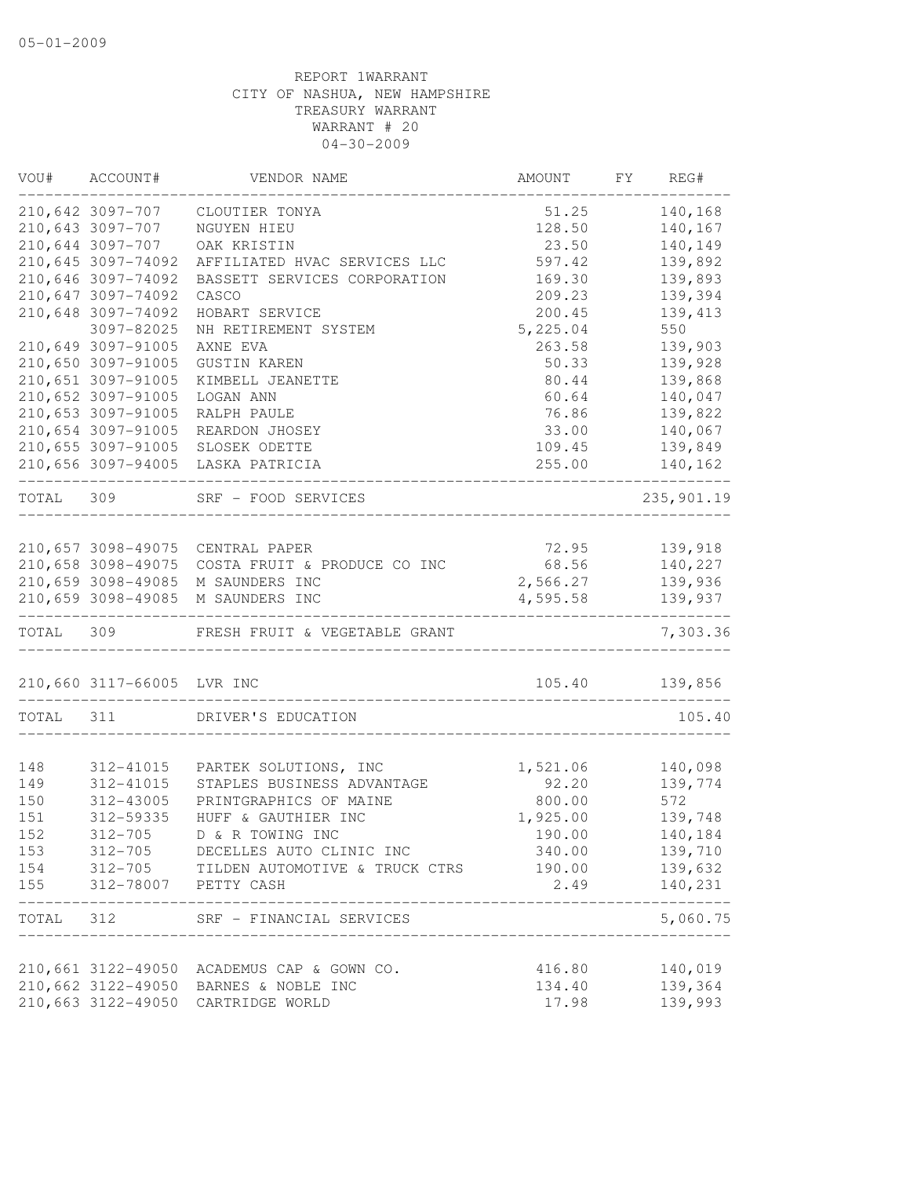|           | VOU# ACCOUNT#              | VENDOR NAME                                                 | AMOUNT   | FY REG#             |
|-----------|----------------------------|-------------------------------------------------------------|----------|---------------------|
|           | 210,642 3097-707           | CLOUTIER TONYA                                              | 51.25    | 140,168             |
|           | 210,643 3097-707           | NGUYEN HIEU                                                 | 128.50   | 140,167             |
|           | 210,644 3097-707           | OAK KRISTIN                                                 | 23.50    | 140,149             |
|           | 210,645 3097-74092         | AFFILIATED HVAC SERVICES LLC                                | 597.42   | 139,892             |
|           | 210,646 3097-74092         | BASSETT SERVICES CORPORATION                                | 169.30   | 139,893             |
|           | 210,647 3097-74092         | CASCO                                                       | 209.23   | 139,394             |
|           | 210,648 3097-74092         | HOBART SERVICE                                              | 200.45   | 139, 413            |
|           | 3097-82025                 | NH RETIREMENT SYSTEM                                        | 5,225.04 | 550                 |
|           | 210,649 3097-91005         | AXNE EVA                                                    | 263.58   | 139,903             |
|           | 210,650 3097-91005         | <b>GUSTIN KAREN</b>                                         | 50.33    | 139,928             |
|           | 210,651 3097-91005         | KIMBELL JEANETTE                                            | 80.44    | 139,868             |
|           | 210,652 3097-91005         | LOGAN ANN                                                   | 60.64    | 140,047             |
|           | 210,653 3097-91005         | RALPH PAULE                                                 | 76.86    | 139,822             |
|           | 210,654 3097-91005         | REARDON JHOSEY                                              | 33.00    | 140,067             |
|           | 210,655 3097-91005         | SLOSEK ODETTE                                               | 109.45   | 139,849             |
|           |                            | 210,656 3097-94005 LASKA PATRICIA                           | 255.00   | 140,162             |
|           |                            |                                                             |          | -------             |
| TOTAL 309 |                            | SRF - FOOD SERVICES                                         |          | 235,901.19          |
|           |                            | 210,657 3098-49075 CENTRAL PAPER                            | 72.95    | 139,918             |
|           | 210,658 3098-49075         | COSTA FRUIT & PRODUCE CO INC                                | 68.56    | 140,227             |
|           | 210,659 3098-49085         | M SAUNDERS INC                                              | 2,566.27 | 139,936             |
|           | 210,659 3098-49085         | M SAUNDERS INC                                              | 4,595.58 | 139,937             |
|           |                            | TOTAL 309 FRESH FRUIT & VEGETABLE GRANT                     |          | 7,303.36            |
|           | 210,660 3117-66005 LVR INC |                                                             |          | 105.40 139,856      |
| TOTAL     | 311                        | _____________________________________<br>DRIVER'S EDUCATION |          | 105.40              |
|           |                            |                                                             |          |                     |
| 148       | 312-41015                  | PARTEK SOLUTIONS, INC                                       | 1,521.06 | 140,098             |
| 149       | 312-41015                  | STAPLES BUSINESS ADVANTAGE                                  | 92.20    | 139,774             |
| 150       | 312-43005                  | PRINTGRAPHICS OF MAINE                                      | 800.00   | 572                 |
| 151       | 312-59335                  | HUFF & GAUTHIER INC                                         | 1,925.00 | 139,748             |
| 152       | 312-705                    | D & R TOWING INC                                            | 190.00   | 140,184             |
| 153       |                            | 312-705 DECELLES AUTO CLINIC INC                            | 340.00   | 139,710             |
| 154       |                            | 312-705 TILDEN AUTOMOTIVE & TRUCK CTRS                      | 190.00   | 139,632             |
| 155       |                            | 312-78007 PETTY CASH                                        | 2.49     | 140,231             |
|           |                            | TOTAL 312 SRF - FINANCIAL SERVICES                          |          | -------<br>5,060.75 |
|           |                            |                                                             |          |                     |
|           |                            | 210,661 3122-49050 ACADEMUS CAP & GOWN CO.                  | 416.80   | 140,019             |
|           |                            | 210,662 3122-49050 BARNES & NOBLE INC                       | 134.40   | 139,364             |
|           | 210,663 3122-49050         | CARTRIDGE WORLD                                             | 17.98    | 139,993             |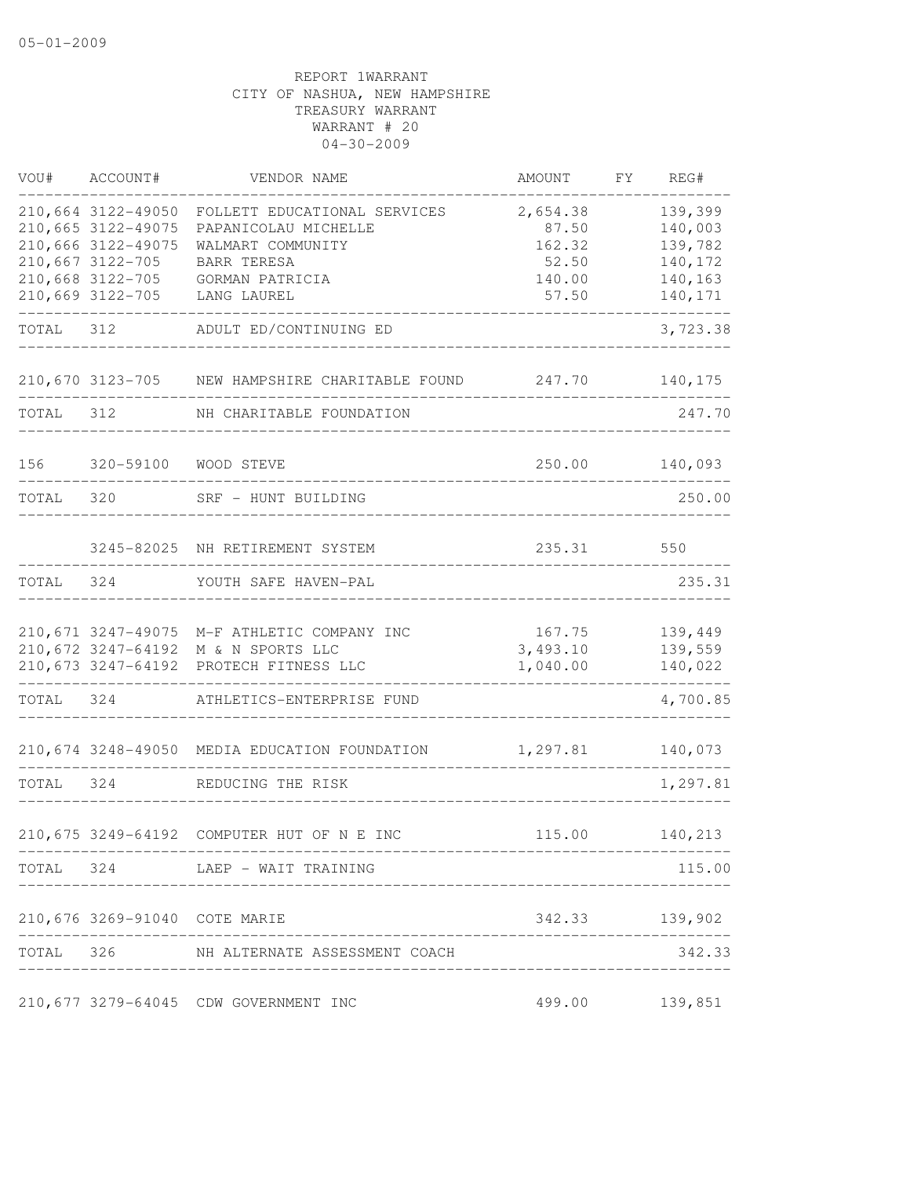| VOU#      | ACCOUNT#                             | VENDOR NAME                                                                | AMOUNT                          | FY. | REG#               |
|-----------|--------------------------------------|----------------------------------------------------------------------------|---------------------------------|-----|--------------------|
|           | 210,664 3122-49050                   | FOLLETT EDUCATIONAL SERVICES                                               | 2,654.38                        |     | 139,399            |
|           | 210,665 3122-49075                   | PAPANICOLAU MICHELLE                                                       | 87.50                           |     | 140,003            |
|           | 210,666 3122-49075                   | WALMART COMMUNITY                                                          | 162.32                          |     | 139,782            |
|           | 210,667 3122-705                     | <b>BARR TERESA</b>                                                         | 52.50                           |     | 140,172            |
|           | 210,668 3122-705<br>210,669 3122-705 | GORMAN PATRICIA<br>LANG LAUREL                                             | 140.00<br>57.50                 |     | 140,163<br>140,171 |
| TOTAL     | 312                                  | ADULT ED/CONTINUING ED                                                     |                                 |     | 3,723.38           |
|           | 210,670 3123-705                     | NEW HAMPSHIRE CHARITABLE FOUND                                             | 247.70                          |     | 140,175            |
| TOTAL     | 312                                  | NH CHARITABLE FOUNDATION                                                   |                                 |     | 247.70             |
| 156       | 320-59100                            | WOOD STEVE                                                                 | 250.00                          |     | 140,093            |
| TOTAL     | 320                                  | SRF - HUNT BUILDING                                                        |                                 |     | 250.00             |
|           |                                      | 3245-82025 NH RETIREMENT SYSTEM                                            | 235.31                          |     | 550                |
| TOTAL     | 324                                  | YOUTH SAFE HAVEN-PAL                                                       |                                 |     | 235.31             |
|           |                                      | 210,671 3247-49075 M-F ATHLETIC COMPANY INC                                | 167.75                          |     | 139,449            |
|           | 210,673 3247-64192                   | 210,672 3247-64192 M & N SPORTS LLC<br>PROTECH FITNESS LLC                 | 3,493.10<br>1,040.00            |     | 139,559<br>140,022 |
| TOTAL     | 324                                  | ATHLETICS-ENTERPRISE FUND                                                  |                                 |     | 4,700.85           |
|           |                                      |                                                                            |                                 |     |                    |
|           |                                      | 210,674 3248-49050 MEDIA EDUCATION FOUNDATION                              | 1,297.81                        |     | 140,073            |
| TOTAL 324 |                                      | REDUCING THE RISK                                                          |                                 |     | 1,297.81           |
|           |                                      | 210,675 3249-64192 COMPUTER HUT OF N E INC                                 | 115.00                          |     | 140,213            |
|           |                                      | TOTAL 324 LAEP - WAIT TRAINING                                             |                                 |     | 115.00             |
|           | 210,676 3269-91040 COTE MARIE        |                                                                            |                                 |     | 342.33 139,902     |
|           | _____________________                | -------------------------------<br>TOTAL 326 NH ALTERNATE ASSESSMENT COACH | _______________________________ |     | 342.33             |
|           |                                      | 210,677 3279-64045 CDW GOVERNMENT INC                                      |                                 |     | 499.00 139,851     |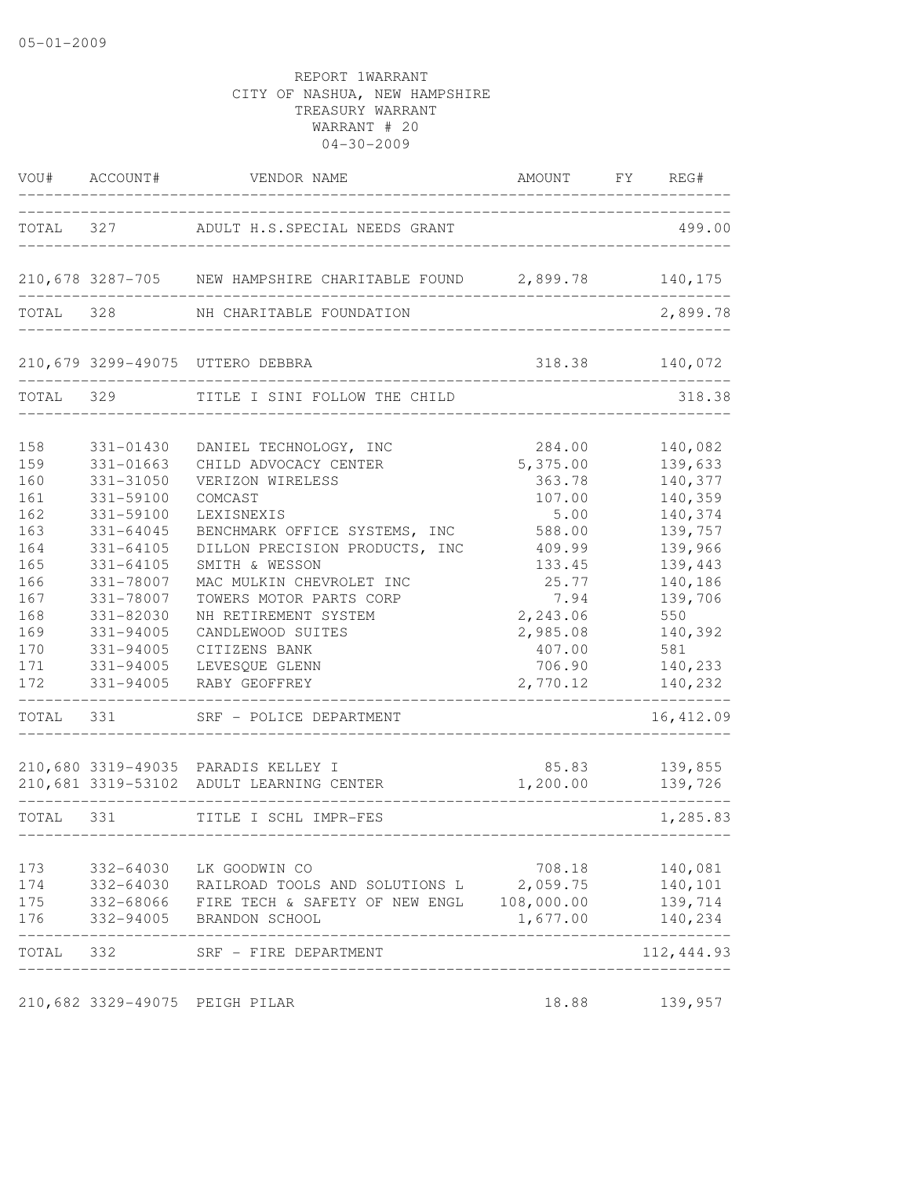|                          | VOU# ACCOUNT#                       | VENDOR NAME                                                                                                   | AMOUNT                                       | FY           | REG#                                     |
|--------------------------|-------------------------------------|---------------------------------------------------------------------------------------------------------------|----------------------------------------------|--------------|------------------------------------------|
|                          | TOTAL 327                           | ADULT H.S.SPECIAL NEEDS GRANT                                                                                 |                                              |              | 499.00                                   |
|                          |                                     | 210,678 3287-705 NEW HAMPSHIRE CHARITABLE FOUND 2,899.78                                                      |                                              |              | 140,175                                  |
| TOTAL                    | 328                                 | NH CHARITABLE FOUNDATION                                                                                      |                                              |              | 2,899.78                                 |
|                          |                                     | 210,679 3299-49075 UTTERO DEBBRA                                                                              | 318.38 140,072                               |              |                                          |
| TOTAL 329                |                                     | TITLE I SINI FOLLOW THE CHILD                                                                                 |                                              |              | 318.38                                   |
| 158<br>159               | 331-01430<br>331-01663              | DANIEL TECHNOLOGY, INC<br>CHILD ADVOCACY CENTER                                                               | 284.00<br>5,375.00                           |              | 140,082<br>139,633                       |
| 160<br>161<br>162        | 331-31050<br>331-59100<br>331-59100 | VERIZON WIRELESS<br>COMCAST<br>LEXISNEXIS                                                                     | 363.78<br>107.00<br>5.00                     |              | 140,377<br>140,359<br>140,374            |
| 163<br>164<br>165        | 331-64045<br>331-64105<br>331-64105 | BENCHMARK OFFICE SYSTEMS, INC<br>DILLON PRECISION PRODUCTS, INC<br>SMITH & WESSON                             | 588.00<br>409.99<br>133.45                   |              | 139,757<br>139,966<br>139,443            |
| 166<br>167<br>168        | 331-78007<br>331-78007<br>331-82030 | MAC MULKIN CHEVROLET INC<br>TOWERS MOTOR PARTS CORP<br>NH RETIREMENT SYSTEM                                   | 25.77<br>7.94<br>2,243.06                    |              | 140,186<br>139,706<br>550                |
| 169<br>170               | 331-94005<br>331-94005              | CANDLEWOOD SUITES<br>CITIZENS BANK                                                                            | 2,985.08<br>407.00                           |              | 140,392<br>581                           |
| 171<br>172               | 331-94005<br>331-94005              | LEVESQUE GLENN<br>RABY GEOFFREY                                                                               | 706.90<br>2,770.12                           |              | 140,233<br>140,232                       |
| TOTAL                    | 331                                 | SRF - POLICE DEPARTMENT                                                                                       |                                              |              | 16, 412.09                               |
|                          |                                     | 210,680 3319-49035 PARADIS KELLEY I<br>210,681 3319-53102 ADULT LEARNING CENTER                               | 85.83<br>1,200.00                            |              | 139,855<br>139,726                       |
| TOTAL 331                |                                     | TITLE I SCHL IMPR-FES                                                                                         |                                              | ------------ | 1,285.83                                 |
| 173<br>174<br>175<br>176 | 332-64030<br>332-64030<br>332-94005 | LK GOODWIN CO<br>RAILROAD TOOLS AND SOLUTIONS L<br>332-68066 FIRE TECH & SAFETY OF NEW ENGL<br>BRANDON SCHOOL | 708.18<br>2,059.75<br>108,000.00<br>1,677.00 |              | 140,081<br>140,101<br>139,714<br>140,234 |
| TOTAL 332                |                                     | SRF - FIRE DEPARTMENT                                                                                         |                                              |              | 112, 444.93                              |
|                          |                                     | 210,682 3329-49075 PEIGH PILAR                                                                                | 18.88                                        |              | 139,957                                  |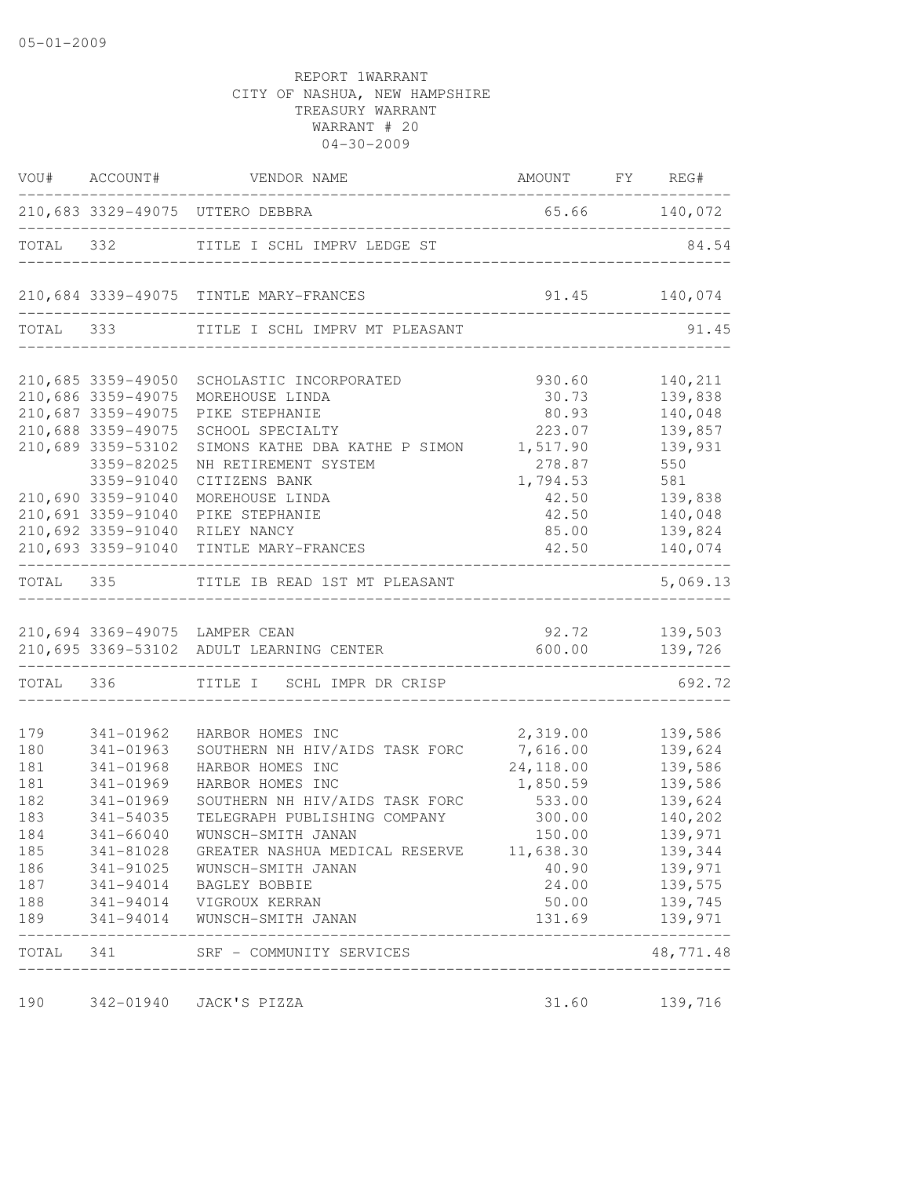|            |                              | VOU# ACCOUNT# VENDOR NAME                                                  | AMOUNT FY REG#                   |                            |
|------------|------------------------------|----------------------------------------------------------------------------|----------------------------------|----------------------------|
|            |                              | 210,683 3329-49075 UTTERO DEBBRA                                           | 65.66 140,072                    |                            |
|            |                              | TOTAL 332 TITLE I SCHL IMPRV LEDGE ST                                      | ________________________________ | 84.54                      |
|            |                              | 210,684 3339-49075 TINTLE MARY-FRANCES                                     | 91.45 140,074                    |                            |
|            |                              | TOTAL 333 TITLE I SCHL IMPRV MT PLEASANT                                   |                                  | 91.45                      |
|            | 210,685 3359-49050           | SCHOLASTIC INCORPORATED                                                    | 930.60                           | 140,211                    |
|            | 210,686 3359-49075           | MOREHOUSE LINDA                                                            | 30.73                            | 139,838                    |
|            | 210,687 3359-49075           | PIKE STEPHANIE                                                             | 80.93                            | 140,048                    |
|            | 210,688 3359-49075           | SCHOOL SPECIALTY                                                           | 223.07                           | 139,857                    |
|            | 210,689 3359-53102           | SIMONS KATHE DBA KATHE P SIMON                                             | 1,517.90                         | 139,931                    |
|            | 3359-82025                   | NH RETIREMENT SYSTEM                                                       | 278.87                           | 550                        |
|            | 3359-91040                   | CITIZENS BANK                                                              | 1,794.53                         | 581                        |
|            | 210,690 3359-91040           | MOREHOUSE LINDA                                                            | 42.50                            | 139,838                    |
|            | 210,691 3359-91040           | PIKE STEPHANIE                                                             | 42.50                            | 140,048                    |
|            | 210,692 3359-91040           | RILEY NANCY                                                                | 85.00                            | 139,824                    |
|            | ---------------------------- | 210,693 3359-91040 TINTLE MARY-FRANCES                                     | 42.50                            | 140,074<br>------          |
|            |                              | TOTAL 335 TITLE IB READ 1ST MT PLEASANT                                    | _______________                  | 5,069.13                   |
|            |                              |                                                                            |                                  |                            |
|            |                              | 210,694 3369-49075 LAMPER CEAN<br>210,695 3369-53102 ADULT LEARNING CENTER | 600.00                           | 92.72 139,503<br>139,726   |
|            |                              | TOTAL 336 TITLE I SCHL IMPR DR CRISP                                       |                                  | 692.72                     |
|            |                              |                                                                            |                                  |                            |
| 179        | 341-01962                    | HARBOR HOMES INC                                                           | 2,319.00                         | 139,586                    |
| 180        | 341-01963<br>341-01968       | SOUTHERN NH HIV/AIDS TASK FORC                                             | 7,616.00                         | 139,624                    |
| 181        |                              | HARBOR HOMES INC                                                           | 24,118.00                        | 139,586                    |
| 181<br>182 | 341-01969<br>341-01969       | HARBOR HOMES INC<br>SOUTHERN NH HIV/AIDS TASK FORC                         | 1,850.59<br>533.00               | 139,586<br>139,624         |
| 183        | 341-54035                    | TELEGRAPH PUBLISHING COMPANY                                               | 300.00                           | 140,202                    |
| 184        | 341-66040                    | WUNSCH-SMITH JANAN                                                         | 150.00                           | 139,971                    |
| 185        |                              | GREATER NASHUA MEDICAL RESERVE                                             |                                  | 139,344                    |
| 186        | 341-81028                    |                                                                            | 11,638.30                        |                            |
| 187        | 341-91025<br>341-94014       | WUNSCH-SMITH JANAN<br><b>BAGLEY BOBBIE</b>                                 | 40.90<br>24.00                   | 139,971<br>139,575         |
| 188        | 341-94014                    | VIGROUX KERRAN                                                             | 50.00                            | 139,745                    |
| 189        | 341-94014                    | WUNSCH-SMITH JANAN                                                         | 131.69                           | 139,971                    |
| TOTAL      | 341                          | SRF - COMMUNITY SERVICES<br>__________________                             |                                  | $\frac{1}{2}$<br>48,771.48 |
| 190        | 342-01940                    | JACK'S PIZZA                                                               | 31.60                            | 139,716                    |
|            |                              |                                                                            |                                  |                            |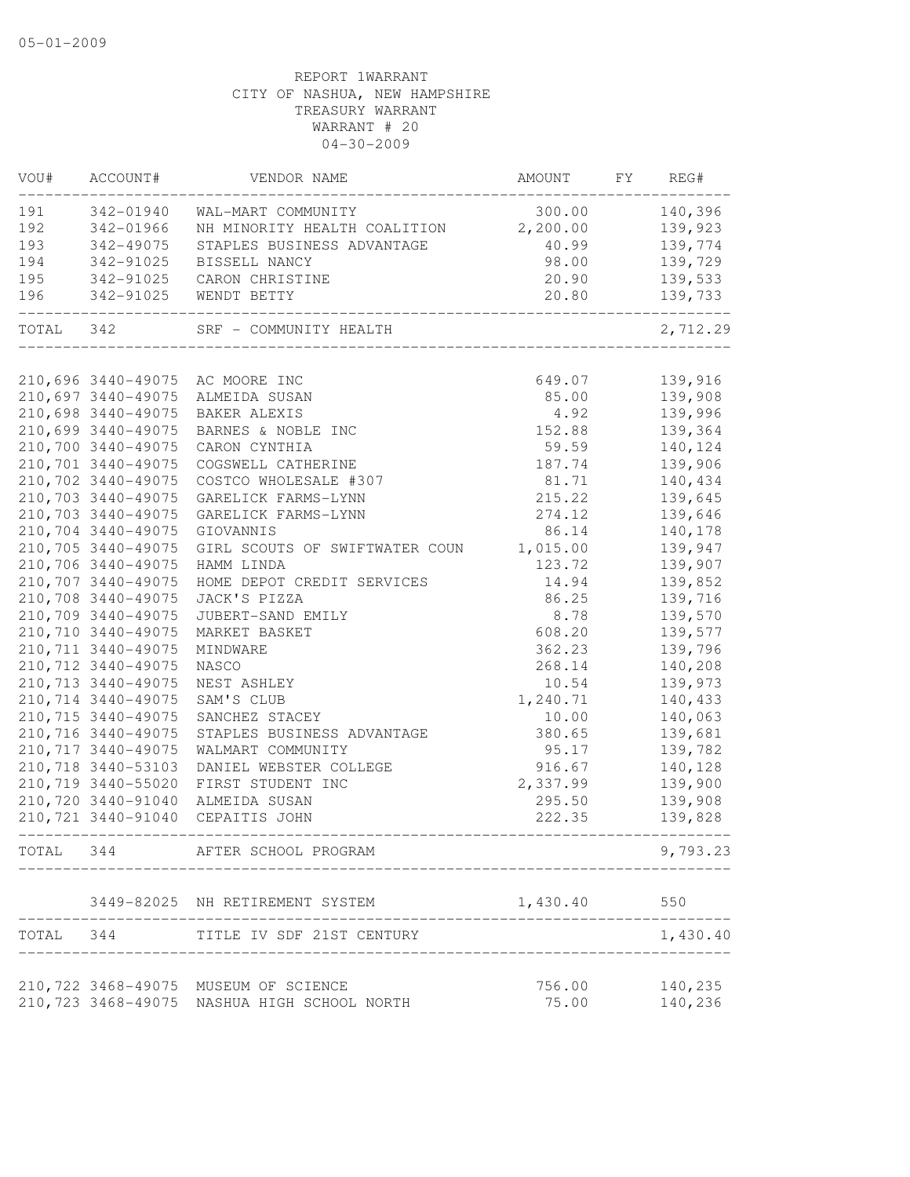| VOU#      | ACCOUNT#            | VENDOR NAME                                 | AMOUNT   | FY | REG#     |
|-----------|---------------------|---------------------------------------------|----------|----|----------|
| 191       | 342-01940           | WAL-MART COMMUNITY                          | 300.00   |    | 140,396  |
| 192       | 342-01966           | NH MINORITY HEALTH COALITION 2,200.00       |          |    | 139,923  |
| 193       | 342-49075           | STAPLES BUSINESS ADVANTAGE                  | 40.99    |    | 139,774  |
| 194       | 342-91025           | BISSELL NANCY                               | 98.00    |    | 139,729  |
| 195       | 342-91025           | CARON CHRISTINE                             | 20.90    |    | 139,533  |
| 196       | 342-91025           | WENDT BETTY                                 | 20.80    |    | 139,733  |
| TOTAL 342 |                     | SRF - COMMUNITY HEALTH                      |          |    | 2,712.29 |
|           | 210,696 3440-49075  | AC MOORE INC                                | 649.07   |    | 139,916  |
|           | 210,697 3440-49075  | ALMEIDA SUSAN                               | 85.00    |    | 139,908  |
|           | 210,698 3440-49075  | BAKER ALEXIS                                | 4.92     |    | 139,996  |
|           | 210,699 3440-49075  | BARNES & NOBLE INC                          | 152.88   |    | 139,364  |
|           | 210,700 3440-49075  | CARON CYNTHIA                               | 59.59    |    | 140,124  |
|           | 210,701 3440-49075  | COGSWELL CATHERINE                          | 187.74   |    | 139,906  |
|           | 210,702 3440-49075  | COSTCO WHOLESALE #307                       | 81.71    |    | 140,434  |
|           | 210,703 3440-49075  | GARELICK FARMS-LYNN                         | 215.22   |    | 139,645  |
|           | 210,703 3440-49075  | GARELICK FARMS-LYNN                         | 274.12   |    | 139,646  |
|           | 210,704 3440-49075  | GIOVANNIS                                   | 86.14    |    | 140,178  |
|           | 210,705 3440-49075  | GIRL SCOUTS OF SWIFTWATER COUN              | 1,015.00 |    | 139,947  |
|           | 210,706 3440-49075  | HAMM LINDA                                  | 123.72   |    | 139,907  |
|           | 210,707 3440-49075  | HOME DEPOT CREDIT SERVICES                  | 14.94    |    | 139,852  |
|           | 210,708 3440-49075  | JACK'S PIZZA                                | 86.25    |    | 139,716  |
|           | 210,709 3440-49075  | JUBERT-SAND EMILY                           | 8.78     |    | 139,570  |
|           | 210,710 3440-49075  | MARKET BASKET                               | 608.20   |    | 139,577  |
|           | 210, 711 3440-49075 | MINDWARE                                    | 362.23   |    | 139,796  |
|           | 210, 712 3440-49075 | NASCO                                       | 268.14   |    | 140,208  |
|           | 210, 713 3440-49075 | NEST ASHLEY                                 | 10.54    |    | 139,973  |
|           | 210, 714 3440-49075 | SAM'S CLUB                                  | 1,240.71 |    | 140,433  |
|           | 210, 715 3440-49075 | SANCHEZ STACEY                              | 10.00    |    | 140,063  |
|           | 210,716 3440-49075  | STAPLES BUSINESS ADVANTAGE                  | 380.65   |    | 139,681  |
|           | 210, 717 3440-49075 | WALMART COMMUNITY                           | 95.17    |    | 139,782  |
|           | 210,718 3440-53103  | DANIEL WEBSTER COLLEGE                      | 916.67   |    | 140,128  |
|           | 210,719 3440-55020  | FIRST STUDENT INC                           | 2,337.99 |    | 139,900  |
|           | 210,720 3440-91040  | ALMEIDA SUSAN                               | 295.50   |    | 139,908  |
|           | 210,721 3440-91040  | CEPAITIS JOHN                               | 222.35   |    | 139,828  |
| TOTAL     | 344                 | AFTER SCHOOL PROGRAM                        |          |    | 9,793.23 |
|           |                     | 3449-82025 NH RETIREMENT SYSTEM             | 1,430.40 |    | 550      |
|           |                     | TOTAL 344 TITLE IV SDF 21ST CENTURY         |          |    | 1,430.40 |
|           |                     | 210,722 3468-49075 MUSEUM OF SCIENCE        | 756.00   |    | 140,235  |
|           |                     | 210,723 3468-49075 NASHUA HIGH SCHOOL NORTH | 75.00    |    | 140,236  |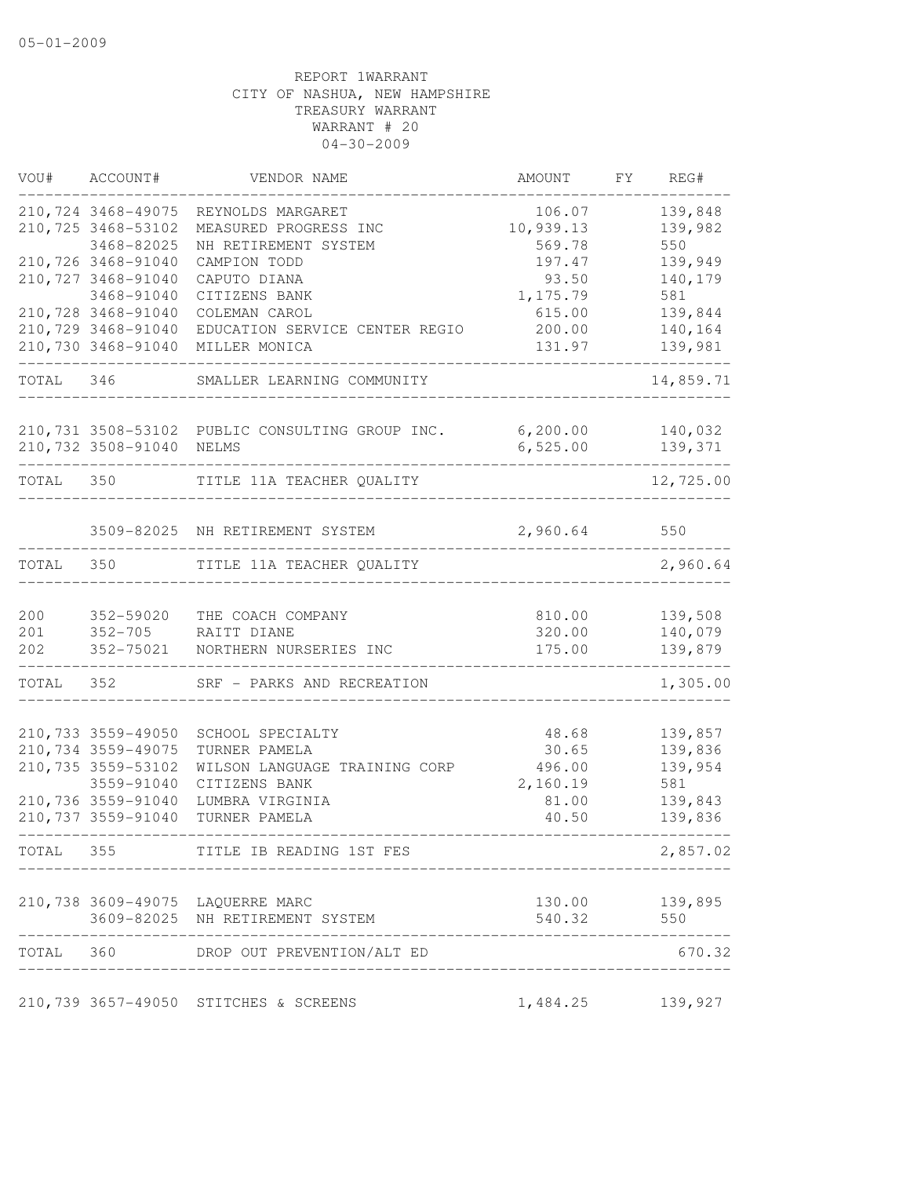| VOU#       | ACCOUNT#                          | VENDOR NAME                                     | AMOUNT            | FY | REG#               |
|------------|-----------------------------------|-------------------------------------------------|-------------------|----|--------------------|
|            | 210, 724 3468-49075               | REYNOLDS MARGARET                               | 106.07            |    | 139,848            |
|            | 210,725 3468-53102                | MEASURED PROGRESS INC                           | 10,939.13         |    | 139,982            |
|            | 3468-82025                        | NH RETIREMENT SYSTEM                            | 569.78            |    | 550                |
|            | 210,726 3468-91040                | CAMPION TODD                                    | 197.47            |    | 139,949            |
|            | 210, 727 3468-91040<br>3468-91040 | CAPUTO DIANA<br>CITIZENS BANK                   | 93.50<br>1,175.79 |    | 140,179<br>581     |
|            | 210,728 3468-91040                | COLEMAN CAROL                                   | 615.00            |    | 139,844            |
|            | 210,729 3468-91040                | EDUCATION SERVICE CENTER REGIO                  | 200.00            |    | 140,164            |
|            | 210,730 3468-91040                | MILLER MONICA                                   | 131.97            |    | 139,981            |
| TOTAL 346  |                                   | SMALLER LEARNING COMMUNITY                      |                   |    | 14,859.71          |
|            |                                   | 210,731 3508-53102 PUBLIC CONSULTING GROUP INC. | 6, 200.00         |    | 140,032            |
|            | 210,732 3508-91040 NELMS          |                                                 | 6,525.00          |    | 139,371            |
| TOTAL 350  |                                   | TITLE 11A TEACHER QUALITY                       |                   |    | 12,725.00          |
|            |                                   | 3509-82025 NH RETIREMENT SYSTEM                 | 2,960.64          |    | 550                |
| TOTAL      | 350                               | TITLE 11A TEACHER QUALITY                       |                   |    | 2,960.64           |
|            |                                   |                                                 |                   |    |                    |
| 200        | 352-59020                         | THE COACH COMPANY                               | 810.00            |    | 139,508            |
| 201<br>202 | 352-75021                         | 352-705 RAITT DIANE<br>NORTHERN NURSERIES INC   | 320.00<br>175.00  |    | 140,079<br>139,879 |
|            |                                   |                                                 |                   |    |                    |
| TOTAL      | 352                               | SRF - PARKS AND RECREATION                      |                   |    | 1,305.00           |
|            | 210, 733 3559-49050               | SCHOOL SPECIALTY                                | 48.68             |    | 139,857            |
|            | 210, 734 3559-49075               | TURNER PAMELA                                   | 30.65             |    | 139,836            |
|            | 210,735 3559-53102                | WILSON LANGUAGE TRAINING CORP                   | 496.00            |    | 139,954            |
|            | 3559-91040                        | CITIZENS BANK                                   | 2,160.19          |    | 581                |
|            | 210,736 3559-91040                | LUMBRA VIRGINIA                                 | 81.00             |    | 139,843            |
|            | 210, 737 3559-91040               | TURNER PAMELA                                   | 40.50             |    | 139,836            |
| TOTAL      | 355                               | TITLE IB READING 1ST FES                        |                   |    | 2,857.02           |
|            |                                   | 210,738 3609-49075 LAQUERRE MARC                |                   |    | 130.00 139,895     |
|            |                                   | 3609-82025 NH RETIREMENT SYSTEM                 | 540.32            |    | 550                |
|            |                                   | TOTAL 360 DROP OUT PREVENTION/ALT ED            |                   |    | 670.32             |
|            |                                   | 210,739 3657-49050 STITCHES & SCREENS           | 1,484.25          |    | 139,927            |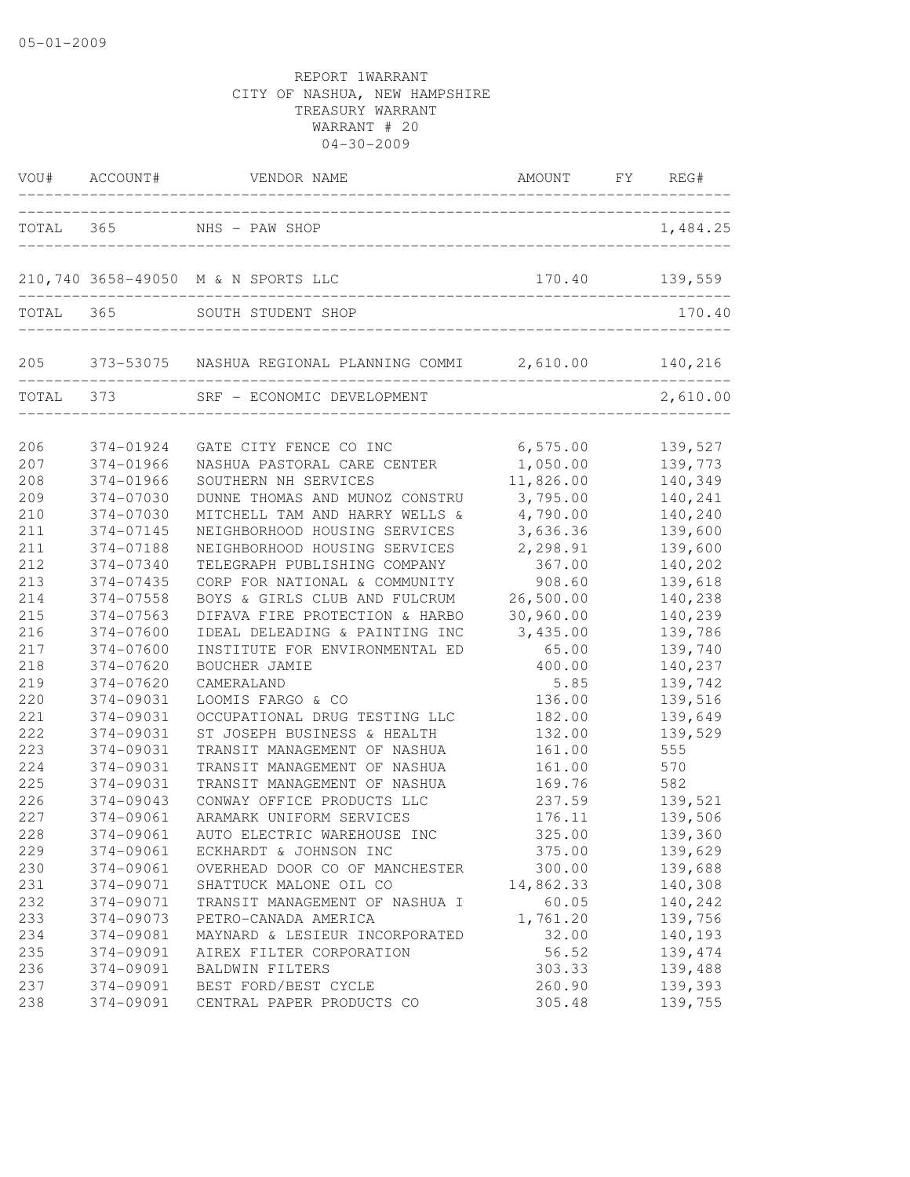|            |                        | VOU# ACCOUNT# VENDOR NAME                                     | AMOUNT<br>-------------------------- | FY REG#            |
|------------|------------------------|---------------------------------------------------------------|--------------------------------------|--------------------|
| TOTAL 365  |                        | NHS - PAW SHOP                                                |                                      | 1,484.25           |
|            |                        | 210,740 3658-49050 M & N SPORTS LLC                           | 170.40    139,559                    |                    |
| TOTAL      | 365                    | SOUTH STUDENT SHOP                                            |                                      | 170.40             |
|            |                        | 205 373-53075 NASHUA REGIONAL PLANNING COMMI 2,610.00 140,216 |                                      |                    |
|            |                        | TOTAL 373 SRF - ECONOMIC DEVELOPMENT                          |                                      | 2,610.00           |
| 206<br>207 | 374-01924<br>374-01966 | GATE CITY FENCE CO INC<br>NASHUA PASTORAL CARE CENTER         | 6,575.00<br>1,050.00                 | 139,527<br>139,773 |
| 208        | 374-01966              | SOUTHERN NH SERVICES                                          | 11,826.00                            | 140,349            |
| 209        | 374-07030              | DUNNE THOMAS AND MUNOZ CONSTRU                                | 3,795.00                             | 140,241            |
| 210        | 374-07030              | MITCHELL TAM AND HARRY WELLS &                                | 4,790.00                             | 140,240            |
| 211        | 374-07145              | NEIGHBORHOOD HOUSING SERVICES                                 | 3,636.36                             | 139,600            |
| 211        | 374-07188              | NEIGHBORHOOD HOUSING SERVICES                                 | 2,298.91                             | 139,600            |
| 212        | 374-07340              | TELEGRAPH PUBLISHING COMPANY                                  | 367.00                               | 140,202            |
| 213        | 374-07435              | CORP FOR NATIONAL & COMMUNITY                                 | 908.60                               | 139,618            |
| 214        | 374-07558              | BOYS & GIRLS CLUB AND FULCRUM                                 | 26,500.00                            | 140,238            |
| 215        | 374-07563              | DIFAVA FIRE PROTECTION & HARBO                                | 30,960.00                            | 140,239            |
| 216        | 374-07600              | IDEAL DELEADING & PAINTING INC                                | 3,435.00                             | 139,786            |
| 217        | 374-07600              | INSTITUTE FOR ENVIRONMENTAL ED                                | 65.00                                | 139,740            |
| 218        | 374-07620              | BOUCHER JAMIE                                                 | 400.00                               | 140,237            |
| 219        | 374-07620              | CAMERALAND                                                    | 5.85                                 | 139,742            |
| 220        | 374-09031              | LOOMIS FARGO & CO                                             | 136.00                               | 139,516            |
| 221        | 374-09031              | OCCUPATIONAL DRUG TESTING LLC                                 | 182.00                               | 139,649            |
| 222        | 374-09031              | ST JOSEPH BUSINESS & HEALTH                                   | 132.00                               | 139,529            |
| 223        | 374-09031              | TRANSIT MANAGEMENT OF NASHUA                                  | 161.00                               | 555                |
| 224        | 374-09031              | TRANSIT MANAGEMENT OF NASHUA                                  | 161.00                               | 570                |
| 225        | 374-09031              | TRANSIT MANAGEMENT OF NASHUA                                  | 169.76                               | 582                |
| 226        | 374-09043              | CONWAY OFFICE PRODUCTS LLC                                    | 237.59                               | 139,521            |
| 227        | 374-09061              | ARAMARK UNIFORM SERVICES                                      | 176.11                               | 139,506            |
| 228        | 374-09061              | AUTO ELECTRIC WAREHOUSE INC                                   | 325.00                               | 139,360            |
| 229        | 374-09061              | ECKHARDT & JOHNSON INC                                        | 375.00                               | 139,629            |
| 230        | 374-09061              | OVERHEAD DOOR CO OF MANCHESTER                                | 300.00                               | 139,688            |
| 231        | 374-09071              | SHATTUCK MALONE OIL CO                                        | 14,862.33                            | 140,308            |
| 232        | 374-09071              | TRANSIT MANAGEMENT OF NASHUA I                                | 60.05                                | 140,242            |
| 233        | 374-09073              | PETRO-CANADA AMERICA                                          | 1,761.20                             | 139,756            |
| 234        | 374-09081              | MAYNARD & LESIEUR INCORPORATED                                | 32.00                                | 140,193            |
| 235        | 374-09091              | AIREX FILTER CORPORATION                                      | 56.52                                | 139, 474           |
| 236        | 374-09091              | BALDWIN FILTERS                                               | 303.33                               | 139,488            |
| 237        | 374-09091              | BEST FORD/BEST CYCLE                                          | 260.90                               | 139,393            |
| 238        | 374-09091              | CENTRAL PAPER PRODUCTS CO                                     | 305.48                               | 139,755            |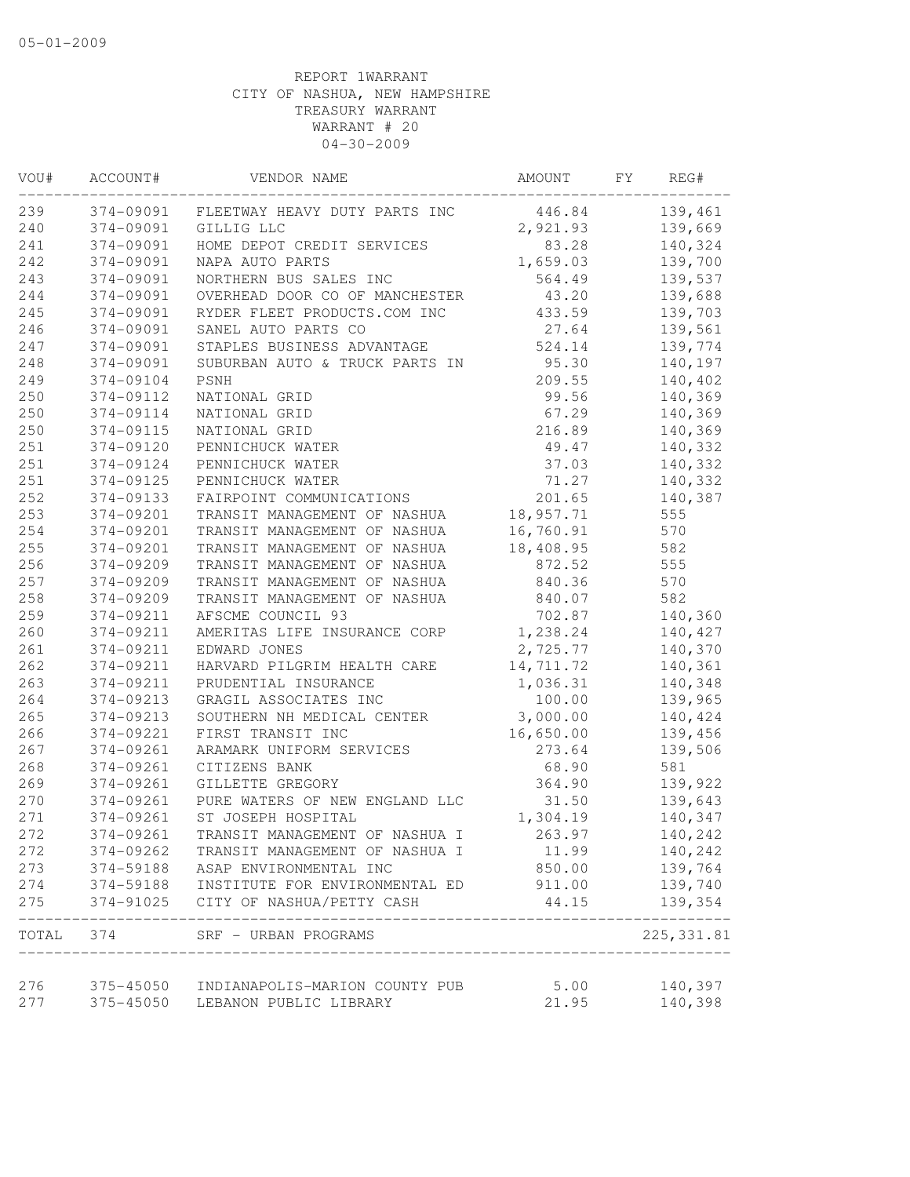| VOU# | ACCOUNT#  | VENDOR NAME                             | AMOUNT    | FY. | REG#        |
|------|-----------|-----------------------------------------|-----------|-----|-------------|
| 239  |           | 374-09091 FLEETWAY HEAVY DUTY PARTS INC | 446.84    |     | 139,461     |
| 240  | 374-09091 | GILLIG LLC                              | 2,921.93  |     | 139,669     |
| 241  | 374-09091 | HOME DEPOT CREDIT SERVICES              | 83.28     |     | 140,324     |
| 242  | 374-09091 | NAPA AUTO PARTS                         | 1,659.03  |     | 139,700     |
| 243  | 374-09091 | NORTHERN BUS SALES INC                  | 564.49    |     | 139,537     |
| 244  | 374-09091 | OVERHEAD DOOR CO OF MANCHESTER          | 43.20     |     | 139,688     |
| 245  | 374-09091 | RYDER FLEET PRODUCTS.COM INC            | 433.59    |     | 139,703     |
| 246  | 374-09091 | SANEL AUTO PARTS CO                     | 27.64     |     | 139,561     |
| 247  | 374-09091 | STAPLES BUSINESS ADVANTAGE              | 524.14    |     | 139,774     |
| 248  | 374-09091 | SUBURBAN AUTO & TRUCK PARTS IN          | 95.30     |     | 140,197     |
| 249  | 374-09104 | PSNH                                    | 209.55    |     | 140,402     |
| 250  | 374-09112 | NATIONAL GRID                           | 99.56     |     | 140,369     |
| 250  | 374-09114 | NATIONAL GRID                           | 67.29     |     | 140,369     |
| 250  | 374-09115 | NATIONAL GRID                           | 216.89    |     | 140,369     |
| 251  | 374-09120 | PENNICHUCK WATER                        | 49.47     |     | 140,332     |
| 251  | 374-09124 | PENNICHUCK WATER                        | 37.03     |     | 140,332     |
| 251  | 374-09125 | PENNICHUCK WATER                        | 71.27     |     | 140,332     |
| 252  | 374-09133 | FAIRPOINT COMMUNICATIONS                | 201.65    |     | 140,387     |
| 253  | 374-09201 | TRANSIT MANAGEMENT OF NASHUA            | 18,957.71 |     | 555         |
| 254  | 374-09201 | TRANSIT MANAGEMENT OF NASHUA            | 16,760.91 |     | 570         |
| 255  | 374-09201 | TRANSIT MANAGEMENT OF NASHUA            | 18,408.95 |     | 582         |
| 256  | 374-09209 | TRANSIT MANAGEMENT OF NASHUA            | 872.52    |     | 555         |
| 257  | 374-09209 | TRANSIT MANAGEMENT OF NASHUA            | 840.36    |     | 570         |
| 258  | 374-09209 | TRANSIT MANAGEMENT OF NASHUA            | 840.07    |     | 582         |
| 259  | 374-09211 | AFSCME COUNCIL 93                       | 702.87    |     | 140,360     |
| 260  | 374-09211 | AMERITAS LIFE INSURANCE CORP            | 1,238.24  |     | 140,427     |
| 261  | 374-09211 | EDWARD JONES                            | 2,725.77  |     | 140,370     |
| 262  | 374-09211 | HARVARD PILGRIM HEALTH CARE             | 14,711.72 |     | 140,361     |
| 263  |           |                                         |           |     |             |
|      | 374-09211 | PRUDENTIAL INSURANCE                    | 1,036.31  |     | 140,348     |
| 264  | 374-09213 | GRAGIL ASSOCIATES INC                   | 100.00    |     | 139,965     |
| 265  | 374-09213 | SOUTHERN NH MEDICAL CENTER              | 3,000.00  |     | 140,424     |
| 266  | 374-09221 | FIRST TRANSIT INC                       | 16,650.00 |     | 139,456     |
| 267  | 374-09261 | ARAMARK UNIFORM SERVICES                | 273.64    |     | 139,506     |
| 268  | 374-09261 | CITIZENS BANK                           | 68.90     |     | 581         |
| 269  | 374-09261 | GILLETTE GREGORY                        | 364.90    |     | 139,922     |
| 270  | 374-09261 | PURE WATERS OF NEW ENGLAND LLC          | 31.50     |     | 139,643     |
| 271  | 374-09261 | ST JOSEPH HOSPITAL                      | 1,304.19  |     | 140,347     |
| 272  | 374-09261 | TRANSIT MANAGEMENT OF NASHUA I          | 263.97    |     | 140,242     |
| 272  | 374-09262 | TRANSIT MANAGEMENT OF NASHUA I          | 11.99     |     | 140,242     |
| 273  | 374-59188 | ASAP ENVIRONMENTAL INC                  | 850.00    |     | 139,764     |
| 274  | 374-59188 | INSTITUTE FOR ENVIRONMENTAL ED          | 911.00    |     | 139,740     |
| 275  | 374-91025 | CITY OF NASHUA/PETTY CASH               | 44.15     |     | 139,354     |
|      |           | TOTAL 374 SRF - URBAN PROGRAMS          |           |     | 225, 331.81 |
| 276  | 375-45050 | INDIANAPOLIS-MARION COUNTY PUB          | 5.00      |     | 140,397     |
| 277  | 375-45050 | LEBANON PUBLIC LIBRARY                  | 21.95     |     | 140,398     |
|      |           |                                         |           |     |             |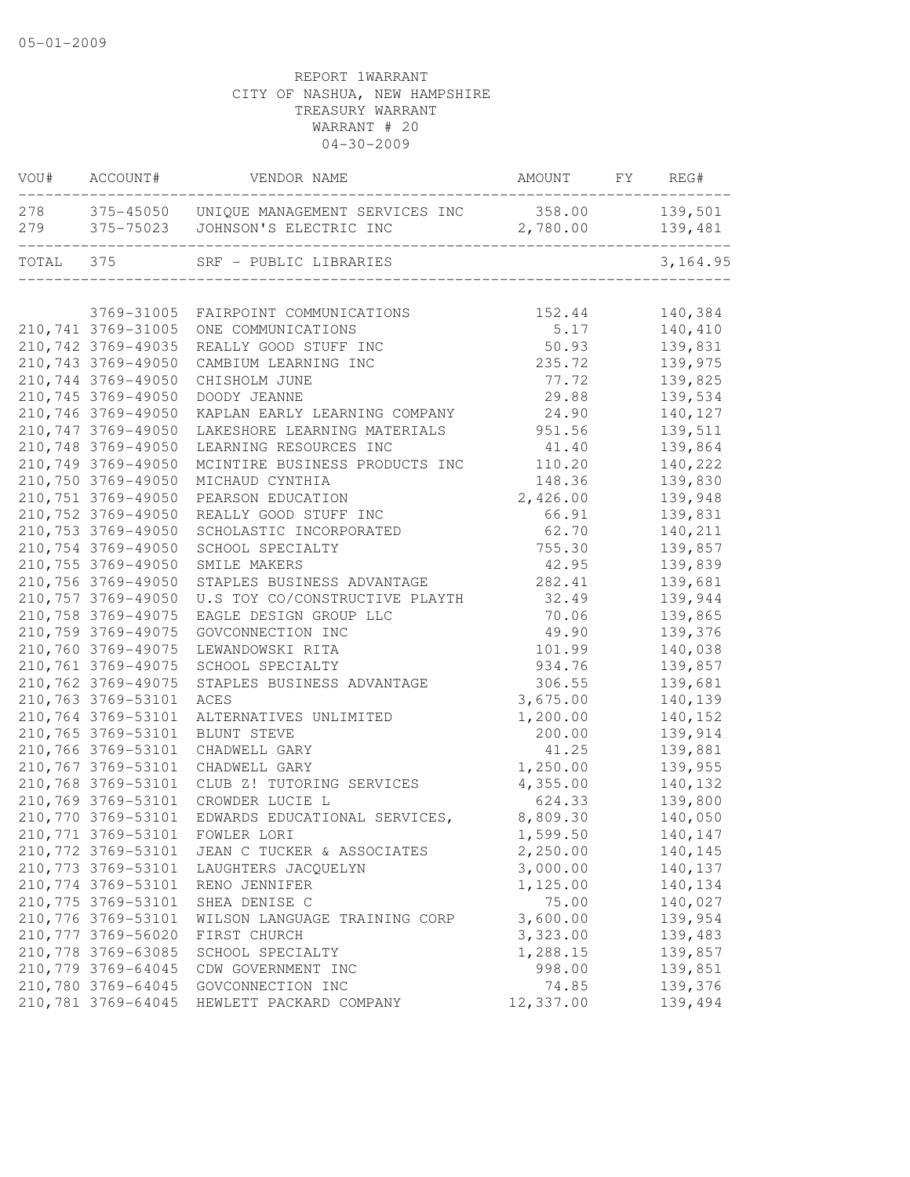|           | VOU# ACCOUNT#          | VENDOR NAME                                                                           | AMOUNT FY REG#                        |                           |
|-----------|------------------------|---------------------------------------------------------------------------------------|---------------------------------------|---------------------------|
|           | 279 375-75023          | 278 375-45050 UNIQUE MANAGEMENT SERVICES INC 358.00 139,501<br>JOHNSON'S ELECTRIC INC | 2,780.00 139,481                      |                           |
| TOTAL 375 | ---------------------- | SRF - PUBLIC LIBRARIES                                                                | .0<br>.______________________________ | ------------<br>3, 164.95 |
|           |                        |                                                                                       |                                       |                           |
|           | 3769-31005             | FAIRPOINT COMMUNICATIONS                                                              | 152.44                                | 140,384                   |
|           | 210, 741 3769-31005    | ONE COMMUNICATIONS                                                                    | 5.17                                  | 140,410                   |
|           | 210, 742 3769-49035    | REALLY GOOD STUFF INC                                                                 | 50.93                                 | 139,831                   |
|           | 210,743 3769-49050     | CAMBIUM LEARNING INC                                                                  | 235.72                                | 139,975                   |
|           | 210,744 3769-49050     | CHISHOLM JUNE                                                                         | 77.72                                 | 139,825                   |
|           | 210, 745 3769-49050    | DOODY JEANNE                                                                          | 29.88                                 | 139,534                   |
|           | 210,746 3769-49050     | KAPLAN EARLY LEARNING COMPANY                                                         | 24.90                                 | 140,127                   |
|           | 210, 747 3769-49050    | LAKESHORE LEARNING MATERIALS                                                          | 951.56                                | 139,511                   |
|           | 210,748 3769-49050     | LEARNING RESOURCES INC                                                                | 41.40                                 | 139,864                   |
|           | 210,749 3769-49050     | MCINTIRE BUSINESS PRODUCTS INC                                                        | 110.20                                | 140,222                   |
|           | 210,750 3769-49050     | MICHAUD CYNTHIA                                                                       | 148.36                                | 139,830                   |
|           | 210, 751 3769-49050    | PEARSON EDUCATION                                                                     | 2,426.00                              | 139,948                   |
|           | 210,752 3769-49050     | REALLY GOOD STUFF INC                                                                 | 66.91                                 | 139,831                   |
|           | 210,753 3769-49050     | SCHOLASTIC INCORPORATED                                                               | 62.70                                 | 140,211                   |
|           | 210,754 3769-49050     | SCHOOL SPECIALTY                                                                      | 755.30                                | 139,857                   |
|           | 210, 755 3769-49050    | SMILE MAKERS                                                                          | 42.95                                 | 139,839                   |
|           | 210,756 3769-49050     | STAPLES BUSINESS ADVANTAGE                                                            | 282.41                                | 139,681                   |
|           | 210, 757 3769-49050    | U.S TOY CO/CONSTRUCTIVE PLAYTH                                                        | 32.49                                 | 139,944                   |
|           | 210,758 3769-49075     | EAGLE DESIGN GROUP LLC                                                                | 70.06                                 | 139,865                   |
|           | 210,759 3769-49075     | GOVCONNECTION INC                                                                     | 49.90                                 | 139,376                   |
|           | 210,760 3769-49075     | LEWANDOWSKI RITA                                                                      | 101.99                                | 140,038                   |
|           | 210, 761 3769-49075    | SCHOOL SPECIALTY                                                                      | 934.76                                | 139,857                   |
|           | 210,762 3769-49075     | STAPLES BUSINESS ADVANTAGE                                                            | 306.55                                | 139,681                   |
|           | 210,763 3769-53101     | ACES                                                                                  | 3,675.00                              | 140,139                   |
|           | 210,764 3769-53101     | ALTERNATIVES UNLIMITED                                                                | 1,200.00                              | 140,152                   |
|           | 210,765 3769-53101     | BLUNT STEVE                                                                           | 200.00                                | 139,914                   |
|           | 210,766 3769-53101     | CHADWELL GARY                                                                         | 41.25                                 | 139,881                   |
|           | 210, 767 3769-53101    | CHADWELL GARY                                                                         | 1,250.00                              | 139,955                   |
|           | 210,768 3769-53101     | CLUB Z! TUTORING SERVICES                                                             | 4,355.00                              | 140,132                   |
|           | 210,769 3769-53101     | CROWDER LUCIE L                                                                       | 624.33                                | 139,800                   |
|           | 210,770 3769-53101     | EDWARDS EDUCATIONAL SERVICES,                                                         | 8,809.30                              | 140,050                   |
|           | 210, 771 3769-53101    | FOWLER LORI                                                                           | 1,599.50                              | 140,147                   |
|           | 210, 772 3769-53101    | JEAN C TUCKER & ASSOCIATES                                                            | 2,250.00                              | 140,145                   |
|           | 210, 773 3769-53101    | LAUGHTERS JACQUELYN                                                                   | 3,000.00                              | 140,137                   |
|           | 210, 774 3769-53101    | RENO JENNIFER                                                                         | 1,125.00                              | 140,134                   |
|           | 210, 775 3769-53101    | SHEA DENISE C                                                                         | 75.00                                 | 140,027                   |
|           | 210, 776 3769-53101    | WILSON LANGUAGE TRAINING CORP                                                         | 3,600.00                              | 139,954                   |
|           | 210, 777 3769-56020    | FIRST CHURCH                                                                          | 3,323.00                              | 139,483                   |
|           | 210,778 3769-63085     | SCHOOL SPECIALTY                                                                      | 1,288.15                              | 139,857                   |
|           | 210,779 3769-64045     | CDW GOVERNMENT INC                                                                    | 998.00                                | 139,851                   |
|           | 210,780 3769-64045     | GOVCONNECTION INC                                                                     | 74.85                                 | 139,376                   |
|           | 210,781 3769-64045     | HEWLETT PACKARD COMPANY                                                               | 12,337.00                             | 139,494                   |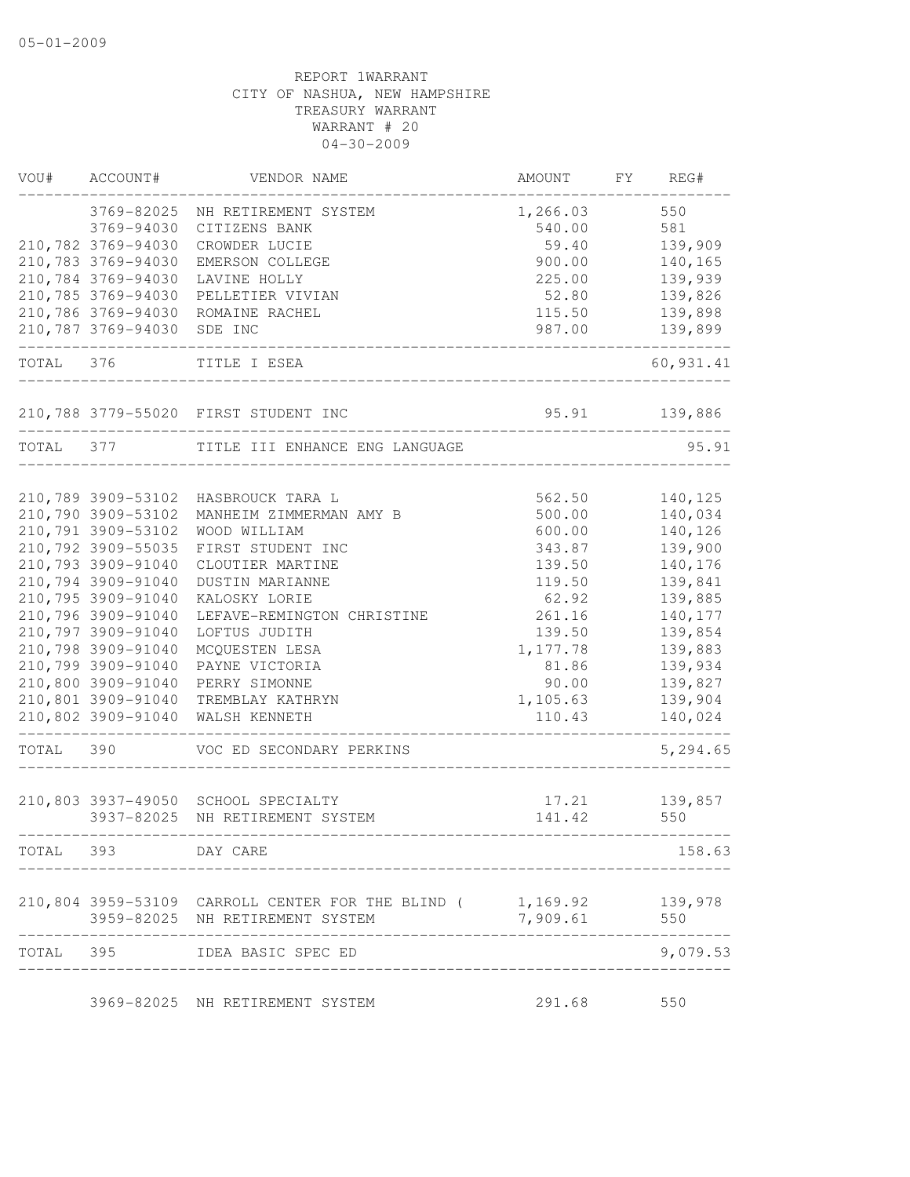| VOU#      | ACCOUNT#           | VENDOR NAME                                                        | AMOUNT   | FY | REG#      |
|-----------|--------------------|--------------------------------------------------------------------|----------|----|-----------|
|           | 3769-82025         | NH RETIREMENT SYSTEM                                               | 1,266.03 |    | 550       |
|           | 3769-94030         | CITIZENS BANK                                                      | 540.00   |    | 581       |
|           | 210,782 3769-94030 | CROWDER LUCIE                                                      | 59.40    |    | 139,909   |
|           | 210,783 3769-94030 | EMERSON COLLEGE                                                    | 900.00   |    | 140,165   |
|           | 210,784 3769-94030 | LAVINE HOLLY                                                       | 225.00   |    | 139,939   |
|           | 210,785 3769-94030 | PELLETIER VIVIAN                                                   | 52.80    |    | 139,826   |
|           | 210,786 3769-94030 | ROMAINE RACHEL                                                     | 115.50   |    | 139,898   |
|           | 210,787 3769-94030 | SDE INC                                                            | 987.00   |    | 139,899   |
| TOTAL 376 |                    | TITLE I ESEA                                                       |          |    | 60,931.41 |
|           |                    | 210,788 3779-55020 FIRST STUDENT INC                               | 95.91    |    | 139,886   |
| TOTAL     | 377                | TITLE III ENHANCE ENG LANGUAGE                                     |          |    | 95.91     |
|           |                    |                                                                    |          |    |           |
|           | 210,789 3909-53102 | HASBROUCK TARA L                                                   | 562.50   |    | 140,125   |
|           | 210,790 3909-53102 | MANHEIM ZIMMERMAN AMY B                                            | 500.00   |    | 140,034   |
|           | 210,791 3909-53102 | WOOD WILLIAM                                                       | 600.00   |    | 140,126   |
|           | 210,792 3909-55035 | FIRST STUDENT INC                                                  | 343.87   |    | 139,900   |
|           | 210,793 3909-91040 | CLOUTIER MARTINE                                                   | 139.50   |    | 140,176   |
|           | 210,794 3909-91040 | DUSTIN MARIANNE                                                    | 119.50   |    | 139,841   |
|           | 210,795 3909-91040 | KALOSKY LORIE                                                      | 62.92    |    | 139,885   |
|           | 210,796 3909-91040 | LEFAVE-REMINGTON CHRISTINE                                         | 261.16   |    | 140,177   |
|           | 210,797 3909-91040 | LOFTUS JUDITH                                                      | 139.50   |    | 139,854   |
|           | 210,798 3909-91040 | MCQUESTEN LESA                                                     | 1,177.78 |    | 139,883   |
|           | 210,799 3909-91040 | PAYNE VICTORIA                                                     | 81.86    |    | 139,934   |
|           | 210,800 3909-91040 | PERRY SIMONNE                                                      | 90.00    |    | 139,827   |
|           | 210,801 3909-91040 | TREMBLAY KATHRYN                                                   | 1,105.63 |    | 139,904   |
|           | 210,802 3909-91040 | WALSH KENNETH                                                      | 110.43   |    | 140,024   |
| TOTAL     | 390                | VOC ED SECONDARY PERKINS                                           |          |    | 5,294.65  |
|           | 210,803 3937-49050 | SCHOOL SPECIALTY                                                   | 17.21    |    | 139,857   |
|           | 3937-82025         | NH RETIREMENT SYSTEM                                               | 141.42   |    | 550       |
|           | TOTAL 393          | DAY CARE                                                           |          |    | 158.63    |
|           |                    | 210,804 3959-53109 CARROLL CENTER FOR THE BLIND ( 1,169.92 139,978 |          |    |           |
|           |                    | 3959-82025 NH RETIREMENT SYSTEM                                    | 7,909.61 |    | 550       |
| TOTAL 395 |                    | IDEA BASIC SPEC ED                                                 |          |    | 9,079.53  |
|           |                    | 3969-82025 NH RETIREMENT SYSTEM                                    | 291.68   |    | 550       |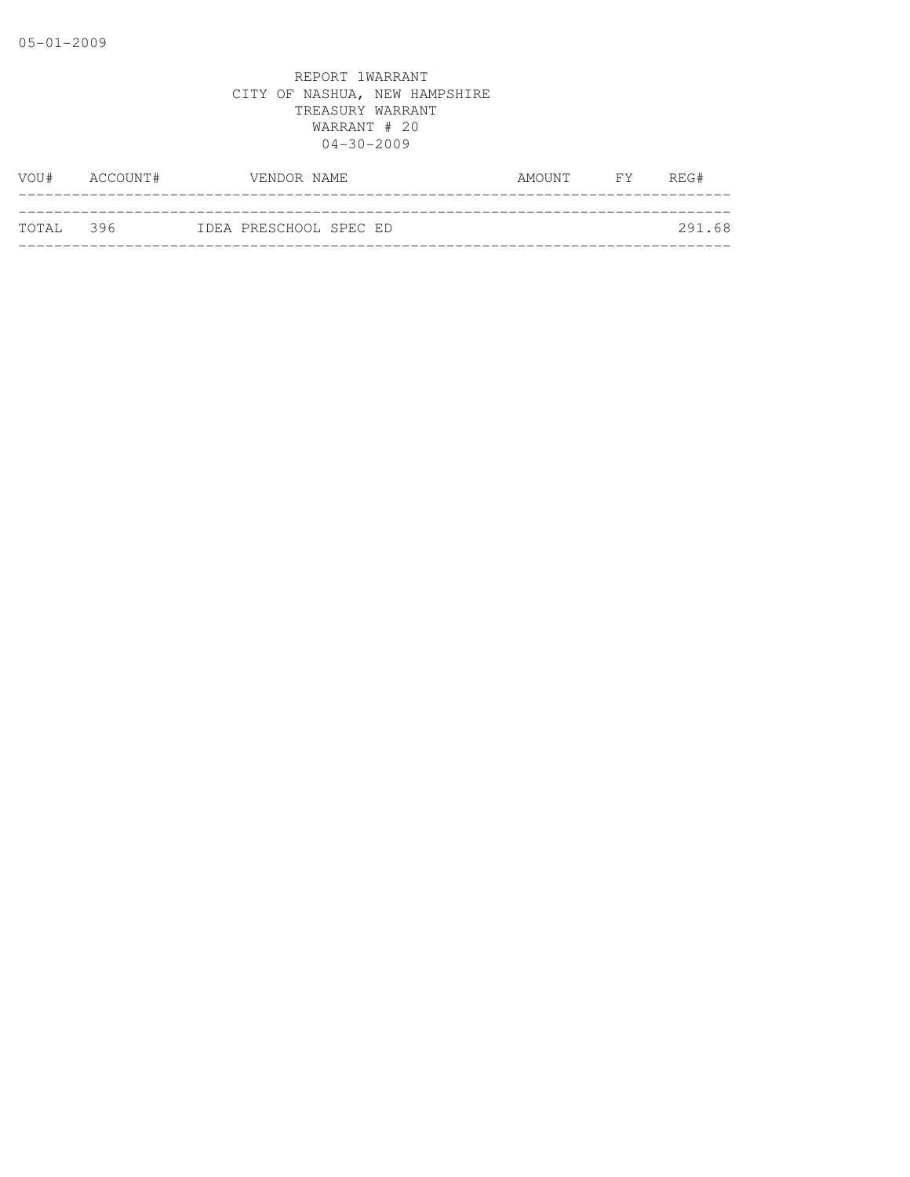|           | VOU# ACCOUNT# | VENDOR NAME            | AMOUNT | <b>FY</b> | REG#   |
|-----------|---------------|------------------------|--------|-----------|--------|
|           |               |                        |        |           |        |
| TOTAL 396 |               | IDEA PRESCHOOL SPEC ED |        |           | 291.68 |
|           |               |                        |        |           |        |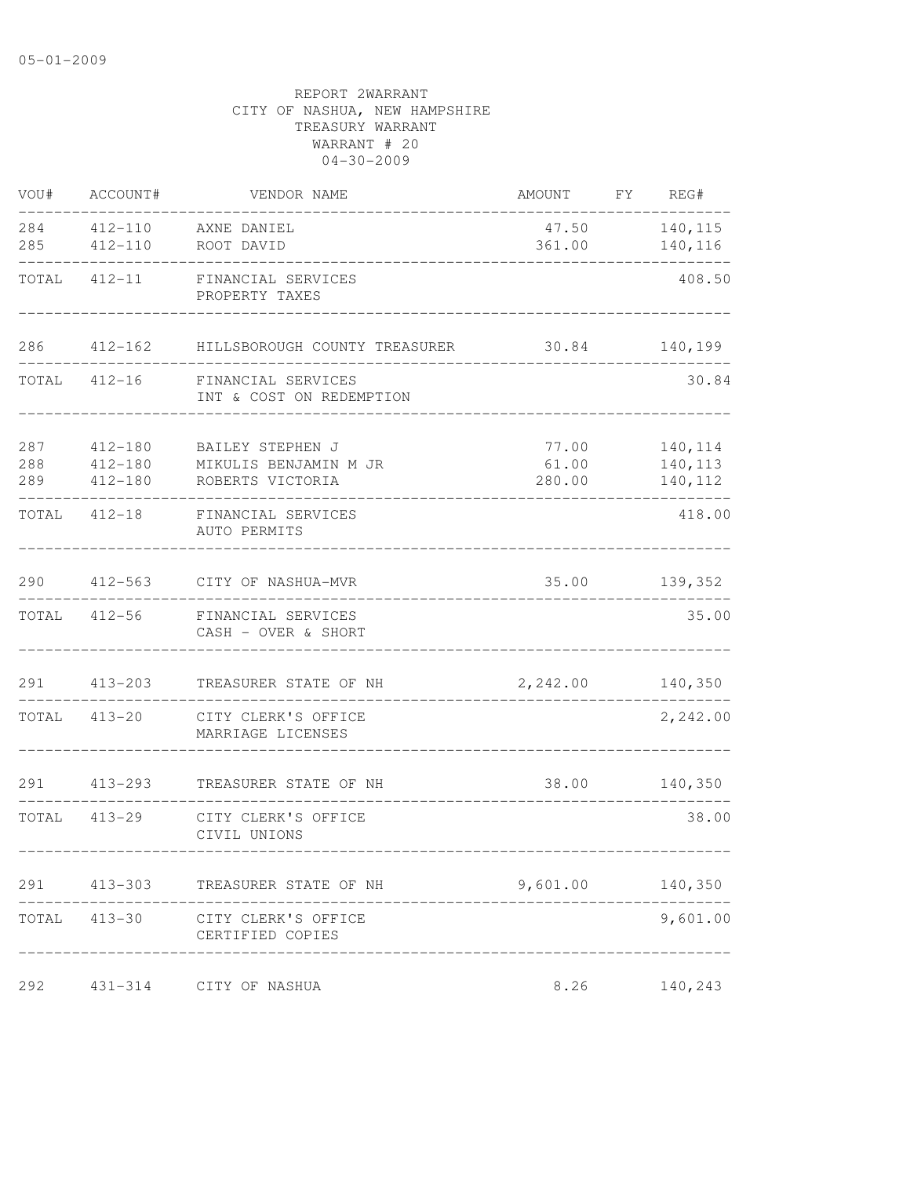| VOU#              | ACCOUNT#                              | VENDOR NAME                                                   | AMOUNT FY REG#           |                               |
|-------------------|---------------------------------------|---------------------------------------------------------------|--------------------------|-------------------------------|
| 284<br>285        | 412-110<br>412-110                    | AXNE DANIEL<br>ROOT DAVID                                     | 47.50<br>361.00          | 140,115<br>140,116            |
| TOTAL             | $412 - 11$                            | FINANCIAL SERVICES<br>PROPERTY TAXES                          |                          | 408.50                        |
|                   |                                       | 286 412-162 HILLSBOROUGH COUNTY TREASURER                     |                          | 30.84 140,199                 |
|                   |                                       | TOTAL 412-16 FINANCIAL SERVICES<br>INT & COST ON REDEMPTION   |                          | 30.84                         |
| 287<br>288<br>289 | 412-180<br>$412 - 180$<br>$412 - 180$ | BAILEY STEPHEN J<br>MIKULIS BENJAMIN M JR<br>ROBERTS VICTORIA | 77.00<br>61.00<br>280.00 | 140,114<br>140,113<br>140,112 |
|                   | TOTAL 412-18                          | FINANCIAL SERVICES<br>AUTO PERMITS                            |                          | 418.00                        |
|                   |                                       | 290 412-563 CITY OF NASHUA-MVR                                |                          | 35.00 139,352                 |
| TOTAL             |                                       | 412-56 FINANCIAL SERVICES<br>CASH - OVER & SHORT              |                          | 35.00                         |
| 291               | $413 - 203$                           | TREASURER STATE OF NH                                         | 2, 242.00 140, 350       |                               |
|                   | TOTAL 413-20                          | CITY CLERK'S OFFICE<br>MARRIAGE LICENSES                      |                          | 2,242.00                      |
| 291               | 413-293                               | TREASURER STATE OF NH                                         |                          | 38.00 140,350                 |
|                   | TOTAL 413-29                          | CITY CLERK'S OFFICE<br>CIVIL UNIONS                           |                          | 38.00                         |
|                   |                                       | 291 413-303 TREASURER STATE OF NH                             | 9,601.00                 | 140,350                       |
|                   | TOTAL 413-30                          | CITY CLERK'S OFFICE<br>CERTIFIED COPIES                       |                          | 9,601.00                      |
| 292               | $431 - 314$                           | CITY OF NASHUA                                                | 8.26                     | 140,243                       |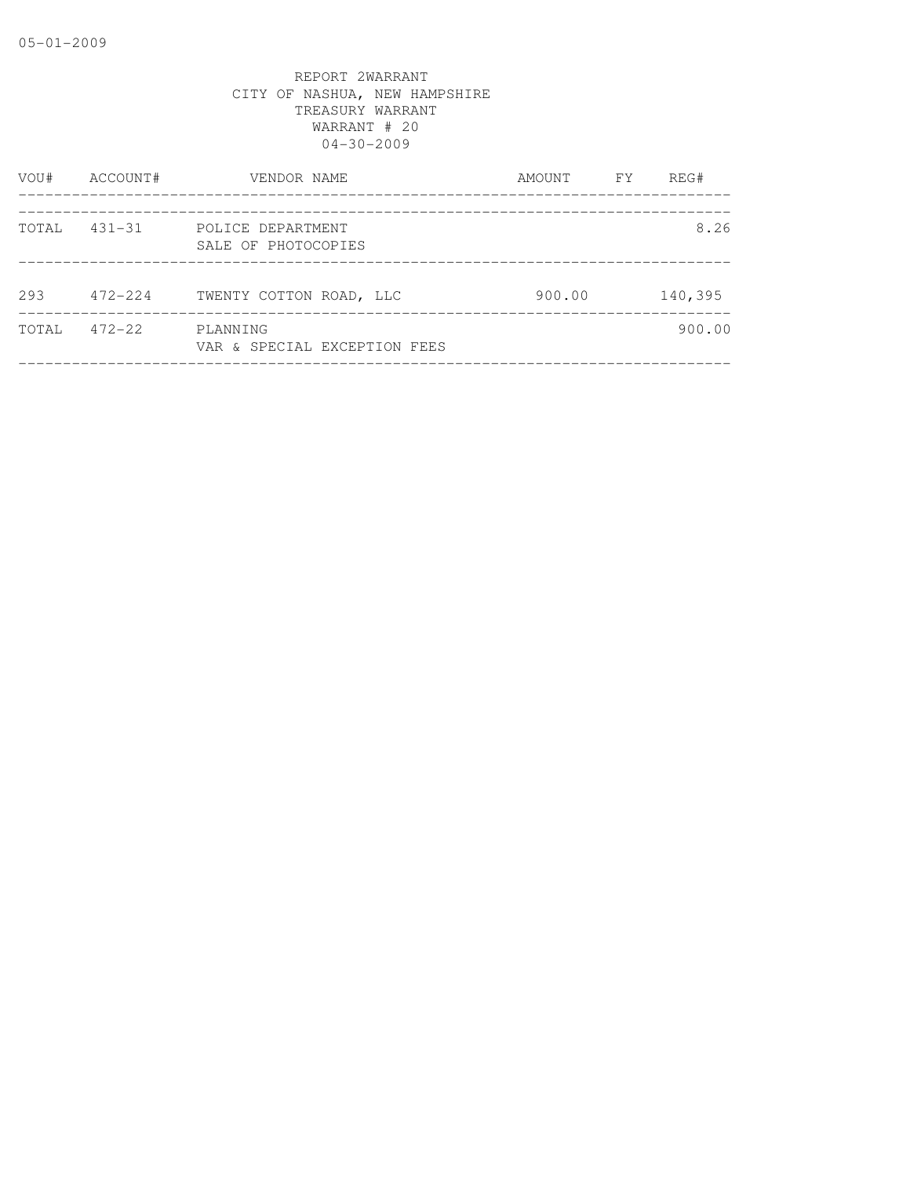| VOU#  | ACCOUNT#    | VENDOR NAME                              | AMOUNT | FY | REG#    |
|-------|-------------|------------------------------------------|--------|----|---------|
| TOTAL | $431 - 31$  | POLICE DEPARTMENT<br>SALE OF PHOTOCOPIES |        |    | 8.26    |
| 293   | $472 - 224$ | TWENTY COTTON ROAD, LLC                  | 900.00 |    | 140,395 |
| TOTAL | $472 - 22$  | PLANNING<br>VAR & SPECIAL EXCEPTION FEES |        |    | 900.00  |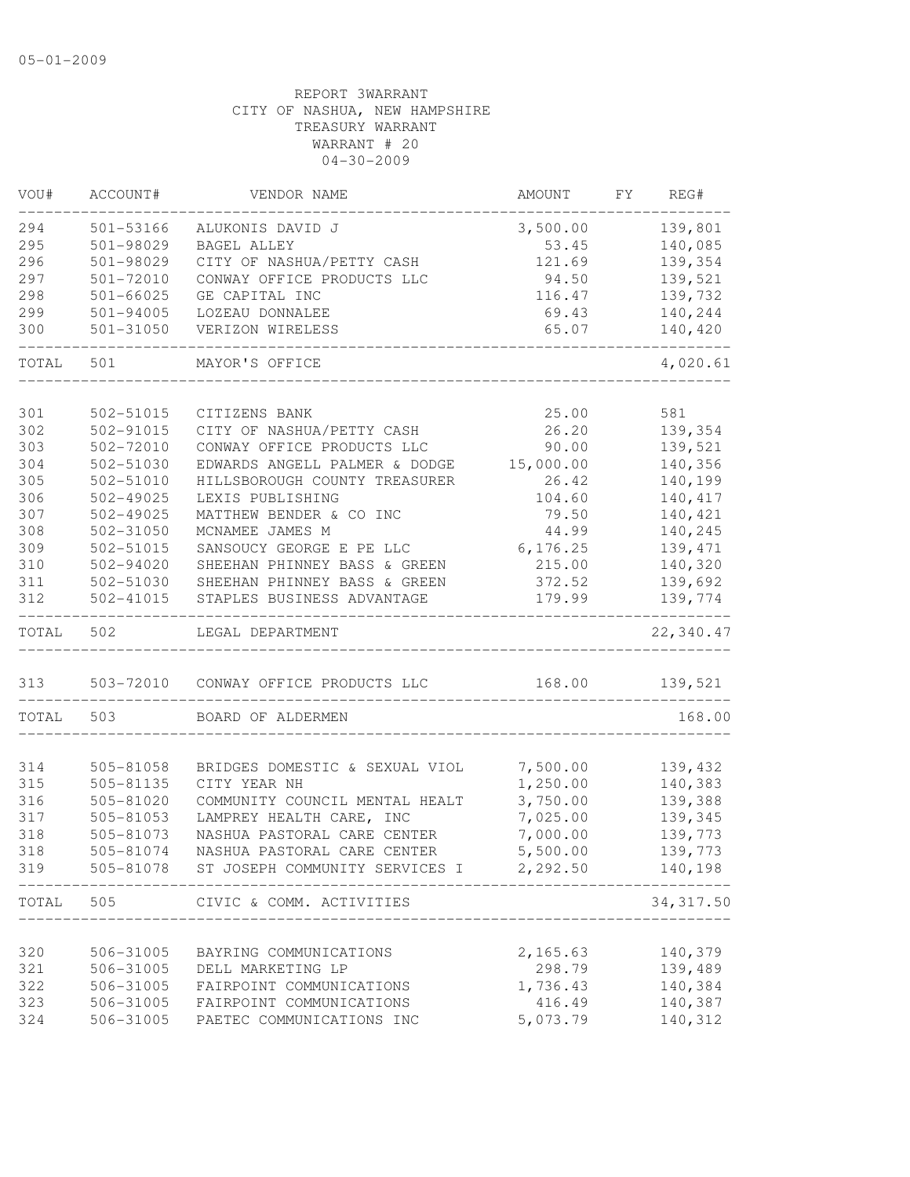| VOU#  | ACCOUNT#      | VENDOR NAME                          | AMOUNT    | FY. | REG#       |
|-------|---------------|--------------------------------------|-----------|-----|------------|
| 294   | 501-53166     | ALUKONIS DAVID J                     | 3,500.00  |     | 139,801    |
| 295   | 501-98029     | <b>BAGEL ALLEY</b>                   | 53.45     |     | 140,085    |
| 296   | 501-98029     | CITY OF NASHUA/PETTY CASH            | 121.69    |     | 139,354    |
| 297   | 501-72010     | CONWAY OFFICE PRODUCTS LLC           | 94.50     |     | 139,521    |
| 298   | $501 - 66025$ | GE CAPITAL INC                       | 116.47    |     | 139,732    |
| 299   | 501-94005     | LOZEAU DONNALEE                      | 69.43     |     | 140,244    |
| 300   | $501 - 31050$ | VERIZON WIRELESS                     | 65.07     |     | 140,420    |
| TOTAL | 501           | MAYOR'S OFFICE                       |           |     | 4,020.61   |
|       |               |                                      |           |     |            |
| 301   | 502-51015     | CITIZENS BANK                        | 25.00     |     | 581        |
| 302   | 502-91015     | CITY OF NASHUA/PETTY CASH            | 26.20     |     | 139,354    |
| 303   | 502-72010     | CONWAY OFFICE PRODUCTS LLC           | 90.00     |     | 139,521    |
| 304   | 502-51030     | EDWARDS ANGELL PALMER & DODGE        | 15,000.00 |     | 140,356    |
| 305   | 502-51010     | HILLSBOROUGH COUNTY TREASURER        | 26.42     |     | 140,199    |
| 306   | 502-49025     | LEXIS PUBLISHING                     | 104.60    |     | 140, 417   |
| 307   | 502-49025     | MATTHEW BENDER & CO INC              | 79.50     |     | 140,421    |
| 308   | 502-31050     | MCNAMEE JAMES M                      | 44.99     |     | 140,245    |
| 309   | 502-51015     | SANSOUCY GEORGE E PE LLC             | 6, 176.25 |     | 139, 471   |
| 310   | 502-94020     | SHEEHAN PHINNEY BASS & GREEN         | 215.00    |     | 140,320    |
| 311   | 502-51030     | SHEEHAN PHINNEY BASS & GREEN         | 372.52    |     | 139,692    |
| 312   | $502 - 41015$ | STAPLES BUSINESS ADVANTAGE           | 179.99    |     | 139,774    |
| TOTAL | 502           | LEGAL DEPARTMENT                     |           |     | 22,340.47  |
| 313   |               | 503-72010 CONWAY OFFICE PRODUCTS LLC | 168.00    |     | 139,521    |
| TOTAL | 503           | BOARD OF ALDERMEN                    |           |     | 168.00     |
|       |               |                                      |           |     |            |
| 314   | 505-81058     | BRIDGES DOMESTIC & SEXUAL VIOL       | 7,500.00  |     | 139,432    |
| 315   | 505-81135     | CITY YEAR NH                         | 1,250.00  |     | 140,383    |
| 316   | 505-81020     | COMMUNITY COUNCIL MENTAL HEALT       | 3,750.00  |     | 139,388    |
| 317   | 505-81053     | LAMPREY HEALTH CARE, INC             | 7,025.00  |     | 139,345    |
| 318   | 505-81073     | NASHUA PASTORAL CARE CENTER          | 7,000.00  |     | 139,773    |
| 318   | 505-81074     | NASHUA PASTORAL CARE CENTER          | 5,500.00  |     | 139,773    |
| 319   | 505-81078     | ST JOSEPH COMMUNITY SERVICES I       | 2,292.50  |     | 140,198    |
| TOTAL | 505           | CIVIC & COMM. ACTIVITIES             |           |     | 34, 317.50 |
|       |               |                                      |           |     |            |
| 320   | 506-31005     | BAYRING COMMUNICATIONS               | 2,165.63  |     | 140,379    |
| 321   | 506-31005     | DELL MARKETING LP                    | 298.79    |     | 139,489    |
| 322   | 506-31005     | FAIRPOINT COMMUNICATIONS             | 1,736.43  |     | 140,384    |
| 323   | 506-31005     | FAIRPOINT COMMUNICATIONS             | 416.49    |     | 140,387    |
| 324   | 506-31005     | PAETEC COMMUNICATIONS INC            | 5,073.79  |     | 140,312    |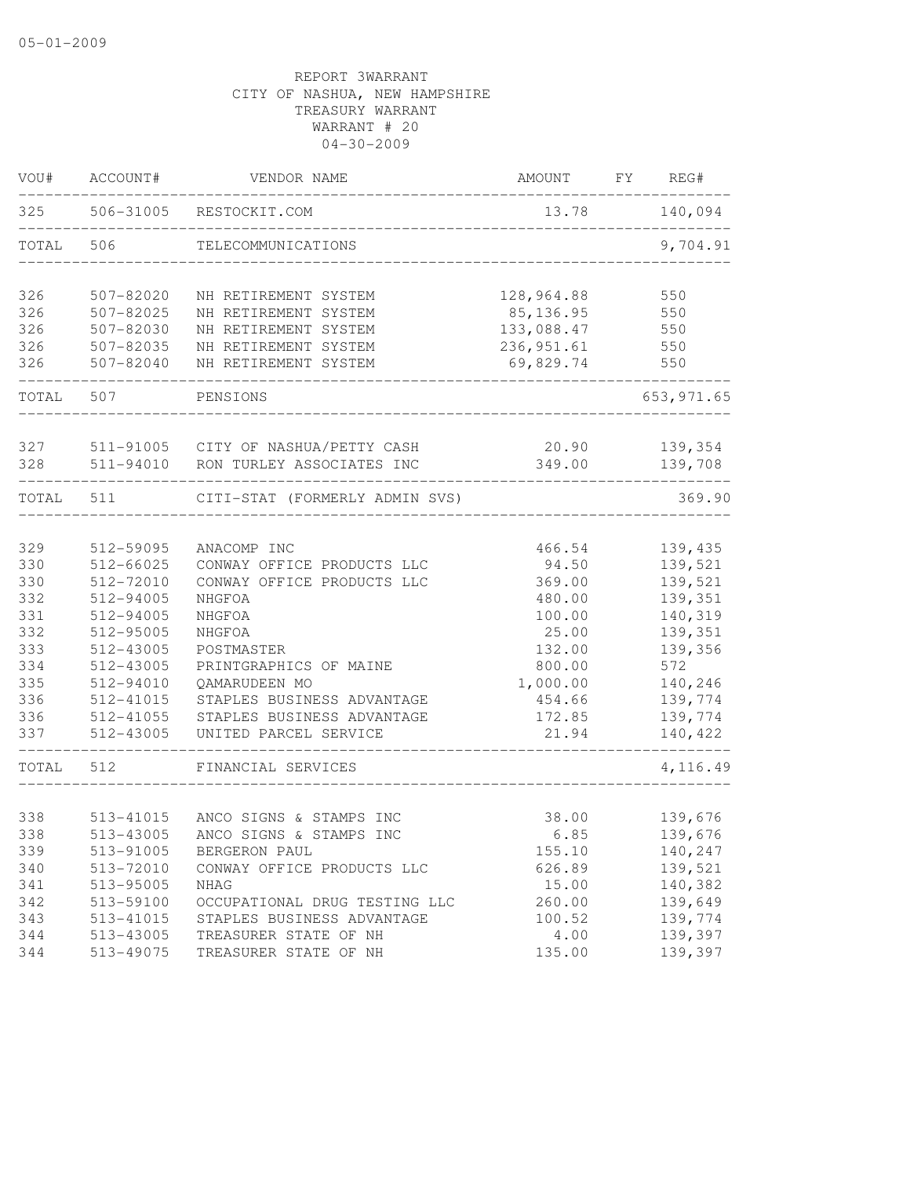| VOU#       | ACCOUNT#               | VENDOR NAME                                     | <b>AMOUNT</b>    | FY | REG#               |
|------------|------------------------|-------------------------------------------------|------------------|----|--------------------|
| 325        | 506-31005              | RESTOCKIT.COM<br>______________________________ | 13.78            |    | 140,094            |
| TOTAL      | 506                    | TELECOMMUNICATIONS                              |                  |    | 9,704.91           |
| 326        | 507-82020              | NH RETIREMENT SYSTEM                            | 128,964.88       |    | 550                |
| 326        | 507-82025              | NH RETIREMENT SYSTEM                            | 85, 136.95       |    | 550                |
| 326        | 507-82030              | NH RETIREMENT SYSTEM                            | 133,088.47       |    | 550                |
| 326        | 507-82035              | NH RETIREMENT SYSTEM                            | 236, 951.61      |    | 550                |
| 326        | 507-82040              | NH RETIREMENT SYSTEM                            | 69,829.74        |    | 550                |
| TOTAL      | 507                    | PENSIONS                                        |                  |    | 653, 971.65        |
| 327        |                        | 511-91005 CITY OF NASHUA/PETTY CASH             | 20.90            |    | 139,354            |
| 328        | 511-94010              | RON TURLEY ASSOCIATES INC                       | 349.00           |    | 139,708            |
| TOTAL      | 511                    | CITI-STAT (FORMERLY ADMIN SVS)                  |                  |    | 369.90             |
|            |                        |                                                 |                  |    |                    |
| 329        | 512-59095              | ANACOMP INC                                     | 466.54           |    | 139,435            |
| 330        | 512-66025              | CONWAY OFFICE PRODUCTS LLC                      | 94.50            |    | 139,521            |
| 330        | 512-72010              | CONWAY OFFICE PRODUCTS LLC                      | 369.00           |    | 139,521            |
| 332        | 512-94005              | NHGFOA                                          | 480.00           |    | 139,351            |
| 331        | 512-94005              | NHGFOA                                          | 100.00           |    | 140,319            |
| 332<br>333 | 512-95005              | NHGFOA                                          | 25.00            |    | 139,351            |
| 334        | 512-43005<br>512-43005 | POSTMASTER<br>PRINTGRAPHICS OF MAINE            | 132.00<br>800.00 |    | 139,356<br>572     |
| 335        | 512-94010              | QAMARUDEEN MO                                   | 1,000.00         |    |                    |
| 336        | 512-41015              | STAPLES BUSINESS ADVANTAGE                      | 454.66           |    | 140,246<br>139,774 |
| 336        | 512-41055              | STAPLES BUSINESS ADVANTAGE                      | 172.85           |    | 139,774            |
| 337        | 512-43005              | UNITED PARCEL SERVICE                           | 21.94            |    | 140,422            |
| TOTAL      | 512                    | FINANCIAL SERVICES                              |                  |    | 4,116.49           |
| 338        | 513-41015              | ANCO SIGNS & STAMPS INC                         | 38.00            |    | 139,676            |
| 338        | 513-43005              | ANCO SIGNS & STAMPS INC                         | 6.85             |    | 139,676            |
| 339        | 513-91005              | BERGERON PAUL                                   |                  |    |                    |
| 340        | 513-72010              | CONWAY OFFICE PRODUCTS LLC                      | 155.10<br>626.89 |    | 140,247<br>139,521 |
| 341        | 513-95005              | NHAG                                            | 15.00            |    | 140,382            |
| 342        | 513-59100              | OCCUPATIONAL DRUG TESTING LLC                   | 260.00           |    | 139,649            |
| 343        | 513-41015              |                                                 | 100.52           |    | 139,774            |
| 344        |                        | STAPLES BUSINESS ADVANTAGE                      | 4.00             |    |                    |
|            | 513-43005              | TREASURER STATE OF NH                           |                  |    | 139,397            |
| 344        | 513-49075              | TREASURER STATE OF NH                           | 135.00           |    | 139,397            |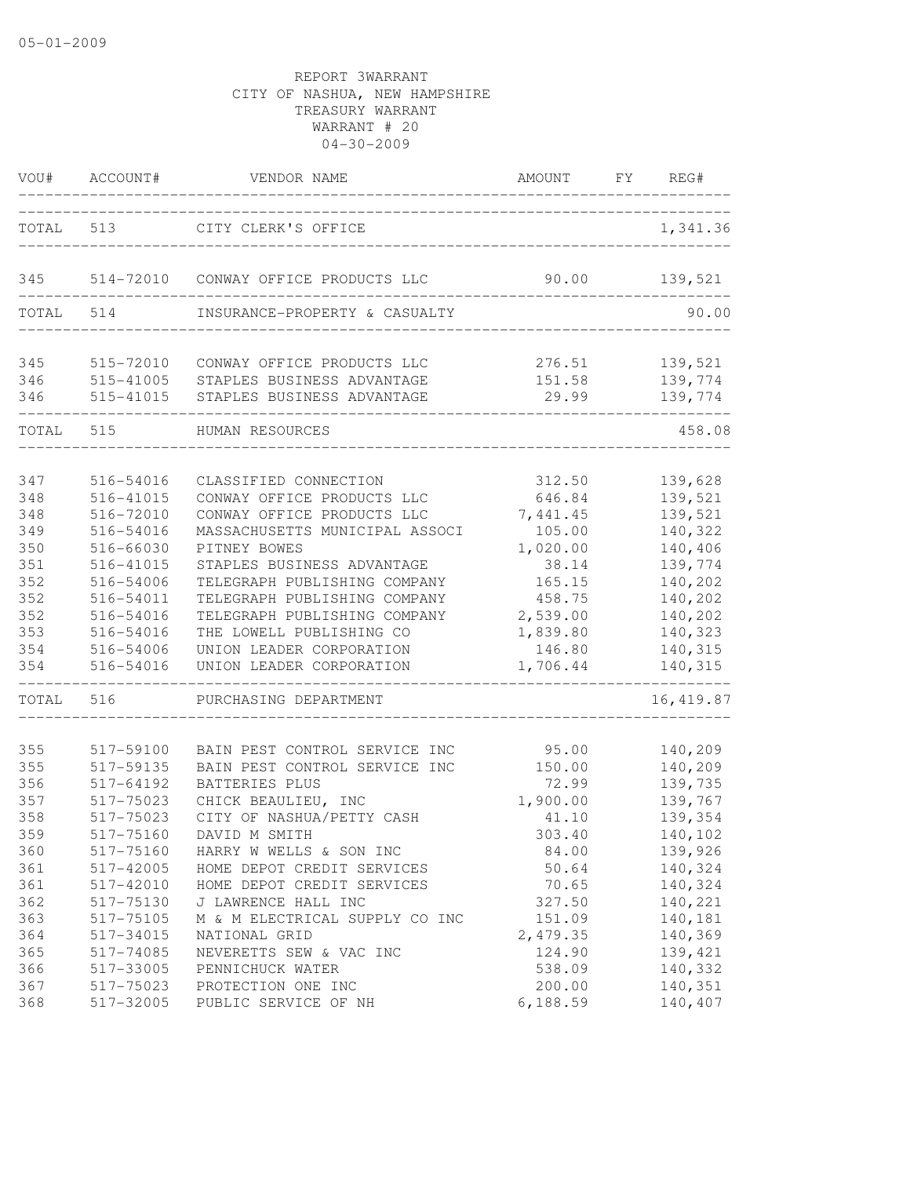| VOU#       | ACCOUNT#               | VENDOR NAME                                              | AMOUNT          | FY.<br>REG#        |
|------------|------------------------|----------------------------------------------------------|-----------------|--------------------|
| TOTAL      | 513                    | CITY CLERK'S OFFICE                                      |                 | 1,341.36           |
| 345        | 514-72010              | CONWAY OFFICE PRODUCTS LLC                               | 90.00           | 139,521            |
| TOTAL      | 514                    | INSURANCE-PROPERTY & CASUALTY                            |                 | 90.00              |
| 345        | 515-72010              | CONWAY OFFICE PRODUCTS LLC                               | 276.51          | 139,521            |
| 346<br>346 | 515-41005<br>515-41015 | STAPLES BUSINESS ADVANTAGE<br>STAPLES BUSINESS ADVANTAGE | 151.58<br>29.99 | 139,774<br>139,774 |
| TOTAL      | 515                    | HUMAN RESOURCES                                          |                 | 458.08             |
| 347        | 516-54016              | CLASSIFIED CONNECTION                                    | 312.50          | 139,628            |
| 348        | 516-41015              | CONWAY OFFICE PRODUCTS LLC                               | 646.84          | 139,521            |
| 348        | 516-72010              | CONWAY OFFICE PRODUCTS LLC                               | 7,441.45        | 139,521            |
| 349        | 516-54016              | MASSACHUSETTS MUNICIPAL ASSOCI                           | 105.00          | 140,322            |
| 350        | 516-66030              | PITNEY BOWES                                             | 1,020.00        | 140,406            |
| 351        | 516-41015              | STAPLES BUSINESS ADVANTAGE                               | 38.14           | 139,774            |
| 352        | 516-54006              | TELEGRAPH PUBLISHING COMPANY                             | 165.15          | 140,202            |
| 352        | 516-54011              | TELEGRAPH PUBLISHING COMPANY                             | 458.75          | 140,202            |
| 352        | 516-54016              | TELEGRAPH PUBLISHING COMPANY                             | 2,539.00        | 140,202            |
| 353        | 516-54016              | THE LOWELL PUBLISHING CO                                 | 1,839.80        | 140,323            |
| 354        | 516-54006              | UNION LEADER CORPORATION                                 | 146.80          | 140,315            |
| 354        | 516-54016              | UNION LEADER CORPORATION                                 | 1,706.44        | 140,315            |
| TOTAL      | 516                    | PURCHASING DEPARTMENT                                    |                 | 16, 419.87         |
| 355        | 517-59100              | BAIN PEST CONTROL SERVICE INC                            | 95.00           | 140,209            |
| 355        | 517-59135              | BAIN PEST CONTROL SERVICE INC                            | 150.00          | 140,209            |
| 356        | 517-64192              | BATTERIES PLUS                                           | 72.99           | 139,735            |
| 357        | 517-75023              | CHICK BEAULIEU, INC                                      | 1,900.00        | 139,767            |
| 358        | 517-75023              | CITY OF NASHUA/PETTY CASH                                | 41.10           | 139,354            |
| 359        | 517-75160              | DAVID M SMITH                                            | 303.40          | 140,102            |
| 360        | 517-75160              | HARRY W WELLS & SON INC                                  | 84.00           | 139,926            |
| 361        | 517-42005              | HOME DEPOT CREDIT SERVICES                               | 50.64           | 140,324            |
| 361        | 517-42010              | HOME DEPOT CREDIT SERVICES                               | 70.65           | 140,324            |
| 362        | 517-75130              | J LAWRENCE HALL INC                                      | 327.50          | 140,221            |
| 363        | 517-75105              | M & M ELECTRICAL SUPPLY CO INC                           | 151.09          | 140,181            |
| 364        | 517-34015              | NATIONAL GRID                                            | 2,479.35        | 140,369            |
| 365        | 517-74085              | NEVERETTS SEW & VAC INC                                  | 124.90          | 139,421            |
| 366        | 517-33005              | PENNICHUCK WATER                                         | 538.09          | 140,332            |
| 367        | 517-75023              | PROTECTION ONE INC                                       | 200.00          | 140,351            |
| 368        | 517-32005              | PUBLIC SERVICE OF NH                                     | 6,188.59        | 140,407            |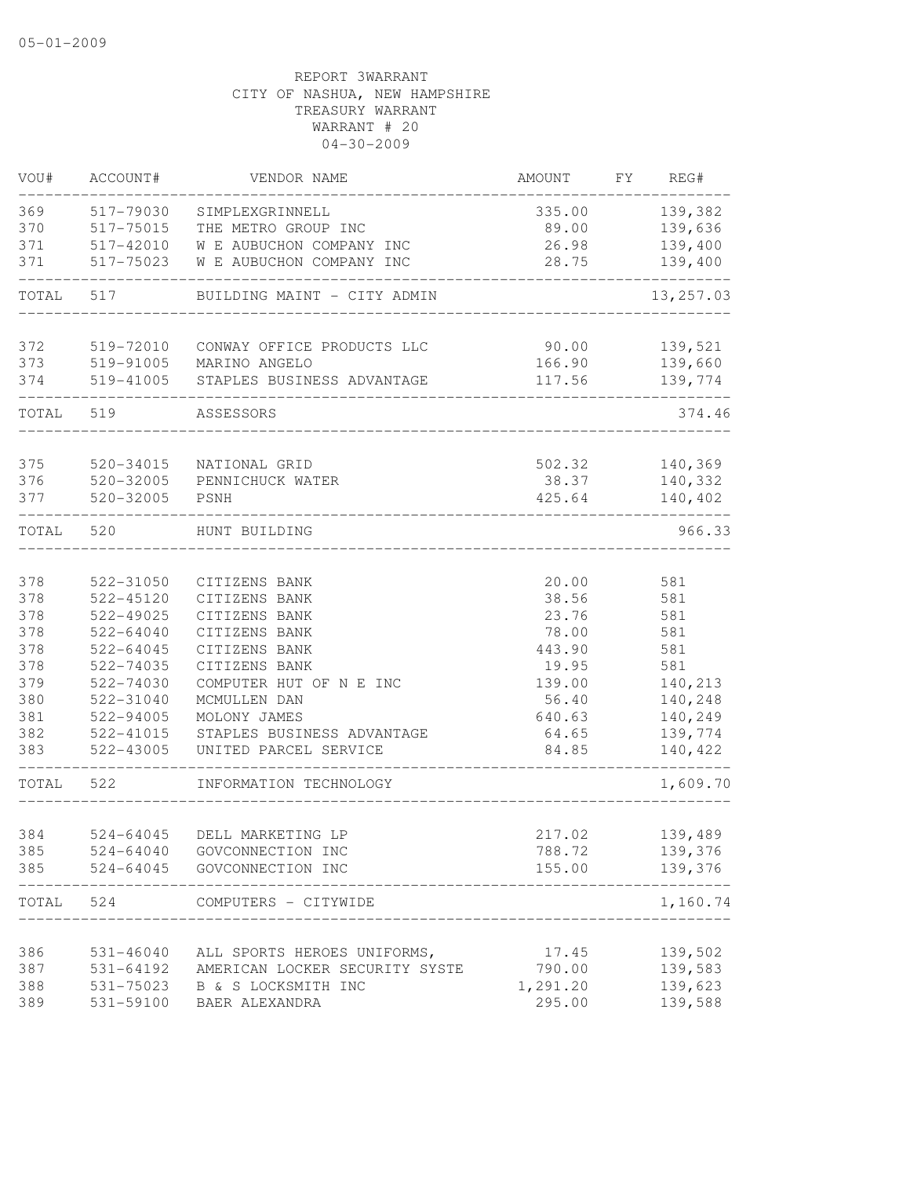| VOU#  | ACCOUNT#  | VENDOR NAME                    | AMOUNT   | FY | REG#       |
|-------|-----------|--------------------------------|----------|----|------------|
| 369   | 517-79030 | SIMPLEXGRINNELL                | 335.00   |    | 139,382    |
| 370   | 517-75015 | THE METRO GROUP INC            | 89.00    |    | 139,636    |
| 371   | 517-42010 | W E AUBUCHON COMPANY INC       | 26.98    |    | 139,400    |
| 371   | 517-75023 | W E AUBUCHON COMPANY INC       | 28.75    |    | 139,400    |
| TOTAL | 517       | BUILDING MAINT - CITY ADMIN    |          |    | 13, 257.03 |
| 372   | 519-72010 | CONWAY OFFICE PRODUCTS LLC     | 90.00    |    | 139,521    |
| 373   | 519-91005 | MARINO ANGELO                  | 166.90   |    | 139,660    |
| 374   | 519-41005 | STAPLES BUSINESS ADVANTAGE     | 117.56   |    | 139,774    |
| TOTAL | 519       | ASSESSORS                      |          |    | 374.46     |
| 375   | 520-34015 | NATIONAL GRID                  | 502.32   |    | 140,369    |
| 376   | 520-32005 | PENNICHUCK WATER               | 38.37    |    | 140,332    |
| 377   | 520-32005 | PSNH                           | 425.64   |    | 140,402    |
| TOTAL | 520       | HUNT BUILDING                  |          |    | 966.33     |
|       |           |                                |          |    |            |
| 378   | 522-31050 | CITIZENS BANK                  | 20.00    |    | 581        |
| 378   | 522-45120 | CITIZENS BANK                  | 38.56    |    | 581        |
| 378   | 522-49025 | CITIZENS BANK                  | 23.76    |    | 581        |
| 378   | 522-64040 | CITIZENS BANK                  | 78.00    |    | 581        |
| 378   | 522-64045 | CITIZENS BANK                  | 443.90   |    | 581        |
| 378   | 522-74035 | CITIZENS BANK                  | 19.95    |    | 581        |
| 379   | 522-74030 | COMPUTER HUT OF N E INC        | 139.00   |    | 140,213    |
| 380   | 522-31040 | MCMULLEN DAN                   | 56.40    |    | 140,248    |
| 381   | 522-94005 | MOLONY JAMES                   | 640.63   |    | 140,249    |
| 382   | 522-41015 | STAPLES BUSINESS ADVANTAGE     | 64.65    |    | 139,774    |
| 383   | 522-43005 | UNITED PARCEL SERVICE          | 84.85    |    | 140,422    |
| TOTAL | 522       | INFORMATION TECHNOLOGY         |          |    | 1,609.70   |
| 384   | 524-64045 | DELL MARKETING LP              | 217.02   |    | 139,489    |
| 385   | 524-64040 | GOVCONNECTION INC              | 788.72   |    | 139,376    |
| 385   | 524-64045 | GOVCONNECTION INC              | 155.00   |    | 139,376    |
| TOTAL | 524       | COMPUTERS - CITYWIDE           |          |    | 1,160.74   |
|       |           |                                |          |    |            |
| 386   | 531-46040 | ALL SPORTS HEROES UNIFORMS,    | 17.45    |    | 139,502    |
| 387   | 531-64192 | AMERICAN LOCKER SECURITY SYSTE | 790.00   |    | 139,583    |
| 388   | 531-75023 | B & S LOCKSMITH INC            | 1,291.20 |    | 139,623    |
| 389   | 531-59100 | BAER ALEXANDRA                 | 295.00   |    | 139,588    |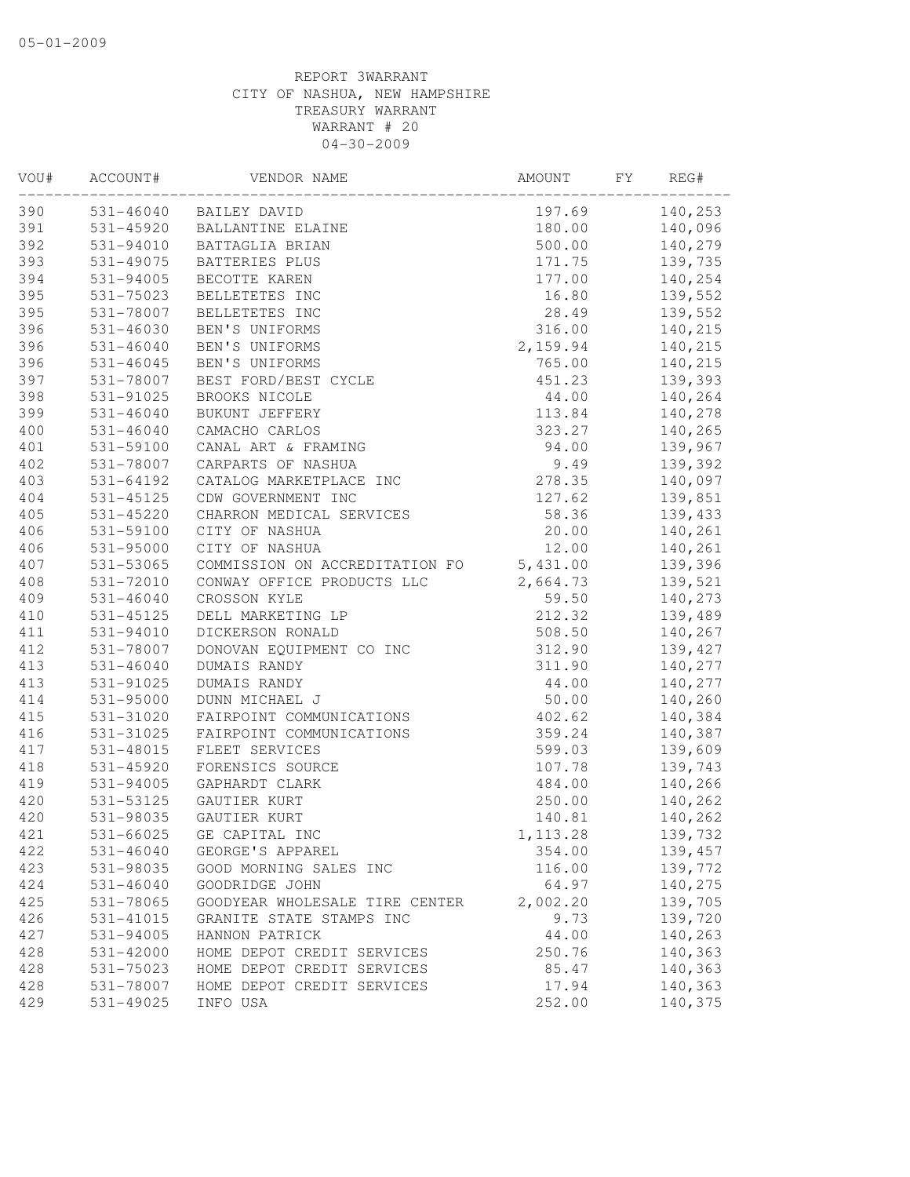| VOU# | ACCOUNT#      | VENDOR NAME                    | AMOUNT    | FΥ | REG#    |
|------|---------------|--------------------------------|-----------|----|---------|
| 390  | 531-46040     | BAILEY DAVID                   | 197.69    |    | 140,253 |
| 391  | 531-45920     | BALLANTINE ELAINE              | 180.00    |    | 140,096 |
| 392  | 531-94010     | BATTAGLIA BRIAN                | 500.00    |    | 140,279 |
| 393  | 531-49075     | BATTERIES PLUS                 | 171.75    |    | 139,735 |
| 394  | 531-94005     | BECOTTE KAREN                  | 177.00    |    | 140,254 |
| 395  | 531-75023     | BELLETETES INC                 | 16.80     |    | 139,552 |
| 395  | 531-78007     | BELLETETES INC                 | 28.49     |    | 139,552 |
| 396  | 531-46030     | BEN'S UNIFORMS                 | 316.00    |    | 140,215 |
| 396  | $531 - 46040$ | BEN'S UNIFORMS                 | 2,159.94  |    | 140,215 |
| 396  | $531 - 46045$ | BEN'S UNIFORMS                 | 765.00    |    | 140,215 |
| 397  | 531-78007     | BEST FORD/BEST CYCLE           | 451.23    |    | 139,393 |
| 398  | 531-91025     | BROOKS NICOLE                  | 44.00     |    | 140,264 |
| 399  | 531-46040     | BUKUNT JEFFERY                 | 113.84    |    | 140,278 |
| 400  | 531-46040     | CAMACHO CARLOS                 | 323.27    |    | 140,265 |
| 401  | 531-59100     | CANAL ART & FRAMING            | 94.00     |    | 139,967 |
| 402  | 531-78007     | CARPARTS OF NASHUA             | 9.49      |    | 139,392 |
| 403  | 531-64192     | CATALOG MARKETPLACE INC        | 278.35    |    | 140,097 |
| 404  | 531-45125     | CDW GOVERNMENT INC             | 127.62    |    | 139,851 |
| 405  | 531-45220     | CHARRON MEDICAL SERVICES       | 58.36     |    | 139,433 |
| 406  | 531-59100     | CITY OF NASHUA                 | 20.00     |    | 140,261 |
| 406  | 531-95000     | CITY OF NASHUA                 | 12.00     |    | 140,261 |
| 407  | 531-53065     | COMMISSION ON ACCREDITATION FO | 5,431.00  |    | 139,396 |
| 408  | 531-72010     | CONWAY OFFICE PRODUCTS LLC     | 2,664.73  |    | 139,521 |
| 409  | 531-46040     | CROSSON KYLE                   | 59.50     |    | 140,273 |
| 410  | 531-45125     | DELL MARKETING LP              | 212.32    |    | 139,489 |
| 411  | 531-94010     | DICKERSON RONALD               | 508.50    |    | 140,267 |
| 412  | 531-78007     | DONOVAN EQUIPMENT CO INC       | 312.90    |    | 139,427 |
| 413  | 531-46040     | DUMAIS RANDY                   | 311.90    |    | 140,277 |
| 413  | 531-91025     | DUMAIS RANDY                   | 44.00     |    | 140,277 |
| 414  | 531-95000     | DUNN MICHAEL J                 | 50.00     |    | 140,260 |
| 415  | 531-31020     | FAIRPOINT COMMUNICATIONS       | 402.62    |    | 140,384 |
| 416  | 531-31025     | FAIRPOINT COMMUNICATIONS       | 359.24    |    | 140,387 |
| 417  | 531-48015     | FLEET SERVICES                 | 599.03    |    | 139,609 |
| 418  | 531-45920     | FORENSICS SOURCE               | 107.78    |    | 139,743 |
| 419  | 531-94005     | GAPHARDT CLARK                 | 484.00    |    | 140,266 |
| 420  | 531-53125     | GAUTIER KURT                   | 250.00    |    | 140,262 |
| 420  | 531-98035     | GAUTIER KURT                   |           |    | 140,262 |
|      |               |                                | 140.81    |    |         |
| 421  | 531-66025     | GE CAPITAL INC                 | 1, 113.28 |    | 139,732 |
| 422  | 531-46040     | GEORGE'S APPAREL               | 354.00    |    | 139,457 |
| 423  | 531-98035     | GOOD MORNING SALES INC         | 116.00    |    | 139,772 |
| 424  | 531-46040     | GOODRIDGE JOHN                 | 64.97     |    | 140,275 |
| 425  | 531-78065     | GOODYEAR WHOLESALE TIRE CENTER | 2,002.20  |    | 139,705 |
| 426  | 531-41015     | GRANITE STATE STAMPS INC       | 9.73      |    | 139,720 |
| 427  | 531-94005     | HANNON PATRICK                 | 44.00     |    | 140,263 |
| 428  | 531-42000     | HOME DEPOT CREDIT SERVICES     | 250.76    |    | 140,363 |
| 428  | 531-75023     | HOME DEPOT CREDIT SERVICES     | 85.47     |    | 140,363 |
| 428  | 531-78007     | HOME DEPOT CREDIT SERVICES     | 17.94     |    | 140,363 |
| 429  | 531-49025     | INFO USA                       | 252.00    |    | 140,375 |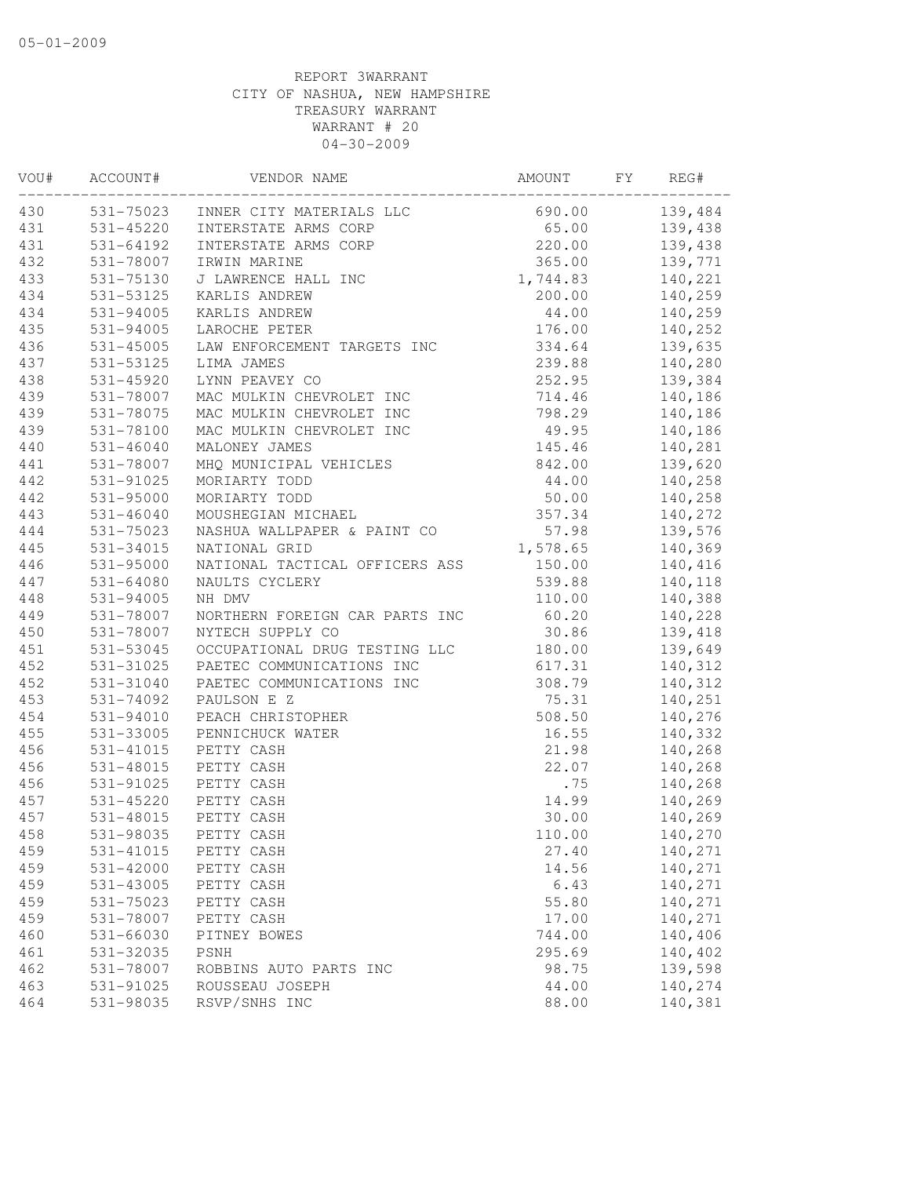| 531-75023<br>690.00<br>139,484<br>INNER CITY MATERIALS LLC<br>531-45220<br>INTERSTATE ARMS CORP<br>65.00<br>139,438<br>220.00<br>139,438<br>531-64192<br>INTERSTATE ARMS CORP<br>432<br>531-78007<br>IRWIN MARINE<br>365.00<br>139,771<br>433<br>140,221<br>531-75130<br>J LAWRENCE HALL INC<br>1,744.83<br>531-53125<br>KARLIS ANDREW<br>200.00<br>140,259<br>531-94005<br>KARLIS ANDREW<br>140,259<br>44.00<br>435<br>140,252<br>531-94005<br>LAROCHE PETER<br>176.00<br>436<br>334.64<br>$531 - 45005$<br>LAW ENFORCEMENT TARGETS INC<br>139,635<br>437<br>239.88<br>140,280<br>531-53125<br>LIMA JAMES<br>LYNN PEAVEY CO<br>252.95<br>139,384<br>$531 - 45920$<br>531-78007<br>MAC MULKIN CHEVROLET INC<br>714.46<br>140,186<br>439<br>531-78075<br>MAC MULKIN CHEVROLET INC<br>798.29<br>140,186<br>439<br>49.95<br>531-78100<br>MAC MULKIN CHEVROLET INC<br>140,186<br>140,281<br>$531 - 46040$<br>MALONEY JAMES<br>145.46<br>531-78007<br>MHQ MUNICIPAL VEHICLES<br>139,620<br>842.00<br>44.00<br>140,258<br>531-91025<br>MORIARTY TODD<br>531-95000<br>50.00<br>140,258<br>MORIARTY TODD<br>357.34<br>140,272<br>$531 - 46040$<br>MOUSHEGIAN MICHAEL<br>NASHUA WALLPAPER & PAINT CO<br>57.98<br>139,576<br>$531 - 75023$<br>531-34015<br>NATIONAL GRID<br>1,578.65<br>140,369<br>531-95000<br>NATIONAL TACTICAL OFFICERS ASS<br>150.00<br>140,416<br>531-64080<br>NAULTS CYCLERY<br>539.88<br>140,118<br>531-94005<br>110.00<br>140,388<br>NH DMV<br>60.20<br>140,228<br>531-78007<br>NORTHERN FOREIGN CAR PARTS INC<br>30.86<br>139,418<br>531-78007<br>NYTECH SUPPLY CO<br>139,649<br>531-53045<br>OCCUPATIONAL DRUG TESTING LLC<br>180.00<br>531-31025<br>PAETEC COMMUNICATIONS INC<br>617.31<br>140,312<br>PAETEC COMMUNICATIONS INC<br>531-31040<br>308.79<br>140,312<br>531-74092<br>PAULSON E Z<br>75.31<br>140,251<br>508.50<br>531-94010<br>PEACH CHRISTOPHER<br>140,276<br>531-33005<br>16.55<br>140,332<br>PENNICHUCK WATER<br>PETTY CASH<br>531-41015<br>21.98<br>140,268<br>22.07<br>140,268<br>531-48015<br>PETTY CASH<br>.75<br>140,268<br>531-91025<br>PETTY CASH<br>14.99<br>140,269<br>531-45220<br>PETTY CASH<br>531-48015<br>PETTY CASH<br>30.00<br>140,269<br>531-98035<br>PETTY CASH<br>110.00<br>140,270<br>531-41015<br>27.40<br>140,271<br>PETTY CASH<br>531-42000<br>14.56<br>140,271<br>PETTY CASH<br>531-43005<br>6.43<br>140,271<br>PETTY CASH<br>531-75023<br>55.80<br>140,271<br>PETTY CASH<br>17.00<br>140,271<br>531-78007<br>PETTY CASH<br>531-66030<br>744.00<br>140,406<br>PITNEY BOWES<br>531-32035<br>295.69<br>140,402<br>PSNH<br>139,598<br>531-78007<br>ROBBINS AUTO PARTS INC<br>98.75<br>531-91025<br>ROUSSEAU JOSEPH<br>44.00<br>140,274<br>531-98035<br>RSVP/SNHS INC<br>88.00<br>140,381 | VOU# | ACCOUNT# | VENDOR NAME | AMOUNT | FΥ | REG# |
|------------------------------------------------------------------------------------------------------------------------------------------------------------------------------------------------------------------------------------------------------------------------------------------------------------------------------------------------------------------------------------------------------------------------------------------------------------------------------------------------------------------------------------------------------------------------------------------------------------------------------------------------------------------------------------------------------------------------------------------------------------------------------------------------------------------------------------------------------------------------------------------------------------------------------------------------------------------------------------------------------------------------------------------------------------------------------------------------------------------------------------------------------------------------------------------------------------------------------------------------------------------------------------------------------------------------------------------------------------------------------------------------------------------------------------------------------------------------------------------------------------------------------------------------------------------------------------------------------------------------------------------------------------------------------------------------------------------------------------------------------------------------------------------------------------------------------------------------------------------------------------------------------------------------------------------------------------------------------------------------------------------------------------------------------------------------------------------------------------------------------------------------------------------------------------------------------------------------------------------------------------------------------------------------------------------------------------------------------------------------------------------------------------------------------------------------------------------------------------------------------------------------------------------------------------------------------------------------------------------------------------------------------------------------------------------------------------------------------------------------|------|----------|-------------|--------|----|------|
|                                                                                                                                                                                                                                                                                                                                                                                                                                                                                                                                                                                                                                                                                                                                                                                                                                                                                                                                                                                                                                                                                                                                                                                                                                                                                                                                                                                                                                                                                                                                                                                                                                                                                                                                                                                                                                                                                                                                                                                                                                                                                                                                                                                                                                                                                                                                                                                                                                                                                                                                                                                                                                                                                                                                                | 430  |          |             |        |    |      |
|                                                                                                                                                                                                                                                                                                                                                                                                                                                                                                                                                                                                                                                                                                                                                                                                                                                                                                                                                                                                                                                                                                                                                                                                                                                                                                                                                                                                                                                                                                                                                                                                                                                                                                                                                                                                                                                                                                                                                                                                                                                                                                                                                                                                                                                                                                                                                                                                                                                                                                                                                                                                                                                                                                                                                | 431  |          |             |        |    |      |
|                                                                                                                                                                                                                                                                                                                                                                                                                                                                                                                                                                                                                                                                                                                                                                                                                                                                                                                                                                                                                                                                                                                                                                                                                                                                                                                                                                                                                                                                                                                                                                                                                                                                                                                                                                                                                                                                                                                                                                                                                                                                                                                                                                                                                                                                                                                                                                                                                                                                                                                                                                                                                                                                                                                                                | 431  |          |             |        |    |      |
|                                                                                                                                                                                                                                                                                                                                                                                                                                                                                                                                                                                                                                                                                                                                                                                                                                                                                                                                                                                                                                                                                                                                                                                                                                                                                                                                                                                                                                                                                                                                                                                                                                                                                                                                                                                                                                                                                                                                                                                                                                                                                                                                                                                                                                                                                                                                                                                                                                                                                                                                                                                                                                                                                                                                                |      |          |             |        |    |      |
|                                                                                                                                                                                                                                                                                                                                                                                                                                                                                                                                                                                                                                                                                                                                                                                                                                                                                                                                                                                                                                                                                                                                                                                                                                                                                                                                                                                                                                                                                                                                                                                                                                                                                                                                                                                                                                                                                                                                                                                                                                                                                                                                                                                                                                                                                                                                                                                                                                                                                                                                                                                                                                                                                                                                                |      |          |             |        |    |      |
|                                                                                                                                                                                                                                                                                                                                                                                                                                                                                                                                                                                                                                                                                                                                                                                                                                                                                                                                                                                                                                                                                                                                                                                                                                                                                                                                                                                                                                                                                                                                                                                                                                                                                                                                                                                                                                                                                                                                                                                                                                                                                                                                                                                                                                                                                                                                                                                                                                                                                                                                                                                                                                                                                                                                                | 434  |          |             |        |    |      |
|                                                                                                                                                                                                                                                                                                                                                                                                                                                                                                                                                                                                                                                                                                                                                                                                                                                                                                                                                                                                                                                                                                                                                                                                                                                                                                                                                                                                                                                                                                                                                                                                                                                                                                                                                                                                                                                                                                                                                                                                                                                                                                                                                                                                                                                                                                                                                                                                                                                                                                                                                                                                                                                                                                                                                | 434  |          |             |        |    |      |
|                                                                                                                                                                                                                                                                                                                                                                                                                                                                                                                                                                                                                                                                                                                                                                                                                                                                                                                                                                                                                                                                                                                                                                                                                                                                                                                                                                                                                                                                                                                                                                                                                                                                                                                                                                                                                                                                                                                                                                                                                                                                                                                                                                                                                                                                                                                                                                                                                                                                                                                                                                                                                                                                                                                                                |      |          |             |        |    |      |
|                                                                                                                                                                                                                                                                                                                                                                                                                                                                                                                                                                                                                                                                                                                                                                                                                                                                                                                                                                                                                                                                                                                                                                                                                                                                                                                                                                                                                                                                                                                                                                                                                                                                                                                                                                                                                                                                                                                                                                                                                                                                                                                                                                                                                                                                                                                                                                                                                                                                                                                                                                                                                                                                                                                                                |      |          |             |        |    |      |
|                                                                                                                                                                                                                                                                                                                                                                                                                                                                                                                                                                                                                                                                                                                                                                                                                                                                                                                                                                                                                                                                                                                                                                                                                                                                                                                                                                                                                                                                                                                                                                                                                                                                                                                                                                                                                                                                                                                                                                                                                                                                                                                                                                                                                                                                                                                                                                                                                                                                                                                                                                                                                                                                                                                                                |      |          |             |        |    |      |
|                                                                                                                                                                                                                                                                                                                                                                                                                                                                                                                                                                                                                                                                                                                                                                                                                                                                                                                                                                                                                                                                                                                                                                                                                                                                                                                                                                                                                                                                                                                                                                                                                                                                                                                                                                                                                                                                                                                                                                                                                                                                                                                                                                                                                                                                                                                                                                                                                                                                                                                                                                                                                                                                                                                                                | 438  |          |             |        |    |      |
|                                                                                                                                                                                                                                                                                                                                                                                                                                                                                                                                                                                                                                                                                                                                                                                                                                                                                                                                                                                                                                                                                                                                                                                                                                                                                                                                                                                                                                                                                                                                                                                                                                                                                                                                                                                                                                                                                                                                                                                                                                                                                                                                                                                                                                                                                                                                                                                                                                                                                                                                                                                                                                                                                                                                                | 439  |          |             |        |    |      |
|                                                                                                                                                                                                                                                                                                                                                                                                                                                                                                                                                                                                                                                                                                                                                                                                                                                                                                                                                                                                                                                                                                                                                                                                                                                                                                                                                                                                                                                                                                                                                                                                                                                                                                                                                                                                                                                                                                                                                                                                                                                                                                                                                                                                                                                                                                                                                                                                                                                                                                                                                                                                                                                                                                                                                |      |          |             |        |    |      |
|                                                                                                                                                                                                                                                                                                                                                                                                                                                                                                                                                                                                                                                                                                                                                                                                                                                                                                                                                                                                                                                                                                                                                                                                                                                                                                                                                                                                                                                                                                                                                                                                                                                                                                                                                                                                                                                                                                                                                                                                                                                                                                                                                                                                                                                                                                                                                                                                                                                                                                                                                                                                                                                                                                                                                |      |          |             |        |    |      |
|                                                                                                                                                                                                                                                                                                                                                                                                                                                                                                                                                                                                                                                                                                                                                                                                                                                                                                                                                                                                                                                                                                                                                                                                                                                                                                                                                                                                                                                                                                                                                                                                                                                                                                                                                                                                                                                                                                                                                                                                                                                                                                                                                                                                                                                                                                                                                                                                                                                                                                                                                                                                                                                                                                                                                | 440  |          |             |        |    |      |
|                                                                                                                                                                                                                                                                                                                                                                                                                                                                                                                                                                                                                                                                                                                                                                                                                                                                                                                                                                                                                                                                                                                                                                                                                                                                                                                                                                                                                                                                                                                                                                                                                                                                                                                                                                                                                                                                                                                                                                                                                                                                                                                                                                                                                                                                                                                                                                                                                                                                                                                                                                                                                                                                                                                                                | 441  |          |             |        |    |      |
|                                                                                                                                                                                                                                                                                                                                                                                                                                                                                                                                                                                                                                                                                                                                                                                                                                                                                                                                                                                                                                                                                                                                                                                                                                                                                                                                                                                                                                                                                                                                                                                                                                                                                                                                                                                                                                                                                                                                                                                                                                                                                                                                                                                                                                                                                                                                                                                                                                                                                                                                                                                                                                                                                                                                                | 442  |          |             |        |    |      |
|                                                                                                                                                                                                                                                                                                                                                                                                                                                                                                                                                                                                                                                                                                                                                                                                                                                                                                                                                                                                                                                                                                                                                                                                                                                                                                                                                                                                                                                                                                                                                                                                                                                                                                                                                                                                                                                                                                                                                                                                                                                                                                                                                                                                                                                                                                                                                                                                                                                                                                                                                                                                                                                                                                                                                | 442  |          |             |        |    |      |
|                                                                                                                                                                                                                                                                                                                                                                                                                                                                                                                                                                                                                                                                                                                                                                                                                                                                                                                                                                                                                                                                                                                                                                                                                                                                                                                                                                                                                                                                                                                                                                                                                                                                                                                                                                                                                                                                                                                                                                                                                                                                                                                                                                                                                                                                                                                                                                                                                                                                                                                                                                                                                                                                                                                                                | 443  |          |             |        |    |      |
|                                                                                                                                                                                                                                                                                                                                                                                                                                                                                                                                                                                                                                                                                                                                                                                                                                                                                                                                                                                                                                                                                                                                                                                                                                                                                                                                                                                                                                                                                                                                                                                                                                                                                                                                                                                                                                                                                                                                                                                                                                                                                                                                                                                                                                                                                                                                                                                                                                                                                                                                                                                                                                                                                                                                                | 444  |          |             |        |    |      |
|                                                                                                                                                                                                                                                                                                                                                                                                                                                                                                                                                                                                                                                                                                                                                                                                                                                                                                                                                                                                                                                                                                                                                                                                                                                                                                                                                                                                                                                                                                                                                                                                                                                                                                                                                                                                                                                                                                                                                                                                                                                                                                                                                                                                                                                                                                                                                                                                                                                                                                                                                                                                                                                                                                                                                | 445  |          |             |        |    |      |
|                                                                                                                                                                                                                                                                                                                                                                                                                                                                                                                                                                                                                                                                                                                                                                                                                                                                                                                                                                                                                                                                                                                                                                                                                                                                                                                                                                                                                                                                                                                                                                                                                                                                                                                                                                                                                                                                                                                                                                                                                                                                                                                                                                                                                                                                                                                                                                                                                                                                                                                                                                                                                                                                                                                                                | 446  |          |             |        |    |      |
|                                                                                                                                                                                                                                                                                                                                                                                                                                                                                                                                                                                                                                                                                                                                                                                                                                                                                                                                                                                                                                                                                                                                                                                                                                                                                                                                                                                                                                                                                                                                                                                                                                                                                                                                                                                                                                                                                                                                                                                                                                                                                                                                                                                                                                                                                                                                                                                                                                                                                                                                                                                                                                                                                                                                                | 447  |          |             |        |    |      |
|                                                                                                                                                                                                                                                                                                                                                                                                                                                                                                                                                                                                                                                                                                                                                                                                                                                                                                                                                                                                                                                                                                                                                                                                                                                                                                                                                                                                                                                                                                                                                                                                                                                                                                                                                                                                                                                                                                                                                                                                                                                                                                                                                                                                                                                                                                                                                                                                                                                                                                                                                                                                                                                                                                                                                | 448  |          |             |        |    |      |
|                                                                                                                                                                                                                                                                                                                                                                                                                                                                                                                                                                                                                                                                                                                                                                                                                                                                                                                                                                                                                                                                                                                                                                                                                                                                                                                                                                                                                                                                                                                                                                                                                                                                                                                                                                                                                                                                                                                                                                                                                                                                                                                                                                                                                                                                                                                                                                                                                                                                                                                                                                                                                                                                                                                                                | 449  |          |             |        |    |      |
|                                                                                                                                                                                                                                                                                                                                                                                                                                                                                                                                                                                                                                                                                                                                                                                                                                                                                                                                                                                                                                                                                                                                                                                                                                                                                                                                                                                                                                                                                                                                                                                                                                                                                                                                                                                                                                                                                                                                                                                                                                                                                                                                                                                                                                                                                                                                                                                                                                                                                                                                                                                                                                                                                                                                                | 450  |          |             |        |    |      |
|                                                                                                                                                                                                                                                                                                                                                                                                                                                                                                                                                                                                                                                                                                                                                                                                                                                                                                                                                                                                                                                                                                                                                                                                                                                                                                                                                                                                                                                                                                                                                                                                                                                                                                                                                                                                                                                                                                                                                                                                                                                                                                                                                                                                                                                                                                                                                                                                                                                                                                                                                                                                                                                                                                                                                | 451  |          |             |        |    |      |
|                                                                                                                                                                                                                                                                                                                                                                                                                                                                                                                                                                                                                                                                                                                                                                                                                                                                                                                                                                                                                                                                                                                                                                                                                                                                                                                                                                                                                                                                                                                                                                                                                                                                                                                                                                                                                                                                                                                                                                                                                                                                                                                                                                                                                                                                                                                                                                                                                                                                                                                                                                                                                                                                                                                                                | 452  |          |             |        |    |      |
|                                                                                                                                                                                                                                                                                                                                                                                                                                                                                                                                                                                                                                                                                                                                                                                                                                                                                                                                                                                                                                                                                                                                                                                                                                                                                                                                                                                                                                                                                                                                                                                                                                                                                                                                                                                                                                                                                                                                                                                                                                                                                                                                                                                                                                                                                                                                                                                                                                                                                                                                                                                                                                                                                                                                                | 452  |          |             |        |    |      |
|                                                                                                                                                                                                                                                                                                                                                                                                                                                                                                                                                                                                                                                                                                                                                                                                                                                                                                                                                                                                                                                                                                                                                                                                                                                                                                                                                                                                                                                                                                                                                                                                                                                                                                                                                                                                                                                                                                                                                                                                                                                                                                                                                                                                                                                                                                                                                                                                                                                                                                                                                                                                                                                                                                                                                | 453  |          |             |        |    |      |
|                                                                                                                                                                                                                                                                                                                                                                                                                                                                                                                                                                                                                                                                                                                                                                                                                                                                                                                                                                                                                                                                                                                                                                                                                                                                                                                                                                                                                                                                                                                                                                                                                                                                                                                                                                                                                                                                                                                                                                                                                                                                                                                                                                                                                                                                                                                                                                                                                                                                                                                                                                                                                                                                                                                                                | 454  |          |             |        |    |      |
|                                                                                                                                                                                                                                                                                                                                                                                                                                                                                                                                                                                                                                                                                                                                                                                                                                                                                                                                                                                                                                                                                                                                                                                                                                                                                                                                                                                                                                                                                                                                                                                                                                                                                                                                                                                                                                                                                                                                                                                                                                                                                                                                                                                                                                                                                                                                                                                                                                                                                                                                                                                                                                                                                                                                                | 455  |          |             |        |    |      |
|                                                                                                                                                                                                                                                                                                                                                                                                                                                                                                                                                                                                                                                                                                                                                                                                                                                                                                                                                                                                                                                                                                                                                                                                                                                                                                                                                                                                                                                                                                                                                                                                                                                                                                                                                                                                                                                                                                                                                                                                                                                                                                                                                                                                                                                                                                                                                                                                                                                                                                                                                                                                                                                                                                                                                | 456  |          |             |        |    |      |
|                                                                                                                                                                                                                                                                                                                                                                                                                                                                                                                                                                                                                                                                                                                                                                                                                                                                                                                                                                                                                                                                                                                                                                                                                                                                                                                                                                                                                                                                                                                                                                                                                                                                                                                                                                                                                                                                                                                                                                                                                                                                                                                                                                                                                                                                                                                                                                                                                                                                                                                                                                                                                                                                                                                                                | 456  |          |             |        |    |      |
|                                                                                                                                                                                                                                                                                                                                                                                                                                                                                                                                                                                                                                                                                                                                                                                                                                                                                                                                                                                                                                                                                                                                                                                                                                                                                                                                                                                                                                                                                                                                                                                                                                                                                                                                                                                                                                                                                                                                                                                                                                                                                                                                                                                                                                                                                                                                                                                                                                                                                                                                                                                                                                                                                                                                                | 456  |          |             |        |    |      |
|                                                                                                                                                                                                                                                                                                                                                                                                                                                                                                                                                                                                                                                                                                                                                                                                                                                                                                                                                                                                                                                                                                                                                                                                                                                                                                                                                                                                                                                                                                                                                                                                                                                                                                                                                                                                                                                                                                                                                                                                                                                                                                                                                                                                                                                                                                                                                                                                                                                                                                                                                                                                                                                                                                                                                | 457  |          |             |        |    |      |
|                                                                                                                                                                                                                                                                                                                                                                                                                                                                                                                                                                                                                                                                                                                                                                                                                                                                                                                                                                                                                                                                                                                                                                                                                                                                                                                                                                                                                                                                                                                                                                                                                                                                                                                                                                                                                                                                                                                                                                                                                                                                                                                                                                                                                                                                                                                                                                                                                                                                                                                                                                                                                                                                                                                                                | 457  |          |             |        |    |      |
|                                                                                                                                                                                                                                                                                                                                                                                                                                                                                                                                                                                                                                                                                                                                                                                                                                                                                                                                                                                                                                                                                                                                                                                                                                                                                                                                                                                                                                                                                                                                                                                                                                                                                                                                                                                                                                                                                                                                                                                                                                                                                                                                                                                                                                                                                                                                                                                                                                                                                                                                                                                                                                                                                                                                                | 458  |          |             |        |    |      |
|                                                                                                                                                                                                                                                                                                                                                                                                                                                                                                                                                                                                                                                                                                                                                                                                                                                                                                                                                                                                                                                                                                                                                                                                                                                                                                                                                                                                                                                                                                                                                                                                                                                                                                                                                                                                                                                                                                                                                                                                                                                                                                                                                                                                                                                                                                                                                                                                                                                                                                                                                                                                                                                                                                                                                | 459  |          |             |        |    |      |
|                                                                                                                                                                                                                                                                                                                                                                                                                                                                                                                                                                                                                                                                                                                                                                                                                                                                                                                                                                                                                                                                                                                                                                                                                                                                                                                                                                                                                                                                                                                                                                                                                                                                                                                                                                                                                                                                                                                                                                                                                                                                                                                                                                                                                                                                                                                                                                                                                                                                                                                                                                                                                                                                                                                                                | 459  |          |             |        |    |      |
|                                                                                                                                                                                                                                                                                                                                                                                                                                                                                                                                                                                                                                                                                                                                                                                                                                                                                                                                                                                                                                                                                                                                                                                                                                                                                                                                                                                                                                                                                                                                                                                                                                                                                                                                                                                                                                                                                                                                                                                                                                                                                                                                                                                                                                                                                                                                                                                                                                                                                                                                                                                                                                                                                                                                                | 459  |          |             |        |    |      |
|                                                                                                                                                                                                                                                                                                                                                                                                                                                                                                                                                                                                                                                                                                                                                                                                                                                                                                                                                                                                                                                                                                                                                                                                                                                                                                                                                                                                                                                                                                                                                                                                                                                                                                                                                                                                                                                                                                                                                                                                                                                                                                                                                                                                                                                                                                                                                                                                                                                                                                                                                                                                                                                                                                                                                | 459  |          |             |        |    |      |
|                                                                                                                                                                                                                                                                                                                                                                                                                                                                                                                                                                                                                                                                                                                                                                                                                                                                                                                                                                                                                                                                                                                                                                                                                                                                                                                                                                                                                                                                                                                                                                                                                                                                                                                                                                                                                                                                                                                                                                                                                                                                                                                                                                                                                                                                                                                                                                                                                                                                                                                                                                                                                                                                                                                                                | 459  |          |             |        |    |      |
|                                                                                                                                                                                                                                                                                                                                                                                                                                                                                                                                                                                                                                                                                                                                                                                                                                                                                                                                                                                                                                                                                                                                                                                                                                                                                                                                                                                                                                                                                                                                                                                                                                                                                                                                                                                                                                                                                                                                                                                                                                                                                                                                                                                                                                                                                                                                                                                                                                                                                                                                                                                                                                                                                                                                                | 460  |          |             |        |    |      |
|                                                                                                                                                                                                                                                                                                                                                                                                                                                                                                                                                                                                                                                                                                                                                                                                                                                                                                                                                                                                                                                                                                                                                                                                                                                                                                                                                                                                                                                                                                                                                                                                                                                                                                                                                                                                                                                                                                                                                                                                                                                                                                                                                                                                                                                                                                                                                                                                                                                                                                                                                                                                                                                                                                                                                | 461  |          |             |        |    |      |
|                                                                                                                                                                                                                                                                                                                                                                                                                                                                                                                                                                                                                                                                                                                                                                                                                                                                                                                                                                                                                                                                                                                                                                                                                                                                                                                                                                                                                                                                                                                                                                                                                                                                                                                                                                                                                                                                                                                                                                                                                                                                                                                                                                                                                                                                                                                                                                                                                                                                                                                                                                                                                                                                                                                                                | 462  |          |             |        |    |      |
|                                                                                                                                                                                                                                                                                                                                                                                                                                                                                                                                                                                                                                                                                                                                                                                                                                                                                                                                                                                                                                                                                                                                                                                                                                                                                                                                                                                                                                                                                                                                                                                                                                                                                                                                                                                                                                                                                                                                                                                                                                                                                                                                                                                                                                                                                                                                                                                                                                                                                                                                                                                                                                                                                                                                                | 463  |          |             |        |    |      |
|                                                                                                                                                                                                                                                                                                                                                                                                                                                                                                                                                                                                                                                                                                                                                                                                                                                                                                                                                                                                                                                                                                                                                                                                                                                                                                                                                                                                                                                                                                                                                                                                                                                                                                                                                                                                                                                                                                                                                                                                                                                                                                                                                                                                                                                                                                                                                                                                                                                                                                                                                                                                                                                                                                                                                | 464  |          |             |        |    |      |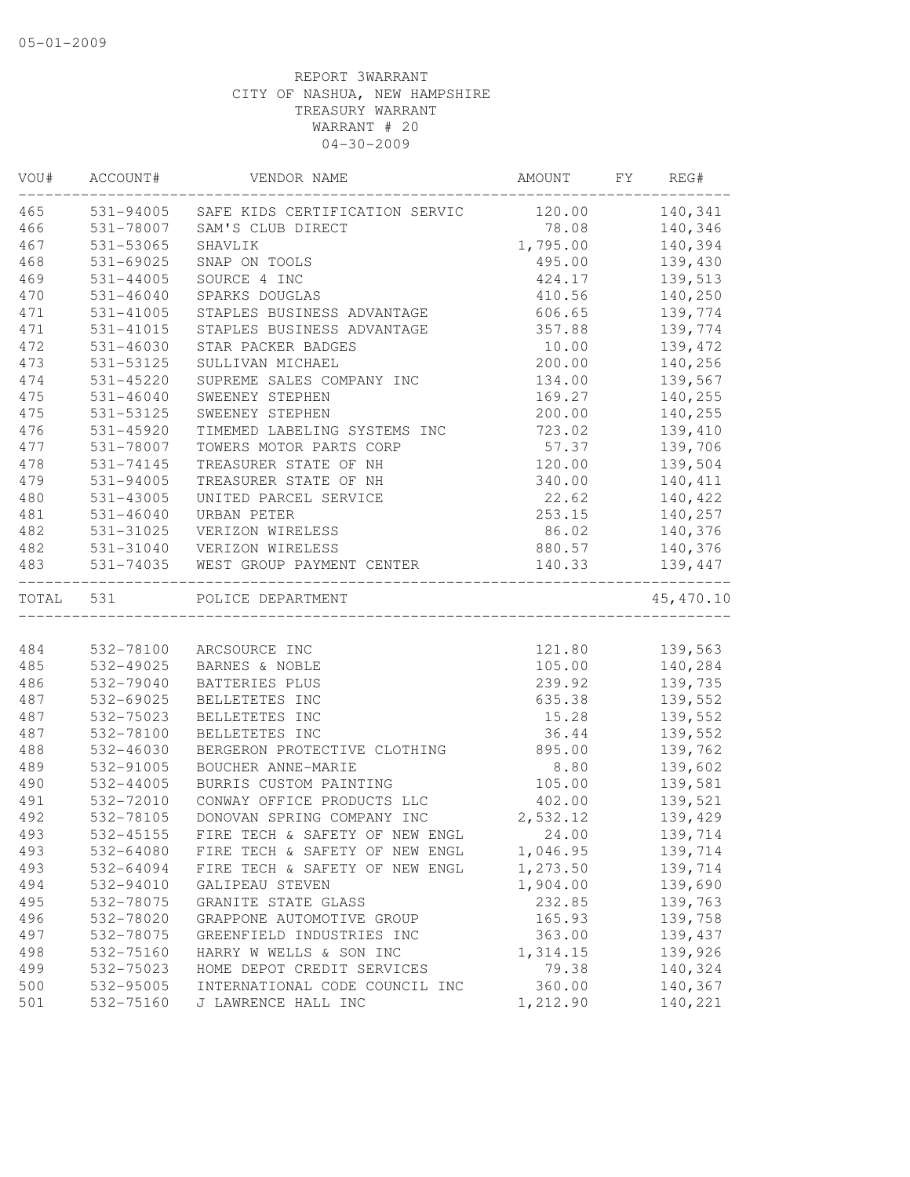|           | VOU# ACCOUNT# | VENDOR NAME                                                 | AMOUNT   | FY REG#       |
|-----------|---------------|-------------------------------------------------------------|----------|---------------|
|           |               | 465 531-94005 SAFE KIDS CERTIFICATION SERVIC 120.00 140,341 |          |               |
| 466       | 531-78007     | SAM'S CLUB DIRECT                                           |          | 78.08 140,346 |
| 467       | 531-53065     | SHAVLIK                                                     | 1,795.00 | 140,394       |
| 468       | 531-69025     | SNAP ON TOOLS                                               | 495.00   | 139,430       |
| 469       | 531-44005     | SOURCE 4 INC                                                | 424.17   | 139,513       |
| 470       | $531 - 46040$ | SPARKS DOUGLAS                                              | 410.56   | 140,250       |
| 471       | 531-41005     | STAPLES BUSINESS ADVANTAGE                                  | 606.65   | 139,774       |
| 471       | 531-41015     | STAPLES BUSINESS ADVANTAGE                                  | 357.88   | 139,774       |
| 472       | 531-46030     | STAR PACKER BADGES                                          | 10.00    | 139,472       |
| 473       | 531-53125     | SULLIVAN MICHAEL                                            | 200.00   | 140,256       |
| 474       | 531-45220     | SUPREME SALES COMPANY INC                                   | 134.00   | 139,567       |
| 475       | 531-46040     | SWEENEY STEPHEN                                             | 169.27   | 140,255       |
| 475       | 531-53125     | SWEENEY STEPHEN                                             | 200.00   | 140,255       |
| 476       | 531-45920     | TIMEMED LABELING SYSTEMS INC                                | 723.02   | 139,410       |
| 477       | 531-78007     | TOWERS MOTOR PARTS CORP                                     | 57.37    | 139,706       |
| 478       | $531 - 74145$ | TREASURER STATE OF NH                                       | 120.00   | 139,504       |
| 479       | 531-94005     | TREASURER STATE OF NH                                       | 340.00   | 140, 411      |
| 480       | 531-43005     | UNITED PARCEL SERVICE                                       | 22.62    | 140,422       |
| 481       | $531 - 46040$ | URBAN PETER                                                 | 253.15   | 140,257       |
| 482       | 531-31025     | VERIZON WIRELESS                                            | 86.02    | 140,376       |
| 482       |               | 531-31040 VERIZON WIRELESS                                  | 880.57   | 140,376       |
| 483       | 531-74035     | WEST GROUP PAYMENT CENTER                                   | 140.33   | 139,447       |
|           |               |                                                             |          |               |
| TOTAL 531 |               | POLICE DEPARTMENT                                           |          | 45, 470.10    |
| 484       | 532-78100     |                                                             | 121.80   | 139,563       |
|           |               | ARCSOURCE INC                                               |          |               |
| 485       | 532-49025     | BARNES & NOBLE                                              | 105.00   | 140,284       |
| 486       | 532-79040     | BATTERIES PLUS                                              | 239.92   | 139,735       |
| 487       | 532-69025     | BELLETETES INC                                              | 635.38   | 139,552       |
| 487       | 532-75023     | BELLETETES INC                                              | 15.28    | 139,552       |
| 487       | 532-78100     | BELLETETES INC                                              | 36.44    | 139,552       |
| 488       | 532-46030     | BERGERON PROTECTIVE CLOTHING                                | 895.00   | 139,762       |
| 489       | 532-91005     | BOUCHER ANNE-MARIE                                          | 8.80     | 139,602       |
| 490       | 532-44005     | BURRIS CUSTOM PAINTING                                      | 105.00   | 139,581       |
| 491       | 532-72010     | CONWAY OFFICE PRODUCTS LLC                                  | 402.00   | 139,521       |
| 492       | 532-78105     | DONOVAN SPRING COMPANY INC                                  | 2,532.12 | 139,429       |
| 493       | 532-45155     | FIRE TECH & SAFETY OF NEW ENGL 24.00                        |          | 139,714       |
| 493       | 532-64080     | FIRE TECH & SAFETY OF NEW ENGL                              | 1,046.95 | 139,714       |
| 493       | 532-64094     | FIRE TECH & SAFETY OF NEW ENGL                              | 1,273.50 | 139,714       |
| 494       | 532-94010     | GALIPEAU STEVEN                                             | 1,904.00 | 139,690       |
| 495       | 532-78075     | GRANITE STATE GLASS                                         | 232.85   | 139,763       |
| 496       | 532-78020     | GRAPPONE AUTOMOTIVE GROUP                                   | 165.93   | 139,758       |
| 497       | 532-78075     | GREENFIELD INDUSTRIES INC                                   | 363.00   | 139,437       |
| 498       | 532-75160     | HARRY W WELLS & SON INC                                     | 1,314.15 | 139,926       |
| 499       | 532-75023     | HOME DEPOT CREDIT SERVICES                                  | 79.38    | 140,324       |
| 500       | 532-95005     | INTERNATIONAL CODE COUNCIL INC                              | 360.00   | 140,367       |
| 501       | 532-75160     | J LAWRENCE HALL INC                                         | 1,212.90 | 140,221       |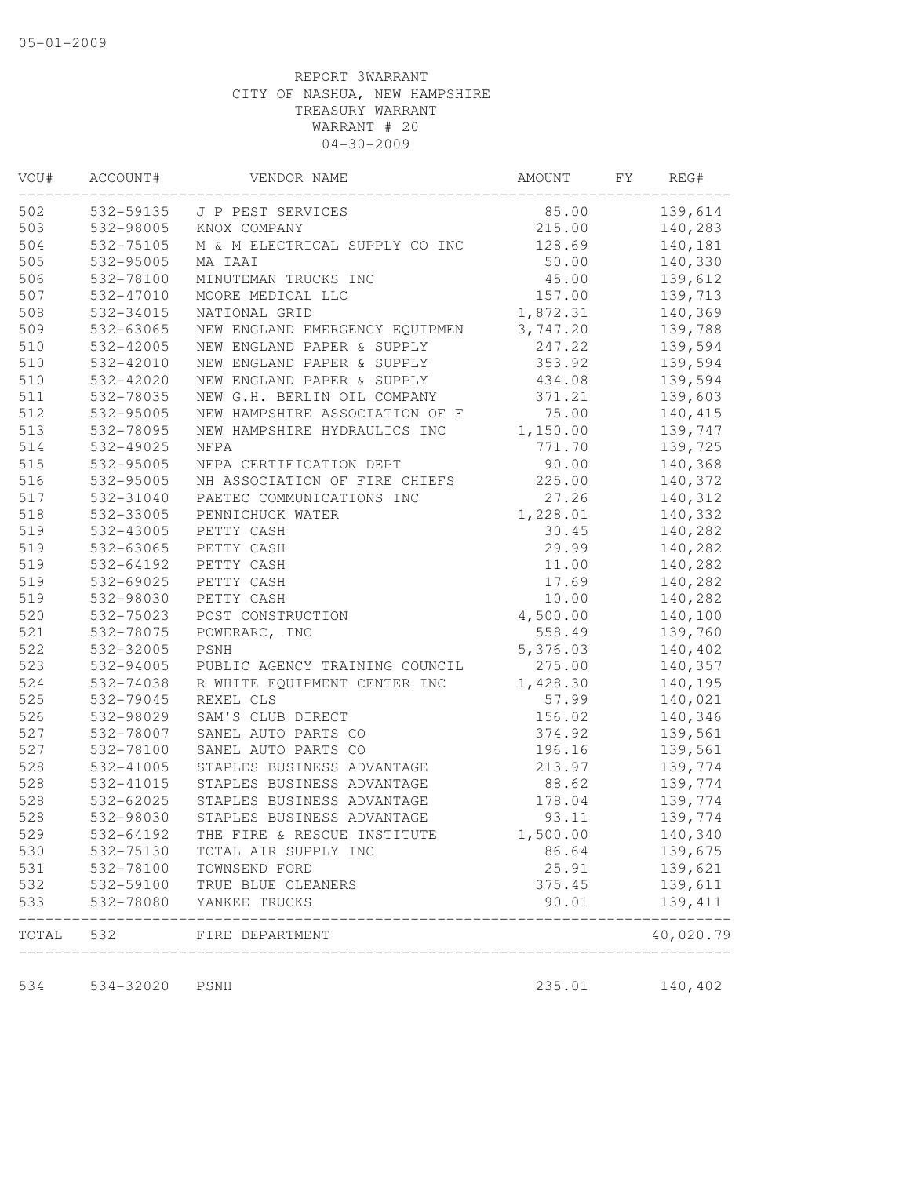| 502<br>532-59135 J P PEST SERVICES<br>85.00<br>503<br>532-98005<br>KNOX COMPANY<br>215.00<br>504<br>532-75105<br>M & M ELECTRICAL SUPPLY CO INC<br>128.69<br>505<br>532-95005<br>MA IAAI<br>50.00<br>506<br>45.00<br>532-78100<br>MINUTEMAN TRUCKS INC<br>507<br>532-47010<br>157.00<br>MOORE MEDICAL LLC<br>508<br>1,872.31<br>532-34015<br>NATIONAL GRID<br>509<br>3,747.20<br>532-63065<br>NEW ENGLAND EMERGENCY EQUIPMEN<br>510<br>532-42005<br>NEW ENGLAND PAPER & SUPPLY<br>247.22<br>510<br>532-42010<br>353.92<br>NEW ENGLAND PAPER & SUPPLY<br>510<br>532-42020<br>NEW ENGLAND PAPER & SUPPLY<br>434.08<br>511<br>532-78035<br>NEW G.H. BERLIN OIL COMPANY<br>371.21<br>512<br>NEW HAMPSHIRE ASSOCIATION OF F<br>75.00<br>532-95005<br>513<br>532-78095<br>NEW HAMPSHIRE HYDRAULICS INC<br>1,150.00<br>514<br>532-49025<br><b>NFPA</b><br>771.70<br>515<br>90.00<br>532-95005<br>NFPA CERTIFICATION DEPT<br>516<br>225.00<br>532-95005<br>NH ASSOCIATION OF FIRE CHIEFS<br>517<br>27.26<br>532-31040<br>PAETEC COMMUNICATIONS INC<br>518<br>532-33005<br>1,228.01<br>PENNICHUCK WATER<br>519<br>532-43005<br>PETTY CASH<br>30.45<br>519<br>532-63065<br>PETTY CASH<br>29.99<br>519<br>532-64192<br>PETTY CASH<br>11.00<br>519<br>17.69<br>532-69025<br>PETTY CASH<br>519<br>532-98030<br>PETTY CASH<br>10.00<br>520<br>532-75023<br>POST CONSTRUCTION<br>4,500.00<br>521<br>532-78075<br>558.49<br>POWERARC, INC<br>522<br>5,376.03<br>532-32005<br>PSNH<br>523<br>532-94005<br>PUBLIC AGENCY TRAINING COUNCIL<br>275.00<br>524<br>532-74038<br>1,428.30<br>R WHITE EQUIPMENT CENTER INC<br>525<br>532-79045<br>REXEL CLS<br>57.99<br>526<br>SAM'S CLUB DIRECT<br>532-98029<br>156.02<br>527<br>532-78007<br>SANEL AUTO PARTS CO<br>374.92<br>527<br>SANEL AUTO PARTS CO<br>196.16<br>532-78100<br>528<br>532-41005<br>STAPLES BUSINESS ADVANTAGE<br>213.97<br>528<br>STAPLES BUSINESS ADVANTAGE<br>532-41015<br>88.62<br>528<br>STAPLES BUSINESS ADVANTAGE<br>532-62025<br>178.04<br>528<br>532-98030<br>STAPLES BUSINESS ADVANTAGE<br>93.11<br>529<br>1,500.00<br>532-64192<br>THE FIRE & RESCUE INSTITUTE<br>530<br>532-75130<br>86.64<br>TOTAL AIR SUPPLY INC<br>531<br>532-78100<br>25.91<br>TOWNSEND FORD<br>532<br>532-59100<br>375.45<br>TRUE BLUE CLEANERS<br>533<br>532-78080<br>90.01<br>YANKEE TRUCKS<br>532<br>TOTAL<br>FIRE DEPARTMENT | WOU# | ACCOUNT# | VENDOR NAME | AMOUNT | FY | REG#                  |
|---------------------------------------------------------------------------------------------------------------------------------------------------------------------------------------------------------------------------------------------------------------------------------------------------------------------------------------------------------------------------------------------------------------------------------------------------------------------------------------------------------------------------------------------------------------------------------------------------------------------------------------------------------------------------------------------------------------------------------------------------------------------------------------------------------------------------------------------------------------------------------------------------------------------------------------------------------------------------------------------------------------------------------------------------------------------------------------------------------------------------------------------------------------------------------------------------------------------------------------------------------------------------------------------------------------------------------------------------------------------------------------------------------------------------------------------------------------------------------------------------------------------------------------------------------------------------------------------------------------------------------------------------------------------------------------------------------------------------------------------------------------------------------------------------------------------------------------------------------------------------------------------------------------------------------------------------------------------------------------------------------------------------------------------------------------------------------------------------------------------------------------------------------------------------------------------------------------------------------------------------------------------------------------------------------------------------------------------------------------|------|----------|-------------|--------|----|-----------------------|
|                                                                                                                                                                                                                                                                                                                                                                                                                                                                                                                                                                                                                                                                                                                                                                                                                                                                                                                                                                                                                                                                                                                                                                                                                                                                                                                                                                                                                                                                                                                                                                                                                                                                                                                                                                                                                                                                                                                                                                                                                                                                                                                                                                                                                                                                                                                                                               |      |          |             |        |    | 139,614               |
|                                                                                                                                                                                                                                                                                                                                                                                                                                                                                                                                                                                                                                                                                                                                                                                                                                                                                                                                                                                                                                                                                                                                                                                                                                                                                                                                                                                                                                                                                                                                                                                                                                                                                                                                                                                                                                                                                                                                                                                                                                                                                                                                                                                                                                                                                                                                                               |      |          |             |        |    | 140,283               |
|                                                                                                                                                                                                                                                                                                                                                                                                                                                                                                                                                                                                                                                                                                                                                                                                                                                                                                                                                                                                                                                                                                                                                                                                                                                                                                                                                                                                                                                                                                                                                                                                                                                                                                                                                                                                                                                                                                                                                                                                                                                                                                                                                                                                                                                                                                                                                               |      |          |             |        |    | 140,181               |
|                                                                                                                                                                                                                                                                                                                                                                                                                                                                                                                                                                                                                                                                                                                                                                                                                                                                                                                                                                                                                                                                                                                                                                                                                                                                                                                                                                                                                                                                                                                                                                                                                                                                                                                                                                                                                                                                                                                                                                                                                                                                                                                                                                                                                                                                                                                                                               |      |          |             |        |    | 140,330               |
|                                                                                                                                                                                                                                                                                                                                                                                                                                                                                                                                                                                                                                                                                                                                                                                                                                                                                                                                                                                                                                                                                                                                                                                                                                                                                                                                                                                                                                                                                                                                                                                                                                                                                                                                                                                                                                                                                                                                                                                                                                                                                                                                                                                                                                                                                                                                                               |      |          |             |        |    | 139,612               |
|                                                                                                                                                                                                                                                                                                                                                                                                                                                                                                                                                                                                                                                                                                                                                                                                                                                                                                                                                                                                                                                                                                                                                                                                                                                                                                                                                                                                                                                                                                                                                                                                                                                                                                                                                                                                                                                                                                                                                                                                                                                                                                                                                                                                                                                                                                                                                               |      |          |             |        |    | 139,713               |
|                                                                                                                                                                                                                                                                                                                                                                                                                                                                                                                                                                                                                                                                                                                                                                                                                                                                                                                                                                                                                                                                                                                                                                                                                                                                                                                                                                                                                                                                                                                                                                                                                                                                                                                                                                                                                                                                                                                                                                                                                                                                                                                                                                                                                                                                                                                                                               |      |          |             |        |    | 140,369               |
|                                                                                                                                                                                                                                                                                                                                                                                                                                                                                                                                                                                                                                                                                                                                                                                                                                                                                                                                                                                                                                                                                                                                                                                                                                                                                                                                                                                                                                                                                                                                                                                                                                                                                                                                                                                                                                                                                                                                                                                                                                                                                                                                                                                                                                                                                                                                                               |      |          |             |        |    | 139,788               |
|                                                                                                                                                                                                                                                                                                                                                                                                                                                                                                                                                                                                                                                                                                                                                                                                                                                                                                                                                                                                                                                                                                                                                                                                                                                                                                                                                                                                                                                                                                                                                                                                                                                                                                                                                                                                                                                                                                                                                                                                                                                                                                                                                                                                                                                                                                                                                               |      |          |             |        |    | 139,594               |
|                                                                                                                                                                                                                                                                                                                                                                                                                                                                                                                                                                                                                                                                                                                                                                                                                                                                                                                                                                                                                                                                                                                                                                                                                                                                                                                                                                                                                                                                                                                                                                                                                                                                                                                                                                                                                                                                                                                                                                                                                                                                                                                                                                                                                                                                                                                                                               |      |          |             |        |    | 139,594               |
|                                                                                                                                                                                                                                                                                                                                                                                                                                                                                                                                                                                                                                                                                                                                                                                                                                                                                                                                                                                                                                                                                                                                                                                                                                                                                                                                                                                                                                                                                                                                                                                                                                                                                                                                                                                                                                                                                                                                                                                                                                                                                                                                                                                                                                                                                                                                                               |      |          |             |        |    | 139,594               |
|                                                                                                                                                                                                                                                                                                                                                                                                                                                                                                                                                                                                                                                                                                                                                                                                                                                                                                                                                                                                                                                                                                                                                                                                                                                                                                                                                                                                                                                                                                                                                                                                                                                                                                                                                                                                                                                                                                                                                                                                                                                                                                                                                                                                                                                                                                                                                               |      |          |             |        |    | 139,603               |
|                                                                                                                                                                                                                                                                                                                                                                                                                                                                                                                                                                                                                                                                                                                                                                                                                                                                                                                                                                                                                                                                                                                                                                                                                                                                                                                                                                                                                                                                                                                                                                                                                                                                                                                                                                                                                                                                                                                                                                                                                                                                                                                                                                                                                                                                                                                                                               |      |          |             |        |    | 140,415               |
|                                                                                                                                                                                                                                                                                                                                                                                                                                                                                                                                                                                                                                                                                                                                                                                                                                                                                                                                                                                                                                                                                                                                                                                                                                                                                                                                                                                                                                                                                                                                                                                                                                                                                                                                                                                                                                                                                                                                                                                                                                                                                                                                                                                                                                                                                                                                                               |      |          |             |        |    | 139,747               |
|                                                                                                                                                                                                                                                                                                                                                                                                                                                                                                                                                                                                                                                                                                                                                                                                                                                                                                                                                                                                                                                                                                                                                                                                                                                                                                                                                                                                                                                                                                                                                                                                                                                                                                                                                                                                                                                                                                                                                                                                                                                                                                                                                                                                                                                                                                                                                               |      |          |             |        |    | 139,725               |
|                                                                                                                                                                                                                                                                                                                                                                                                                                                                                                                                                                                                                                                                                                                                                                                                                                                                                                                                                                                                                                                                                                                                                                                                                                                                                                                                                                                                                                                                                                                                                                                                                                                                                                                                                                                                                                                                                                                                                                                                                                                                                                                                                                                                                                                                                                                                                               |      |          |             |        |    | 140,368               |
|                                                                                                                                                                                                                                                                                                                                                                                                                                                                                                                                                                                                                                                                                                                                                                                                                                                                                                                                                                                                                                                                                                                                                                                                                                                                                                                                                                                                                                                                                                                                                                                                                                                                                                                                                                                                                                                                                                                                                                                                                                                                                                                                                                                                                                                                                                                                                               |      |          |             |        |    | 140,372               |
|                                                                                                                                                                                                                                                                                                                                                                                                                                                                                                                                                                                                                                                                                                                                                                                                                                                                                                                                                                                                                                                                                                                                                                                                                                                                                                                                                                                                                                                                                                                                                                                                                                                                                                                                                                                                                                                                                                                                                                                                                                                                                                                                                                                                                                                                                                                                                               |      |          |             |        |    | 140,312               |
|                                                                                                                                                                                                                                                                                                                                                                                                                                                                                                                                                                                                                                                                                                                                                                                                                                                                                                                                                                                                                                                                                                                                                                                                                                                                                                                                                                                                                                                                                                                                                                                                                                                                                                                                                                                                                                                                                                                                                                                                                                                                                                                                                                                                                                                                                                                                                               |      |          |             |        |    | 140,332               |
|                                                                                                                                                                                                                                                                                                                                                                                                                                                                                                                                                                                                                                                                                                                                                                                                                                                                                                                                                                                                                                                                                                                                                                                                                                                                                                                                                                                                                                                                                                                                                                                                                                                                                                                                                                                                                                                                                                                                                                                                                                                                                                                                                                                                                                                                                                                                                               |      |          |             |        |    | 140,282               |
|                                                                                                                                                                                                                                                                                                                                                                                                                                                                                                                                                                                                                                                                                                                                                                                                                                                                                                                                                                                                                                                                                                                                                                                                                                                                                                                                                                                                                                                                                                                                                                                                                                                                                                                                                                                                                                                                                                                                                                                                                                                                                                                                                                                                                                                                                                                                                               |      |          |             |        |    | 140,282               |
|                                                                                                                                                                                                                                                                                                                                                                                                                                                                                                                                                                                                                                                                                                                                                                                                                                                                                                                                                                                                                                                                                                                                                                                                                                                                                                                                                                                                                                                                                                                                                                                                                                                                                                                                                                                                                                                                                                                                                                                                                                                                                                                                                                                                                                                                                                                                                               |      |          |             |        |    | 140,282               |
|                                                                                                                                                                                                                                                                                                                                                                                                                                                                                                                                                                                                                                                                                                                                                                                                                                                                                                                                                                                                                                                                                                                                                                                                                                                                                                                                                                                                                                                                                                                                                                                                                                                                                                                                                                                                                                                                                                                                                                                                                                                                                                                                                                                                                                                                                                                                                               |      |          |             |        |    | 140,282               |
|                                                                                                                                                                                                                                                                                                                                                                                                                                                                                                                                                                                                                                                                                                                                                                                                                                                                                                                                                                                                                                                                                                                                                                                                                                                                                                                                                                                                                                                                                                                                                                                                                                                                                                                                                                                                                                                                                                                                                                                                                                                                                                                                                                                                                                                                                                                                                               |      |          |             |        |    | 140,282               |
|                                                                                                                                                                                                                                                                                                                                                                                                                                                                                                                                                                                                                                                                                                                                                                                                                                                                                                                                                                                                                                                                                                                                                                                                                                                                                                                                                                                                                                                                                                                                                                                                                                                                                                                                                                                                                                                                                                                                                                                                                                                                                                                                                                                                                                                                                                                                                               |      |          |             |        |    | 140,100               |
|                                                                                                                                                                                                                                                                                                                                                                                                                                                                                                                                                                                                                                                                                                                                                                                                                                                                                                                                                                                                                                                                                                                                                                                                                                                                                                                                                                                                                                                                                                                                                                                                                                                                                                                                                                                                                                                                                                                                                                                                                                                                                                                                                                                                                                                                                                                                                               |      |          |             |        |    | 139,760               |
|                                                                                                                                                                                                                                                                                                                                                                                                                                                                                                                                                                                                                                                                                                                                                                                                                                                                                                                                                                                                                                                                                                                                                                                                                                                                                                                                                                                                                                                                                                                                                                                                                                                                                                                                                                                                                                                                                                                                                                                                                                                                                                                                                                                                                                                                                                                                                               |      |          |             |        |    | 140,402               |
|                                                                                                                                                                                                                                                                                                                                                                                                                                                                                                                                                                                                                                                                                                                                                                                                                                                                                                                                                                                                                                                                                                                                                                                                                                                                                                                                                                                                                                                                                                                                                                                                                                                                                                                                                                                                                                                                                                                                                                                                                                                                                                                                                                                                                                                                                                                                                               |      |          |             |        |    | 140,357               |
|                                                                                                                                                                                                                                                                                                                                                                                                                                                                                                                                                                                                                                                                                                                                                                                                                                                                                                                                                                                                                                                                                                                                                                                                                                                                                                                                                                                                                                                                                                                                                                                                                                                                                                                                                                                                                                                                                                                                                                                                                                                                                                                                                                                                                                                                                                                                                               |      |          |             |        |    | 140,195               |
|                                                                                                                                                                                                                                                                                                                                                                                                                                                                                                                                                                                                                                                                                                                                                                                                                                                                                                                                                                                                                                                                                                                                                                                                                                                                                                                                                                                                                                                                                                                                                                                                                                                                                                                                                                                                                                                                                                                                                                                                                                                                                                                                                                                                                                                                                                                                                               |      |          |             |        |    | 140,021               |
|                                                                                                                                                                                                                                                                                                                                                                                                                                                                                                                                                                                                                                                                                                                                                                                                                                                                                                                                                                                                                                                                                                                                                                                                                                                                                                                                                                                                                                                                                                                                                                                                                                                                                                                                                                                                                                                                                                                                                                                                                                                                                                                                                                                                                                                                                                                                                               |      |          |             |        |    | 140,346               |
|                                                                                                                                                                                                                                                                                                                                                                                                                                                                                                                                                                                                                                                                                                                                                                                                                                                                                                                                                                                                                                                                                                                                                                                                                                                                                                                                                                                                                                                                                                                                                                                                                                                                                                                                                                                                                                                                                                                                                                                                                                                                                                                                                                                                                                                                                                                                                               |      |          |             |        |    | 139,561               |
|                                                                                                                                                                                                                                                                                                                                                                                                                                                                                                                                                                                                                                                                                                                                                                                                                                                                                                                                                                                                                                                                                                                                                                                                                                                                                                                                                                                                                                                                                                                                                                                                                                                                                                                                                                                                                                                                                                                                                                                                                                                                                                                                                                                                                                                                                                                                                               |      |          |             |        |    | 139,561               |
|                                                                                                                                                                                                                                                                                                                                                                                                                                                                                                                                                                                                                                                                                                                                                                                                                                                                                                                                                                                                                                                                                                                                                                                                                                                                                                                                                                                                                                                                                                                                                                                                                                                                                                                                                                                                                                                                                                                                                                                                                                                                                                                                                                                                                                                                                                                                                               |      |          |             |        |    | 139,774               |
|                                                                                                                                                                                                                                                                                                                                                                                                                                                                                                                                                                                                                                                                                                                                                                                                                                                                                                                                                                                                                                                                                                                                                                                                                                                                                                                                                                                                                                                                                                                                                                                                                                                                                                                                                                                                                                                                                                                                                                                                                                                                                                                                                                                                                                                                                                                                                               |      |          |             |        |    | 139,774               |
|                                                                                                                                                                                                                                                                                                                                                                                                                                                                                                                                                                                                                                                                                                                                                                                                                                                                                                                                                                                                                                                                                                                                                                                                                                                                                                                                                                                                                                                                                                                                                                                                                                                                                                                                                                                                                                                                                                                                                                                                                                                                                                                                                                                                                                                                                                                                                               |      |          |             |        |    | 139,774               |
|                                                                                                                                                                                                                                                                                                                                                                                                                                                                                                                                                                                                                                                                                                                                                                                                                                                                                                                                                                                                                                                                                                                                                                                                                                                                                                                                                                                                                                                                                                                                                                                                                                                                                                                                                                                                                                                                                                                                                                                                                                                                                                                                                                                                                                                                                                                                                               |      |          |             |        |    | 139,774               |
|                                                                                                                                                                                                                                                                                                                                                                                                                                                                                                                                                                                                                                                                                                                                                                                                                                                                                                                                                                                                                                                                                                                                                                                                                                                                                                                                                                                                                                                                                                                                                                                                                                                                                                                                                                                                                                                                                                                                                                                                                                                                                                                                                                                                                                                                                                                                                               |      |          |             |        |    | 140,340               |
|                                                                                                                                                                                                                                                                                                                                                                                                                                                                                                                                                                                                                                                                                                                                                                                                                                                                                                                                                                                                                                                                                                                                                                                                                                                                                                                                                                                                                                                                                                                                                                                                                                                                                                                                                                                                                                                                                                                                                                                                                                                                                                                                                                                                                                                                                                                                                               |      |          |             |        |    | 139,675               |
|                                                                                                                                                                                                                                                                                                                                                                                                                                                                                                                                                                                                                                                                                                                                                                                                                                                                                                                                                                                                                                                                                                                                                                                                                                                                                                                                                                                                                                                                                                                                                                                                                                                                                                                                                                                                                                                                                                                                                                                                                                                                                                                                                                                                                                                                                                                                                               |      |          |             |        |    | 139,621               |
|                                                                                                                                                                                                                                                                                                                                                                                                                                                                                                                                                                                                                                                                                                                                                                                                                                                                                                                                                                                                                                                                                                                                                                                                                                                                                                                                                                                                                                                                                                                                                                                                                                                                                                                                                                                                                                                                                                                                                                                                                                                                                                                                                                                                                                                                                                                                                               |      |          |             |        |    | 139,611               |
|                                                                                                                                                                                                                                                                                                                                                                                                                                                                                                                                                                                                                                                                                                                                                                                                                                                                                                                                                                                                                                                                                                                                                                                                                                                                                                                                                                                                                                                                                                                                                                                                                                                                                                                                                                                                                                                                                                                                                                                                                                                                                                                                                                                                                                                                                                                                                               |      |          |             |        |    | 139, 411<br>--------- |
|                                                                                                                                                                                                                                                                                                                                                                                                                                                                                                                                                                                                                                                                                                                                                                                                                                                                                                                                                                                                                                                                                                                                                                                                                                                                                                                                                                                                                                                                                                                                                                                                                                                                                                                                                                                                                                                                                                                                                                                                                                                                                                                                                                                                                                                                                                                                                               |      |          |             |        |    | 40,020.79             |
| 235.01<br>534<br>534-32020<br>PSNH                                                                                                                                                                                                                                                                                                                                                                                                                                                                                                                                                                                                                                                                                                                                                                                                                                                                                                                                                                                                                                                                                                                                                                                                                                                                                                                                                                                                                                                                                                                                                                                                                                                                                                                                                                                                                                                                                                                                                                                                                                                                                                                                                                                                                                                                                                                            |      |          |             |        |    | 140,402               |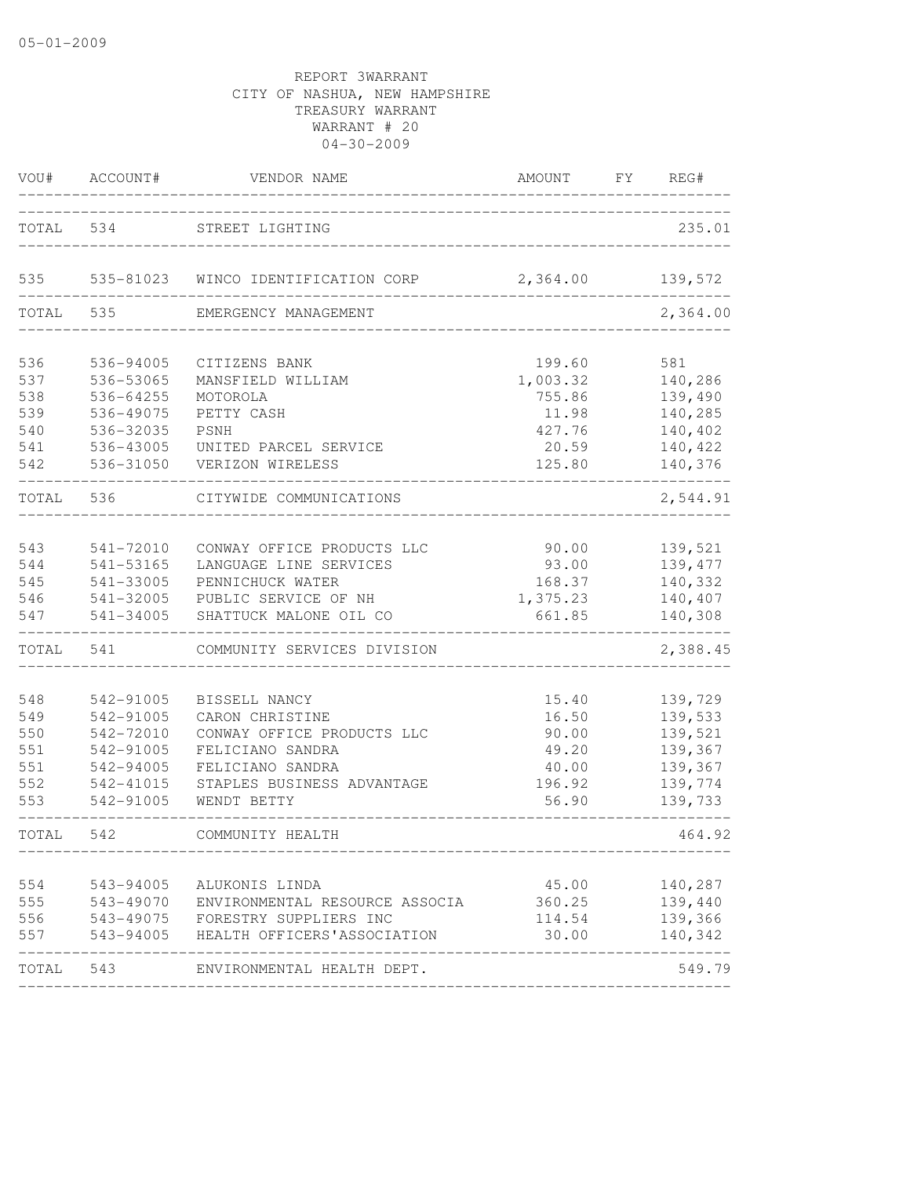| TOTAL 534<br>STREET LIGHTING<br>535<br>535-81023 WINCO IDENTIFICATION CORP<br>2,364.00<br>535<br>TOTAL<br>EMERGENCY MANAGEMENT<br>536-94005<br>CITIZENS BANK<br>199.60<br>536-53065<br>1,003.32<br>MANSFIELD WILLIAM<br>536-64255<br>MOTOROLA<br>755.86<br>536-49075<br>PETTY CASH<br>11.98<br>536-32035<br>427.76<br>PSNH<br>536-43005<br>20.59<br>UNITED PARCEL SERVICE<br>542<br>536-31050<br>VERIZON WIRELESS<br>125.80<br>536<br>CITYWIDE COMMUNICATIONS<br>543<br>541-72010<br>CONWAY OFFICE PRODUCTS LLC<br>90.00<br>541-53165<br>LANGUAGE LINE SERVICES<br>93.00<br>541-33005<br>PENNICHUCK WATER<br>168.37<br>541-32005<br>PUBLIC SERVICE OF NH<br>1,375.23<br>547<br>541-34005<br>SHATTUCK MALONE OIL CO<br>661.85<br>541<br>COMMUNITY SERVICES DIVISION<br>542-91005<br>BISSELL NANCY<br>15.40<br>542-91005<br>CARON CHRISTINE<br>16.50<br>542-72010<br>CONWAY OFFICE PRODUCTS LLC<br>90.00<br>542-91005<br>FELICIANO SANDRA<br>49.20<br>542-94005<br>FELICIANO SANDRA<br>40.00<br>542-41015<br>STAPLES BUSINESS ADVANTAGE<br>196.92<br>542-91005<br>56.90<br>WENDT BETTY<br>542<br>TOTAL<br>COMMUNITY HEALTH<br>543-94005<br>ALUKONIS LINDA<br>45.00<br>555<br>543-49070<br>360.25<br>ENVIRONMENTAL RESOURCE ASSOCIA<br>556<br>543-49075 FORESTRY SUPPLIERS INC<br>114.54 | REG#                | FY | AMOUNT | VENDOR NAME                 | ACCOUNT#  | VOU# |
|---------------------------------------------------------------------------------------------------------------------------------------------------------------------------------------------------------------------------------------------------------------------------------------------------------------------------------------------------------------------------------------------------------------------------------------------------------------------------------------------------------------------------------------------------------------------------------------------------------------------------------------------------------------------------------------------------------------------------------------------------------------------------------------------------------------------------------------------------------------------------------------------------------------------------------------------------------------------------------------------------------------------------------------------------------------------------------------------------------------------------------------------------------------------------------------------------------------------------------------------------------------------------------------|---------------------|----|--------|-----------------------------|-----------|------|
| 536<br>538<br>539<br>540<br>541<br>TOTAL<br>544<br>545<br>546<br>TOTAL<br>548<br>549<br>551<br>552<br>553<br>554                                                                                                                                                                                                                                                                                                                                                                                                                                                                                                                                                                                                                                                                                                                                                                                                                                                                                                                                                                                                                                                                                                                                                                      | 235.01              |    |        |                             |           |      |
|                                                                                                                                                                                                                                                                                                                                                                                                                                                                                                                                                                                                                                                                                                                                                                                                                                                                                                                                                                                                                                                                                                                                                                                                                                                                                       | 139,572             |    |        |                             |           |      |
|                                                                                                                                                                                                                                                                                                                                                                                                                                                                                                                                                                                                                                                                                                                                                                                                                                                                                                                                                                                                                                                                                                                                                                                                                                                                                       | 2,364.00            |    |        |                             |           |      |
| 537<br>550<br>551                                                                                                                                                                                                                                                                                                                                                                                                                                                                                                                                                                                                                                                                                                                                                                                                                                                                                                                                                                                                                                                                                                                                                                                                                                                                     | 581                 |    |        |                             |           |      |
|                                                                                                                                                                                                                                                                                                                                                                                                                                                                                                                                                                                                                                                                                                                                                                                                                                                                                                                                                                                                                                                                                                                                                                                                                                                                                       | 140,286             |    |        |                             |           |      |
|                                                                                                                                                                                                                                                                                                                                                                                                                                                                                                                                                                                                                                                                                                                                                                                                                                                                                                                                                                                                                                                                                                                                                                                                                                                                                       | 139,490             |    |        |                             |           |      |
|                                                                                                                                                                                                                                                                                                                                                                                                                                                                                                                                                                                                                                                                                                                                                                                                                                                                                                                                                                                                                                                                                                                                                                                                                                                                                       | 140,285             |    |        |                             |           |      |
|                                                                                                                                                                                                                                                                                                                                                                                                                                                                                                                                                                                                                                                                                                                                                                                                                                                                                                                                                                                                                                                                                                                                                                                                                                                                                       | 140,402             |    |        |                             |           |      |
|                                                                                                                                                                                                                                                                                                                                                                                                                                                                                                                                                                                                                                                                                                                                                                                                                                                                                                                                                                                                                                                                                                                                                                                                                                                                                       | 140,422             |    |        |                             |           |      |
|                                                                                                                                                                                                                                                                                                                                                                                                                                                                                                                                                                                                                                                                                                                                                                                                                                                                                                                                                                                                                                                                                                                                                                                                                                                                                       | 140,376             |    |        |                             |           |      |
|                                                                                                                                                                                                                                                                                                                                                                                                                                                                                                                                                                                                                                                                                                                                                                                                                                                                                                                                                                                                                                                                                                                                                                                                                                                                                       | 2,544.91            |    |        |                             |           |      |
|                                                                                                                                                                                                                                                                                                                                                                                                                                                                                                                                                                                                                                                                                                                                                                                                                                                                                                                                                                                                                                                                                                                                                                                                                                                                                       |                     |    |        |                             |           |      |
|                                                                                                                                                                                                                                                                                                                                                                                                                                                                                                                                                                                                                                                                                                                                                                                                                                                                                                                                                                                                                                                                                                                                                                                                                                                                                       | 139,521             |    |        |                             |           |      |
|                                                                                                                                                                                                                                                                                                                                                                                                                                                                                                                                                                                                                                                                                                                                                                                                                                                                                                                                                                                                                                                                                                                                                                                                                                                                                       | 139, 477<br>140,332 |    |        |                             |           |      |
|                                                                                                                                                                                                                                                                                                                                                                                                                                                                                                                                                                                                                                                                                                                                                                                                                                                                                                                                                                                                                                                                                                                                                                                                                                                                                       | 140,407             |    |        |                             |           |      |
|                                                                                                                                                                                                                                                                                                                                                                                                                                                                                                                                                                                                                                                                                                                                                                                                                                                                                                                                                                                                                                                                                                                                                                                                                                                                                       | 140,308             |    |        |                             |           |      |
|                                                                                                                                                                                                                                                                                                                                                                                                                                                                                                                                                                                                                                                                                                                                                                                                                                                                                                                                                                                                                                                                                                                                                                                                                                                                                       | 2,388.45            |    |        |                             |           |      |
|                                                                                                                                                                                                                                                                                                                                                                                                                                                                                                                                                                                                                                                                                                                                                                                                                                                                                                                                                                                                                                                                                                                                                                                                                                                                                       | 139,729             |    |        |                             |           |      |
|                                                                                                                                                                                                                                                                                                                                                                                                                                                                                                                                                                                                                                                                                                                                                                                                                                                                                                                                                                                                                                                                                                                                                                                                                                                                                       | 139,533             |    |        |                             |           |      |
|                                                                                                                                                                                                                                                                                                                                                                                                                                                                                                                                                                                                                                                                                                                                                                                                                                                                                                                                                                                                                                                                                                                                                                                                                                                                                       | 139,521             |    |        |                             |           |      |
|                                                                                                                                                                                                                                                                                                                                                                                                                                                                                                                                                                                                                                                                                                                                                                                                                                                                                                                                                                                                                                                                                                                                                                                                                                                                                       | 139,367             |    |        |                             |           |      |
|                                                                                                                                                                                                                                                                                                                                                                                                                                                                                                                                                                                                                                                                                                                                                                                                                                                                                                                                                                                                                                                                                                                                                                                                                                                                                       | 139,367             |    |        |                             |           |      |
|                                                                                                                                                                                                                                                                                                                                                                                                                                                                                                                                                                                                                                                                                                                                                                                                                                                                                                                                                                                                                                                                                                                                                                                                                                                                                       | 139,774             |    |        |                             |           |      |
|                                                                                                                                                                                                                                                                                                                                                                                                                                                                                                                                                                                                                                                                                                                                                                                                                                                                                                                                                                                                                                                                                                                                                                                                                                                                                       | 139,733             |    |        |                             |           |      |
|                                                                                                                                                                                                                                                                                                                                                                                                                                                                                                                                                                                                                                                                                                                                                                                                                                                                                                                                                                                                                                                                                                                                                                                                                                                                                       | 464.92              |    |        |                             |           |      |
|                                                                                                                                                                                                                                                                                                                                                                                                                                                                                                                                                                                                                                                                                                                                                                                                                                                                                                                                                                                                                                                                                                                                                                                                                                                                                       | 140,287             |    |        |                             |           |      |
|                                                                                                                                                                                                                                                                                                                                                                                                                                                                                                                                                                                                                                                                                                                                                                                                                                                                                                                                                                                                                                                                                                                                                                                                                                                                                       | 139,440             |    |        |                             |           |      |
|                                                                                                                                                                                                                                                                                                                                                                                                                                                                                                                                                                                                                                                                                                                                                                                                                                                                                                                                                                                                                                                                                                                                                                                                                                                                                       | 139,366             |    |        |                             |           |      |
|                                                                                                                                                                                                                                                                                                                                                                                                                                                                                                                                                                                                                                                                                                                                                                                                                                                                                                                                                                                                                                                                                                                                                                                                                                                                                       | 140,342             |    | 30.00  | HEALTH OFFICERS'ASSOCIATION | 543-94005 | 557  |
| TOTAL 543<br>ENVIRONMENTAL HEALTH DEPT.                                                                                                                                                                                                                                                                                                                                                                                                                                                                                                                                                                                                                                                                                                                                                                                                                                                                                                                                                                                                                                                                                                                                                                                                                                               | 549.79              |    |        |                             |           |      |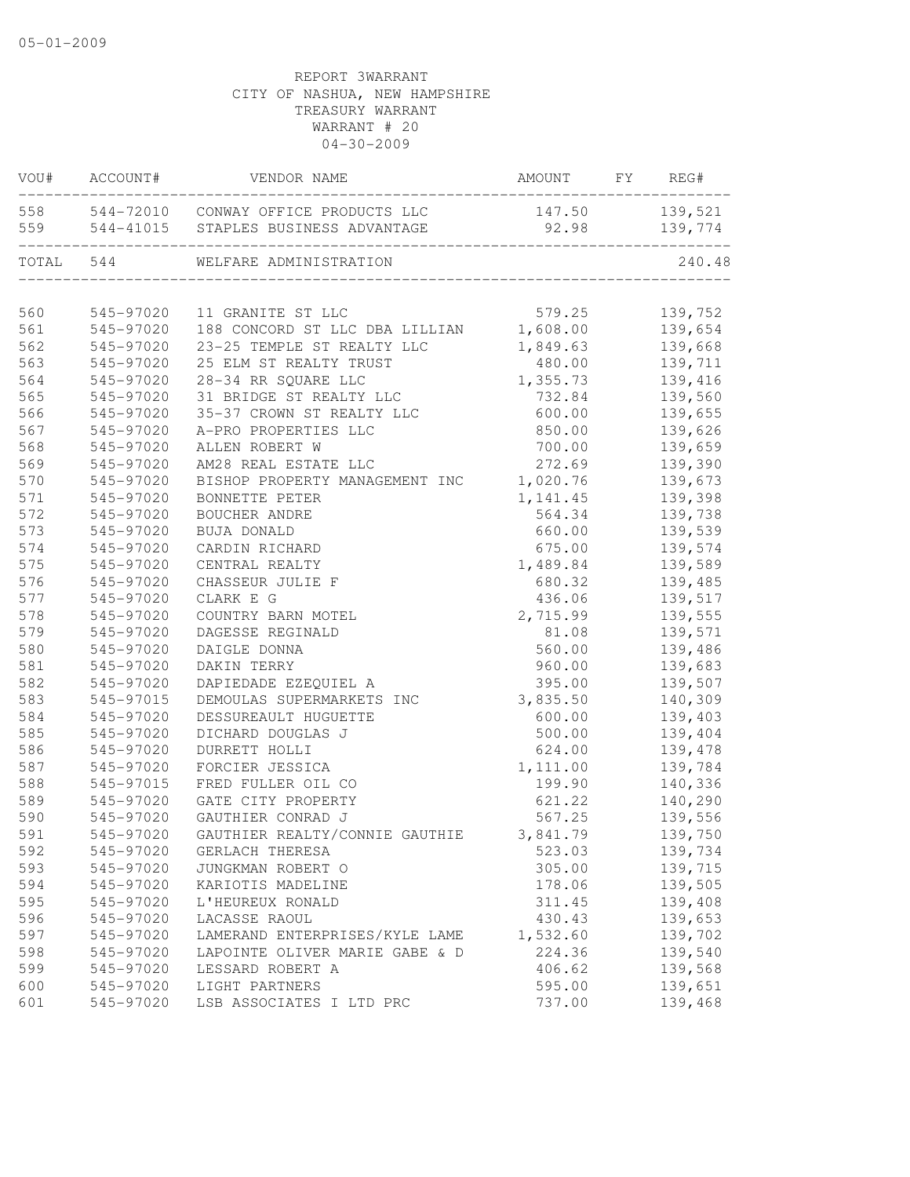|           | VOU# ACCOUNT# | VENDOR NAME                                                                          | AMOUNT                  | FY | REG#    |
|-----------|---------------|--------------------------------------------------------------------------------------|-------------------------|----|---------|
|           |               | 558 544-72010 CONWAY OFFICE PRODUCTS LLC<br>559 544-41015 STAPLES BUSINESS ADVANTAGE | 147.50 139,521<br>92.98 |    | 139,774 |
| TOTAL 544 |               | WELFARE ADMINISTRATION                                                               |                         |    | 240.48  |
|           |               |                                                                                      |                         |    |         |
| 560       | 545-97020     | 11 GRANITE ST LLC                                                                    | 579.25                  |    | 139,752 |
| 561       | 545-97020     | 188 CONCORD ST LLC DBA LILLIAN 1,608.00                                              |                         |    | 139,654 |
| 562       | 545-97020     | 23-25 TEMPLE ST REALTY LLC                                                           | 1,849.63                |    | 139,668 |
| 563       | 545-97020     | 25 ELM ST REALTY TRUST                                                               | 480.00                  |    | 139,711 |
| 564       | 545-97020     | 28-34 RR SQUARE LLC                                                                  | 1,355.73                |    | 139,416 |
| 565       | 545-97020     | 31 BRIDGE ST REALTY LLC                                                              | 732.84                  |    | 139,560 |
| 566       | 545-97020     | 35-37 CROWN ST REALTY LLC                                                            | 600.00                  |    | 139,655 |
| 567       | 545-97020     | A-PRO PROPERTIES LLC                                                                 | 850.00                  |    | 139,626 |
| 568       | 545-97020     | ALLEN ROBERT W                                                                       | 700.00                  |    | 139,659 |
| 569       | 545-97020     | AM28 REAL ESTATE LLC                                                                 | 272.69                  |    | 139,390 |
| 570       | 545-97020     | BISHOP PROPERTY MANAGEMENT INC                                                       | 1,020.76                |    | 139,673 |
| 571       | 545-97020     | BONNETTE PETER                                                                       | 1, 141.45               |    | 139,398 |
| 572       | 545-97020     | BOUCHER ANDRE                                                                        | 564.34                  |    | 139,738 |
| 573       | 545-97020     | <b>BUJA DONALD</b>                                                                   | 660.00                  |    | 139,539 |
| 574       | 545-97020     | CARDIN RICHARD                                                                       | 675.00                  |    | 139,574 |
| 575       | 545-97020     | CENTRAL REALTY                                                                       | 1,489.84                |    | 139,589 |
| 576       | 545-97020     | CHASSEUR JULIE F                                                                     | 680.32                  |    | 139,485 |
| 577       | 545-97020     | CLARK E G                                                                            | 436.06                  |    | 139,517 |
| 578       | 545-97020     | COUNTRY BARN MOTEL                                                                   | 2,715.99                |    | 139,555 |
| 579       | 545-97020     | DAGESSE REGINALD                                                                     | 81.08                   |    | 139,571 |
| 580       | 545-97020     | DAIGLE DONNA                                                                         | 560.00                  |    | 139,486 |
| 581       | 545-97020     | DAKIN TERRY                                                                          | 960.00                  |    | 139,683 |
| 582       | 545-97020     | DAPIEDADE EZEQUIEL A                                                                 | 395.00                  |    | 139,507 |
| 583       | 545-97015     | DEMOULAS SUPERMARKETS INC                                                            | 3,835.50                |    | 140,309 |
| 584       | 545-97020     | DESSUREAULT HUGUETTE                                                                 | 600.00                  |    | 139,403 |
| 585       | 545-97020     | DICHARD DOUGLAS J                                                                    | 500.00                  |    | 139,404 |
| 586       | 545-97020     | DURRETT HOLLI                                                                        | 624.00                  |    | 139,478 |
| 587       | 545-97020     | FORCIER JESSICA                                                                      | 1,111.00                |    | 139,784 |
| 588       | 545-97015     | FRED FULLER OIL CO                                                                   | 199.90                  |    | 140,336 |
| 589       | 545-97020     | GATE CITY PROPERTY                                                                   | 621.22                  |    | 140,290 |
| 590       | 545-97020     | GAUTHIER CONRAD J                                                                    | 567.25                  |    | 139,556 |
| 591       | 545-97020     | GAUTHIER REALTY/CONNIE GAUTHIE                                                       | 3,841.79                |    | 139,750 |
| 592       | 545-97020     | GERLACH THERESA                                                                      | 523.03                  |    | 139,734 |
| 593       | 545-97020     | JUNGKMAN ROBERT O                                                                    | 305.00                  |    | 139,715 |
| 594       | 545-97020     | KARIOTIS MADELINE                                                                    | 178.06                  |    | 139,505 |
| 595       | 545-97020     | L'HEUREUX RONALD                                                                     | 311.45                  |    | 139,408 |
| 596       | 545-97020     | LACASSE RAOUL                                                                        | 430.43                  |    | 139,653 |
| 597       | 545-97020     | LAMERAND ENTERPRISES/KYLE LAME                                                       | 1,532.60                |    | 139,702 |
| 598       | 545-97020     | LAPOINTE OLIVER MARIE GABE & D                                                       | 224.36                  |    | 139,540 |
| 599       | 545-97020     | LESSARD ROBERT A                                                                     | 406.62                  |    | 139,568 |
| 600       | 545-97020     | LIGHT PARTNERS                                                                       | 595.00                  |    | 139,651 |
| 601       | 545-97020     | LSB ASSOCIATES I LTD PRC                                                             | 737.00                  |    | 139,468 |
|           |               |                                                                                      |                         |    |         |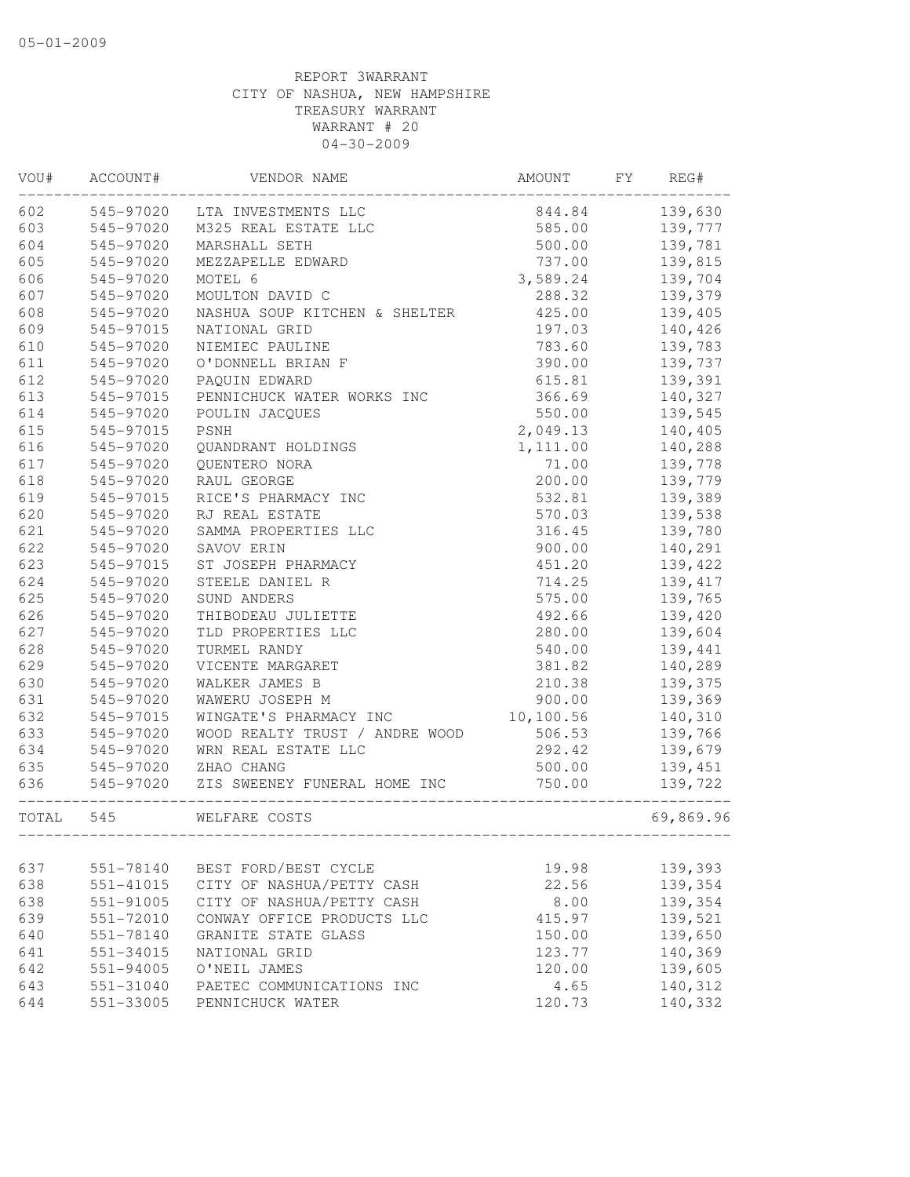| VOU#  | ACCOUNT#  | VENDOR NAME                    | AMOUNT     | FY | REG#      |
|-------|-----------|--------------------------------|------------|----|-----------|
| 602   |           | 545-97020 LTA INVESTMENTS LLC  | 844.84     |    | 139,630   |
| 603   | 545-97020 | M325 REAL ESTATE LLC           | 585.00     |    | 139,777   |
| 604   | 545-97020 | MARSHALL SETH                  | 500.00     |    | 139,781   |
| 605   | 545-97020 | MEZZAPELLE EDWARD              | 737.00     |    | 139,815   |
| 606   | 545-97020 | MOTEL 6                        | 3,589.24   |    | 139,704   |
| 607   | 545-97020 | MOULTON DAVID C                | 288.32     |    | 139,379   |
| 608   | 545-97020 | NASHUA SOUP KITCHEN & SHELTER  | 425.00     |    | 139,405   |
| 609   | 545-97015 | NATIONAL GRID                  | 197.03     |    | 140,426   |
| 610   | 545-97020 | NIEMIEC PAULINE                | 783.60     |    | 139,783   |
| 611   | 545-97020 | O'DONNELL BRIAN F              | 390.00     |    | 139,737   |
| 612   | 545-97020 | PAQUIN EDWARD                  | 615.81     |    | 139,391   |
| 613   | 545-97015 | PENNICHUCK WATER WORKS INC     | 366.69     |    | 140,327   |
| 614   | 545-97020 | POULIN JACQUES                 | 550.00     |    | 139,545   |
| 615   | 545-97015 | PSNH                           | 2,049.13   |    | 140,405   |
| 616   | 545-97020 | QUANDRANT HOLDINGS             | 1,111.00   |    | 140,288   |
| 617   | 545-97020 | QUENTERO NORA                  | 71.00      |    | 139,778   |
| 618   | 545-97020 | RAUL GEORGE                    | 200.00     |    | 139,779   |
| 619   | 545-97015 | RICE'S PHARMACY INC            | 532.81     |    | 139,389   |
| 620   | 545-97020 | RJ REAL ESTATE                 | 570.03     |    | 139,538   |
| 621   | 545-97020 | SAMMA PROPERTIES LLC           | 316.45     |    | 139,780   |
| 622   | 545-97020 | SAVOV ERIN                     | 900.00     |    | 140,291   |
| 623   | 545-97015 | ST JOSEPH PHARMACY             | 451.20     |    | 139,422   |
| 624   | 545-97020 | STEELE DANIEL R                | 714.25     |    | 139, 417  |
| 625   | 545-97020 | SUND ANDERS                    | 575.00     |    | 139,765   |
| 626   | 545-97020 | THIBODEAU JULIETTE             | 492.66     |    | 139,420   |
| 627   | 545-97020 | TLD PROPERTIES LLC             | 280.00     |    | 139,604   |
| 628   | 545-97020 | TURMEL RANDY                   | 540.00     |    | 139,441   |
| 629   | 545-97020 | VICENTE MARGARET               | 381.82     |    | 140,289   |
| 630   | 545-97020 | WALKER JAMES B                 | 210.38     |    | 139,375   |
| 631   | 545-97020 | WAWERU JOSEPH M                | 900.00     |    | 139,369   |
| 632   | 545-97015 | WINGATE'S PHARMACY INC         | 10, 100.56 |    | 140,310   |
| 633   | 545-97020 | WOOD REALTY TRUST / ANDRE WOOD | 506.53     |    | 139,766   |
| 634   | 545-97020 | WRN REAL ESTATE LLC            | 292.42     |    | 139,679   |
| 635   | 545-97020 | ZHAO CHANG                     | 500.00     |    | 139, 451  |
| 636   | 545-97020 | ZIS SWEENEY FUNERAL HOME INC   | 750.00     |    | 139,722   |
| TOTAL | 545       | WELFARE COSTS                  |            |    | 69,869.96 |
|       |           |                                |            |    |           |
| 637   | 551-78140 | BEST FORD/BEST CYCLE           | 19.98      |    | 139,393   |
| 638   | 551-41015 | CITY OF NASHUA/PETTY CASH      | 22.56      |    | 139,354   |
| 638   | 551-91005 | CITY OF NASHUA/PETTY CASH      | 8.00       |    | 139,354   |
| 639   | 551-72010 | CONWAY OFFICE PRODUCTS LLC     | 415.97     |    | 139,521   |
| 640   | 551-78140 | GRANITE STATE GLASS            | 150.00     |    | 139,650   |
| 641   | 551-34015 | NATIONAL GRID                  | 123.77     |    | 140,369   |
| 642   | 551-94005 | O'NEIL JAMES                   | 120.00     |    | 139,605   |
| 643   | 551-31040 | PAETEC COMMUNICATIONS INC      | 4.65       |    | 140,312   |
| 644   | 551-33005 | PENNICHUCK WATER               | 120.73     |    | 140,332   |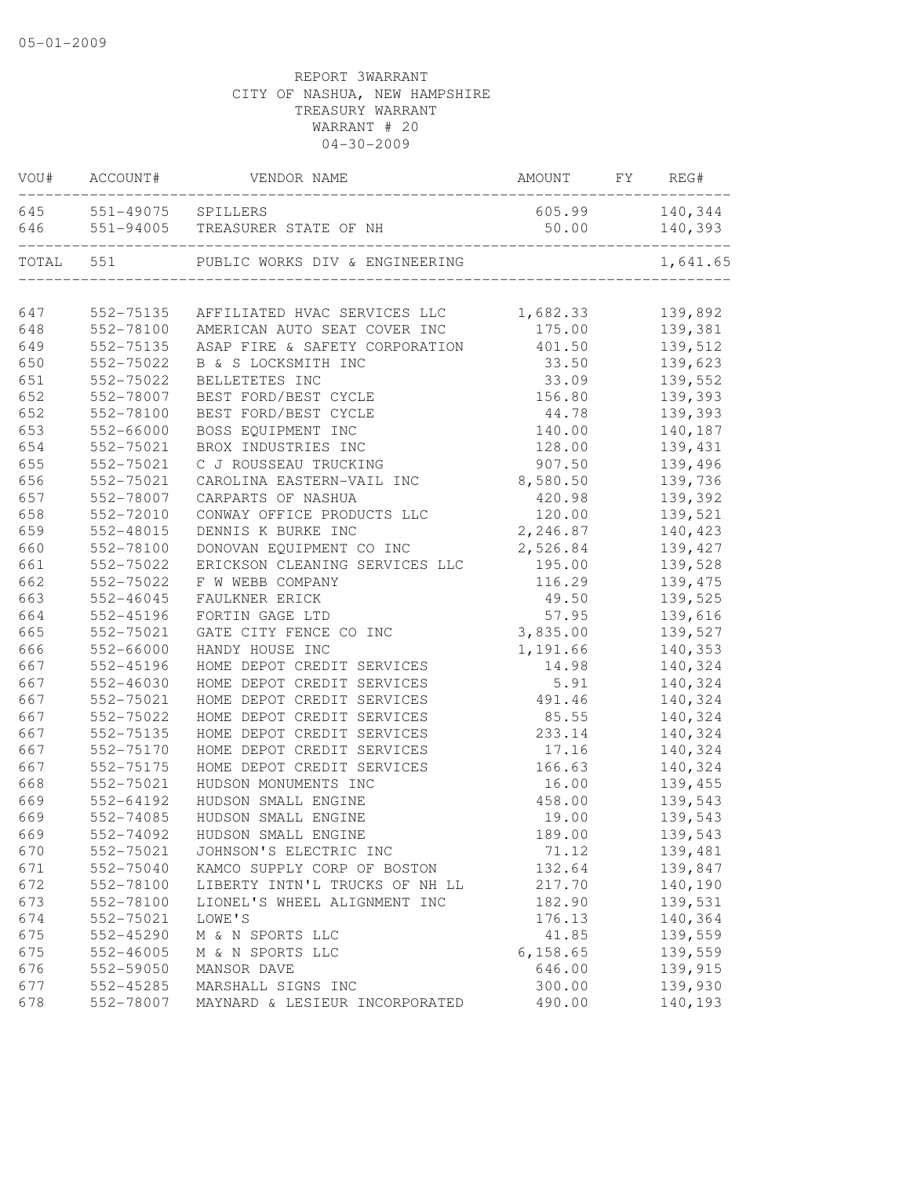|       | VOU# ACCOUNT#          | VENDOR NAME                         | AMOUNT   | FY REG#  |
|-------|------------------------|-------------------------------------|----------|----------|
|       | 645 551-49075 SPILLERS |                                     | 605.99   | 140,344  |
|       |                        | 646 551-94005 TREASURER STATE OF NH | 50.00    | 140,393  |
| TOTAL | 551                    | PUBLIC WORKS DIV & ENGINEERING      |          | 1,641.65 |
| 647   | 552-75135              | AFFILIATED HVAC SERVICES LLC        | 1,682.33 | 139,892  |
| 648   | 552-78100              | AMERICAN AUTO SEAT COVER INC        | 175.00   | 139,381  |
| 649   | 552-75135              | ASAP FIRE & SAFETY CORPORATION      | 401.50   | 139,512  |
| 650   | 552-75022              | B & S LOCKSMITH INC                 | 33.50    | 139,623  |
| 651   | 552-75022              | BELLETETES INC                      | 33.09    | 139,552  |
| 652   | 552-78007              | BEST FORD/BEST CYCLE                | 156.80   | 139,393  |
| 652   | 552-78100              | BEST FORD/BEST CYCLE                | 44.78    | 139,393  |
| 653   | 552-66000              | BOSS EQUIPMENT INC                  | 140.00   | 140,187  |
| 654   | 552-75021              | BROX INDUSTRIES INC                 | 128.00   | 139,431  |
| 655   | 552-75021              | C J ROUSSEAU TRUCKING               | 907.50   | 139,496  |
| 656   | 552-75021              | CAROLINA EASTERN-VAIL INC           | 8,580.50 | 139,736  |
| 657   | 552-78007              | CARPARTS OF NASHUA                  | 420.98   | 139,392  |
| 658   | 552-72010              | CONWAY OFFICE PRODUCTS LLC          | 120.00   | 139,521  |
| 659   | 552-48015              | DENNIS K BURKE INC                  | 2,246.87 | 140,423  |
| 660   | 552-78100              | DONOVAN EQUIPMENT CO INC            | 2,526.84 | 139,427  |
| 661   | 552-75022              | ERICKSON CLEANING SERVICES LLC      | 195.00   | 139,528  |
| 662   | 552-75022              | F W WEBB COMPANY                    | 116.29   | 139, 475 |
| 663   | 552-46045              | FAULKNER ERICK                      | 49.50    | 139,525  |
| 664   | 552-45196              | FORTIN GAGE LTD                     | 57.95    | 139,616  |
| 665   | 552-75021              | GATE CITY FENCE CO INC              | 3,835.00 | 139,527  |
| 666   | 552-66000              | HANDY HOUSE INC                     | 1,191.66 | 140,353  |
| 667   | 552-45196              | HOME DEPOT CREDIT SERVICES          | 14.98    | 140,324  |
| 667   | 552-46030              | HOME DEPOT CREDIT SERVICES          | 5.91     | 140,324  |
| 667   | 552-75021              | HOME DEPOT CREDIT SERVICES          | 491.46   | 140,324  |
| 667   | 552-75022              | HOME DEPOT CREDIT SERVICES          | 85.55    | 140,324  |
| 667   | 552-75135              | HOME DEPOT CREDIT SERVICES          | 233.14   | 140,324  |
| 667   | 552-75170              | HOME DEPOT CREDIT SERVICES          | 17.16    | 140,324  |
| 667   | 552-75175              | HOME DEPOT CREDIT SERVICES          | 166.63   | 140,324  |
| 668   | 552-75021              | HUDSON MONUMENTS INC                | 16.00    | 139,455  |
| 669   | 552-64192              | HUDSON SMALL ENGINE                 | 458.00   | 139,543  |
| 669   | 552-74085              | HUDSON SMALL ENGINE                 | 19.00    | 139,543  |
| 669   | 552-74092              | HUDSON SMALL ENGINE                 | 189.00   | 139,543  |
| 670   | 552-75021              | JOHNSON'S ELECTRIC INC              | 71.12    | 139,481  |
| 671   | 552-75040              | KAMCO SUPPLY CORP OF BOSTON         | 132.64   | 139,847  |
| 672   | 552-78100              | LIBERTY INTN'L TRUCKS OF NH LL      | 217.70   | 140,190  |
| 673   | 552-78100              | LIONEL'S WHEEL ALIGNMENT INC        | 182.90   | 139,531  |
| 674   | 552-75021              | LOWE'S                              | 176.13   | 140,364  |
| 675   | 552-45290              | M & N SPORTS LLC                    | 41.85    | 139,559  |
| 675   | 552-46005              | M & N SPORTS LLC                    | 6,158.65 | 139,559  |
| 676   | 552-59050              | MANSOR DAVE                         | 646.00   | 139,915  |
| 677   | 552-45285              | MARSHALL SIGNS INC                  | 300.00   | 139,930  |
| 678   | 552-78007              | MAYNARD & LESIEUR INCORPORATED      | 490.00   | 140,193  |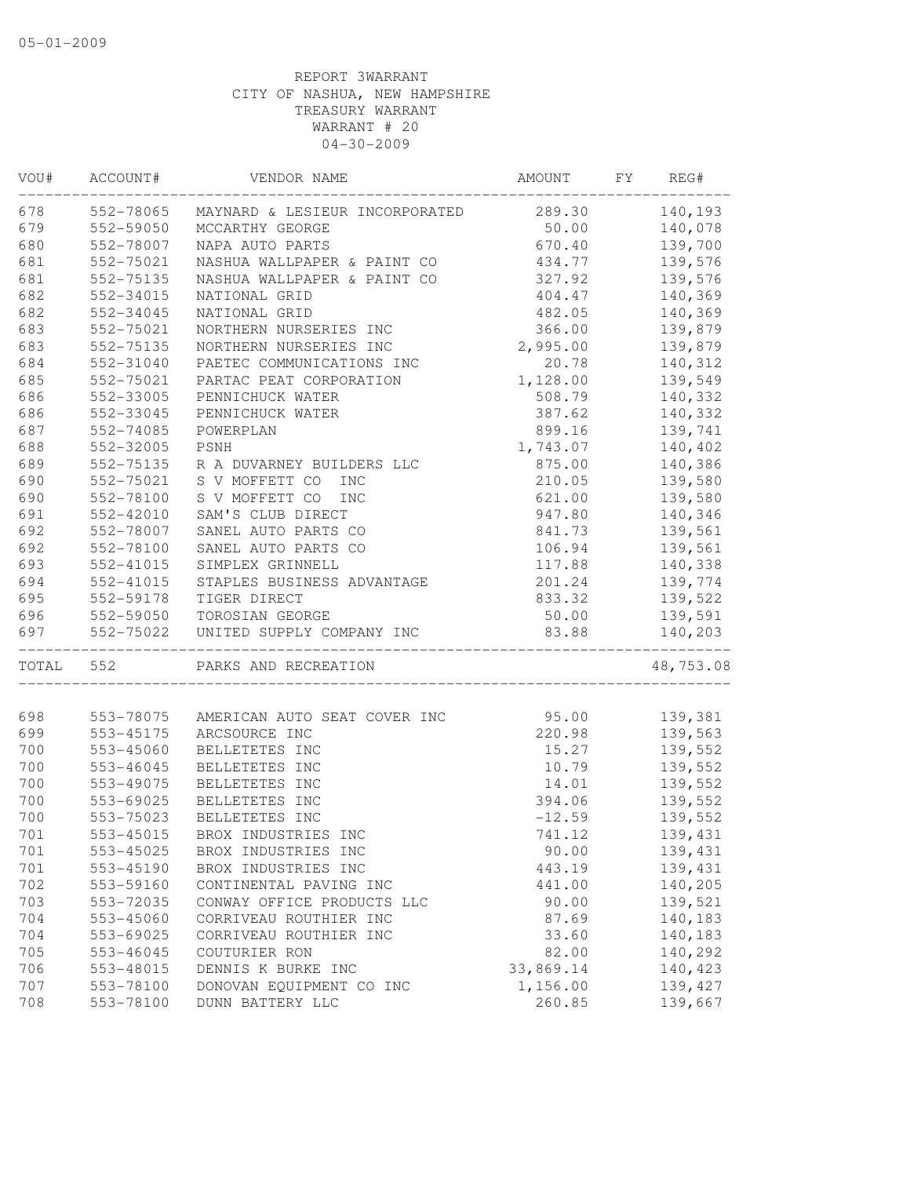| VOU#  | ACCOUNT#                  | VENDOR NAME                           | AMOUNT    | FY | REG#      |
|-------|---------------------------|---------------------------------------|-----------|----|-----------|
| 678   | 552-78065                 | MAYNARD & LESIEUR INCORPORATED 289.30 |           |    | 140,193   |
| 679   | 552-59050                 | MCCARTHY GEORGE                       | 50.00     |    | 140,078   |
| 680   | 552-78007                 | NAPA AUTO PARTS                       | 670.40    |    | 139,700   |
| 681   | 552-75021                 | NASHUA WALLPAPER & PAINT CO           | 434.77    |    | 139,576   |
| 681   | 552-75135                 | NASHUA WALLPAPER & PAINT CO           | 327.92    |    | 139,576   |
| 682   | 552-34015                 | NATIONAL GRID                         | 404.47    |    | 140,369   |
| 682   | 552-34045                 | NATIONAL GRID                         | 482.05    |    | 140,369   |
| 683   | 552-75021                 | NORTHERN NURSERIES INC                | 366.00    |    | 139,879   |
| 683   | 552-75135                 | NORTHERN NURSERIES INC                | 2,995.00  |    | 139,879   |
| 684   | 552-31040                 | PAETEC COMMUNICATIONS INC             | 20.78     |    | 140,312   |
| 685   | 552-75021                 | PARTAC PEAT CORPORATION               | 1,128.00  |    | 139,549   |
| 686   | 552-33005                 | PENNICHUCK WATER                      | 508.79    |    | 140,332   |
| 686   | 552-33045                 | PENNICHUCK WATER                      | 387.62    |    | 140,332   |
| 687   | 552-74085                 | POWERPLAN                             | 899.16    |    | 139,741   |
| 688   | 552-32005                 | PSNH                                  | 1,743.07  |    | 140,402   |
| 689   | 552-75135                 | R A DUVARNEY BUILDERS LLC             | 875.00    |    | 140,386   |
| 690   | 552-75021                 | S V MOFFETT CO<br>INC                 | 210.05    |    | 139,580   |
| 690   | 552-78100                 | S V MOFFETT CO<br>INC                 | 621.00    |    | 139,580   |
| 691   | 552-42010                 | SAM'S CLUB DIRECT                     | 947.80    |    | 140,346   |
| 692   | 552-78007                 | SANEL AUTO PARTS CO                   | 841.73    |    | 139,561   |
| 692   | 552-78100                 | SANEL AUTO PARTS CO                   | 106.94    |    | 139,561   |
| 693   | 552-41015                 | SIMPLEX GRINNELL                      | 117.88    |    | 140,338   |
| 694   | 552-41015                 | STAPLES BUSINESS ADVANTAGE            | 201.24    |    | 139,774   |
| 695   | 552-59178                 | TIGER DIRECT                          | 833.32    |    | 139,522   |
| 696   | 552-59050                 | TOROSIAN GEORGE                       | 50.00     |    | 139,591   |
| 697   | 552-75022                 | UNITED SUPPLY COMPANY INC             | 83.88     |    | 140,203   |
| TOTAL | __________________<br>552 | PARKS AND RECREATION                  |           |    | 48,753.08 |
|       |                           |                                       |           |    |           |
| 698   | 553-78075                 | AMERICAN AUTO SEAT COVER INC          | 95.00     |    | 139,381   |
| 699   | $553 - 45175$             | ARCSOURCE INC                         | 220.98    |    | 139,563   |
| 700   | 553-45060                 | BELLETETES INC                        | 15.27     |    | 139,552   |
| 700   | 553-46045                 | BELLETETES INC                        | 10.79     |    | 139,552   |
| 700   | 553-49075                 | BELLETETES INC                        | 14.01     |    | 139,552   |
| 700   | 553-69025                 | BELLETETES INC                        | 394.06    |    | 139,552   |
| 700   | 553-75023                 | BELLETETES INC                        | $-12.59$  |    | 139,552   |
| 701   | 553-45015                 | BROX INDUSTRIES INC                   | 741.12    |    | 139,431   |
| 701   | 553-45025                 | BROX INDUSTRIES INC                   | 90.00     |    | 139,431   |
| 701   | 553-45190                 | BROX INDUSTRIES INC                   | 443.19    |    | 139, 431  |
| 702   | 553-59160                 | CONTINENTAL PAVING INC                | 441.00    |    | 140,205   |
| 703   | 553-72035                 | CONWAY OFFICE PRODUCTS LLC            | 90.00     |    | 139,521   |
| 704   | 553-45060                 | CORRIVEAU ROUTHIER INC                | 87.69     |    | 140,183   |
| 704   | 553-69025                 | CORRIVEAU ROUTHIER INC                | 33.60     |    | 140,183   |
| 705   | 553-46045                 | COUTURIER RON                         | 82.00     |    | 140,292   |
| 706   | 553-48015                 | DENNIS K BURKE INC                    | 33,869.14 |    | 140,423   |
| 707   | 553-78100                 | DONOVAN EQUIPMENT CO INC              | 1,156.00  |    | 139, 427  |
| 708   | 553-78100                 | DUNN BATTERY LLC                      | 260.85    |    | 139,667   |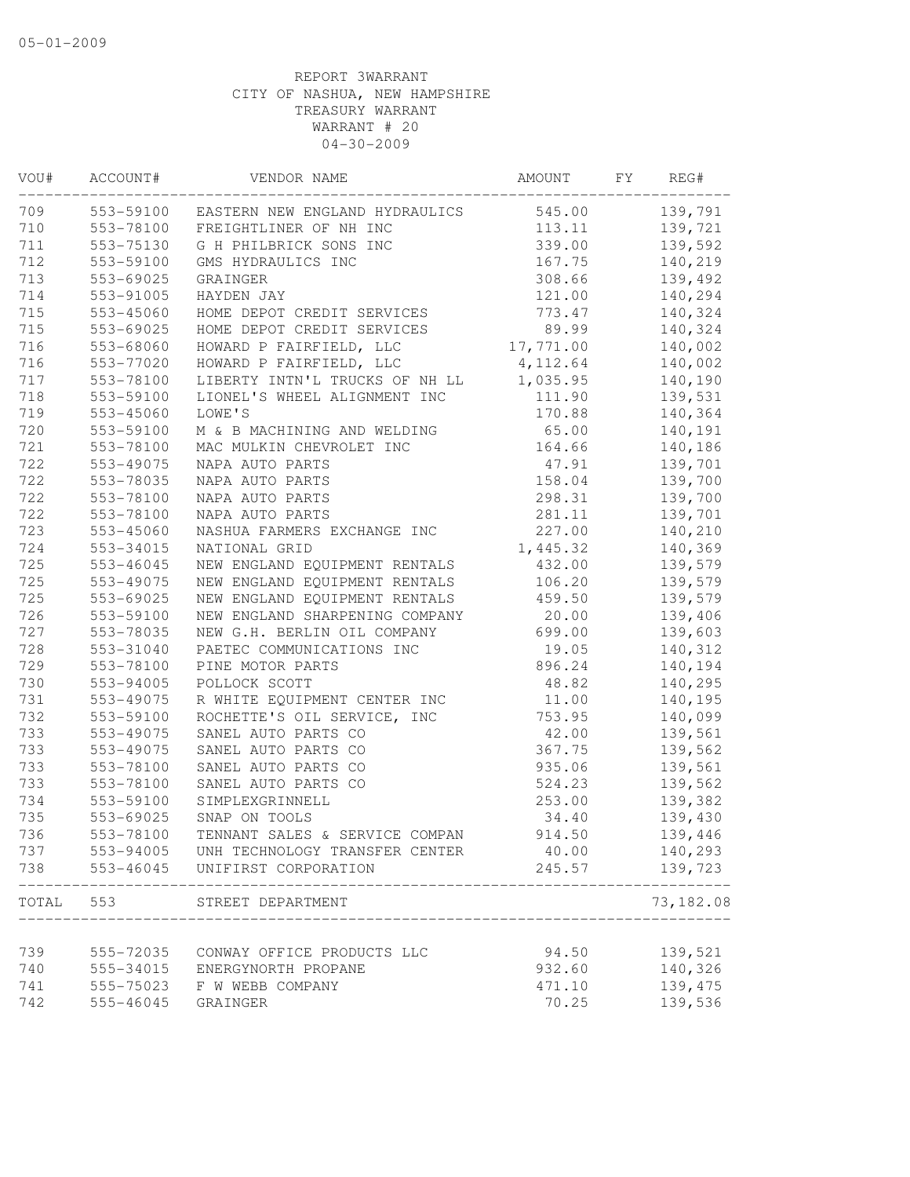| VOU#  | ACCOUNT#  | VENDOR NAME                              | AMOUNT    | FY | REG#      |
|-------|-----------|------------------------------------------|-----------|----|-----------|
| 709   |           | 553-59100 EASTERN NEW ENGLAND HYDRAULICS | 545.00    |    | 139,791   |
| 710   | 553-78100 | FREIGHTLINER OF NH INC                   | 113.11    |    | 139,721   |
| 711   | 553-75130 | G H PHILBRICK SONS INC                   | 339.00    |    | 139,592   |
| 712   | 553-59100 | GMS HYDRAULICS INC                       | 167.75    |    | 140,219   |
| 713   | 553-69025 | GRAINGER                                 | 308.66    |    | 139,492   |
| 714   | 553-91005 | HAYDEN JAY                               | 121.00    |    | 140,294   |
| 715   | 553-45060 | HOME DEPOT CREDIT SERVICES               | 773.47    |    | 140,324   |
| 715   | 553-69025 | HOME DEPOT CREDIT SERVICES               | 89.99     |    | 140,324   |
| 716   | 553-68060 | HOWARD P FAIRFIELD, LLC                  | 17,771.00 |    | 140,002   |
| 716   | 553-77020 | HOWARD P FAIRFIELD, LLC                  | 4, 112.64 |    | 140,002   |
| 717   | 553-78100 | LIBERTY INTN'L TRUCKS OF NH LL           | 1,035.95  |    | 140,190   |
| 718   | 553-59100 | LIONEL'S WHEEL ALIGNMENT INC             | 111.90    |    | 139,531   |
| 719   | 553-45060 | LOWE'S                                   | 170.88    |    | 140,364   |
| 720   | 553-59100 | M & B MACHINING AND WELDING              | 65.00     |    | 140,191   |
| 721   | 553-78100 | MAC MULKIN CHEVROLET INC                 | 164.66    |    | 140,186   |
| 722   | 553-49075 | NAPA AUTO PARTS                          | 47.91     |    | 139,701   |
| 722   | 553-78035 | NAPA AUTO PARTS                          | 158.04    |    | 139,700   |
| 722   | 553-78100 | NAPA AUTO PARTS                          | 298.31    |    | 139,700   |
| 722   | 553-78100 | NAPA AUTO PARTS                          | 281.11    |    | 139,701   |
| 723   | 553-45060 | NASHUA FARMERS EXCHANGE INC              | 227.00    |    | 140,210   |
| 724   | 553-34015 | NATIONAL GRID                            | 1,445.32  |    | 140,369   |
| 725   | 553-46045 | NEW ENGLAND EQUIPMENT RENTALS            | 432.00    |    | 139,579   |
| 725   | 553-49075 | NEW ENGLAND EQUIPMENT RENTALS            | 106.20    |    | 139,579   |
| 725   | 553-69025 | NEW ENGLAND EQUIPMENT RENTALS            | 459.50    |    | 139,579   |
| 726   | 553-59100 | NEW ENGLAND SHARPENING COMPANY           | 20.00     |    | 139,406   |
| 727   | 553-78035 | NEW G.H. BERLIN OIL COMPANY              | 699.00    |    | 139,603   |
| 728   | 553-31040 | PAETEC COMMUNICATIONS INC                | 19.05     |    | 140,312   |
| 729   | 553-78100 | PINE MOTOR PARTS                         | 896.24    |    | 140,194   |
| 730   | 553-94005 | POLLOCK SCOTT                            | 48.82     |    | 140,295   |
| 731   | 553-49075 | R WHITE EQUIPMENT CENTER INC             | 11.00     |    | 140,195   |
| 732   | 553-59100 | ROCHETTE'S OIL SERVICE, INC              | 753.95    |    | 140,099   |
| 733   | 553-49075 | SANEL AUTO PARTS CO                      | 42.00     |    | 139,561   |
| 733   | 553-49075 | SANEL AUTO PARTS CO                      | 367.75    |    | 139,562   |
| 733   | 553-78100 | SANEL AUTO PARTS CO                      | 935.06    |    | 139,561   |
| 733   | 553-78100 | SANEL AUTO PARTS CO                      | 524.23    |    | 139,562   |
| 734   | 553-59100 | SIMPLEXGRINNELL                          | 253.00    |    | 139,382   |
| 735   | 553-69025 | SNAP ON TOOLS                            | 34.40     |    | 139,430   |
| 736   | 553-78100 | TENNANT SALES & SERVICE COMPAN           | 914.50    |    | 139,446   |
| 737   | 553-94005 | UNH TECHNOLOGY TRANSFER CENTER           | 40.00     |    | 140,293   |
| 738   | 553-46045 | UNIFIRST CORPORATION                     | 245.57    |    | 139,723   |
| TOTAL | 553       | STREET DEPARTMENT                        |           |    | 73,182.08 |
|       |           |                                          |           |    |           |
| 739   | 555-72035 | CONWAY OFFICE PRODUCTS LLC               | 94.50     |    | 139,521   |
| 740   | 555-34015 | ENERGYNORTH PROPANE                      | 932.60    |    | 140,326   |
| 741   | 555-75023 | F W WEBB COMPANY                         | 471.10    |    | 139, 475  |
| 742   | 555-46045 | GRAINGER                                 | 70.25     |    | 139,536   |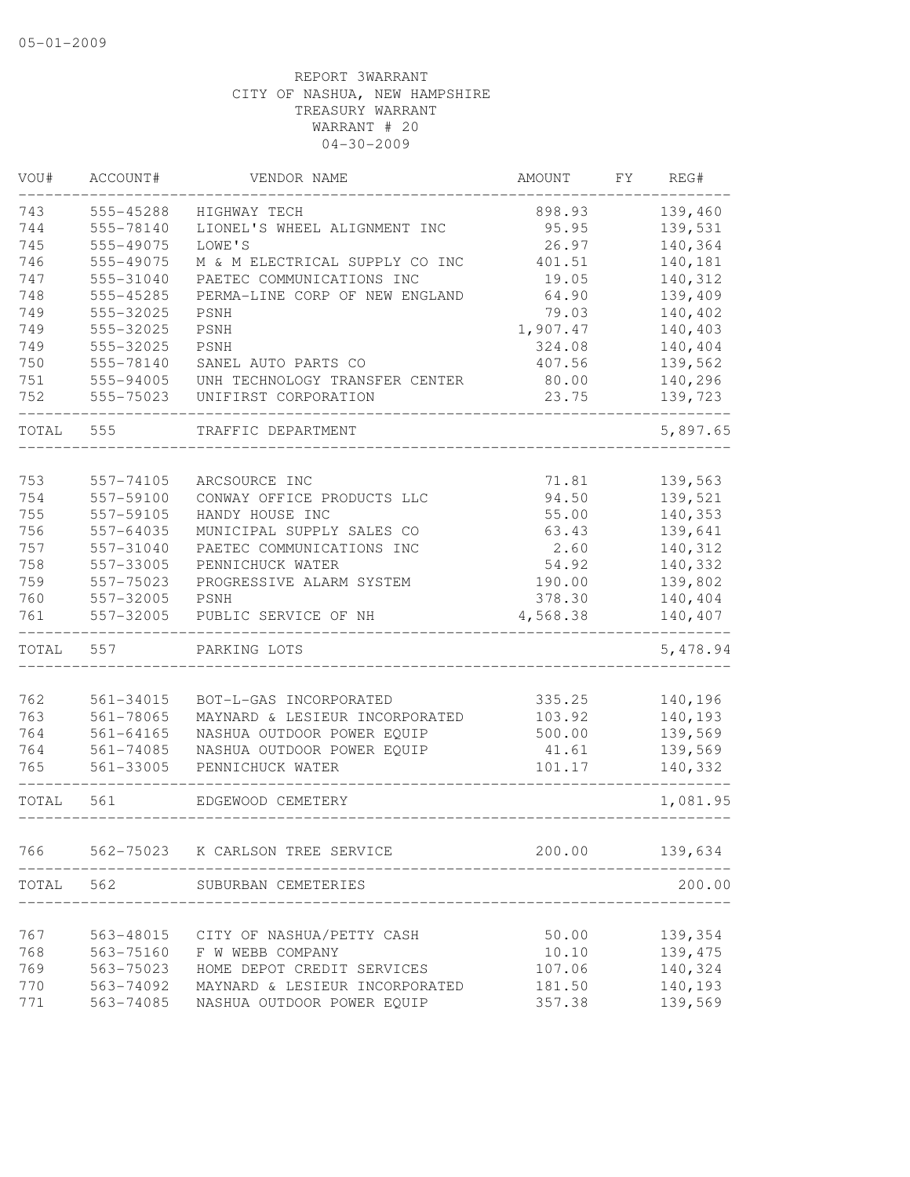| VOU#  | ACCOUNT#      | VENDOR NAME                    | AMOUNT   | FΥ | REG#     |
|-------|---------------|--------------------------------|----------|----|----------|
| 743   | 555-45288     | HIGHWAY TECH                   | 898.93   |    | 139,460  |
| 744   | 555-78140     | LIONEL'S WHEEL ALIGNMENT INC   | 95.95    |    | 139,531  |
| 745   | 555-49075     | LOWE'S                         | 26.97    |    | 140,364  |
| 746   | 555-49075     | M & M ELECTRICAL SUPPLY CO INC | 401.51   |    | 140,181  |
| 747   | 555-31040     | PAETEC COMMUNICATIONS INC      | 19.05    |    | 140,312  |
| 748   | 555-45285     | PERMA-LINE CORP OF NEW ENGLAND | 64.90    |    | 139,409  |
| 749   | 555-32025     | PSNH                           | 79.03    |    | 140,402  |
| 749   | 555-32025     | PSNH                           | 1,907.47 |    | 140,403  |
| 749   | 555-32025     | PSNH                           | 324.08   |    | 140,404  |
| 750   | 555-78140     | SANEL AUTO PARTS CO            | 407.56   |    | 139,562  |
| 751   | 555-94005     | UNH TECHNOLOGY TRANSFER CENTER | 80.00    |    | 140,296  |
| 752   | 555-75023     | UNIFIRST CORPORATION           | 23.75    |    | 139,723  |
| TOTAL | 555           | TRAFFIC DEPARTMENT             |          |    | 5,897.65 |
|       |               |                                |          |    |          |
| 753   | 557-74105     | ARCSOURCE INC                  | 71.81    |    | 139,563  |
| 754   | 557-59100     | CONWAY OFFICE PRODUCTS LLC     | 94.50    |    | 139,521  |
| 755   | 557-59105     | HANDY HOUSE INC                | 55.00    |    | 140,353  |
| 756   | 557-64035     | MUNICIPAL SUPPLY SALES CO      | 63.43    |    | 139,641  |
| 757   | 557-31040     | PAETEC COMMUNICATIONS INC      | 2.60     |    | 140,312  |
| 758   | 557-33005     | PENNICHUCK WATER               | 54.92    |    | 140,332  |
| 759   | 557-75023     | PROGRESSIVE ALARM SYSTEM       | 190.00   |    | 139,802  |
| 760   | 557-32005     | PSNH                           | 378.30   |    | 140,404  |
| 761   | 557-32005     | PUBLIC SERVICE OF NH           | 4,568.38 |    | 140,407  |
| TOTAL | 557           | PARKING LOTS                   |          |    | 5,478.94 |
|       |               |                                |          |    |          |
| 762   | 561-34015     | BOT-L-GAS INCORPORATED         | 335.25   |    | 140,196  |
| 763   | $561 - 78065$ | MAYNARD & LESIEUR INCORPORATED | 103.92   |    | 140,193  |
| 764   | $561 - 64165$ | NASHUA OUTDOOR POWER EQUIP     | 500.00   |    | 139,569  |
| 764   | 561-74085     | NASHUA OUTDOOR POWER EQUIP     | 41.61    |    | 139,569  |
| 765   | 561-33005     | PENNICHUCK WATER               | 101.17   |    | 140,332  |
| TOTAL | 561           | EDGEWOOD CEMETERY              |          |    | 1,081.95 |
| 766   | 562-75023     | K CARLSON TREE SERVICE         | 200.00   |    | 139,634  |
| TOTAL | 562           | SUBURBAN CEMETERIES            |          |    | 200.00   |
|       |               |                                |          |    |          |
| 767   | 563-48015     | CITY OF NASHUA/PETTY CASH      | 50.00    |    | 139,354  |
| 768   | 563-75160     | F W WEBB COMPANY               | 10.10    |    | 139,475  |
| 769   | 563-75023     | HOME DEPOT CREDIT SERVICES     | 107.06   |    | 140,324  |
| 770   | 563-74092     | MAYNARD & LESIEUR INCORPORATED | 181.50   |    | 140,193  |
| 771   | 563-74085     | NASHUA OUTDOOR POWER EQUIP     | 357.38   |    | 139,569  |
|       |               |                                |          |    |          |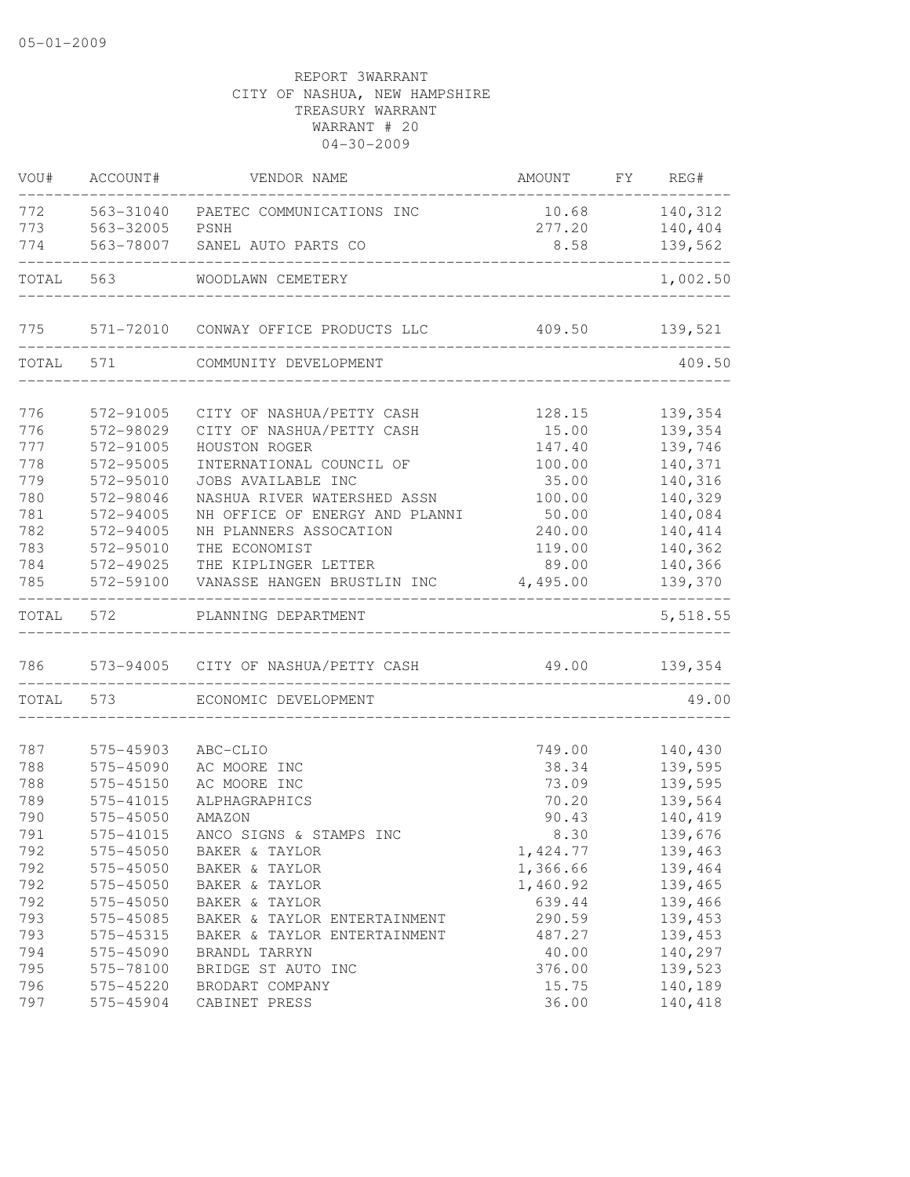| VOU#       | ACCOUNT#               | VENDOR NAME                                         | AMOUNT            | FY REG#            |
|------------|------------------------|-----------------------------------------------------|-------------------|--------------------|
| 772        | 563-31040              | PAETEC COMMUNICATIONS INC                           | 10.68             | 140,312            |
| 773        | 563-32005              | PSNH                                                | 277.20            | 140,404            |
| 774        | 563-78007              | SANEL AUTO PARTS CO                                 | 8.58              | 139,562            |
| TOTAL      | 563                    | WOODLAWN CEMETERY                                   |                   | 1,002.50           |
| 775        |                        | 571-72010 CONWAY OFFICE PRODUCTS LLC                | 409.50            | 139,521            |
| TOTAL      | 571                    | COMMUNITY DEVELOPMENT                               |                   | 409.50             |
|            |                        |                                                     |                   |                    |
| 776        | 572-91005              | CITY OF NASHUA/PETTY CASH                           | 128.15            | 139,354            |
| 776        | 572-98029              | CITY OF NASHUA/PETTY CASH                           | 15.00             | 139,354            |
| 777        | 572-91005              | HOUSTON ROGER                                       | 147.40            | 139,746            |
| 778        | 572-95005              | INTERNATIONAL COUNCIL OF                            | 100.00            | 140,371            |
| 779        | 572-95010              | JOBS AVAILABLE INC                                  | 35.00             | 140,316            |
| 780        | 572-98046              | NASHUA RIVER WATERSHED ASSN                         | 100.00            | 140,329            |
| 781        | 572-94005              | NH OFFICE OF ENERGY AND PLANNI                      | 50.00             | 140,084            |
| 782        | 572-94005              | NH PLANNERS ASSOCATION                              | 240.00            | 140, 414           |
| 783        | 572-95010              | THE ECONOMIST                                       | 119.00            | 140,362            |
| 784<br>785 | 572-49025<br>572-59100 | THE KIPLINGER LETTER<br>VANASSE HANGEN BRUSTLIN INC | 89.00<br>4,495.00 | 140,366<br>139,370 |
| TOTAL      | 572                    | PLANNING DEPARTMENT                                 |                   | 5,518.55           |
| 786 — 1    |                        | 573-94005 CITY OF NASHUA/PETTY CASH                 | 49.00             | 139,354            |
| TOTAL      | 573                    | ECONOMIC DEVELOPMENT                                |                   | 49.00              |
|            |                        |                                                     |                   |                    |
| 787        | 575-45903              | ABC-CLIO                                            | 749.00            | 140,430            |
| 788        | 575-45090              | AC MOORE INC                                        | 38.34             | 139,595            |
| 788        | 575-45150              | AC MOORE INC                                        | 73.09             | 139,595            |
| 789        | 575-41015              | ALPHAGRAPHICS                                       | 70.20             | 139,564            |
| 790        | 575-45050              | AMAZON                                              | 90.43             | 140,419            |
| 791        | 575-41015              | ANCO SIGNS & STAMPS INC                             | 8.30              | 139,676            |
| 792        | 575-45050              | BAKER & TAYLOR                                      | 1,424.77          | 139,463            |
| 792        | 575-45050              | BAKER & TAYLOR                                      | 1,366.66          | 139,464            |
| 792        | 575-45050              | BAKER & TAYLOR                                      | 1,460.92          | 139,465            |
| 792        | 575-45050              | BAKER & TAYLOR                                      | 639.44            | 139,466            |
| 793        | 575-45085              | BAKER & TAYLOR ENTERTAINMENT                        | 290.59            | 139,453            |
| 793        | 575-45315              | BAKER & TAYLOR ENTERTAINMENT                        | 487.27            | 139,453            |
| 794        | 575-45090              | BRANDL TARRYN                                       | 40.00             | 140,297            |
| 795        | 575-78100              | BRIDGE ST AUTO INC                                  | 376.00            | 139,523            |
| 796        | 575-45220              | BRODART COMPANY                                     | 15.75             | 140,189            |
| 797        | 575-45904              | CABINET PRESS                                       | 36.00             | 140,418            |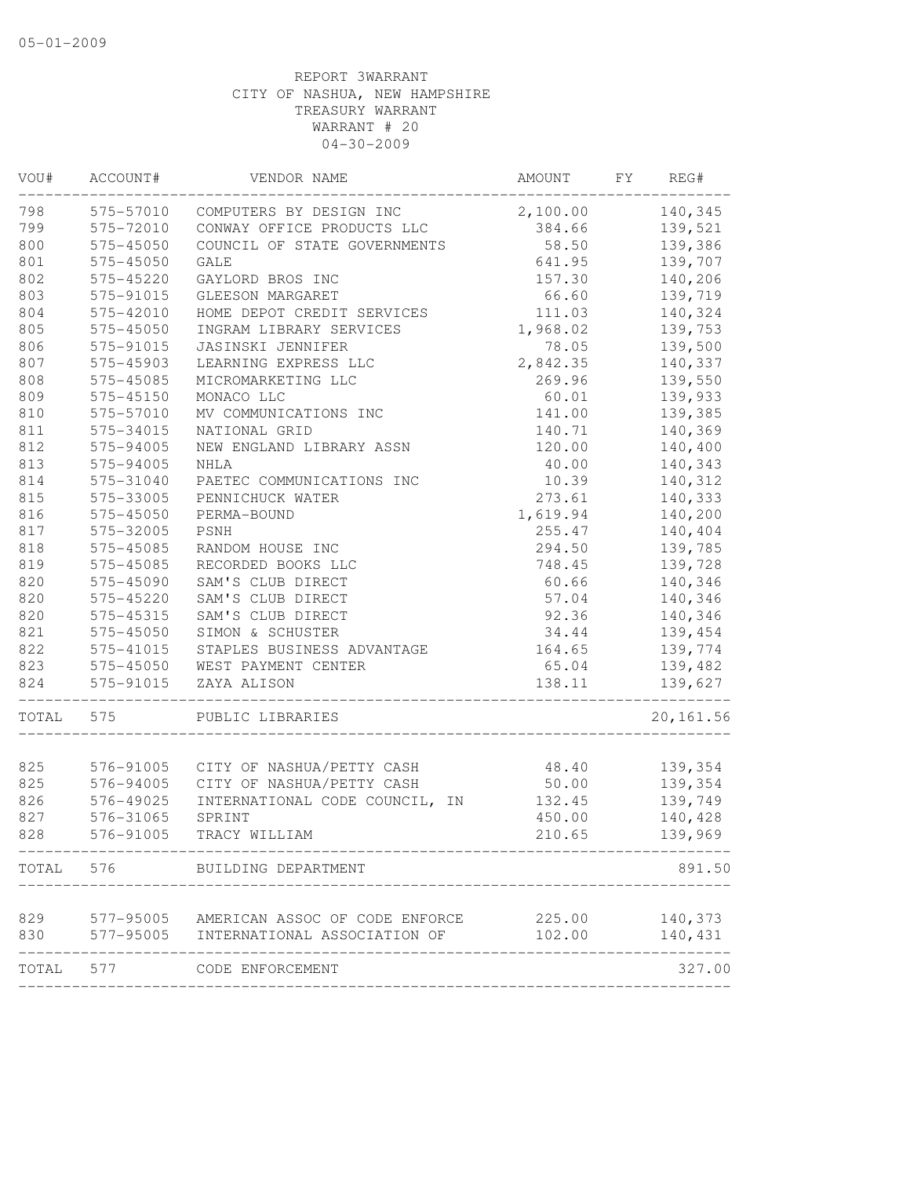| VOU#  | ACCOUNT#      | VENDOR NAME                              | AMOUNT   | FY. | REG#       |
|-------|---------------|------------------------------------------|----------|-----|------------|
| 798   | 575-57010     | COMPUTERS BY DESIGN INC                  | 2,100.00 |     | 140,345    |
| 799   | 575-72010     | CONWAY OFFICE PRODUCTS LLC               | 384.66   |     | 139,521    |
| 800   | 575-45050     | COUNCIL OF STATE GOVERNMENTS             | 58.50    |     | 139,386    |
| 801   | 575-45050     | GALE                                     | 641.95   |     | 139,707    |
| 802   | 575-45220     | GAYLORD BROS INC                         | 157.30   |     | 140,206    |
| 803   | 575-91015     | GLEESON MARGARET                         | 66.60    |     | 139,719    |
| 804   | 575-42010     | HOME DEPOT CREDIT SERVICES               | 111.03   |     | 140,324    |
| 805   | 575-45050     | INGRAM LIBRARY SERVICES                  | 1,968.02 |     | 139,753    |
| 806   | 575-91015     | JASINSKI JENNIFER                        | 78.05    |     | 139,500    |
| 807   | 575-45903     | LEARNING EXPRESS LLC                     | 2,842.35 |     | 140,337    |
| 808   | 575-45085     | MICROMARKETING LLC                       | 269.96   |     | 139,550    |
| 809   | 575-45150     | MONACO LLC                               | 60.01    |     | 139,933    |
| 810   | 575-57010     | MV COMMUNICATIONS INC                    | 141.00   |     | 139,385    |
| 811   | 575-34015     | NATIONAL GRID                            | 140.71   |     | 140,369    |
| 812   | 575-94005     | NEW ENGLAND LIBRARY ASSN                 | 120.00   |     | 140,400    |
| 813   | 575-94005     | <b>NHLA</b>                              | 40.00    |     | 140,343    |
| 814   | 575-31040     | PAETEC COMMUNICATIONS INC                | 10.39    |     | 140,312    |
| 815   | 575-33005     | PENNICHUCK WATER                         | 273.61   |     | 140,333    |
| 816   | 575-45050     | PERMA-BOUND                              | 1,619.94 |     | 140,200    |
| 817   | 575-32005     | PSNH                                     | 255.47   |     | 140,404    |
| 818   | 575-45085     | RANDOM HOUSE INC                         | 294.50   |     | 139,785    |
| 819   | 575-45085     | RECORDED BOOKS LLC                       | 748.45   |     | 139,728    |
| 820   | 575-45090     | SAM'S CLUB DIRECT                        | 60.66    |     | 140,346    |
| 820   | 575-45220     | SAM'S CLUB DIRECT                        | 57.04    |     | 140,346    |
| 820   | 575-45315     | SAM'S CLUB DIRECT                        | 92.36    |     | 140,346    |
| 821   | $575 - 45050$ | SIMON & SCHUSTER                         | 34.44    |     | 139,454    |
| 822   | 575-41015     | STAPLES BUSINESS ADVANTAGE               | 164.65   |     | 139,774    |
| 823   | 575-45050     | WEST PAYMENT CENTER                      | 65.04    |     | 139,482    |
| 824   | 575-91015     | ZAYA ALISON                              | 138.11   |     | 139,627    |
| TOTAL | 575           | PUBLIC LIBRARIES                         |          |     | 20, 161.56 |
|       |               |                                          |          |     |            |
| 825   | 576-91005     | CITY OF NASHUA/PETTY CASH                | 48.40    |     | 139,354    |
| 825   | 576-94005     | CITY OF NASHUA/PETTY CASH                | 50.00    |     | 139,354    |
| 826   | 576-49025     | INTERNATIONAL CODE COUNCIL, IN           | 132.45   |     | 139,749    |
| 827   | 576-31065     | SPRINT                                   | 450.00   |     | 140,428    |
| 828   | 576-91005     | TRACY WILLIAM                            | 210.65   |     | 139,969    |
| TOTAL | 576           | BUILDING DEPARTMENT                      |          |     | 891.50     |
| 829   |               | 577-95005 AMERICAN ASSOC OF CODE ENFORCE | 225.00   |     | 140,373    |
| 830   | 577-95005     | INTERNATIONAL ASSOCIATION OF             | 102.00   |     | 140,431    |
| TOTAL | 577           | CODE ENFORCEMENT                         |          |     | 327.00     |
|       |               |                                          |          |     |            |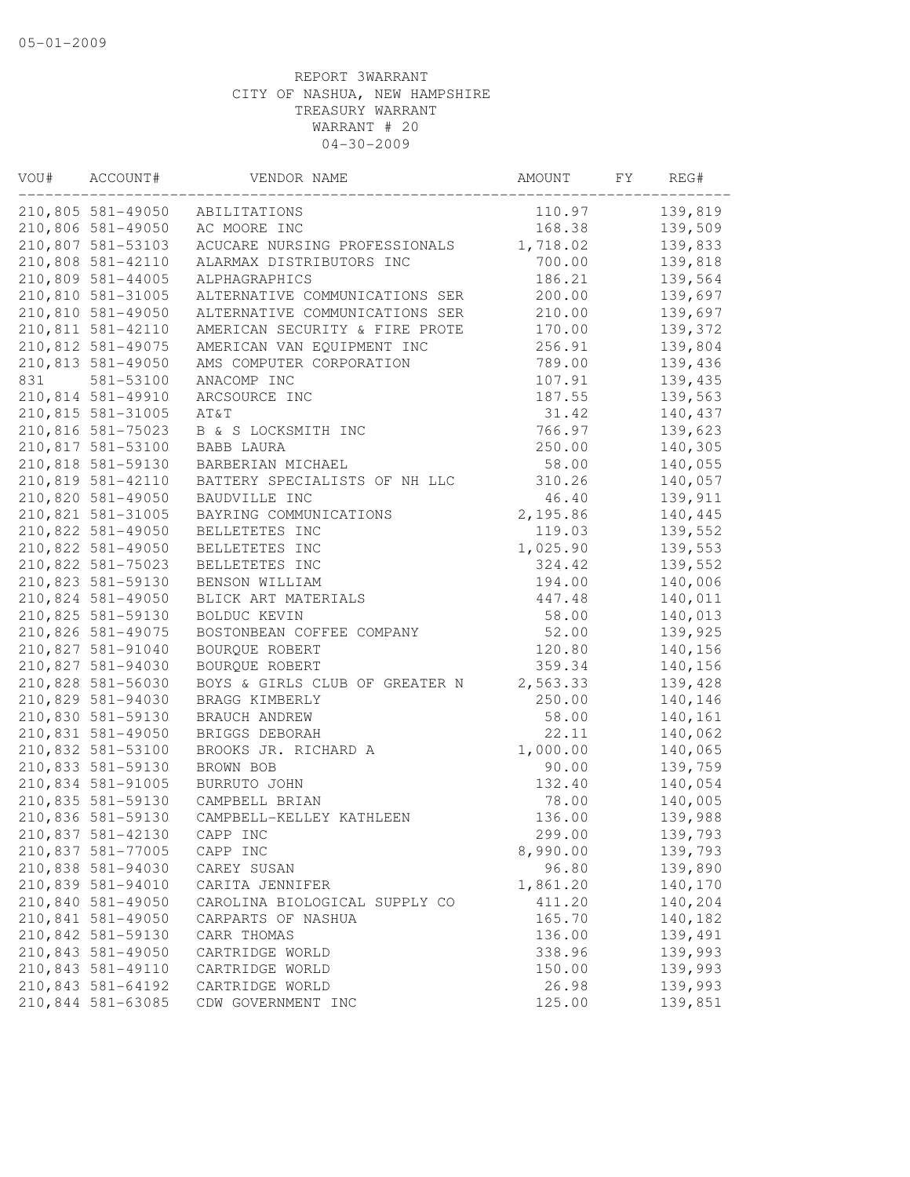| VOU# | ACCOUNT#                               | VENDOR NAME                    | AMOUNT   | FY | REG#    |
|------|----------------------------------------|--------------------------------|----------|----|---------|
|      | 210,805 581-49050                      | ABILITATIONS                   | 110.97   |    | 139,819 |
|      | 210,806 581-49050                      | AC MOORE INC                   | 168.38   |    | 139,509 |
|      | 210,807 581-53103                      | ACUCARE NURSING PROFESSIONALS  | 1,718.02 |    | 139,833 |
|      | 210,808 581-42110                      | ALARMAX DISTRIBUTORS INC       | 700.00   |    | 139,818 |
|      | 210,809 581-44005                      | ALPHAGRAPHICS                  | 186.21   |    | 139,564 |
|      | 210,810 581-31005                      | ALTERNATIVE COMMUNICATIONS SER | 200.00   |    | 139,697 |
|      | 210,810 581-49050                      | ALTERNATIVE COMMUNICATIONS SER | 210.00   |    | 139,697 |
|      | 210,811 581-42110                      | AMERICAN SECURITY & FIRE PROTE | 170.00   |    | 139,372 |
|      | 210,812 581-49075                      | AMERICAN VAN EQUIPMENT INC     | 256.91   |    | 139,804 |
|      | 210,813 581-49050                      | AMS COMPUTER CORPORATION       | 789.00   |    | 139,436 |
| 831  | 581-53100                              | ANACOMP INC                    | 107.91   |    | 139,435 |
|      | 210,814 581-49910                      | ARCSOURCE INC                  | 187.55   |    | 139,563 |
|      | 210,815 581-31005                      | AT&T                           | 31.42    |    | 140,437 |
|      | 210,816 581-75023                      | B & S LOCKSMITH INC            | 766.97   |    | 139,623 |
|      | 210,817 581-53100                      | BABB LAURA                     | 250.00   |    | 140,305 |
|      | 210,818 581-59130                      | BARBERIAN MICHAEL              | 58.00    |    | 140,055 |
|      | 210,819 581-42110                      | BATTERY SPECIALISTS OF NH LLC  | 310.26   |    | 140,057 |
|      | 210,820 581-49050                      | BAUDVILLE INC                  | 46.40    |    | 139,911 |
|      | 210,821 581-31005                      | BAYRING COMMUNICATIONS         | 2,195.86 |    | 140,445 |
|      | 210,822 581-49050                      | BELLETETES INC                 | 119.03   |    | 139,552 |
|      | 210,822 581-49050                      | BELLETETES INC                 | 1,025.90 |    | 139,553 |
|      | 210,822 581-75023                      | BELLETETES INC                 | 324.42   |    | 139,552 |
|      | 210,823 581-59130                      | BENSON WILLIAM                 | 194.00   |    | 140,006 |
|      | 210,824 581-49050                      | BLICK ART MATERIALS            | 447.48   |    | 140,011 |
|      | 210,825 581-59130                      | BOLDUC KEVIN                   | 58.00    |    | 140,013 |
|      | 210,826 581-49075                      | BOSTONBEAN COFFEE COMPANY      | 52.00    |    | 139,925 |
|      | 210,827 581-91040                      | BOURQUE ROBERT                 | 120.80   |    | 140,156 |
|      | 210,827 581-94030                      | BOURQUE ROBERT                 | 359.34   |    | 140,156 |
|      | 210,828 581-56030                      | BOYS & GIRLS CLUB OF GREATER N | 2,563.33 |    | 139,428 |
|      | 210,829 581-94030                      | BRAGG KIMBERLY                 | 250.00   |    | 140,146 |
|      | 210,830 581-59130                      | BRAUCH ANDREW                  | 58.00    |    | 140,161 |
|      | 210,831 581-49050                      | BRIGGS DEBORAH                 | 22.11    |    | 140,062 |
|      | 210,832 581-53100                      | BROOKS JR. RICHARD A           | 1,000.00 |    | 140,065 |
|      | 210,833 581-59130                      | BROWN BOB                      | 90.00    |    | 139,759 |
|      | 210,834 581-91005                      | BURRUTO JOHN                   | 132.40   |    | 140,054 |
|      | 210,835 581-59130                      | CAMPBELL BRIAN                 | 78.00    |    | 140,005 |
|      | 210,836 581-59130                      | CAMPBELL-KELLEY KATHLEEN       | 136.00   |    | 139,988 |
|      | 210,837 581-42130                      | CAPP INC                       | 299.00   |    | 139,793 |
|      |                                        | CAPP INC                       |          |    |         |
|      | 210,837 581-77005                      |                                | 8,990.00 |    | 139,793 |
|      | 210,838 581-94030                      | CAREY SUSAN                    | 96.80    |    | 139,890 |
|      | 210,839 581-94010<br>210,840 581-49050 | CARITA JENNIFER                | 1,861.20 |    | 140,170 |
|      |                                        | CAROLINA BIOLOGICAL SUPPLY CO  | 411.20   |    | 140,204 |
|      | 210,841 581-49050                      | CARPARTS OF NASHUA             | 165.70   |    | 140,182 |
|      | 210,842 581-59130                      | CARR THOMAS                    | 136.00   |    | 139,491 |
|      | 210,843 581-49050                      | CARTRIDGE WORLD                | 338.96   |    | 139,993 |
|      | 210,843 581-49110                      | CARTRIDGE WORLD                | 150.00   |    | 139,993 |
|      | 210,843 581-64192                      | CARTRIDGE WORLD                | 26.98    |    | 139,993 |
|      | 210,844 581-63085                      | CDW GOVERNMENT INC             | 125.00   |    | 139,851 |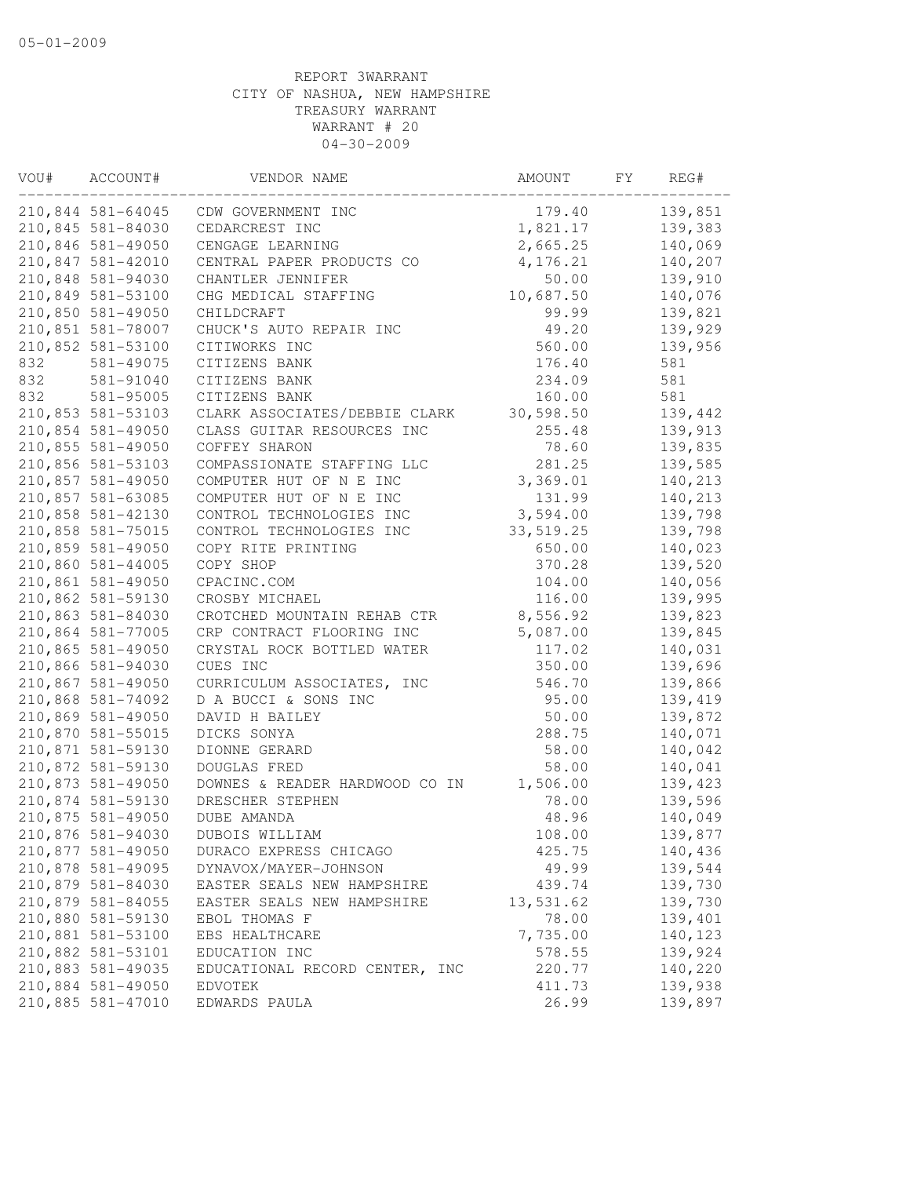| VOU# | ACCOUNT#                               | VENDOR NAME                                     | AMOUNT              | FY | REG#               |
|------|----------------------------------------|-------------------------------------------------|---------------------|----|--------------------|
|      | 210,844 581-64045                      | CDW GOVERNMENT INC                              | 179.40              |    | 139,851            |
|      | 210,845 581-84030                      | CEDARCREST INC                                  | 1,821.17            |    | 139,383            |
|      | 210,846 581-49050                      | CENGAGE LEARNING                                | 2,665.25            |    | 140,069            |
|      | 210,847 581-42010                      | CENTRAL PAPER PRODUCTS CO                       | 4,176.21            |    | 140,207            |
|      | 210,848 581-94030                      | CHANTLER JENNIFER                               | 50.00               |    | 139,910            |
|      | 210,849 581-53100                      | CHG MEDICAL STAFFING                            | 10,687.50           |    | 140,076            |
|      | 210,850 581-49050                      | CHILDCRAFT                                      | 99.99               |    | 139,821            |
|      | 210,851 581-78007                      | CHUCK'S AUTO REPAIR INC                         | 49.20               |    | 139,929            |
|      | 210,852 581-53100                      | CITIWORKS INC                                   | 560.00              |    | 139,956            |
| 832  | 581-49075                              | CITIZENS BANK                                   | 176.40              |    | 581                |
| 832  | 581-91040                              | CITIZENS BANK                                   | 234.09              |    | 581                |
| 832  | 581-95005                              | CITIZENS BANK                                   | 160.00              |    | 581                |
|      | 210,853 581-53103                      | CLARK ASSOCIATES/DEBBIE CLARK                   | 30,598.50           |    | 139,442            |
|      | 210,854 581-49050                      | CLASS GUITAR RESOURCES INC                      | 255.48              |    | 139,913            |
|      | 210,855 581-49050                      | COFFEY SHARON                                   | 78.60               |    | 139,835            |
|      | 210,856 581-53103                      | COMPASSIONATE STAFFING LLC                      | 281.25              |    | 139,585            |
|      | 210,857 581-49050                      | COMPUTER HUT OF N E INC                         | 3,369.01            |    | 140,213            |
|      | 210,857 581-63085                      | COMPUTER HUT OF N E INC                         | 131.99              |    | 140,213            |
|      | 210,858 581-42130                      | CONTROL TECHNOLOGIES INC                        | 3,594.00            |    | 139,798            |
|      | 210,858 581-75015                      | CONTROL TECHNOLOGIES INC                        | 33, 519.25          |    | 139,798            |
|      | 210,859 581-49050                      | COPY RITE PRINTING                              | 650.00              |    | 140,023            |
|      | 210,860 581-44005                      | COPY SHOP                                       | 370.28              |    | 139,520            |
|      | 210,861 581-49050                      | CPACINC.COM                                     | 104.00              |    | 140,056            |
|      | 210,862 581-59130                      | CROSBY MICHAEL                                  | 116.00              |    | 139,995            |
|      | 210,863 581-84030                      | CROTCHED MOUNTAIN REHAB CTR                     | 8,556.92            |    | 139,823            |
|      | 210,864 581-77005                      | CRP CONTRACT FLOORING INC                       | 5,087.00            |    | 139,845            |
|      | 210,865 581-49050                      | CRYSTAL ROCK BOTTLED WATER                      | 117.02              |    | 140,031            |
|      | 210,866 581-94030                      | CUES INC                                        | 350.00              |    | 139,696            |
|      | 210,867 581-49050                      | CURRICULUM ASSOCIATES, INC                      | 546.70              |    | 139,866            |
|      | 210,868 581-74092                      | D A BUCCI & SONS INC                            | 95.00               |    | 139, 419           |
|      | 210,869 581-49050                      | DAVID H BAILEY                                  | 50.00               |    | 139,872            |
|      | 210,870 581-55015                      | DICKS SONYA                                     | 288.75              |    | 140,071            |
|      | 210,871 581-59130                      | DIONNE GERARD                                   | 58.00               |    | 140,042            |
|      | 210,872 581-59130                      | DOUGLAS FRED                                    | 58.00               |    | 140,041            |
|      | 210,873 581-49050                      | DOWNES & READER HARDWOOD CO IN                  | 1,506.00            |    | 139,423            |
|      | 210,874 581-59130                      | DRESCHER STEPHEN                                | 78.00               |    | 139,596            |
|      | 210,875 581-49050                      | DUBE AMANDA                                     | 48.96               |    | 140,049            |
|      | 210,876 581-94030                      | DUBOIS WILLIAM                                  | 108.00              |    | 139,877            |
|      |                                        |                                                 |                     |    |                    |
|      | 210,877 581-49050<br>210,878 581-49095 | DURACO EXPRESS CHICAGO<br>DYNAVOX/MAYER-JOHNSON | 425.75<br>49.99     |    | 140,436            |
|      | 210,879 581-84030                      | EASTER SEALS NEW HAMPSHIRE                      |                     |    | 139,544            |
|      | 210,879 581-84055                      | EASTER SEALS NEW HAMPSHIRE                      | 439.74<br>13,531.62 |    | 139,730<br>139,730 |
|      | 210,880 581-59130                      | EBOL THOMAS F                                   | 78.00               |    | 139,401            |
|      |                                        |                                                 |                     |    |                    |
|      | 210,881 581-53100                      | EBS HEALTHCARE                                  | 7,735.00            |    | 140,123            |
|      | 210,882 581-53101                      | EDUCATION INC                                   | 578.55              |    | 139,924            |
|      | 210,883 581-49035                      | EDUCATIONAL RECORD CENTER, INC                  | 220.77              |    | 140,220            |
|      | 210,884 581-49050                      | EDVOTEK                                         | 411.73              |    | 139,938            |
|      | 210,885 581-47010                      | EDWARDS PAULA                                   | 26.99               |    | 139,897            |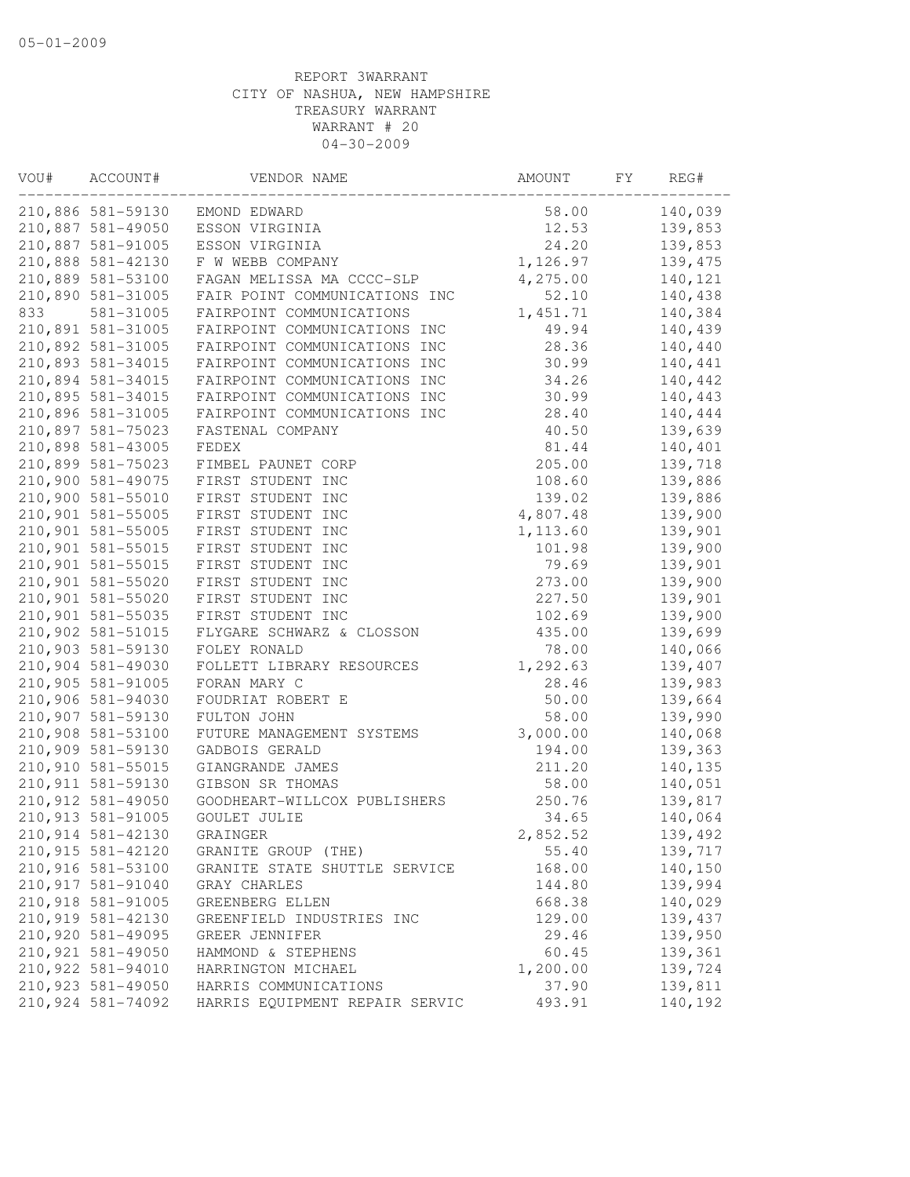| VOU# | ACCOUNT#           | VENDOR NAME                    | AMOUNT    | FY | REG#     |
|------|--------------------|--------------------------------|-----------|----|----------|
|      | 210,886 581-59130  | EMOND EDWARD                   | 58.00     |    | 140,039  |
|      | 210,887 581-49050  | ESSON VIRGINIA                 | 12.53     |    | 139,853  |
|      | 210,887 581-91005  | ESSON VIRGINIA                 | 24.20     |    | 139,853  |
|      | 210,888 581-42130  | F W WEBB COMPANY               | 1,126.97  |    | 139, 475 |
|      | 210,889 581-53100  | FAGAN MELISSA MA CCCC-SLP      | 4,275.00  |    | 140,121  |
|      | 210,890 581-31005  | FAIR POINT COMMUNICATIONS INC  | 52.10     |    | 140,438  |
| 833  | 581-31005          | FAIRPOINT COMMUNICATIONS       | 1, 451.71 |    | 140,384  |
|      | 210,891 581-31005  | FAIRPOINT COMMUNICATIONS INC   | 49.94     |    | 140,439  |
|      | 210,892 581-31005  | FAIRPOINT COMMUNICATIONS INC   | 28.36     |    | 140,440  |
|      | 210,893 581-34015  | FAIRPOINT COMMUNICATIONS INC   | 30.99     |    | 140,441  |
|      | 210,894 581-34015  | FAIRPOINT COMMUNICATIONS INC   | 34.26     |    | 140,442  |
|      | 210,895 581-34015  | FAIRPOINT COMMUNICATIONS INC   | 30.99     |    | 140,443  |
|      | 210,896 581-31005  | FAIRPOINT COMMUNICATIONS INC   | 28.40     |    | 140,444  |
|      | 210,897 581-75023  | FASTENAL COMPANY               | 40.50     |    | 139,639  |
|      | 210,898 581-43005  | FEDEX                          | 81.44     |    | 140,401  |
|      | 210,899 581-75023  | FIMBEL PAUNET CORP             | 205.00    |    | 139,718  |
|      | 210,900 581-49075  | FIRST STUDENT INC              | 108.60    |    | 139,886  |
|      | 210,900 581-55010  | FIRST STUDENT INC              | 139.02    |    | 139,886  |
|      | 210,901 581-55005  | FIRST STUDENT INC              | 4,807.48  |    | 139,900  |
|      | 210,901 581-55005  | FIRST STUDENT INC              | 1,113.60  |    | 139,901  |
|      | 210,901 581-55015  | FIRST STUDENT INC              | 101.98    |    | 139,900  |
|      | 210,901 581-55015  | FIRST STUDENT INC              | 79.69     |    | 139,901  |
|      | 210,901 581-55020  | FIRST STUDENT INC              | 273.00    |    | 139,900  |
|      | 210,901 581-55020  | FIRST STUDENT INC              | 227.50    |    | 139,901  |
|      | 210,901 581-55035  | FIRST STUDENT INC              | 102.69    |    | 139,900  |
|      | 210,902 581-51015  | FLYGARE SCHWARZ & CLOSSON      | 435.00    |    | 139,699  |
|      | 210,903 581-59130  | FOLEY RONALD                   | 78.00     |    | 140,066  |
|      | 210,904 581-49030  | FOLLETT LIBRARY RESOURCES      | 1,292.63  |    | 139,407  |
|      | 210,905 581-91005  | FORAN MARY C                   | 28.46     |    | 139,983  |
|      | 210,906 581-94030  | FOUDRIAT ROBERT E              | 50.00     |    | 139,664  |
|      | 210,907 581-59130  | FULTON JOHN                    | 58.00     |    | 139,990  |
|      | 210,908 581-53100  | FUTURE MANAGEMENT SYSTEMS      | 3,000.00  |    | 140,068  |
|      | 210,909 581-59130  | GADBOIS GERALD                 | 194.00    |    | 139,363  |
|      | 210,910 581-55015  | GIANGRANDE JAMES               | 211.20    |    | 140,135  |
|      | 210, 911 581-59130 | GIBSON SR THOMAS               | 58.00     |    | 140,051  |
|      | 210,912 581-49050  | GOODHEART-WILLCOX PUBLISHERS   | 250.76    |    | 139,817  |
|      | 210,913 581-91005  | GOULET JULIE                   | 34.65     |    | 140,064  |
|      | 210,914 581-42130  | GRAINGER                       | 2,852.52  |    | 139,492  |
|      | 210,915 581-42120  | GRANITE GROUP (THE)            | 55.40     |    | 139,717  |
|      | 210,916 581-53100  | GRANITE STATE SHUTTLE SERVICE  | 168.00    |    | 140,150  |
|      | 210,917 581-91040  | GRAY CHARLES                   | 144.80    |    | 139,994  |
|      | 210,918 581-91005  | GREENBERG ELLEN                | 668.38    |    | 140,029  |
|      | 210,919 581-42130  | GREENFIELD INDUSTRIES INC      | 129.00    |    | 139, 437 |
|      | 210,920 581-49095  | GREER JENNIFER                 | 29.46     |    | 139,950  |
|      | 210,921 581-49050  | HAMMOND & STEPHENS             | 60.45     |    | 139,361  |
|      | 210,922 581-94010  | HARRINGTON MICHAEL             | 1,200.00  |    | 139,724  |
|      | 210,923 581-49050  | HARRIS COMMUNICATIONS          | 37.90     |    | 139,811  |
|      | 210,924 581-74092  | HARRIS EQUIPMENT REPAIR SERVIC | 493.91    |    | 140,192  |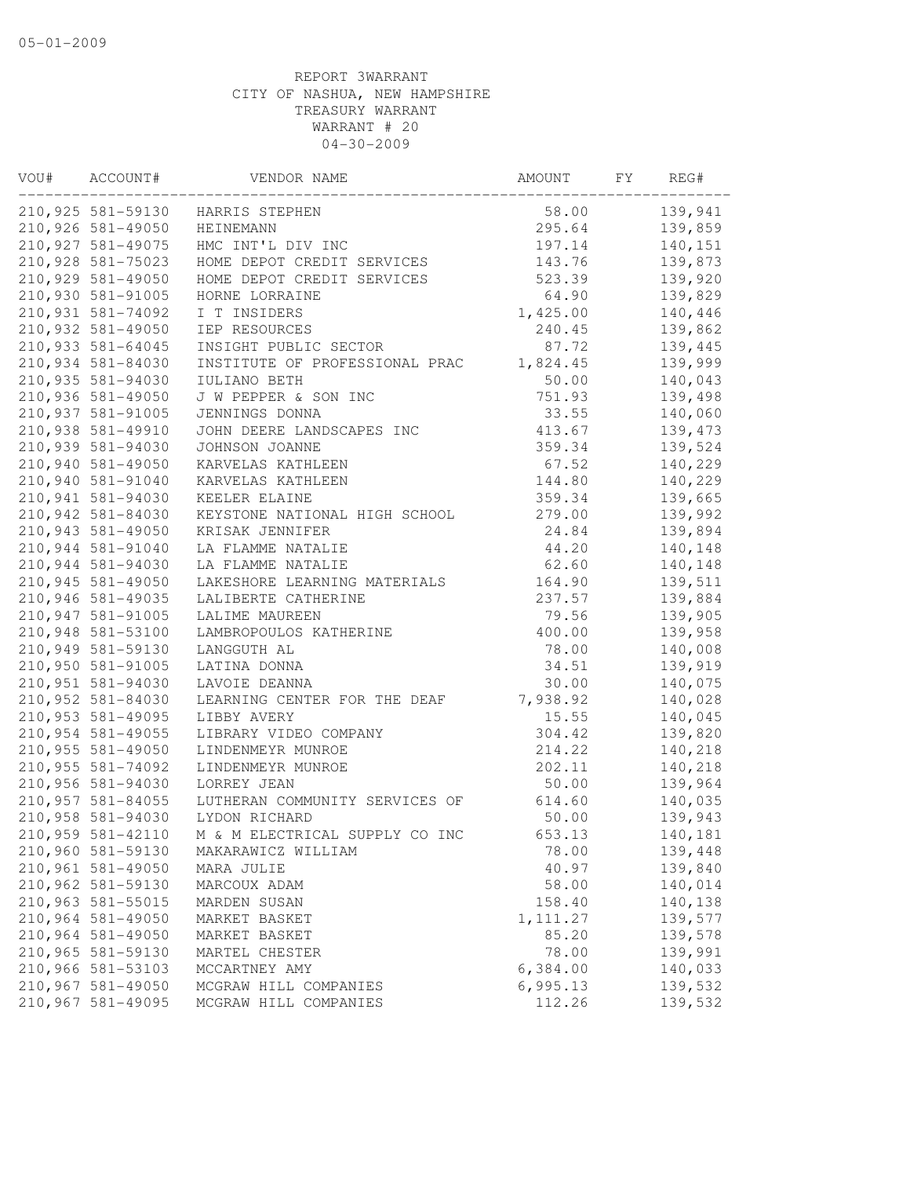| VOU# | ACCOUNT#          | VENDOR NAME                    | AMOUNT    | FY | REG#     |
|------|-------------------|--------------------------------|-----------|----|----------|
|      | 210,925 581-59130 | HARRIS STEPHEN                 | 58.00     |    | 139,941  |
|      | 210,926 581-49050 | HEINEMANN                      | 295.64    |    | 139,859  |
|      | 210,927 581-49075 | HMC INT'L DIV INC              | 197.14    |    | 140,151  |
|      | 210,928 581-75023 | HOME DEPOT CREDIT SERVICES     | 143.76    |    | 139,873  |
|      | 210,929 581-49050 | HOME DEPOT CREDIT SERVICES     | 523.39    |    | 139,920  |
|      | 210,930 581-91005 | HORNE LORRAINE                 | 64.90     |    | 139,829  |
|      | 210,931 581-74092 | I T INSIDERS                   | 1,425.00  |    | 140,446  |
|      | 210,932 581-49050 | IEP RESOURCES                  | 240.45    |    | 139,862  |
|      | 210,933 581-64045 | INSIGHT PUBLIC SECTOR          | 87.72     |    | 139,445  |
|      | 210,934 581-84030 | INSTITUTE OF PROFESSIONAL PRAC | 1,824.45  |    | 139,999  |
|      | 210,935 581-94030 | IULIANO BETH                   | 50.00     |    | 140,043  |
|      | 210,936 581-49050 | J W PEPPER & SON INC           | 751.93    |    | 139,498  |
|      | 210,937 581-91005 | JENNINGS DONNA                 | 33.55     |    | 140,060  |
|      | 210,938 581-49910 | JOHN DEERE LANDSCAPES INC      | 413.67    |    | 139, 473 |
|      | 210,939 581-94030 | JOHNSON JOANNE                 | 359.34    |    | 139,524  |
|      | 210,940 581-49050 | KARVELAS KATHLEEN              | 67.52     |    | 140,229  |
|      | 210,940 581-91040 | KARVELAS KATHLEEN              | 144.80    |    | 140,229  |
|      | 210,941 581-94030 | KEELER ELAINE                  | 359.34    |    | 139,665  |
|      | 210,942 581-84030 | KEYSTONE NATIONAL HIGH SCHOOL  | 279.00    |    | 139,992  |
|      | 210,943 581-49050 | KRISAK JENNIFER                | 24.84     |    | 139,894  |
|      | 210,944 581-91040 | LA FLAMME NATALIE              | 44.20     |    | 140,148  |
|      | 210,944 581-94030 | LA FLAMME NATALIE              | 62.60     |    | 140,148  |
|      | 210,945 581-49050 | LAKESHORE LEARNING MATERIALS   | 164.90    |    | 139,511  |
|      | 210,946 581-49035 | LALIBERTE CATHERINE            | 237.57    |    | 139,884  |
|      | 210,947 581-91005 | LALIME MAUREEN                 | 79.56     |    | 139,905  |
|      | 210,948 581-53100 | LAMBROPOULOS KATHERINE         | 400.00    |    | 139,958  |
|      | 210,949 581-59130 | LANGGUTH AL                    | 78.00     |    | 140,008  |
|      | 210,950 581-91005 | LATINA DONNA                   | 34.51     |    | 139,919  |
|      | 210,951 581-94030 | LAVOIE DEANNA                  | 30.00     |    | 140,075  |
|      | 210,952 581-84030 |                                | 7,938.92  |    |          |
|      | 210,953 581-49095 | LEARNING CENTER FOR THE DEAF   |           |    | 140,028  |
|      |                   | LIBBY AVERY                    | 15.55     |    | 140,045  |
|      | 210,954 581-49055 | LIBRARY VIDEO COMPANY          | 304.42    |    | 139,820  |
|      | 210,955 581-49050 | LINDENMEYR MUNROE              | 214.22    |    | 140,218  |
|      | 210,955 581-74092 | LINDENMEYR MUNROE              | 202.11    |    | 140,218  |
|      | 210,956 581-94030 | LORREY JEAN                    | 50.00     |    | 139,964  |
|      | 210,957 581-84055 | LUTHERAN COMMUNITY SERVICES OF | 614.60    |    | 140,035  |
|      | 210,958 581-94030 | LYDON RICHARD                  | 50.00     |    | 139,943  |
|      | 210,959 581-42110 | M & M ELECTRICAL SUPPLY CO INC | 653.13    |    | 140,181  |
|      | 210,960 581-59130 | MAKARAWICZ WILLIAM             | 78.00     |    | 139,448  |
|      | 210,961 581-49050 | MARA JULIE                     | 40.97     |    | 139,840  |
|      | 210,962 581-59130 | MARCOUX ADAM                   | 58.00     |    | 140,014  |
|      | 210,963 581-55015 | MARDEN SUSAN                   | 158.40    |    | 140,138  |
|      | 210,964 581-49050 | MARKET BASKET                  | 1, 111.27 |    | 139,577  |
|      | 210,964 581-49050 | MARKET BASKET                  | 85.20     |    | 139,578  |
|      | 210,965 581-59130 | MARTEL CHESTER                 | 78.00     |    | 139,991  |
|      | 210,966 581-53103 | MCCARTNEY AMY                  | 6,384.00  |    | 140,033  |
|      | 210,967 581-49050 | MCGRAW HILL COMPANIES          | 6,995.13  |    | 139,532  |
|      | 210,967 581-49095 | MCGRAW HILL COMPANIES          | 112.26    |    | 139,532  |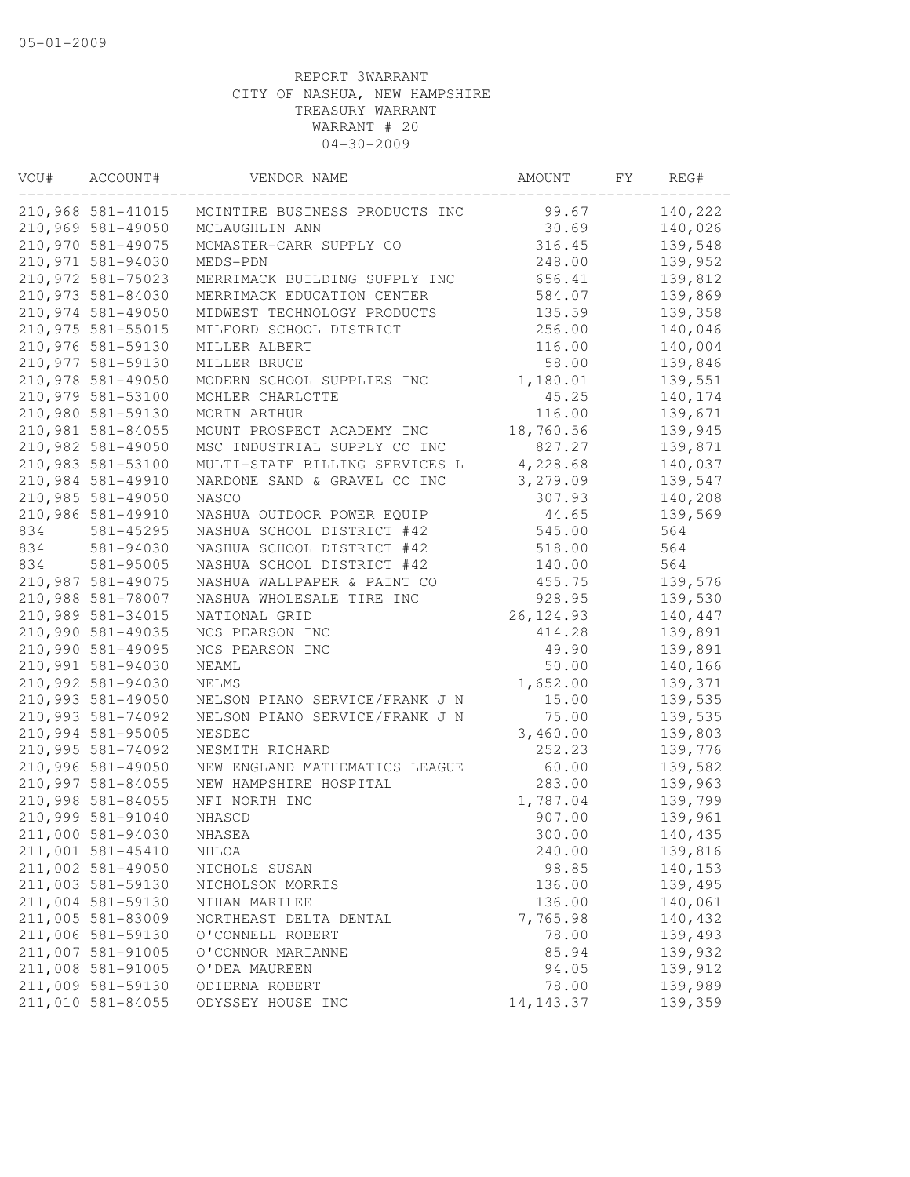| VOU# | ACCOUNT#          | VENDOR NAME                                                      | AMOUNT         | FY | REG#    |
|------|-------------------|------------------------------------------------------------------|----------------|----|---------|
|      | 210,968 581-41015 | MCINTIRE BUSINESS PRODUCTS INC                                   | 99.67          |    | 140,222 |
|      | 210,969 581-49050 | MCLAUGHLIN ANN                                                   | 30.69          |    | 140,026 |
|      | 210,970 581-49075 | MCMASTER-CARR SUPPLY CO                                          | 316.45         |    | 139,548 |
|      | 210,971 581-94030 | MEDS-PDN                                                         | 248.00         |    | 139,952 |
|      | 210,972 581-75023 | MERRIMACK BUILDING SUPPLY INC                                    | 656.41         |    | 139,812 |
|      | 210,973 581-84030 | MERRIMACK EDUCATION CENTER                                       | 584.07         |    | 139,869 |
|      | 210,974 581-49050 | MIDWEST TECHNOLOGY PRODUCTS                                      | 135.59         |    | 139,358 |
|      | 210,975 581-55015 | MILFORD SCHOOL DISTRICT                                          | 256.00         |    | 140,046 |
|      | 210,976 581-59130 | MILLER ALBERT                                                    | 116.00         |    | 140,004 |
|      | 210,977 581-59130 | MILLER BRUCE                                                     | 58.00          |    | 139,846 |
|      | 210,978 581-49050 | MODERN SCHOOL SUPPLIES INC                                       | 1,180.01       |    | 139,551 |
|      | 210,979 581-53100 | MOHLER CHARLOTTE                                                 | 45.25          |    | 140,174 |
|      | 210,980 581-59130 | MORIN ARTHUR                                                     | 116.00         |    | 139,671 |
|      | 210,981 581-84055 | MOUNT PROSPECT ACADEMY INC                                       | 18,760.56      |    | 139,945 |
|      | 210,982 581-49050 | MSC INDUSTRIAL SUPPLY CO INC                                     | 827.27         |    | 139,871 |
|      | 210,983 581-53100 | MULTI-STATE BILLING SERVICES L                                   | 4,228.68       |    | 140,037 |
|      | 210,984 581-49910 | NARDONE SAND & GRAVEL CO INC                                     | 3,279.09       |    | 139,547 |
|      | 210,985 581-49050 | <b>NASCO</b>                                                     | 307.93         |    | 140,208 |
|      | 210,986 581-49910 | NASHUA OUTDOOR POWER EQUIP                                       | 44.65          |    | 139,569 |
| 834  | 581-45295         | NASHUA SCHOOL DISTRICT #42                                       | 545.00         |    | 564     |
| 834  | 581-94030         | NASHUA SCHOOL DISTRICT #42                                       | 518.00         |    | 564     |
| 834  | 581-95005         | NASHUA SCHOOL DISTRICT #42                                       | 140.00         |    | 564     |
|      | 210,987 581-49075 | NASHUA WALLPAPER & PAINT CO                                      | 455.75         |    | 139,576 |
|      | 210,988 581-78007 | NASHUA WHOLESALE TIRE INC                                        | 928.95         |    | 139,530 |
|      | 210,989 581-34015 | NATIONAL GRID                                                    | 26, 124.93     |    | 140,447 |
|      | 210,990 581-49035 | NCS PEARSON INC                                                  | 414.28         |    | 139,891 |
|      | 210,990 581-49095 | NCS PEARSON INC                                                  | 49.90          |    | 139,891 |
|      | 210,991 581-94030 | NEAML                                                            | 50.00          |    | 140,166 |
|      | 210,992 581-94030 | NELMS                                                            | 1,652.00       |    | 139,371 |
|      | 210,993 581-49050 |                                                                  |                |    | 139,535 |
|      | 210,993 581-74092 | NELSON PIANO SERVICE/FRANK J N<br>NELSON PIANO SERVICE/FRANK J N | 15.00<br>75.00 |    |         |
|      |                   |                                                                  |                |    | 139,535 |
|      | 210,994 581-95005 | NESDEC                                                           | 3,460.00       |    | 139,803 |
|      | 210,995 581-74092 | NESMITH RICHARD                                                  | 252.23         |    | 139,776 |
|      | 210,996 581-49050 | NEW ENGLAND MATHEMATICS LEAGUE                                   | 60.00          |    | 139,582 |
|      | 210,997 581-84055 | NEW HAMPSHIRE HOSPITAL                                           | 283.00         |    | 139,963 |
|      | 210,998 581-84055 | NFI NORTH INC                                                    | 1,787.04       |    | 139,799 |
|      | 210,999 581-91040 | NHASCD                                                           | 907.00         |    | 139,961 |
|      | 211,000 581-94030 | NHASEA                                                           | 300.00         |    | 140,435 |
|      | 211,001 581-45410 | NHLOA                                                            | 240.00         |    | 139,816 |
|      | 211,002 581-49050 | NICHOLS SUSAN                                                    | 98.85          |    | 140,153 |
|      | 211,003 581-59130 | NICHOLSON MORRIS                                                 | 136.00         |    | 139,495 |
|      | 211,004 581-59130 | NIHAN MARILEE                                                    | 136.00         |    | 140,061 |
|      | 211,005 581-83009 | NORTHEAST DELTA DENTAL                                           | 7,765.98       |    | 140,432 |
|      | 211,006 581-59130 | O'CONNELL ROBERT                                                 | 78.00          |    | 139,493 |
|      | 211,007 581-91005 | O'CONNOR MARIANNE                                                | 85.94          |    | 139,932 |
|      | 211,008 581-91005 | O'DEA MAUREEN                                                    | 94.05          |    | 139,912 |
|      | 211,009 581-59130 | ODIERNA ROBERT                                                   | 78.00          |    | 139,989 |
|      | 211,010 581-84055 | ODYSSEY HOUSE INC                                                | 14, 143.37     |    | 139,359 |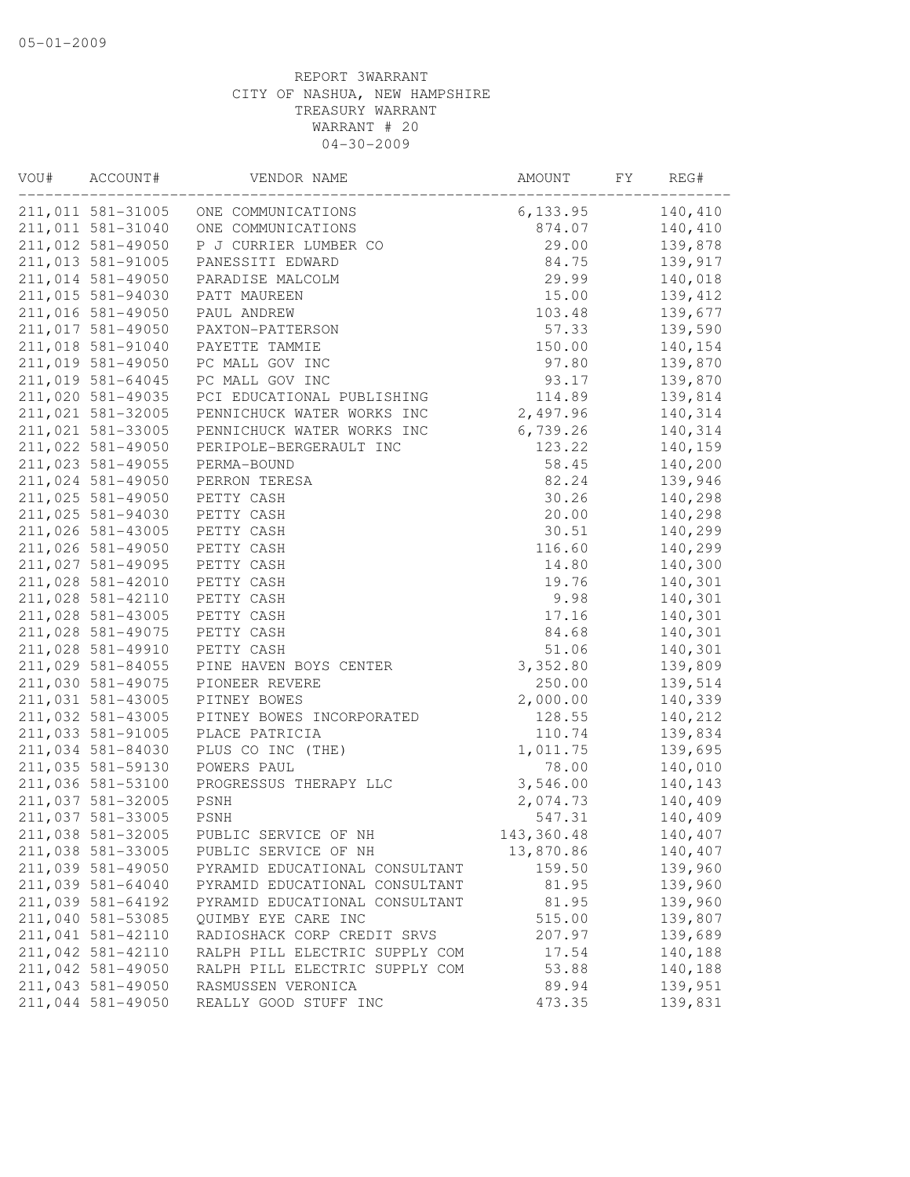| VOU# | ACCOUNT#          | VENDOR NAME                    | AMOUNT     | FY | REG#     |
|------|-------------------|--------------------------------|------------|----|----------|
|      | 211,011 581-31005 | ONE COMMUNICATIONS             | 6,133.95   |    | 140,410  |
|      | 211,011 581-31040 | ONE COMMUNICATIONS             | 874.07     |    | 140,410  |
|      | 211,012 581-49050 | P J CURRIER LUMBER CO          | 29.00      |    | 139,878  |
|      | 211,013 581-91005 | PANESSITI EDWARD               | 84.75      |    | 139,917  |
|      | 211,014 581-49050 | PARADISE MALCOLM               | 29.99      |    | 140,018  |
|      | 211,015 581-94030 | PATT MAUREEN                   | 15.00      |    | 139, 412 |
|      | 211,016 581-49050 | PAUL ANDREW                    | 103.48     |    | 139,677  |
|      | 211,017 581-49050 | PAXTON-PATTERSON               | 57.33      |    | 139,590  |
|      | 211,018 581-91040 | PAYETTE TAMMIE                 | 150.00     |    | 140,154  |
|      | 211,019 581-49050 | PC MALL GOV INC                | 97.80      |    | 139,870  |
|      | 211,019 581-64045 | PC MALL GOV INC                | 93.17      |    | 139,870  |
|      | 211,020 581-49035 | PCI EDUCATIONAL PUBLISHING     | 114.89     |    | 139,814  |
|      | 211,021 581-32005 | PENNICHUCK WATER WORKS INC     | 2,497.96   |    | 140,314  |
|      | 211,021 581-33005 | PENNICHUCK WATER WORKS INC     | 6,739.26   |    | 140,314  |
|      | 211,022 581-49050 | PERIPOLE-BERGERAULT INC        | 123.22     |    | 140,159  |
|      | 211,023 581-49055 | PERMA-BOUND                    | 58.45      |    | 140,200  |
|      | 211,024 581-49050 | PERRON TERESA                  | 82.24      |    | 139,946  |
|      | 211,025 581-49050 | PETTY CASH                     | 30.26      |    | 140,298  |
|      | 211,025 581-94030 | PETTY CASH                     | 20.00      |    | 140,298  |
|      | 211,026 581-43005 | PETTY CASH                     | 30.51      |    | 140,299  |
|      | 211,026 581-49050 | PETTY CASH                     | 116.60     |    | 140,299  |
|      | 211,027 581-49095 | PETTY CASH                     | 14.80      |    | 140,300  |
|      | 211,028 581-42010 | PETTY CASH                     | 19.76      |    | 140,301  |
|      | 211,028 581-42110 | PETTY CASH                     | 9.98       |    | 140,301  |
|      | 211,028 581-43005 | PETTY CASH                     | 17.16      |    | 140,301  |
|      | 211,028 581-49075 | PETTY CASH                     | 84.68      |    | 140,301  |
|      | 211,028 581-49910 | PETTY CASH                     | 51.06      |    | 140,301  |
|      | 211,029 581-84055 | PINE HAVEN BOYS CENTER         | 3,352.80   |    | 139,809  |
|      | 211,030 581-49075 | PIONEER REVERE                 | 250.00     |    | 139,514  |
|      | 211,031 581-43005 | PITNEY BOWES                   | 2,000.00   |    | 140,339  |
|      | 211,032 581-43005 | PITNEY BOWES INCORPORATED      | 128.55     |    | 140,212  |
|      | 211,033 581-91005 | PLACE PATRICIA                 | 110.74     |    | 139,834  |
|      | 211,034 581-84030 | PLUS CO INC (THE)              | 1,011.75   |    | 139,695  |
|      | 211,035 581-59130 | POWERS PAUL                    | 78.00      |    | 140,010  |
|      | 211,036 581-53100 | PROGRESSUS THERAPY LLC         | 3,546.00   |    | 140,143  |
|      | 211,037 581-32005 | PSNH                           | 2,074.73   |    | 140,409  |
|      | 211,037 581-33005 | PSNH                           | 547.31     |    | 140,409  |
|      | 211,038 581-32005 | PUBLIC SERVICE OF NH           | 143,360.48 |    | 140,407  |
|      | 211,038 581-33005 | PUBLIC SERVICE OF NH           | 13,870.86  |    | 140,407  |
|      | 211,039 581-49050 | PYRAMID EDUCATIONAL CONSULTANT | 159.50     |    | 139,960  |
|      | 211,039 581-64040 | PYRAMID EDUCATIONAL CONSULTANT | 81.95      |    | 139,960  |
|      | 211,039 581-64192 | PYRAMID EDUCATIONAL CONSULTANT | 81.95      |    | 139,960  |
|      | 211,040 581-53085 | QUIMBY EYE CARE INC            | 515.00     |    | 139,807  |
|      | 211,041 581-42110 | RADIOSHACK CORP CREDIT SRVS    | 207.97     |    | 139,689  |
|      | 211,042 581-42110 | RALPH PILL ELECTRIC SUPPLY COM | 17.54      |    | 140,188  |
|      | 211,042 581-49050 | RALPH PILL ELECTRIC SUPPLY COM | 53.88      |    | 140,188  |
|      | 211,043 581-49050 | RASMUSSEN VERONICA             | 89.94      |    | 139,951  |
|      | 211,044 581-49050 | REALLY GOOD STUFF INC          | 473.35     |    | 139,831  |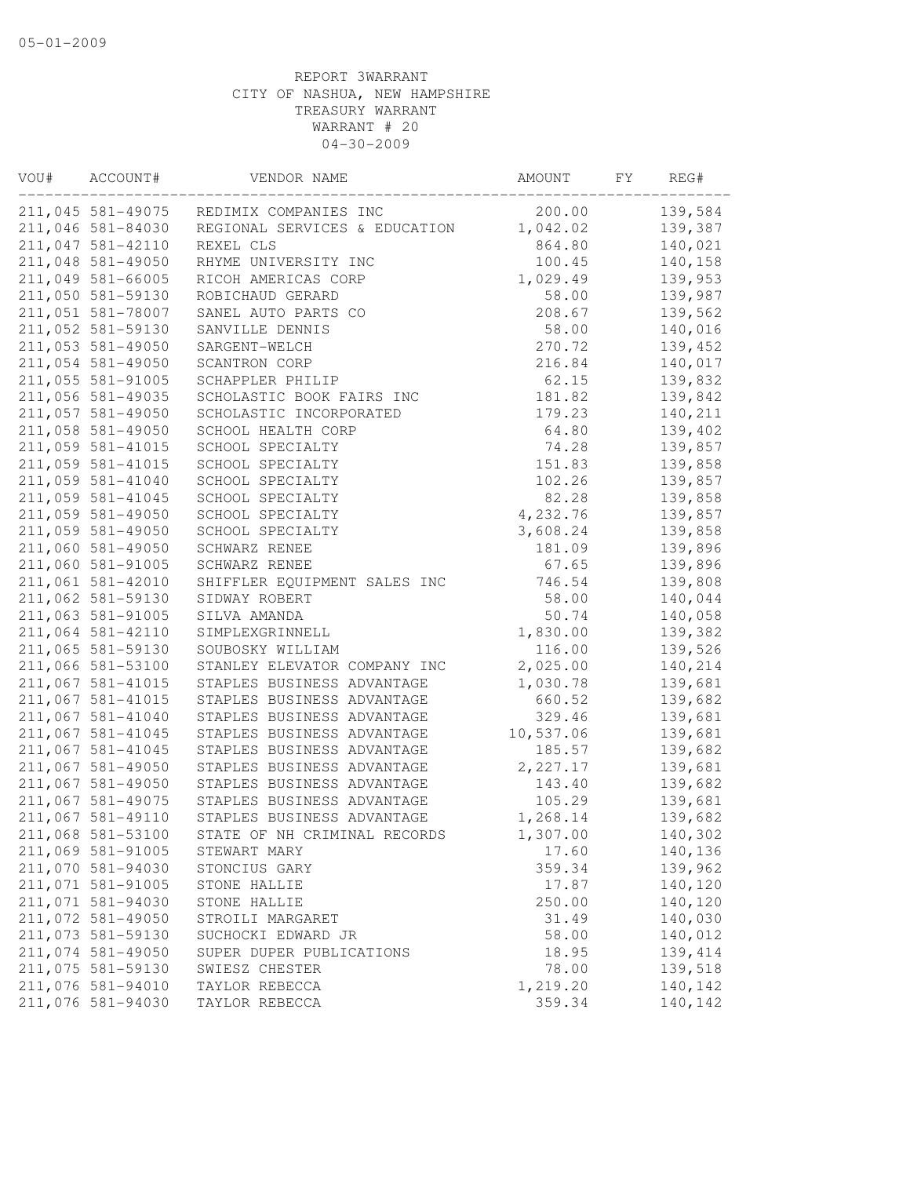| VOU# | ACCOUNT#          | VENDOR NAME                   | AMOUNT    | FY | REG#     |
|------|-------------------|-------------------------------|-----------|----|----------|
|      | 211,045 581-49075 | REDIMIX COMPANIES INC         | 200.00    |    | 139,584  |
|      | 211,046 581-84030 | REGIONAL SERVICES & EDUCATION | 1,042.02  |    | 139,387  |
|      | 211,047 581-42110 | REXEL CLS                     | 864.80    |    | 140,021  |
|      | 211,048 581-49050 | RHYME UNIVERSITY INC          | 100.45    |    | 140,158  |
|      | 211,049 581-66005 | RICOH AMERICAS CORP           | 1,029.49  |    | 139,953  |
|      | 211,050 581-59130 | ROBICHAUD GERARD              | 58.00     |    | 139,987  |
|      | 211,051 581-78007 | SANEL AUTO PARTS CO           | 208.67    |    | 139,562  |
|      | 211,052 581-59130 | SANVILLE DENNIS               | 58.00     |    | 140,016  |
|      | 211,053 581-49050 | SARGENT-WELCH                 | 270.72    |    | 139,452  |
|      | 211,054 581-49050 | SCANTRON CORP                 | 216.84    |    | 140,017  |
|      | 211,055 581-91005 | SCHAPPLER PHILIP              | 62.15     |    | 139,832  |
|      | 211,056 581-49035 | SCHOLASTIC BOOK FAIRS INC     | 181.82    |    | 139,842  |
|      | 211,057 581-49050 | SCHOLASTIC INCORPORATED       | 179.23    |    | 140,211  |
|      | 211,058 581-49050 | SCHOOL HEALTH CORP            | 64.80     |    | 139,402  |
|      | 211,059 581-41015 | SCHOOL SPECIALTY              | 74.28     |    | 139,857  |
|      | 211,059 581-41015 | SCHOOL SPECIALTY              | 151.83    |    | 139,858  |
|      | 211,059 581-41040 | SCHOOL SPECIALTY              | 102.26    |    | 139,857  |
|      | 211,059 581-41045 | SCHOOL SPECIALTY              | 82.28     |    | 139,858  |
|      | 211,059 581-49050 | SCHOOL SPECIALTY              | 4,232.76  |    | 139,857  |
|      | 211,059 581-49050 | SCHOOL SPECIALTY              | 3,608.24  |    | 139,858  |
|      | 211,060 581-49050 | SCHWARZ RENEE                 | 181.09    |    | 139,896  |
|      | 211,060 581-91005 | SCHWARZ RENEE                 | 67.65     |    | 139,896  |
|      | 211,061 581-42010 | SHIFFLER EQUIPMENT SALES INC  | 746.54    |    | 139,808  |
|      | 211,062 581-59130 | SIDWAY ROBERT                 | 58.00     |    | 140,044  |
|      | 211,063 581-91005 | SILVA AMANDA                  | 50.74     |    | 140,058  |
|      | 211,064 581-42110 | SIMPLEXGRINNELL               | 1,830.00  |    | 139,382  |
|      | 211,065 581-59130 | SOUBOSKY WILLIAM              | 116.00    |    | 139,526  |
|      | 211,066 581-53100 | STANLEY ELEVATOR COMPANY INC  | 2,025.00  |    | 140,214  |
|      | 211,067 581-41015 | STAPLES BUSINESS ADVANTAGE    | 1,030.78  |    | 139,681  |
|      | 211,067 581-41015 | STAPLES BUSINESS ADVANTAGE    | 660.52    |    | 139,682  |
|      | 211,067 581-41040 | STAPLES BUSINESS ADVANTAGE    | 329.46    |    | 139,681  |
|      | 211,067 581-41045 | STAPLES BUSINESS ADVANTAGE    | 10,537.06 |    | 139,681  |
|      | 211,067 581-41045 | STAPLES BUSINESS ADVANTAGE    | 185.57    |    | 139,682  |
|      | 211,067 581-49050 | STAPLES BUSINESS ADVANTAGE    | 2, 227.17 |    | 139,681  |
|      | 211,067 581-49050 | STAPLES BUSINESS ADVANTAGE    | 143.40    |    | 139,682  |
|      | 211,067 581-49075 | STAPLES BUSINESS ADVANTAGE    | 105.29    |    | 139,681  |
|      | 211,067 581-49110 | STAPLES BUSINESS ADVANTAGE    | 1,268.14  |    | 139,682  |
|      | 211,068 581-53100 | STATE OF NH CRIMINAL RECORDS  | 1,307.00  |    | 140,302  |
|      | 211,069 581-91005 | STEWART MARY                  | 17.60     |    | 140,136  |
|      | 211,070 581-94030 | STONCIUS GARY                 | 359.34    |    | 139,962  |
|      | 211,071 581-91005 | STONE HALLIE                  | 17.87     |    | 140,120  |
|      | 211,071 581-94030 | STONE HALLIE                  | 250.00    |    | 140,120  |
|      | 211,072 581-49050 | STROILI MARGARET              | 31.49     |    | 140,030  |
|      | 211,073 581-59130 | SUCHOCKI EDWARD JR            | 58.00     |    | 140,012  |
|      | 211,074 581-49050 | SUPER DUPER PUBLICATIONS      | 18.95     |    | 139, 414 |
|      | 211,075 581-59130 | SWIESZ CHESTER                | 78.00     |    | 139,518  |
|      | 211,076 581-94010 | TAYLOR REBECCA                | 1,219.20  |    | 140,142  |
|      | 211,076 581-94030 | TAYLOR REBECCA                | 359.34    |    | 140,142  |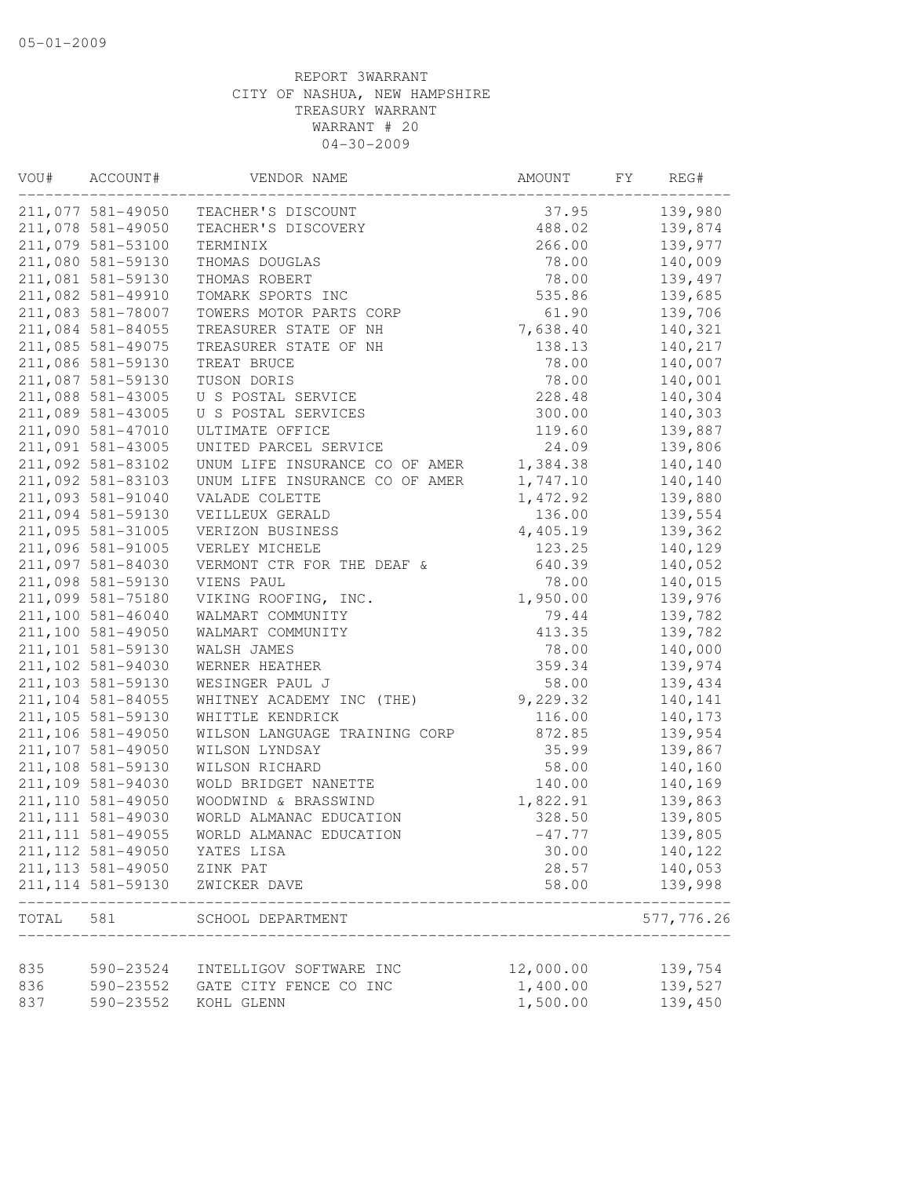| VOU#      | ACCOUNT#           | VENDOR NAME                                 | AMOUNT    | FY | REG#                  |
|-----------|--------------------|---------------------------------------------|-----------|----|-----------------------|
|           | 211,077 581-49050  | TEACHER'S DISCOUNT                          | 37.95     |    | 139,980               |
|           | 211,078 581-49050  | TEACHER'S DISCOVERY                         | 488.02    |    | 139,874               |
|           | 211,079 581-53100  | TERMINIX                                    | 266.00    |    | 139,977               |
|           | 211,080 581-59130  | THOMAS DOUGLAS                              | 78.00     |    | 140,009               |
|           | 211,081 581-59130  | THOMAS ROBERT                               | 78.00     |    | 139,497               |
|           | 211,082 581-49910  | TOMARK SPORTS INC                           | 535.86    |    | 139,685               |
|           | 211,083 581-78007  | TOWERS MOTOR PARTS CORP                     | 61.90     |    | 139,706               |
|           | 211,084 581-84055  | TREASURER STATE OF NH                       | 7,638.40  |    | 140,321               |
|           | 211,085 581-49075  | TREASURER STATE OF NH                       | 138.13    |    | 140,217               |
|           | 211,086 581-59130  | TREAT BRUCE                                 | 78.00     |    | 140,007               |
|           | 211,087 581-59130  | TUSON DORIS                                 | 78.00     |    | 140,001               |
|           | 211,088 581-43005  | U S POSTAL SERVICE                          | 228.48    |    | 140,304               |
|           | 211,089 581-43005  | U S POSTAL SERVICES                         | 300.00    |    | 140,303               |
|           | 211,090 581-47010  | ULTIMATE OFFICE                             | 119.60    |    | 139,887               |
|           | 211,091 581-43005  | UNITED PARCEL SERVICE                       | 24.09     |    | 139,806               |
|           | 211,092 581-83102  | UNUM LIFE INSURANCE CO OF AMER              | 1,384.38  |    | 140,140               |
|           | 211,092 581-83103  | UNUM LIFE INSURANCE CO OF AMER              | 1,747.10  |    | 140,140               |
|           | 211,093 581-91040  | VALADE COLETTE                              | 1,472.92  |    | 139,880               |
|           | 211,094 581-59130  | VEILLEUX GERALD                             | 136.00    |    | 139,554               |
|           | 211,095 581-31005  | VERIZON BUSINESS                            | 4,405.19  |    | 139,362               |
|           | 211,096 581-91005  | VERLEY MICHELE                              | 123.25    |    | 140,129               |
|           | 211,097 581-84030  | VERMONT CTR FOR THE DEAF &                  | 640.39    |    | 140,052               |
|           | 211,098 581-59130  | VIENS PAUL                                  | 78.00     |    | 140,015               |
|           | 211,099 581-75180  | VIKING ROOFING, INC.                        | 1,950.00  |    | 139,976               |
|           | 211,100 581-46040  | WALMART COMMUNITY                           | 79.44     |    | 139,782               |
|           | 211,100 581-49050  | WALMART COMMUNITY                           | 413.35    |    | 139,782               |
|           | 211,101 581-59130  | WALSH JAMES                                 | 78.00     |    | 140,000               |
|           | 211,102 581-94030  | WERNER HEATHER                              | 359.34    |    | 139,974               |
|           | 211,103 581-59130  | WESINGER PAUL J                             | 58.00     |    | 139,434               |
|           | 211, 104 581-84055 | WHITNEY ACADEMY INC (THE)                   | 9,229.32  |    | 140,141               |
|           | 211,105 581-59130  | WHITTLE KENDRICK                            | 116.00    |    | 140,173               |
|           | 211,106 581-49050  | WILSON LANGUAGE TRAINING CORP               | 872.85    |    | 139,954               |
|           | 211,107 581-49050  | WILSON LYNDSAY                              | 35.99     |    | 139,867               |
|           | 211,108 581-59130  | WILSON RICHARD                              | 58.00     |    | 140,160               |
|           | 211,109 581-94030  | WOLD BRIDGET NANETTE                        | 140.00    |    | 140,169               |
|           | 211, 110 581-49050 | WOODWIND & BRASSWIND                        | 1,822.91  |    | 139,863               |
|           | 211, 111 581-49030 | WORLD ALMANAC EDUCATION                     | 328.50    |    | 139,805               |
|           | 211, 111 581-49055 | WORLD ALMANAC EDUCATION                     | $-47.77$  |    | 139,805               |
|           | 211, 112 581-49050 | YATES LISA                                  | 30.00     |    | 140,122               |
|           | 211, 113 581-49050 | ZINK PAT                                    | 28.57     |    | 140,053               |
|           | 211, 114 581-59130 | ZWICKER DAVE                                | 58.00     |    | 139,998               |
| TOTAL 581 |                    | SCHOOL DEPARTMENT<br>______________________ |           |    | -------<br>577,776.26 |
| 835       | 590-23524          | INTELLIGOV SOFTWARE INC                     | 12,000.00 |    | 139,754               |
| 836       | 590-23552          | GATE CITY FENCE CO INC                      | 1,400.00  |    | 139,527               |
| 837       | 590-23552          | KOHL GLENN                                  | 1,500.00  |    | 139,450               |
|           |                    |                                             |           |    |                       |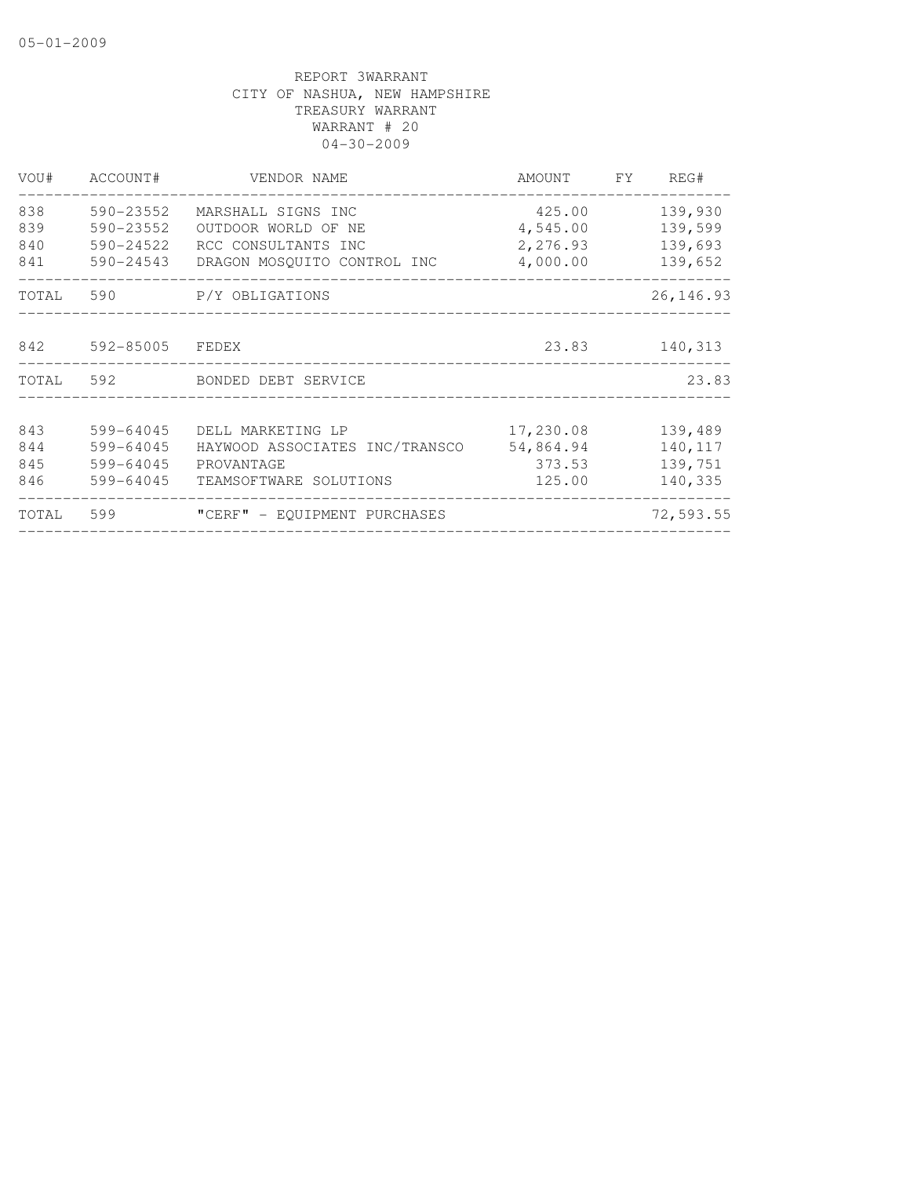| VOU#  | ACCOUNT#      | VENDOR NAME                    | AMOUNT    | <b>FY</b> | REG#       |
|-------|---------------|--------------------------------|-----------|-----------|------------|
| 838   | 590-23552     | MARSHALL SIGNS INC             | 425.00    |           | 139,930    |
| 839   | 590-23552     | OUTDOOR WORLD OF NE            | 4,545.00  |           | 139,599    |
| 840   | $590 - 24522$ | RCC CONSULTANTS INC            | 2,276.93  |           | 139,693    |
| 841   | 590-24543     | DRAGON MOSQUITO CONTROL INC    | 4,000.00  |           | 139,652    |
|       |               | TOTAL 590 P/Y OBLIGATIONS      |           |           | 26, 146.93 |
| 842   | 592-85005     | FEDEX                          | 23.83     |           | 140,313    |
| TOTAL |               | 592 BONDED DEBT SERVICE        |           |           | 23.83      |
| 843   | 599-64045     | DELL MARKETING LP              | 17,230.08 |           | 139,489    |
| 844   | 599-64045     | HAYWOOD ASSOCIATES INC/TRANSCO | 54,864.94 |           | 140, 117   |
| 845   | 599-64045     | PROVANTAGE                     | 373.53    |           | 139,751    |
| 846   | 599-64045     | TEAMSOFTWARE SOLUTIONS         | 125.00    |           | 140,335    |
| TOTAL | 599           | "CERF" - EQUIPMENT PURCHASES   |           |           | 72,593.55  |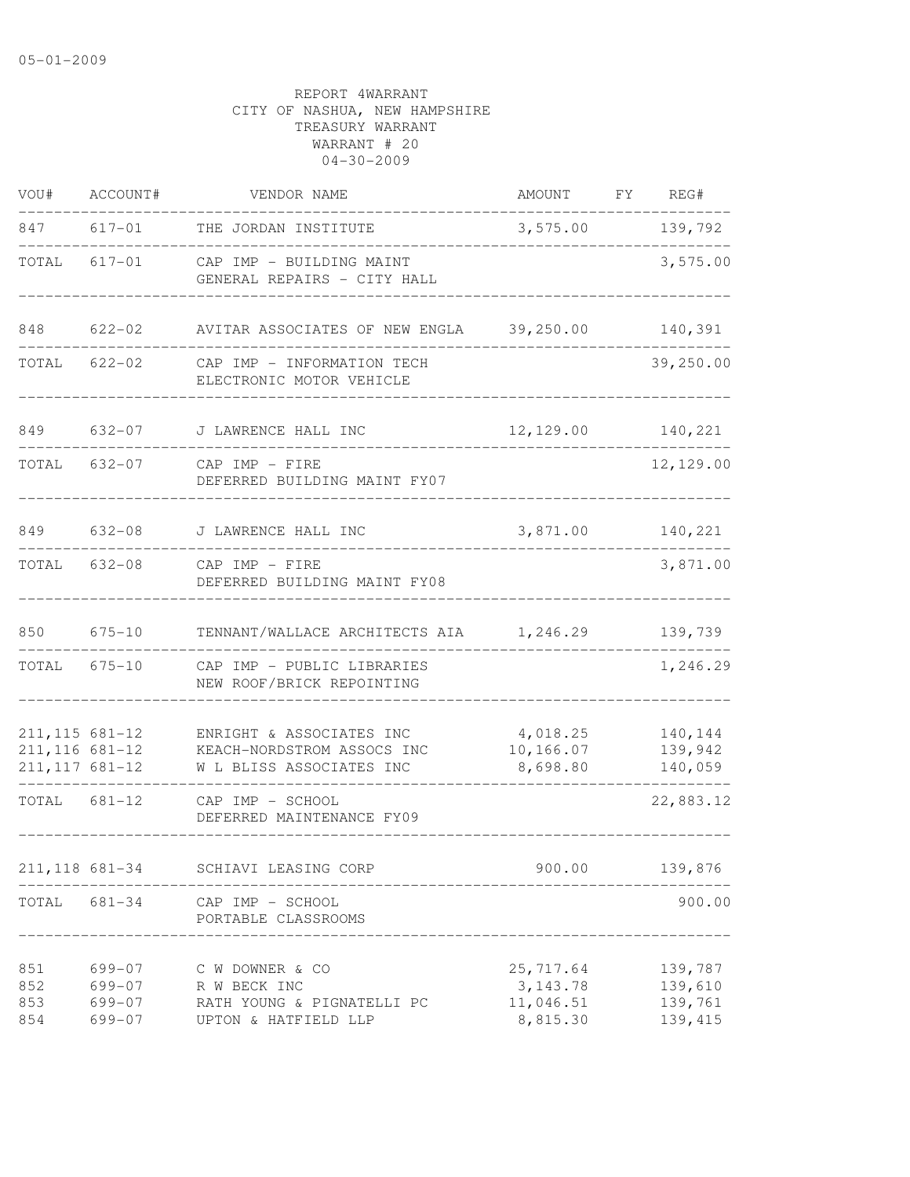| VOU#                                                  | ACCOUNT#                                 | VENDOR NAME                                                                           | AMOUNT                                           | FY REG#                                   |
|-------------------------------------------------------|------------------------------------------|---------------------------------------------------------------------------------------|--------------------------------------------------|-------------------------------------------|
| 847                                                   |                                          | 617-01 THE JORDAN INSTITUTE                                                           | 3,575.00 139,792                                 |                                           |
| TOTAL                                                 | 617-01                                   | CAP IMP - BUILDING MAINT<br>GENERAL REPAIRS - CITY HALL                               |                                                  | 3,575.00                                  |
| 848                                                   | 622-02                                   | AVITAR ASSOCIATES OF NEW ENGLA 39,250.00                                              |                                                  | 140,391                                   |
| TOTAL                                                 | 622-02                                   | CAP IMP - INFORMATION TECH<br>ELECTRONIC MOTOR VEHICLE                                |                                                  | 39,250.00                                 |
| 849                                                   | 632-07                                   | J LAWRENCE HALL INC                                                                   | 12,129.00                                        | 140,221                                   |
| TOTAL                                                 | 632-07                                   | $CAP$ IMP $-$ FIRE<br>DEFERRED BUILDING MAINT FY07                                    |                                                  | 12,129.00                                 |
| 849                                                   | $632 - 08$                               | J LAWRENCE HALL INC                                                                   | 3,871.00                                         | 140,221                                   |
| TOTAL                                                 | 632-08                                   | $CAP$ IMP - FIRE<br>DEFERRED BUILDING MAINT FY08                                      |                                                  | 3,871.00                                  |
| 850                                                   |                                          | 675-10 TENNANT/WALLACE ARCHITECTS AIA 1,246.29                                        |                                                  | 139,739                                   |
| TOTAL                                                 | $675 - 10$                               | CAP IMP - PUBLIC LIBRARIES<br>NEW ROOF/BRICK REPOINTING                               |                                                  | 1,246.29                                  |
| 211, 115 681-12<br>211, 116 681-12<br>211, 117 681-12 |                                          | ENRIGHT & ASSOCIATES INC<br>KEACH-NORDSTROM ASSOCS INC<br>W L BLISS ASSOCIATES INC    | 4,018.25<br>10,166.07<br>8,698.80                | 140,144<br>139,942<br>140,059             |
|                                                       | TOTAL 681-12                             | CAP IMP - SCHOOL<br>DEFERRED MAINTENANCE FY09                                         |                                                  | 22,883.12                                 |
| 211, 118 681-34                                       |                                          | SCHIAVI LEASING CORP                                                                  | 900.00                                           | 139,876                                   |
| TOTAL                                                 | 681-34                                   | CAP IMP - SCHOOL<br>PORTABLE CLASSROOMS                                               |                                                  | 900.00                                    |
| 851<br>852<br>853<br>854                              | 699-07<br>699-07<br>$699 - 07$<br>699-07 | C W DOWNER & CO<br>R W BECK INC<br>RATH YOUNG & PIGNATELLI PC<br>UPTON & HATFIELD LLP | 25, 717.64<br>3, 143.78<br>11,046.51<br>8,815.30 | 139,787<br>139,610<br>139,761<br>139, 415 |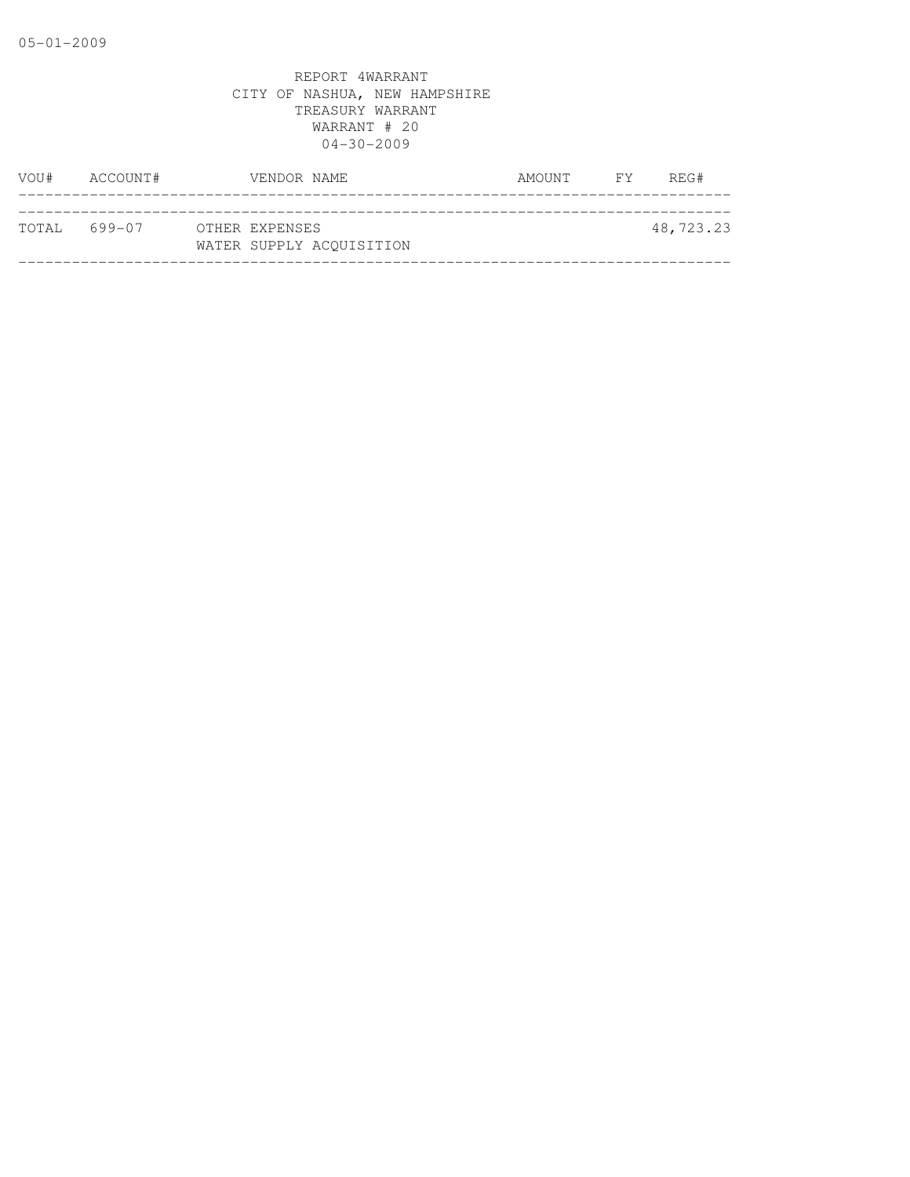| VOU#         | ACCOUNT# | VENDOR NAME                                | AMOUNT | FY - | REG#      |
|--------------|----------|--------------------------------------------|--------|------|-----------|
|              |          |                                            |        |      |           |
| TOTAL 699-07 |          | OTHER EXPENSES<br>WATER SUPPLY ACOUISITION |        |      | 48,723.23 |
|              |          |                                            |        |      |           |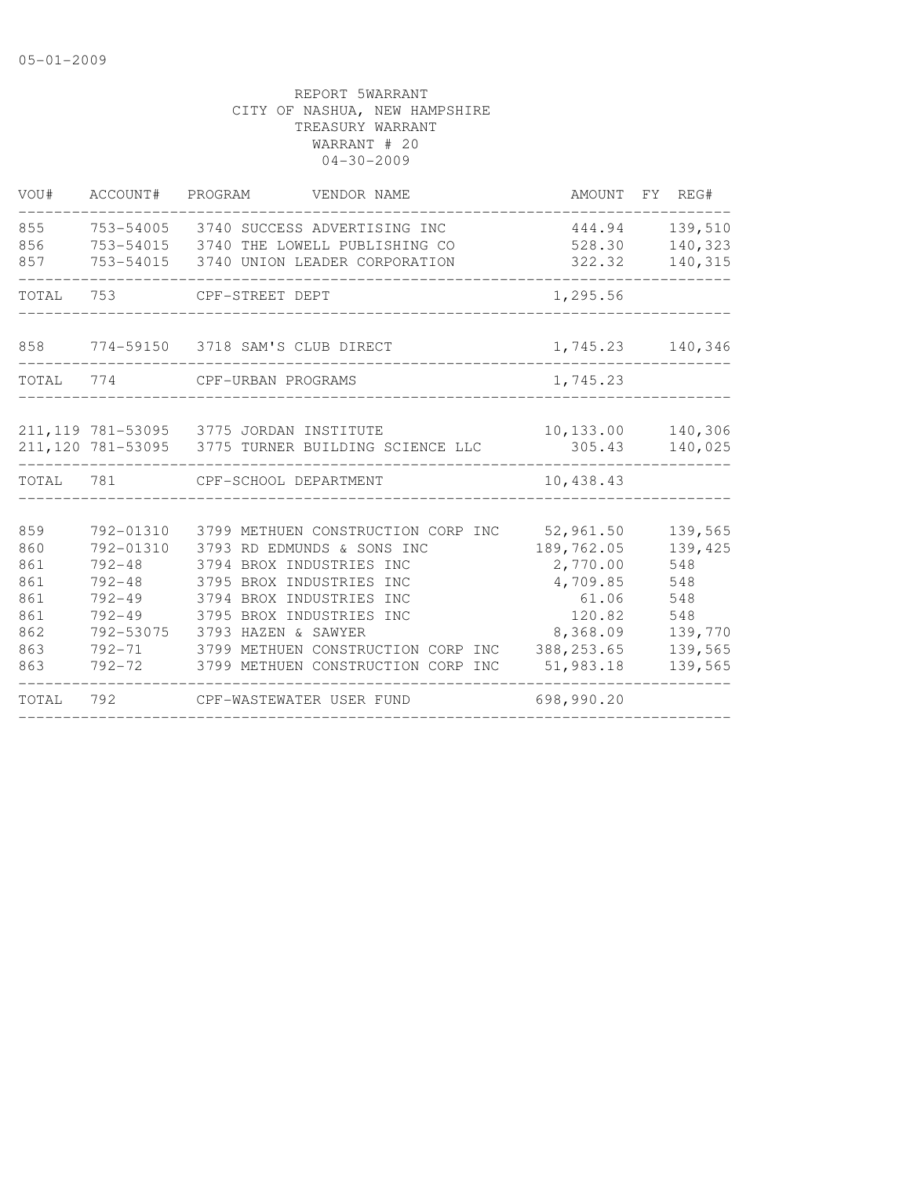| VOU#                                                        | ACCOUNT#                                                                                                  | PROGRAM<br>VENDOR NAME                                                                                                                                                                                                                                                                     |                                                                                                            | AMOUNT FY REG#                                                                  |
|-------------------------------------------------------------|-----------------------------------------------------------------------------------------------------------|--------------------------------------------------------------------------------------------------------------------------------------------------------------------------------------------------------------------------------------------------------------------------------------------|------------------------------------------------------------------------------------------------------------|---------------------------------------------------------------------------------|
| 855<br>856<br>857                                           |                                                                                                           | 753-54005 3740 SUCCESS ADVERTISING INC<br>753-54015 3740 THE LOWELL PUBLISHING CO<br>753-54015 3740 UNION LEADER CORPORATION                                                                                                                                                               | 444.94<br>528.30<br>322.32                                                                                 | 139,510<br>140,323<br>140,315                                                   |
| TOTAL                                                       | 753                                                                                                       | CPF-STREET DEPT                                                                                                                                                                                                                                                                            | 1,295.56                                                                                                   |                                                                                 |
|                                                             |                                                                                                           | 858 774-59150 3718 SAM'S CLUB DIRECT                                                                                                                                                                                                                                                       | 1,745.23                                                                                                   | 140,346                                                                         |
| TOTAL 774                                                   |                                                                                                           | CPF-URBAN PROGRAMS                                                                                                                                                                                                                                                                         | 1,745.23                                                                                                   |                                                                                 |
|                                                             |                                                                                                           | 211,119 781-53095 3775 JORDAN INSTITUTE<br>211,120 781-53095 3775 TURNER BUILDING SCIENCE LLC                                                                                                                                                                                              | 10,133.00<br>305.43                                                                                        | 140,306<br>140,025                                                              |
| TOTAL 781                                                   |                                                                                                           | CPF-SCHOOL DEPARTMENT                                                                                                                                                                                                                                                                      | 10,438.43                                                                                                  |                                                                                 |
| 859<br>860<br>861<br>861<br>861<br>861<br>862<br>863<br>863 | 792-01310<br>792-01310<br>$792 - 48$<br>$792 - 48$<br>$792 - 49$<br>$792 - 49$<br>792-53075<br>$792 - 72$ | 3799 METHUEN CONSTRUCTION CORP INC<br>3793 RD EDMUNDS & SONS INC<br>3794 BROX INDUSTRIES INC<br>3795 BROX INDUSTRIES INC<br>3794 BROX INDUSTRIES INC<br>3795 BROX INDUSTRIES INC<br>3793 HAZEN & SAWYER<br>792-71 3799 METHUEN CONSTRUCTION CORP INC<br>3799 METHUEN CONSTRUCTION CORP INC | 52,961.50<br>189,762.05<br>2,770.00<br>4,709.85<br>61.06<br>120.82<br>8,368.09<br>388, 253.65<br>51,983.18 | 139,565<br>139,425<br>548<br>548<br>548<br>548<br>139,770<br>139,565<br>139,565 |
| TOTAL                                                       | 792                                                                                                       | CPF-WASTEWATER USER FUND                                                                                                                                                                                                                                                                   | 698,990.20                                                                                                 |                                                                                 |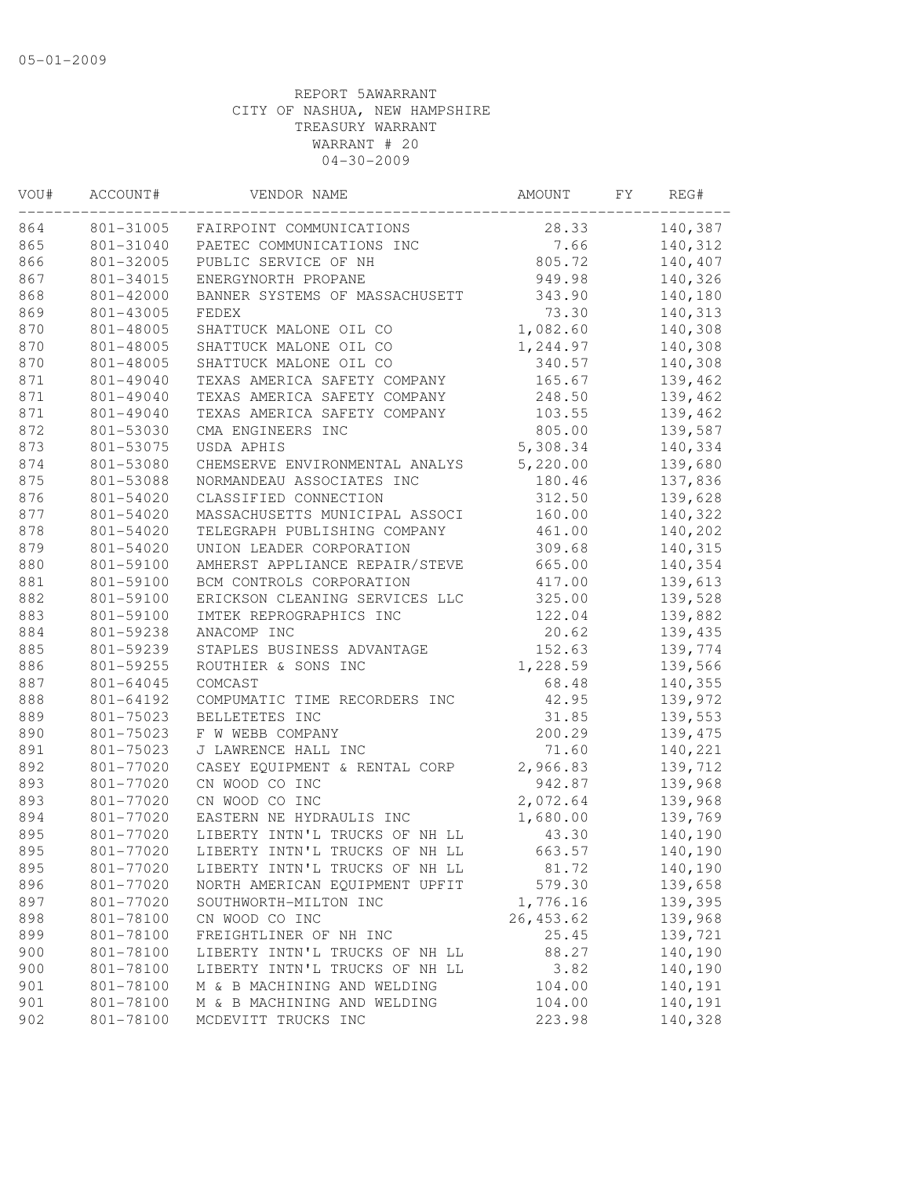| 801-31005<br>28.33<br>140,387<br>FAIRPOINT COMMUNICATIONS<br>7.66<br>140,312<br>801-31040<br>PAETEC COMMUNICATIONS INC<br>805.72<br>140,407<br>801-32005<br>PUBLIC SERVICE OF NH<br>949.98<br>801-34015<br>ENERGYNORTH PROPANE<br>140,326<br>801-42000<br>343.90<br>140,180<br>BANNER SYSTEMS OF MASSACHUSETT<br>801-43005<br>73.30<br>140,313<br>FEDEX<br>1,082.60<br>140,308<br>801-48005<br>SHATTUCK MALONE OIL CO<br>1,244.97<br>140,308<br>801-48005<br>SHATTUCK MALONE OIL CO<br>801-48005<br>SHATTUCK MALONE OIL CO<br>340.57<br>140,308<br>801-49040<br>139,462<br>TEXAS AMERICA SAFETY COMPANY<br>165.67<br>TEXAS AMERICA SAFETY COMPANY<br>801-49040<br>248.50<br>139,462<br>801-49040<br>TEXAS AMERICA SAFETY COMPANY<br>103.55<br>139,462<br>805.00<br>139,587<br>801-53030<br>CMA ENGINEERS INC<br>801-53075<br>5,308.34<br>140,334<br>USDA APHIS<br>801-53080<br>5,220.00<br>139,680<br>CHEMSERVE ENVIRONMENTAL ANALYS<br>801-53088<br>180.46<br>137,836<br>NORMANDEAU ASSOCIATES INC<br>139,628<br>801-54020<br>CLASSIFIED CONNECTION<br>312.50<br>877<br>MASSACHUSETTS MUNICIPAL ASSOCI<br>160.00<br>140,322<br>801-54020<br>878<br>140,202<br>801-54020<br>TELEGRAPH PUBLISHING COMPANY<br>461.00<br>879<br>UNION LEADER CORPORATION<br>140,315<br>801-54020<br>309.68<br>880<br>801-59100<br>AMHERST APPLIANCE REPAIR/STEVE<br>665.00<br>140,354<br>881<br>BCM CONTROLS CORPORATION<br>801-59100<br>417.00<br>139,613<br>882<br>801-59100<br>ERICKSON CLEANING SERVICES LLC<br>325.00<br>139,528<br>883<br>801-59100<br>122.04<br>139,882<br>IMTEK REPROGRAPHICS INC<br>884<br>801-59238<br>20.62<br>139,435<br>ANACOMP INC<br>885<br>152.63<br>139,774<br>801-59239<br>STAPLES BUSINESS ADVANTAGE<br>886<br>1,228.59<br>139,566<br>801-59255<br>ROUTHIER & SONS INC<br>801-64045<br>COMCAST<br>68.48<br>140,355<br>888<br>42.95<br>139,972<br>801-64192<br>COMPUMATIC TIME RECORDERS INC<br>889<br>31.85<br>801-75023<br>BELLETETES INC<br>139,553<br>890<br>200.29<br>801-75023<br>F W WEBB COMPANY<br>139, 475<br>891<br>801-75023<br>J LAWRENCE HALL INC<br>71.60<br>140,221<br>892<br>801-77020<br>CASEY EQUIPMENT & RENTAL CORP<br>2,966.83<br>139,712<br>139,968<br>893<br>801-77020<br>CN WOOD CO INC<br>942.87<br>893<br>CN WOOD CO INC<br>2,072.64<br>139,968<br>801-77020<br>894<br>801-77020<br>EASTERN NE HYDRAULIS INC<br>1,680.00<br>139,769<br>895<br>801-77020<br>LIBERTY INTN'L TRUCKS OF NH LL<br>43.30<br>140,190<br>895<br>801-77020<br>LIBERTY INTN'L TRUCKS OF NH LL<br>663.57<br>140,190<br>895<br>801-77020<br>LIBERTY INTN'L TRUCKS OF NH LL<br>81.72<br>140,190<br>579.30<br>896<br>801-77020<br>139,658<br>NORTH AMERICAN EQUIPMENT UPFIT<br>897<br>801-77020<br>1,776.16<br>139,395<br>SOUTHWORTH-MILTON INC<br>26, 453.62<br>898<br>139,968<br>801-78100<br>CN WOOD CO INC<br>25.45<br>899<br>801-78100<br>FREIGHTLINER OF NH INC<br>139,721<br>900<br>801-78100<br>88.27<br>140,190<br>LIBERTY INTN'L TRUCKS OF NH LL<br>900<br>LIBERTY INTN'L TRUCKS OF NH LL<br>140,190<br>801-78100<br>3.82<br>901<br>140,191<br>801-78100<br>M & B MACHINING AND WELDING<br>104.00<br>901<br>M & B MACHINING AND WELDING<br>140,191<br>801-78100<br>104.00<br>902<br>801-78100<br>MCDEVITT TRUCKS INC<br>223.98<br>140,328 | VOU# | ACCOUNT# | VENDOR NAME | AMOUNT | FY. | REG# |
|-----------------------------------------------------------------------------------------------------------------------------------------------------------------------------------------------------------------------------------------------------------------------------------------------------------------------------------------------------------------------------------------------------------------------------------------------------------------------------------------------------------------------------------------------------------------------------------------------------------------------------------------------------------------------------------------------------------------------------------------------------------------------------------------------------------------------------------------------------------------------------------------------------------------------------------------------------------------------------------------------------------------------------------------------------------------------------------------------------------------------------------------------------------------------------------------------------------------------------------------------------------------------------------------------------------------------------------------------------------------------------------------------------------------------------------------------------------------------------------------------------------------------------------------------------------------------------------------------------------------------------------------------------------------------------------------------------------------------------------------------------------------------------------------------------------------------------------------------------------------------------------------------------------------------------------------------------------------------------------------------------------------------------------------------------------------------------------------------------------------------------------------------------------------------------------------------------------------------------------------------------------------------------------------------------------------------------------------------------------------------------------------------------------------------------------------------------------------------------------------------------------------------------------------------------------------------------------------------------------------------------------------------------------------------------------------------------------------------------------------------------------------------------------------------------------------------------------------------------------------------------------------------------------------------------------------------------------------------------------------------------------------------------------------------------------------------------------------------------------------------------------------------------------------------------------------------------------------------------------------------------------------|------|----------|-------------|--------|-----|------|
|                                                                                                                                                                                                                                                                                                                                                                                                                                                                                                                                                                                                                                                                                                                                                                                                                                                                                                                                                                                                                                                                                                                                                                                                                                                                                                                                                                                                                                                                                                                                                                                                                                                                                                                                                                                                                                                                                                                                                                                                                                                                                                                                                                                                                                                                                                                                                                                                                                                                                                                                                                                                                                                                                                                                                                                                                                                                                                                                                                                                                                                                                                                                                                                                                                                                 | 864  |          |             |        |     |      |
|                                                                                                                                                                                                                                                                                                                                                                                                                                                                                                                                                                                                                                                                                                                                                                                                                                                                                                                                                                                                                                                                                                                                                                                                                                                                                                                                                                                                                                                                                                                                                                                                                                                                                                                                                                                                                                                                                                                                                                                                                                                                                                                                                                                                                                                                                                                                                                                                                                                                                                                                                                                                                                                                                                                                                                                                                                                                                                                                                                                                                                                                                                                                                                                                                                                                 | 865  |          |             |        |     |      |
|                                                                                                                                                                                                                                                                                                                                                                                                                                                                                                                                                                                                                                                                                                                                                                                                                                                                                                                                                                                                                                                                                                                                                                                                                                                                                                                                                                                                                                                                                                                                                                                                                                                                                                                                                                                                                                                                                                                                                                                                                                                                                                                                                                                                                                                                                                                                                                                                                                                                                                                                                                                                                                                                                                                                                                                                                                                                                                                                                                                                                                                                                                                                                                                                                                                                 | 866  |          |             |        |     |      |
|                                                                                                                                                                                                                                                                                                                                                                                                                                                                                                                                                                                                                                                                                                                                                                                                                                                                                                                                                                                                                                                                                                                                                                                                                                                                                                                                                                                                                                                                                                                                                                                                                                                                                                                                                                                                                                                                                                                                                                                                                                                                                                                                                                                                                                                                                                                                                                                                                                                                                                                                                                                                                                                                                                                                                                                                                                                                                                                                                                                                                                                                                                                                                                                                                                                                 | 867  |          |             |        |     |      |
|                                                                                                                                                                                                                                                                                                                                                                                                                                                                                                                                                                                                                                                                                                                                                                                                                                                                                                                                                                                                                                                                                                                                                                                                                                                                                                                                                                                                                                                                                                                                                                                                                                                                                                                                                                                                                                                                                                                                                                                                                                                                                                                                                                                                                                                                                                                                                                                                                                                                                                                                                                                                                                                                                                                                                                                                                                                                                                                                                                                                                                                                                                                                                                                                                                                                 | 868  |          |             |        |     |      |
|                                                                                                                                                                                                                                                                                                                                                                                                                                                                                                                                                                                                                                                                                                                                                                                                                                                                                                                                                                                                                                                                                                                                                                                                                                                                                                                                                                                                                                                                                                                                                                                                                                                                                                                                                                                                                                                                                                                                                                                                                                                                                                                                                                                                                                                                                                                                                                                                                                                                                                                                                                                                                                                                                                                                                                                                                                                                                                                                                                                                                                                                                                                                                                                                                                                                 | 869  |          |             |        |     |      |
|                                                                                                                                                                                                                                                                                                                                                                                                                                                                                                                                                                                                                                                                                                                                                                                                                                                                                                                                                                                                                                                                                                                                                                                                                                                                                                                                                                                                                                                                                                                                                                                                                                                                                                                                                                                                                                                                                                                                                                                                                                                                                                                                                                                                                                                                                                                                                                                                                                                                                                                                                                                                                                                                                                                                                                                                                                                                                                                                                                                                                                                                                                                                                                                                                                                                 | 870  |          |             |        |     |      |
|                                                                                                                                                                                                                                                                                                                                                                                                                                                                                                                                                                                                                                                                                                                                                                                                                                                                                                                                                                                                                                                                                                                                                                                                                                                                                                                                                                                                                                                                                                                                                                                                                                                                                                                                                                                                                                                                                                                                                                                                                                                                                                                                                                                                                                                                                                                                                                                                                                                                                                                                                                                                                                                                                                                                                                                                                                                                                                                                                                                                                                                                                                                                                                                                                                                                 | 870  |          |             |        |     |      |
|                                                                                                                                                                                                                                                                                                                                                                                                                                                                                                                                                                                                                                                                                                                                                                                                                                                                                                                                                                                                                                                                                                                                                                                                                                                                                                                                                                                                                                                                                                                                                                                                                                                                                                                                                                                                                                                                                                                                                                                                                                                                                                                                                                                                                                                                                                                                                                                                                                                                                                                                                                                                                                                                                                                                                                                                                                                                                                                                                                                                                                                                                                                                                                                                                                                                 | 870  |          |             |        |     |      |
|                                                                                                                                                                                                                                                                                                                                                                                                                                                                                                                                                                                                                                                                                                                                                                                                                                                                                                                                                                                                                                                                                                                                                                                                                                                                                                                                                                                                                                                                                                                                                                                                                                                                                                                                                                                                                                                                                                                                                                                                                                                                                                                                                                                                                                                                                                                                                                                                                                                                                                                                                                                                                                                                                                                                                                                                                                                                                                                                                                                                                                                                                                                                                                                                                                                                 | 871  |          |             |        |     |      |
|                                                                                                                                                                                                                                                                                                                                                                                                                                                                                                                                                                                                                                                                                                                                                                                                                                                                                                                                                                                                                                                                                                                                                                                                                                                                                                                                                                                                                                                                                                                                                                                                                                                                                                                                                                                                                                                                                                                                                                                                                                                                                                                                                                                                                                                                                                                                                                                                                                                                                                                                                                                                                                                                                                                                                                                                                                                                                                                                                                                                                                                                                                                                                                                                                                                                 | 871  |          |             |        |     |      |
|                                                                                                                                                                                                                                                                                                                                                                                                                                                                                                                                                                                                                                                                                                                                                                                                                                                                                                                                                                                                                                                                                                                                                                                                                                                                                                                                                                                                                                                                                                                                                                                                                                                                                                                                                                                                                                                                                                                                                                                                                                                                                                                                                                                                                                                                                                                                                                                                                                                                                                                                                                                                                                                                                                                                                                                                                                                                                                                                                                                                                                                                                                                                                                                                                                                                 | 871  |          |             |        |     |      |
|                                                                                                                                                                                                                                                                                                                                                                                                                                                                                                                                                                                                                                                                                                                                                                                                                                                                                                                                                                                                                                                                                                                                                                                                                                                                                                                                                                                                                                                                                                                                                                                                                                                                                                                                                                                                                                                                                                                                                                                                                                                                                                                                                                                                                                                                                                                                                                                                                                                                                                                                                                                                                                                                                                                                                                                                                                                                                                                                                                                                                                                                                                                                                                                                                                                                 | 872  |          |             |        |     |      |
|                                                                                                                                                                                                                                                                                                                                                                                                                                                                                                                                                                                                                                                                                                                                                                                                                                                                                                                                                                                                                                                                                                                                                                                                                                                                                                                                                                                                                                                                                                                                                                                                                                                                                                                                                                                                                                                                                                                                                                                                                                                                                                                                                                                                                                                                                                                                                                                                                                                                                                                                                                                                                                                                                                                                                                                                                                                                                                                                                                                                                                                                                                                                                                                                                                                                 | 873  |          |             |        |     |      |
|                                                                                                                                                                                                                                                                                                                                                                                                                                                                                                                                                                                                                                                                                                                                                                                                                                                                                                                                                                                                                                                                                                                                                                                                                                                                                                                                                                                                                                                                                                                                                                                                                                                                                                                                                                                                                                                                                                                                                                                                                                                                                                                                                                                                                                                                                                                                                                                                                                                                                                                                                                                                                                                                                                                                                                                                                                                                                                                                                                                                                                                                                                                                                                                                                                                                 | 874  |          |             |        |     |      |
|                                                                                                                                                                                                                                                                                                                                                                                                                                                                                                                                                                                                                                                                                                                                                                                                                                                                                                                                                                                                                                                                                                                                                                                                                                                                                                                                                                                                                                                                                                                                                                                                                                                                                                                                                                                                                                                                                                                                                                                                                                                                                                                                                                                                                                                                                                                                                                                                                                                                                                                                                                                                                                                                                                                                                                                                                                                                                                                                                                                                                                                                                                                                                                                                                                                                 | 875  |          |             |        |     |      |
|                                                                                                                                                                                                                                                                                                                                                                                                                                                                                                                                                                                                                                                                                                                                                                                                                                                                                                                                                                                                                                                                                                                                                                                                                                                                                                                                                                                                                                                                                                                                                                                                                                                                                                                                                                                                                                                                                                                                                                                                                                                                                                                                                                                                                                                                                                                                                                                                                                                                                                                                                                                                                                                                                                                                                                                                                                                                                                                                                                                                                                                                                                                                                                                                                                                                 | 876  |          |             |        |     |      |
|                                                                                                                                                                                                                                                                                                                                                                                                                                                                                                                                                                                                                                                                                                                                                                                                                                                                                                                                                                                                                                                                                                                                                                                                                                                                                                                                                                                                                                                                                                                                                                                                                                                                                                                                                                                                                                                                                                                                                                                                                                                                                                                                                                                                                                                                                                                                                                                                                                                                                                                                                                                                                                                                                                                                                                                                                                                                                                                                                                                                                                                                                                                                                                                                                                                                 |      |          |             |        |     |      |
|                                                                                                                                                                                                                                                                                                                                                                                                                                                                                                                                                                                                                                                                                                                                                                                                                                                                                                                                                                                                                                                                                                                                                                                                                                                                                                                                                                                                                                                                                                                                                                                                                                                                                                                                                                                                                                                                                                                                                                                                                                                                                                                                                                                                                                                                                                                                                                                                                                                                                                                                                                                                                                                                                                                                                                                                                                                                                                                                                                                                                                                                                                                                                                                                                                                                 |      |          |             |        |     |      |
|                                                                                                                                                                                                                                                                                                                                                                                                                                                                                                                                                                                                                                                                                                                                                                                                                                                                                                                                                                                                                                                                                                                                                                                                                                                                                                                                                                                                                                                                                                                                                                                                                                                                                                                                                                                                                                                                                                                                                                                                                                                                                                                                                                                                                                                                                                                                                                                                                                                                                                                                                                                                                                                                                                                                                                                                                                                                                                                                                                                                                                                                                                                                                                                                                                                                 |      |          |             |        |     |      |
|                                                                                                                                                                                                                                                                                                                                                                                                                                                                                                                                                                                                                                                                                                                                                                                                                                                                                                                                                                                                                                                                                                                                                                                                                                                                                                                                                                                                                                                                                                                                                                                                                                                                                                                                                                                                                                                                                                                                                                                                                                                                                                                                                                                                                                                                                                                                                                                                                                                                                                                                                                                                                                                                                                                                                                                                                                                                                                                                                                                                                                                                                                                                                                                                                                                                 |      |          |             |        |     |      |
|                                                                                                                                                                                                                                                                                                                                                                                                                                                                                                                                                                                                                                                                                                                                                                                                                                                                                                                                                                                                                                                                                                                                                                                                                                                                                                                                                                                                                                                                                                                                                                                                                                                                                                                                                                                                                                                                                                                                                                                                                                                                                                                                                                                                                                                                                                                                                                                                                                                                                                                                                                                                                                                                                                                                                                                                                                                                                                                                                                                                                                                                                                                                                                                                                                                                 |      |          |             |        |     |      |
|                                                                                                                                                                                                                                                                                                                                                                                                                                                                                                                                                                                                                                                                                                                                                                                                                                                                                                                                                                                                                                                                                                                                                                                                                                                                                                                                                                                                                                                                                                                                                                                                                                                                                                                                                                                                                                                                                                                                                                                                                                                                                                                                                                                                                                                                                                                                                                                                                                                                                                                                                                                                                                                                                                                                                                                                                                                                                                                                                                                                                                                                                                                                                                                                                                                                 |      |          |             |        |     |      |
|                                                                                                                                                                                                                                                                                                                                                                                                                                                                                                                                                                                                                                                                                                                                                                                                                                                                                                                                                                                                                                                                                                                                                                                                                                                                                                                                                                                                                                                                                                                                                                                                                                                                                                                                                                                                                                                                                                                                                                                                                                                                                                                                                                                                                                                                                                                                                                                                                                                                                                                                                                                                                                                                                                                                                                                                                                                                                                                                                                                                                                                                                                                                                                                                                                                                 |      |          |             |        |     |      |
|                                                                                                                                                                                                                                                                                                                                                                                                                                                                                                                                                                                                                                                                                                                                                                                                                                                                                                                                                                                                                                                                                                                                                                                                                                                                                                                                                                                                                                                                                                                                                                                                                                                                                                                                                                                                                                                                                                                                                                                                                                                                                                                                                                                                                                                                                                                                                                                                                                                                                                                                                                                                                                                                                                                                                                                                                                                                                                                                                                                                                                                                                                                                                                                                                                                                 |      |          |             |        |     |      |
|                                                                                                                                                                                                                                                                                                                                                                                                                                                                                                                                                                                                                                                                                                                                                                                                                                                                                                                                                                                                                                                                                                                                                                                                                                                                                                                                                                                                                                                                                                                                                                                                                                                                                                                                                                                                                                                                                                                                                                                                                                                                                                                                                                                                                                                                                                                                                                                                                                                                                                                                                                                                                                                                                                                                                                                                                                                                                                                                                                                                                                                                                                                                                                                                                                                                 |      |          |             |        |     |      |
|                                                                                                                                                                                                                                                                                                                                                                                                                                                                                                                                                                                                                                                                                                                                                                                                                                                                                                                                                                                                                                                                                                                                                                                                                                                                                                                                                                                                                                                                                                                                                                                                                                                                                                                                                                                                                                                                                                                                                                                                                                                                                                                                                                                                                                                                                                                                                                                                                                                                                                                                                                                                                                                                                                                                                                                                                                                                                                                                                                                                                                                                                                                                                                                                                                                                 |      |          |             |        |     |      |
|                                                                                                                                                                                                                                                                                                                                                                                                                                                                                                                                                                                                                                                                                                                                                                                                                                                                                                                                                                                                                                                                                                                                                                                                                                                                                                                                                                                                                                                                                                                                                                                                                                                                                                                                                                                                                                                                                                                                                                                                                                                                                                                                                                                                                                                                                                                                                                                                                                                                                                                                                                                                                                                                                                                                                                                                                                                                                                                                                                                                                                                                                                                                                                                                                                                                 | 887  |          |             |        |     |      |
|                                                                                                                                                                                                                                                                                                                                                                                                                                                                                                                                                                                                                                                                                                                                                                                                                                                                                                                                                                                                                                                                                                                                                                                                                                                                                                                                                                                                                                                                                                                                                                                                                                                                                                                                                                                                                                                                                                                                                                                                                                                                                                                                                                                                                                                                                                                                                                                                                                                                                                                                                                                                                                                                                                                                                                                                                                                                                                                                                                                                                                                                                                                                                                                                                                                                 |      |          |             |        |     |      |
|                                                                                                                                                                                                                                                                                                                                                                                                                                                                                                                                                                                                                                                                                                                                                                                                                                                                                                                                                                                                                                                                                                                                                                                                                                                                                                                                                                                                                                                                                                                                                                                                                                                                                                                                                                                                                                                                                                                                                                                                                                                                                                                                                                                                                                                                                                                                                                                                                                                                                                                                                                                                                                                                                                                                                                                                                                                                                                                                                                                                                                                                                                                                                                                                                                                                 |      |          |             |        |     |      |
|                                                                                                                                                                                                                                                                                                                                                                                                                                                                                                                                                                                                                                                                                                                                                                                                                                                                                                                                                                                                                                                                                                                                                                                                                                                                                                                                                                                                                                                                                                                                                                                                                                                                                                                                                                                                                                                                                                                                                                                                                                                                                                                                                                                                                                                                                                                                                                                                                                                                                                                                                                                                                                                                                                                                                                                                                                                                                                                                                                                                                                                                                                                                                                                                                                                                 |      |          |             |        |     |      |
|                                                                                                                                                                                                                                                                                                                                                                                                                                                                                                                                                                                                                                                                                                                                                                                                                                                                                                                                                                                                                                                                                                                                                                                                                                                                                                                                                                                                                                                                                                                                                                                                                                                                                                                                                                                                                                                                                                                                                                                                                                                                                                                                                                                                                                                                                                                                                                                                                                                                                                                                                                                                                                                                                                                                                                                                                                                                                                                                                                                                                                                                                                                                                                                                                                                                 |      |          |             |        |     |      |
|                                                                                                                                                                                                                                                                                                                                                                                                                                                                                                                                                                                                                                                                                                                                                                                                                                                                                                                                                                                                                                                                                                                                                                                                                                                                                                                                                                                                                                                                                                                                                                                                                                                                                                                                                                                                                                                                                                                                                                                                                                                                                                                                                                                                                                                                                                                                                                                                                                                                                                                                                                                                                                                                                                                                                                                                                                                                                                                                                                                                                                                                                                                                                                                                                                                                 |      |          |             |        |     |      |
|                                                                                                                                                                                                                                                                                                                                                                                                                                                                                                                                                                                                                                                                                                                                                                                                                                                                                                                                                                                                                                                                                                                                                                                                                                                                                                                                                                                                                                                                                                                                                                                                                                                                                                                                                                                                                                                                                                                                                                                                                                                                                                                                                                                                                                                                                                                                                                                                                                                                                                                                                                                                                                                                                                                                                                                                                                                                                                                                                                                                                                                                                                                                                                                                                                                                 |      |          |             |        |     |      |
|                                                                                                                                                                                                                                                                                                                                                                                                                                                                                                                                                                                                                                                                                                                                                                                                                                                                                                                                                                                                                                                                                                                                                                                                                                                                                                                                                                                                                                                                                                                                                                                                                                                                                                                                                                                                                                                                                                                                                                                                                                                                                                                                                                                                                                                                                                                                                                                                                                                                                                                                                                                                                                                                                                                                                                                                                                                                                                                                                                                                                                                                                                                                                                                                                                                                 |      |          |             |        |     |      |
|                                                                                                                                                                                                                                                                                                                                                                                                                                                                                                                                                                                                                                                                                                                                                                                                                                                                                                                                                                                                                                                                                                                                                                                                                                                                                                                                                                                                                                                                                                                                                                                                                                                                                                                                                                                                                                                                                                                                                                                                                                                                                                                                                                                                                                                                                                                                                                                                                                                                                                                                                                                                                                                                                                                                                                                                                                                                                                                                                                                                                                                                                                                                                                                                                                                                 |      |          |             |        |     |      |
|                                                                                                                                                                                                                                                                                                                                                                                                                                                                                                                                                                                                                                                                                                                                                                                                                                                                                                                                                                                                                                                                                                                                                                                                                                                                                                                                                                                                                                                                                                                                                                                                                                                                                                                                                                                                                                                                                                                                                                                                                                                                                                                                                                                                                                                                                                                                                                                                                                                                                                                                                                                                                                                                                                                                                                                                                                                                                                                                                                                                                                                                                                                                                                                                                                                                 |      |          |             |        |     |      |
|                                                                                                                                                                                                                                                                                                                                                                                                                                                                                                                                                                                                                                                                                                                                                                                                                                                                                                                                                                                                                                                                                                                                                                                                                                                                                                                                                                                                                                                                                                                                                                                                                                                                                                                                                                                                                                                                                                                                                                                                                                                                                                                                                                                                                                                                                                                                                                                                                                                                                                                                                                                                                                                                                                                                                                                                                                                                                                                                                                                                                                                                                                                                                                                                                                                                 |      |          |             |        |     |      |
|                                                                                                                                                                                                                                                                                                                                                                                                                                                                                                                                                                                                                                                                                                                                                                                                                                                                                                                                                                                                                                                                                                                                                                                                                                                                                                                                                                                                                                                                                                                                                                                                                                                                                                                                                                                                                                                                                                                                                                                                                                                                                                                                                                                                                                                                                                                                                                                                                                                                                                                                                                                                                                                                                                                                                                                                                                                                                                                                                                                                                                                                                                                                                                                                                                                                 |      |          |             |        |     |      |
|                                                                                                                                                                                                                                                                                                                                                                                                                                                                                                                                                                                                                                                                                                                                                                                                                                                                                                                                                                                                                                                                                                                                                                                                                                                                                                                                                                                                                                                                                                                                                                                                                                                                                                                                                                                                                                                                                                                                                                                                                                                                                                                                                                                                                                                                                                                                                                                                                                                                                                                                                                                                                                                                                                                                                                                                                                                                                                                                                                                                                                                                                                                                                                                                                                                                 |      |          |             |        |     |      |
|                                                                                                                                                                                                                                                                                                                                                                                                                                                                                                                                                                                                                                                                                                                                                                                                                                                                                                                                                                                                                                                                                                                                                                                                                                                                                                                                                                                                                                                                                                                                                                                                                                                                                                                                                                                                                                                                                                                                                                                                                                                                                                                                                                                                                                                                                                                                                                                                                                                                                                                                                                                                                                                                                                                                                                                                                                                                                                                                                                                                                                                                                                                                                                                                                                                                 |      |          |             |        |     |      |
|                                                                                                                                                                                                                                                                                                                                                                                                                                                                                                                                                                                                                                                                                                                                                                                                                                                                                                                                                                                                                                                                                                                                                                                                                                                                                                                                                                                                                                                                                                                                                                                                                                                                                                                                                                                                                                                                                                                                                                                                                                                                                                                                                                                                                                                                                                                                                                                                                                                                                                                                                                                                                                                                                                                                                                                                                                                                                                                                                                                                                                                                                                                                                                                                                                                                 |      |          |             |        |     |      |
|                                                                                                                                                                                                                                                                                                                                                                                                                                                                                                                                                                                                                                                                                                                                                                                                                                                                                                                                                                                                                                                                                                                                                                                                                                                                                                                                                                                                                                                                                                                                                                                                                                                                                                                                                                                                                                                                                                                                                                                                                                                                                                                                                                                                                                                                                                                                                                                                                                                                                                                                                                                                                                                                                                                                                                                                                                                                                                                                                                                                                                                                                                                                                                                                                                                                 |      |          |             |        |     |      |
|                                                                                                                                                                                                                                                                                                                                                                                                                                                                                                                                                                                                                                                                                                                                                                                                                                                                                                                                                                                                                                                                                                                                                                                                                                                                                                                                                                                                                                                                                                                                                                                                                                                                                                                                                                                                                                                                                                                                                                                                                                                                                                                                                                                                                                                                                                                                                                                                                                                                                                                                                                                                                                                                                                                                                                                                                                                                                                                                                                                                                                                                                                                                                                                                                                                                 |      |          |             |        |     |      |
|                                                                                                                                                                                                                                                                                                                                                                                                                                                                                                                                                                                                                                                                                                                                                                                                                                                                                                                                                                                                                                                                                                                                                                                                                                                                                                                                                                                                                                                                                                                                                                                                                                                                                                                                                                                                                                                                                                                                                                                                                                                                                                                                                                                                                                                                                                                                                                                                                                                                                                                                                                                                                                                                                                                                                                                                                                                                                                                                                                                                                                                                                                                                                                                                                                                                 |      |          |             |        |     |      |
|                                                                                                                                                                                                                                                                                                                                                                                                                                                                                                                                                                                                                                                                                                                                                                                                                                                                                                                                                                                                                                                                                                                                                                                                                                                                                                                                                                                                                                                                                                                                                                                                                                                                                                                                                                                                                                                                                                                                                                                                                                                                                                                                                                                                                                                                                                                                                                                                                                                                                                                                                                                                                                                                                                                                                                                                                                                                                                                                                                                                                                                                                                                                                                                                                                                                 |      |          |             |        |     |      |
|                                                                                                                                                                                                                                                                                                                                                                                                                                                                                                                                                                                                                                                                                                                                                                                                                                                                                                                                                                                                                                                                                                                                                                                                                                                                                                                                                                                                                                                                                                                                                                                                                                                                                                                                                                                                                                                                                                                                                                                                                                                                                                                                                                                                                                                                                                                                                                                                                                                                                                                                                                                                                                                                                                                                                                                                                                                                                                                                                                                                                                                                                                                                                                                                                                                                 |      |          |             |        |     |      |
|                                                                                                                                                                                                                                                                                                                                                                                                                                                                                                                                                                                                                                                                                                                                                                                                                                                                                                                                                                                                                                                                                                                                                                                                                                                                                                                                                                                                                                                                                                                                                                                                                                                                                                                                                                                                                                                                                                                                                                                                                                                                                                                                                                                                                                                                                                                                                                                                                                                                                                                                                                                                                                                                                                                                                                                                                                                                                                                                                                                                                                                                                                                                                                                                                                                                 |      |          |             |        |     |      |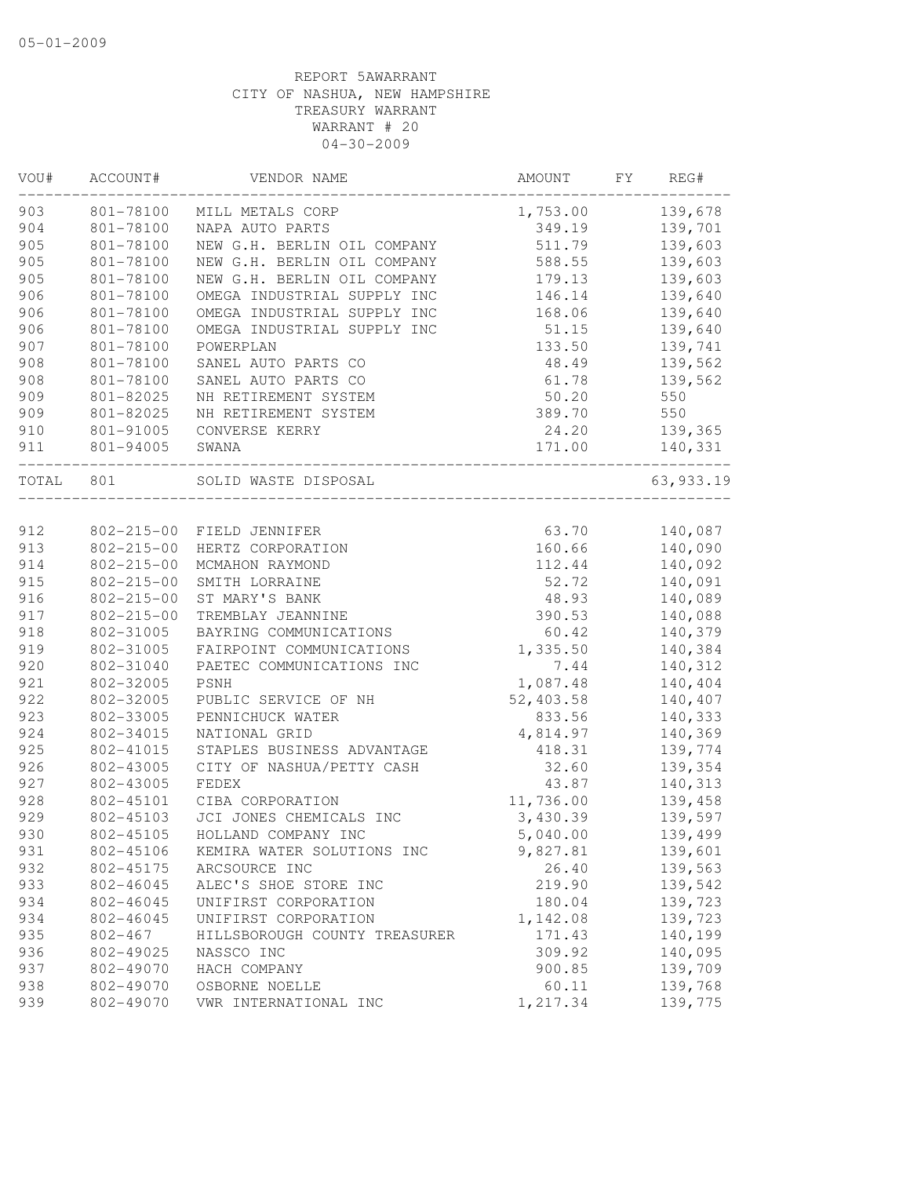| VOU#      | ACCOUNT#         | VENDOR NAME                   | AMOUNT    | FY. | REG#      |
|-----------|------------------|-------------------------------|-----------|-----|-----------|
| 903       | 801-78100        | MILL METALS CORP              | 1,753.00  |     | 139,678   |
| 904       | 801-78100        | NAPA AUTO PARTS               | 349.19    |     | 139,701   |
| 905       | 801-78100        | NEW G.H. BERLIN OIL COMPANY   | 511.79    |     | 139,603   |
| 905       | 801-78100        | NEW G.H. BERLIN OIL COMPANY   | 588.55    |     | 139,603   |
| 905       | 801-78100        | NEW G.H. BERLIN OIL COMPANY   | 179.13    |     | 139,603   |
| 906       | 801-78100        | OMEGA INDUSTRIAL SUPPLY INC   | 146.14    |     | 139,640   |
| 906       | 801-78100        | OMEGA INDUSTRIAL SUPPLY INC   | 168.06    |     | 139,640   |
| 906       | 801-78100        | OMEGA INDUSTRIAL SUPPLY INC   | 51.15     |     | 139,640   |
| 907       | 801-78100        | POWERPLAN                     | 133.50    |     | 139,741   |
| 908       | 801-78100        | SANEL AUTO PARTS CO           | 48.49     |     | 139,562   |
| 908       | 801-78100        | SANEL AUTO PARTS CO           | 61.78     |     | 139,562   |
| 909       | 801-82025        | NH RETIREMENT SYSTEM          | 50.20     |     | 550       |
| 909       | 801-82025        | NH RETIREMENT SYSTEM          | 389.70    |     | 550       |
| 910       | 801-91005        | CONVERSE KERRY                | 24.20     |     | 139,365   |
| 911       | 801-94005        | SWANA                         | 171.00    |     | 140,331   |
| TOTAL 801 |                  | SOLID WASTE DISPOSAL          |           |     | 63,933.19 |
|           |                  |                               |           |     |           |
| 912       |                  | 802-215-00 FIELD JENNIFER     | 63.70     |     | 140,087   |
| 913       | $802 - 215 - 00$ | HERTZ CORPORATION             | 160.66    |     | 140,090   |
| 914       | $802 - 215 - 00$ | MCMAHON RAYMOND               | 112.44    |     | 140,092   |
| 915       | $802 - 215 - 00$ | SMITH LORRAINE                | 52.72     |     | 140,091   |
| 916       | $802 - 215 - 00$ | ST MARY'S BANK                | 48.93     |     | 140,089   |
| 917       | $802 - 215 - 00$ | TREMBLAY JEANNINE             | 390.53    |     | 140,088   |
| 918       | 802-31005        | BAYRING COMMUNICATIONS        | 60.42     |     | 140,379   |
| 919       | 802-31005        | FAIRPOINT COMMUNICATIONS      | 1,335.50  |     | 140,384   |
| 920       | 802-31040        | PAETEC COMMUNICATIONS INC     | 7.44      |     | 140,312   |
| 921       | 802-32005        | PSNH                          | 1,087.48  |     | 140,404   |
| 922       | 802-32005        | PUBLIC SERVICE OF NH          | 52,403.58 |     | 140,407   |
| 923       | 802-33005        | PENNICHUCK WATER              | 833.56    |     | 140,333   |
| 924       | 802-34015        | NATIONAL GRID                 | 4,814.97  |     | 140,369   |
| 925       | 802-41015        | STAPLES BUSINESS ADVANTAGE    | 418.31    |     | 139,774   |
| 926       | 802-43005        | CITY OF NASHUA/PETTY CASH     | 32.60     |     | 139,354   |
| 927       | 802-43005        | FEDEX                         | 43.87     |     | 140,313   |
| 928       | 802-45101        | CIBA CORPORATION              | 11,736.00 |     | 139,458   |
| 929       | 802-45103        | JCI JONES CHEMICALS INC       | 3,430.39  |     | 139,597   |
| 930       | 802-45105        | HOLLAND COMPANY INC           | 5,040.00  |     | 139,499   |
| 931       | 802-45106        | KEMIRA WATER SOLUTIONS INC    | 9,827.81  |     | 139,601   |
| 932       | 802-45175        | ARCSOURCE INC                 | 26.40     |     | 139,563   |
| 933       | 802-46045        | ALEC'S SHOE STORE INC         | 219.90    |     | 139,542   |
| 934       | 802-46045        | UNIFIRST CORPORATION          | 180.04    |     | 139,723   |
| 934       | 802-46045        | UNIFIRST CORPORATION          | 1,142.08  |     | 139,723   |
| 935       | $802 - 467$      | HILLSBOROUGH COUNTY TREASURER | 171.43    |     | 140,199   |
| 936       | 802-49025        | NASSCO INC                    | 309.92    |     | 140,095   |
| 937       | 802-49070        | HACH COMPANY                  | 900.85    |     | 139,709   |
| 938       | 802-49070        | OSBORNE NOELLE                | 60.11     |     | 139,768   |
| 939       | 802-49070        | VWR INTERNATIONAL INC         | 1,217.34  |     | 139,775   |
|           |                  |                               |           |     |           |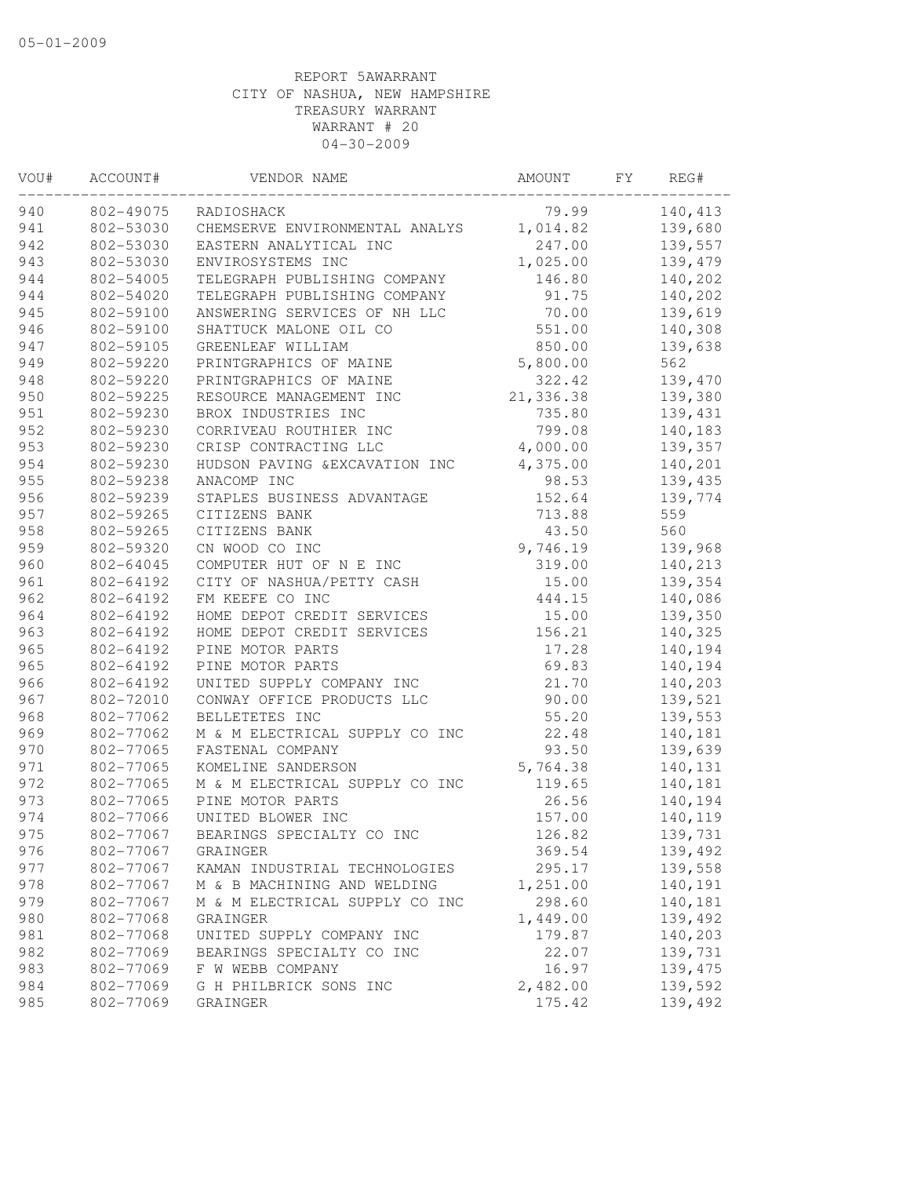| VOU# | ACCOUNT#  | VENDOR NAME                    | AMOUNT    | FY. | REG#     |
|------|-----------|--------------------------------|-----------|-----|----------|
| 940  | 802-49075 | RADIOSHACK                     | 79.99     |     | 140, 413 |
| 941  | 802-53030 | CHEMSERVE ENVIRONMENTAL ANALYS | 1,014.82  |     | 139,680  |
| 942  | 802-53030 | EASTERN ANALYTICAL INC         | 247.00    |     | 139,557  |
| 943  | 802-53030 | ENVIROSYSTEMS INC              | 1,025.00  |     | 139,479  |
| 944  | 802-54005 | TELEGRAPH PUBLISHING COMPANY   | 146.80    |     | 140,202  |
| 944  | 802-54020 | TELEGRAPH PUBLISHING COMPANY   | 91.75     |     | 140,202  |
| 945  | 802-59100 | ANSWERING SERVICES OF NH LLC   | 70.00     |     | 139,619  |
| 946  | 802-59100 | SHATTUCK MALONE OIL CO         | 551.00    |     | 140,308  |
| 947  | 802-59105 | GREENLEAF WILLIAM              | 850.00    |     | 139,638  |
| 949  | 802-59220 | PRINTGRAPHICS OF MAINE         | 5,800.00  |     | 562      |
| 948  | 802-59220 | PRINTGRAPHICS OF MAINE         | 322.42    |     | 139,470  |
| 950  | 802-59225 | RESOURCE MANAGEMENT INC        | 21,336.38 |     | 139,380  |
| 951  | 802-59230 | BROX INDUSTRIES INC            | 735.80    |     | 139,431  |
| 952  | 802-59230 | CORRIVEAU ROUTHIER INC         | 799.08    |     | 140,183  |
| 953  | 802-59230 | CRISP CONTRACTING LLC          | 4,000.00  |     | 139,357  |
| 954  | 802-59230 | HUDSON PAVING & EXCAVATION INC | 4,375.00  |     | 140,201  |
| 955  | 802-59238 | ANACOMP INC                    | 98.53     |     | 139, 435 |
| 956  | 802-59239 | STAPLES BUSINESS ADVANTAGE     | 152.64    |     | 139,774  |
| 957  | 802-59265 | CITIZENS BANK                  | 713.88    |     | 559      |
| 958  | 802-59265 | CITIZENS BANK                  | 43.50     |     | 560      |
| 959  | 802-59320 | CN WOOD CO INC                 | 9,746.19  |     | 139,968  |
| 960  | 802-64045 | COMPUTER HUT OF N E INC        | 319.00    |     | 140,213  |
| 961  | 802-64192 | CITY OF NASHUA/PETTY CASH      | 15.00     |     | 139,354  |
| 962  | 802-64192 | FM KEEFE CO INC                | 444.15    |     | 140,086  |
| 964  | 802-64192 | HOME DEPOT CREDIT SERVICES     | 15.00     |     | 139,350  |
| 963  | 802-64192 | HOME DEPOT CREDIT SERVICES     | 156.21    |     | 140,325  |
| 965  | 802-64192 | PINE MOTOR PARTS               | 17.28     |     | 140,194  |
| 965  | 802-64192 | PINE MOTOR PARTS               | 69.83     |     | 140,194  |
| 966  | 802-64192 | UNITED SUPPLY COMPANY INC      | 21.70     |     | 140,203  |
| 967  | 802-72010 | CONWAY OFFICE PRODUCTS LLC     | 90.00     |     | 139,521  |
| 968  | 802-77062 | BELLETETES INC                 | 55.20     |     | 139,553  |
| 969  | 802-77062 | M & M ELECTRICAL SUPPLY CO INC | 22.48     |     | 140,181  |
| 970  | 802-77065 | FASTENAL COMPANY               | 93.50     |     | 139,639  |
| 971  | 802-77065 | KOMELINE SANDERSON             | 5,764.38  |     | 140,131  |
| 972  | 802-77065 | M & M ELECTRICAL SUPPLY CO INC | 119.65    |     | 140,181  |
| 973  | 802-77065 | PINE MOTOR PARTS               | 26.56     |     | 140,194  |
| 974  | 802-77066 | UNITED BLOWER INC              | 157.00    |     | 140,119  |
| 975  | 802-77067 | BEARINGS SPECIALTY CO INC      | 126.82    |     | 139,731  |
| 976  | 802-77067 | GRAINGER                       | 369.54    |     | 139,492  |
| 977  | 802-77067 | KAMAN INDUSTRIAL TECHNOLOGIES  | 295.17    |     | 139,558  |
| 978  | 802-77067 | M & B MACHINING AND WELDING    | 1,251.00  |     | 140,191  |
| 979  | 802-77067 | M & M ELECTRICAL SUPPLY CO INC | 298.60    |     | 140,181  |
| 980  | 802-77068 | GRAINGER                       | 1,449.00  |     | 139,492  |
| 981  | 802-77068 | UNITED SUPPLY COMPANY INC      | 179.87    |     | 140,203  |
| 982  | 802-77069 | BEARINGS SPECIALTY CO INC      | 22.07     |     | 139,731  |
| 983  | 802-77069 | F W WEBB COMPANY               | 16.97     |     | 139, 475 |
| 984  | 802-77069 | G H PHILBRICK SONS INC         | 2,482.00  |     | 139,592  |
| 985  | 802-77069 | GRAINGER                       | 175.42    |     | 139,492  |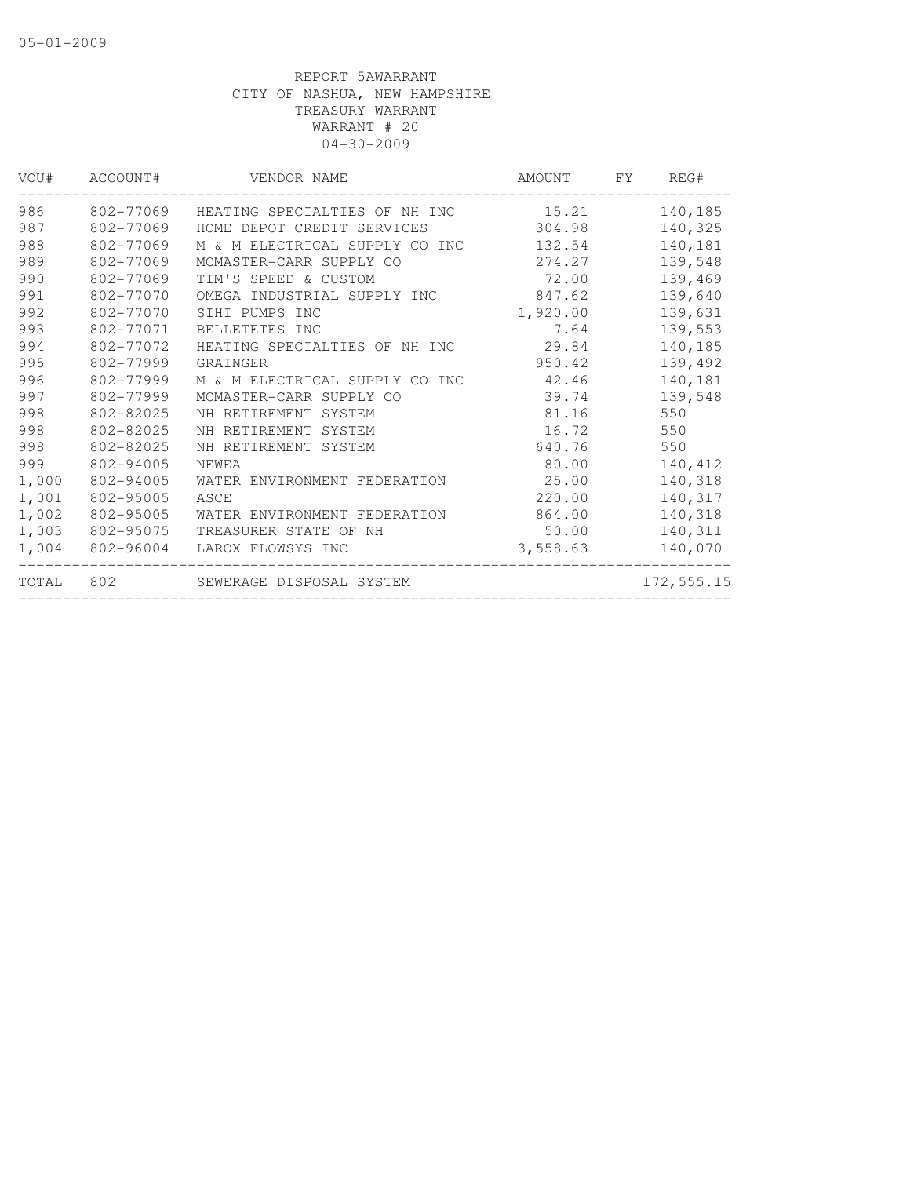| VOU#  | ACCOUNT#  | VENDOR NAME                    | AMOUNT   | FY. | REG#       |
|-------|-----------|--------------------------------|----------|-----|------------|
| 986   | 802-77069 | HEATING SPECIALTIES OF NH INC  | 15.21    |     | 140,185    |
| 987   | 802-77069 | HOME DEPOT CREDIT SERVICES     | 304.98   |     | 140,325    |
| 988   | 802-77069 | M & M ELECTRICAL SUPPLY CO INC | 132.54   |     | 140,181    |
| 989   | 802-77069 | MCMASTER-CARR SUPPLY CO        | 274.27   |     | 139,548    |
| 990   | 802-77069 | TIM'S SPEED & CUSTOM           | 72.00    |     | 139,469    |
| 991   | 802-77070 | OMEGA INDUSTRIAL SUPPLY INC    | 847.62   |     | 139,640    |
| 992   | 802-77070 | SIHI PUMPS INC                 | 1,920.00 |     | 139,631    |
| 993   | 802-77071 | BELLETETES INC                 | 7.64     |     | 139,553    |
| 994   | 802-77072 | HEATING SPECIALTIES OF NH INC  | 29.84    |     | 140,185    |
| 995   | 802-77999 | GRAINGER                       | 950.42   |     | 139,492    |
| 996   | 802-77999 | M & M ELECTRICAL SUPPLY CO INC | 42.46    |     | 140,181    |
| 997   | 802-77999 | MCMASTER-CARR SUPPLY CO        | 39.74    |     | 139,548    |
| 998   | 802-82025 | NH RETIREMENT SYSTEM           | 81.16    |     | 550        |
| 998   | 802-82025 | NH RETIREMENT SYSTEM           | 16.72    |     | 550        |
| 998   | 802-82025 | NH RETIREMENT SYSTEM           | 640.76   |     | 550        |
| 999   | 802-94005 | NEWEA                          | 80.00    |     | 140,412    |
| 1,000 | 802-94005 | WATER ENVIRONMENT FEDERATION   | 25.00    |     | 140,318    |
| 1,001 | 802-95005 | ASCE                           | 220.00   |     | 140,317    |
| 1,002 | 802-95005 | WATER ENVIRONMENT FEDERATION   | 864.00   |     | 140,318    |
| 1,003 | 802-95075 | TREASURER STATE OF NH          | 50.00    |     | 140,311    |
| 1,004 | 802-96004 | LAROX FLOWSYS INC              | 3,558.63 |     | 140,070    |
| TOTAL | 802       | SEWERAGE DISPOSAL SYSTEM       |          |     | 172,555.15 |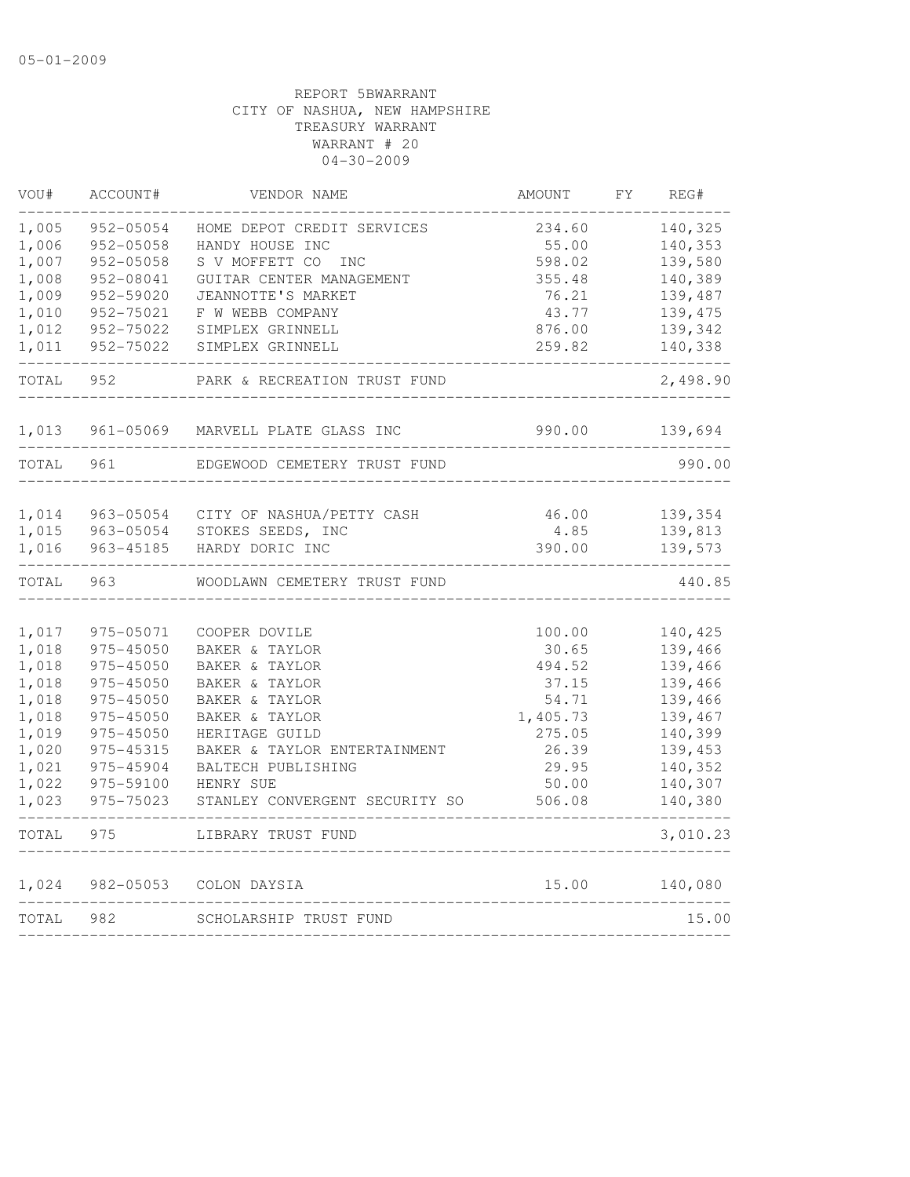| VOU#  | ACCOUNT#  | VENDOR NAME                    | AMOUNT   | FΥ | REG#     |
|-------|-----------|--------------------------------|----------|----|----------|
| 1,005 | 952-05054 | HOME DEPOT CREDIT SERVICES     | 234.60   |    | 140,325  |
| 1,006 | 952-05058 | HANDY HOUSE INC                | 55.00    |    | 140,353  |
| 1,007 | 952-05058 | S V MOFFETT CO<br><b>INC</b>   | 598.02   |    | 139,580  |
| 1,008 | 952-08041 | GUITAR CENTER MANAGEMENT       | 355.48   |    | 140,389  |
| 1,009 | 952-59020 | JEANNOTTE'S MARKET             | 76.21    |    | 139,487  |
| 1,010 | 952-75021 | F W WEBB COMPANY               | 43.77    |    | 139, 475 |
| 1,012 | 952-75022 | SIMPLEX GRINNELL               | 876.00   |    | 139,342  |
| 1,011 | 952-75022 | SIMPLEX GRINNELL               | 259.82   |    | 140,338  |
| TOTAL | 952       | PARK & RECREATION TRUST FUND   |          |    | 2,498.90 |
| 1,013 | 961-05069 | MARVELL PLATE GLASS INC        | 990.00   |    | 139,694  |
| TOTAL | 961       | EDGEWOOD CEMETERY TRUST FUND   |          |    | 990.00   |
| 1,014 | 963-05054 | CITY OF NASHUA/PETTY CASH      | 46.00    |    | 139,354  |
| 1,015 | 963-05054 | STOKES SEEDS, INC              | 4.85     |    | 139,813  |
| 1,016 | 963-45185 | HARDY DORIC INC                | 390.00   |    | 139,573  |
|       |           |                                |          |    |          |
| TOTAL | 963       | WOODLAWN CEMETERY TRUST FUND   |          |    | 440.85   |
| 1,017 | 975-05071 | COOPER DOVILE                  | 100.00   |    | 140,425  |
| 1,018 | 975-45050 | BAKER & TAYLOR                 | 30.65    |    | 139,466  |
| 1,018 | 975-45050 | BAKER & TAYLOR                 | 494.52   |    | 139,466  |
| 1,018 | 975-45050 | BAKER & TAYLOR                 | 37.15    |    | 139,466  |
| 1,018 | 975-45050 | BAKER & TAYLOR                 | 54.71    |    | 139,466  |
| 1,018 | 975-45050 | BAKER & TAYLOR                 | 1,405.73 |    | 139,467  |
| 1,019 | 975-45050 | HERITAGE GUILD                 | 275.05   |    | 140,399  |
| 1,020 | 975-45315 | BAKER & TAYLOR ENTERTAINMENT   | 26.39    |    | 139, 453 |
| 1,021 | 975-45904 | BALTECH PUBLISHING             | 29.95    |    | 140,352  |
| 1,022 | 975-59100 | HENRY SUE                      | 50.00    |    | 140,307  |
| 1,023 | 975-75023 | STANLEY CONVERGENT SECURITY SO | 506.08   |    | 140,380  |
| TOTAL | 975       | LIBRARY TRUST FUND             |          |    | 3,010.23 |
| 1,024 | 982-05053 | COLON DAYSIA                   | 15.00    |    | 140,080  |
| TOTAL | 982       | SCHOLARSHIP TRUST FUND         |          |    | 15.00    |
|       |           |                                |          |    |          |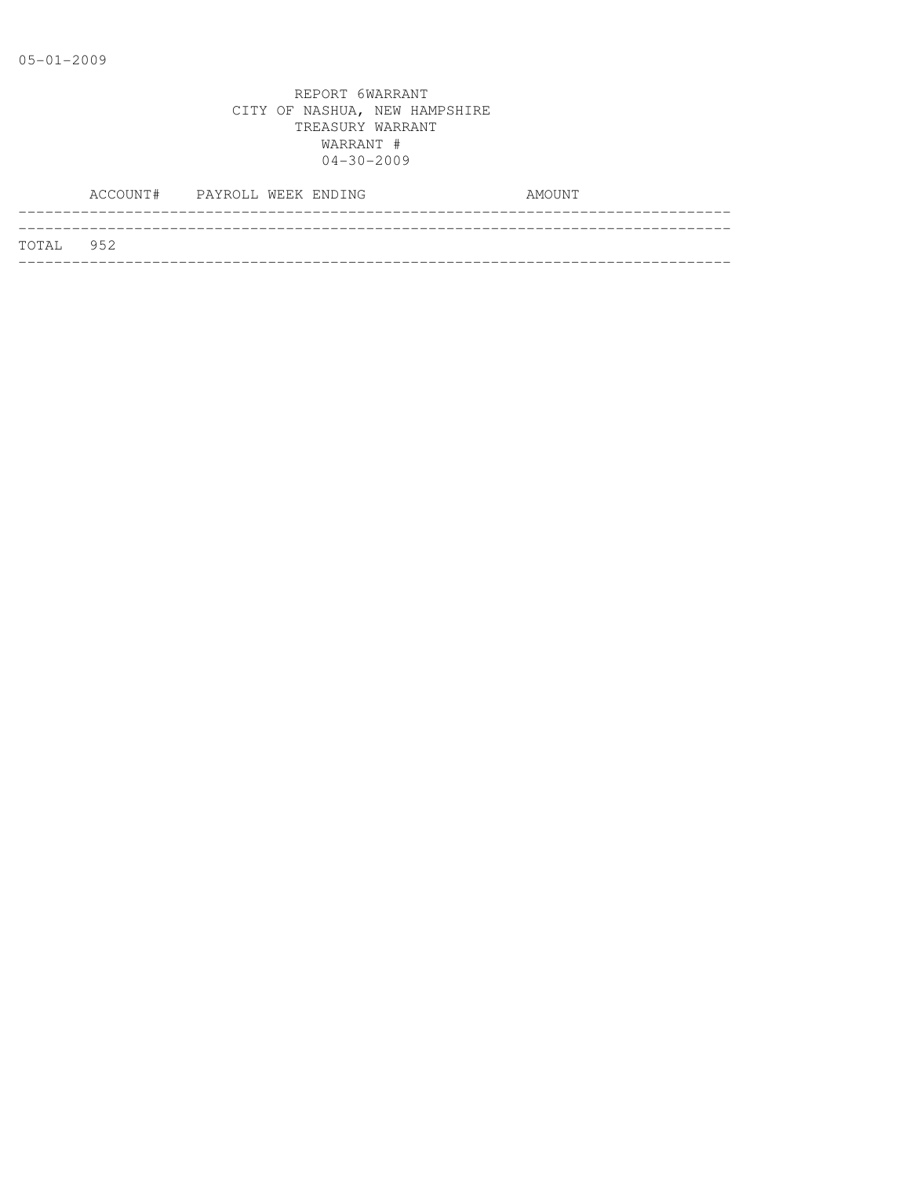|           | ACCOUNT# PAYROLL WEEK ENDING |  |  | AMOUNT |  |
|-----------|------------------------------|--|--|--------|--|
|           |                              |  |  |        |  |
| TOTAL 952 |                              |  |  |        |  |
|           |                              |  |  |        |  |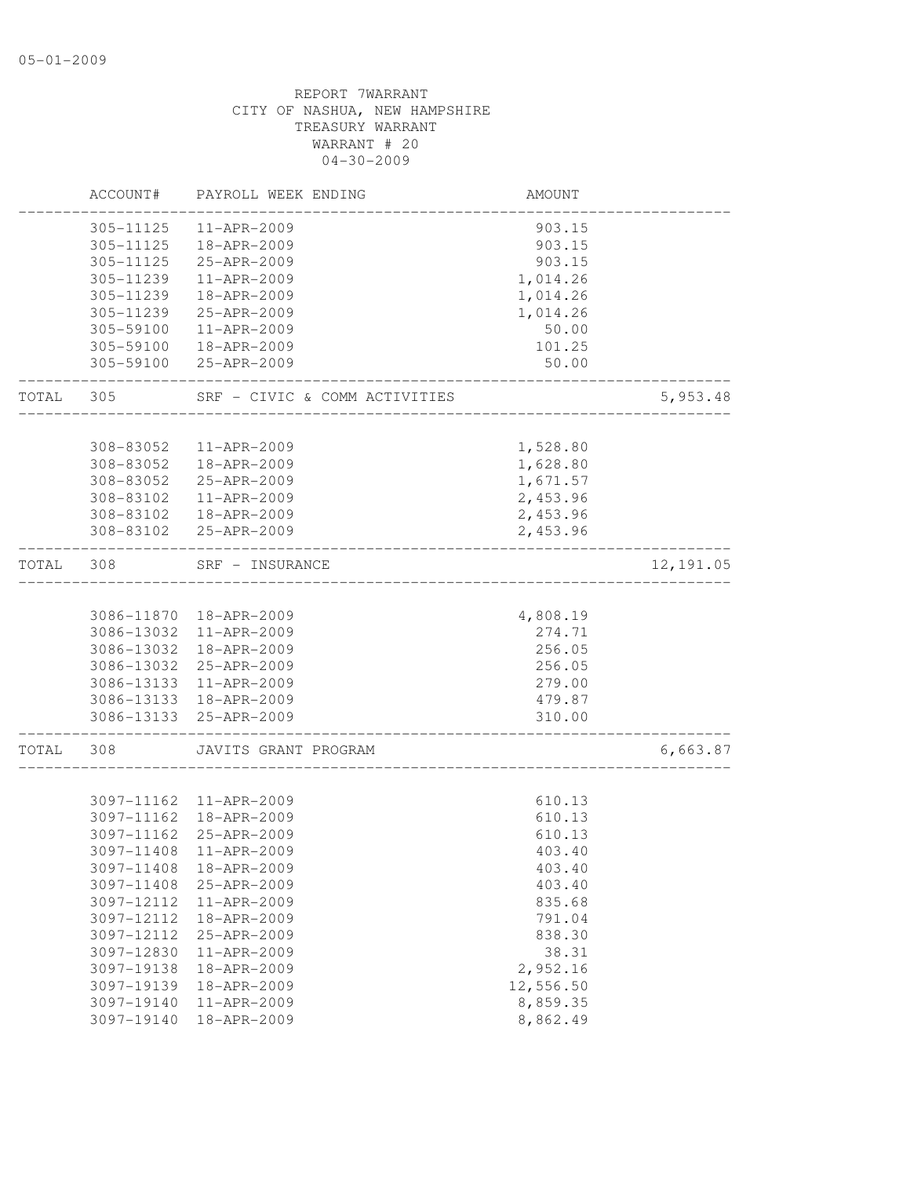|       | ACCOUNT#   | PAYROLL WEEK ENDING                           | AMOUNT               |           |
|-------|------------|-----------------------------------------------|----------------------|-----------|
|       | 305-11125  | $11 - APR - 2009$                             | 903.15               |           |
|       | 305-11125  | 18-APR-2009                                   | 903.15               |           |
|       | 305-11125  | 25-APR-2009                                   | 903.15               |           |
|       | 305-11239  | 11-APR-2009                                   | 1,014.26             |           |
|       | 305-11239  | 18-APR-2009                                   | 1,014.26             |           |
|       | 305-11239  | 25-APR-2009                                   | 1,014.26             |           |
|       | 305-59100  | 11-APR-2009                                   | 50.00                |           |
|       | 305-59100  | 18-APR-2009                                   | 101.25               |           |
|       | 305-59100  | 25-APR-2009                                   | 50.00                |           |
| TOTAL | 305        | SRF - CIVIC & COMM ACTIVITIES                 |                      | 5,953.48  |
|       | 308-83052  | 11-APR-2009                                   | 1,528.80             |           |
|       | 308-83052  | 18-APR-2009                                   | 1,628.80             |           |
|       | 308-83052  | 25-APR-2009                                   | 1,671.57             |           |
|       | 308-83102  | 11-APR-2009                                   | 2,453.96             |           |
|       | 308-83102  | 18-APR-2009                                   |                      |           |
|       | 308-83102  | 25-APR-2009                                   | 2,453.96<br>2,453.96 |           |
|       |            |                                               |                      |           |
| TOTAL | 308        | SRF - INSURANCE<br>__________________________ |                      | 12,191.05 |
|       |            |                                               |                      |           |
|       |            | 3086-11870  18-APR-2009                       | 4,808.19             |           |
|       | 3086-13032 | 11-APR-2009                                   | 274.71               |           |
|       | 3086-13032 | 18-APR-2009                                   | 256.05               |           |
|       | 3086-13032 | 25-APR-2009                                   | 256.05               |           |
|       | 3086-13133 | 11-APR-2009                                   | 279.00               |           |
|       |            | 3086-13133 18-APR-2009                        | 479.87               |           |
|       |            | 3086-13133 25-APR-2009                        | 310.00               |           |
| TOTAL | 308        | JAVITS GRANT PROGRAM                          |                      | 6,663.87  |
|       |            |                                               |                      |           |
|       |            | 3097-11162 11-APR-2009                        | 610.13               |           |
|       | 3097-11162 | 18-APR-2009                                   | 610.13               |           |
|       | 3097-11162 | 25-APR-2009                                   | 610.13               |           |
|       |            | 3097-11408 11-APR-2009                        | 403.40               |           |
|       | 3097-11408 | 18-APR-2009                                   | 403.40               |           |
|       | 3097-11408 | 25-APR-2009                                   | 403.40               |           |
|       | 3097-12112 | 11-APR-2009                                   | 835.68               |           |
|       | 3097-12112 | 18-APR-2009                                   | 791.04               |           |
|       | 3097-12112 | 25-APR-2009                                   | 838.30               |           |
|       | 3097-12830 | $11 - APR - 2009$                             | 38.31                |           |
|       | 3097-19138 | 18-APR-2009                                   | 2,952.16             |           |
|       | 3097-19139 | 18-APR-2009                                   | 12,556.50            |           |
|       | 3097-19140 | 11-APR-2009                                   | 8,859.35             |           |
|       | 3097-19140 | 18-APR-2009                                   | 8,862.49             |           |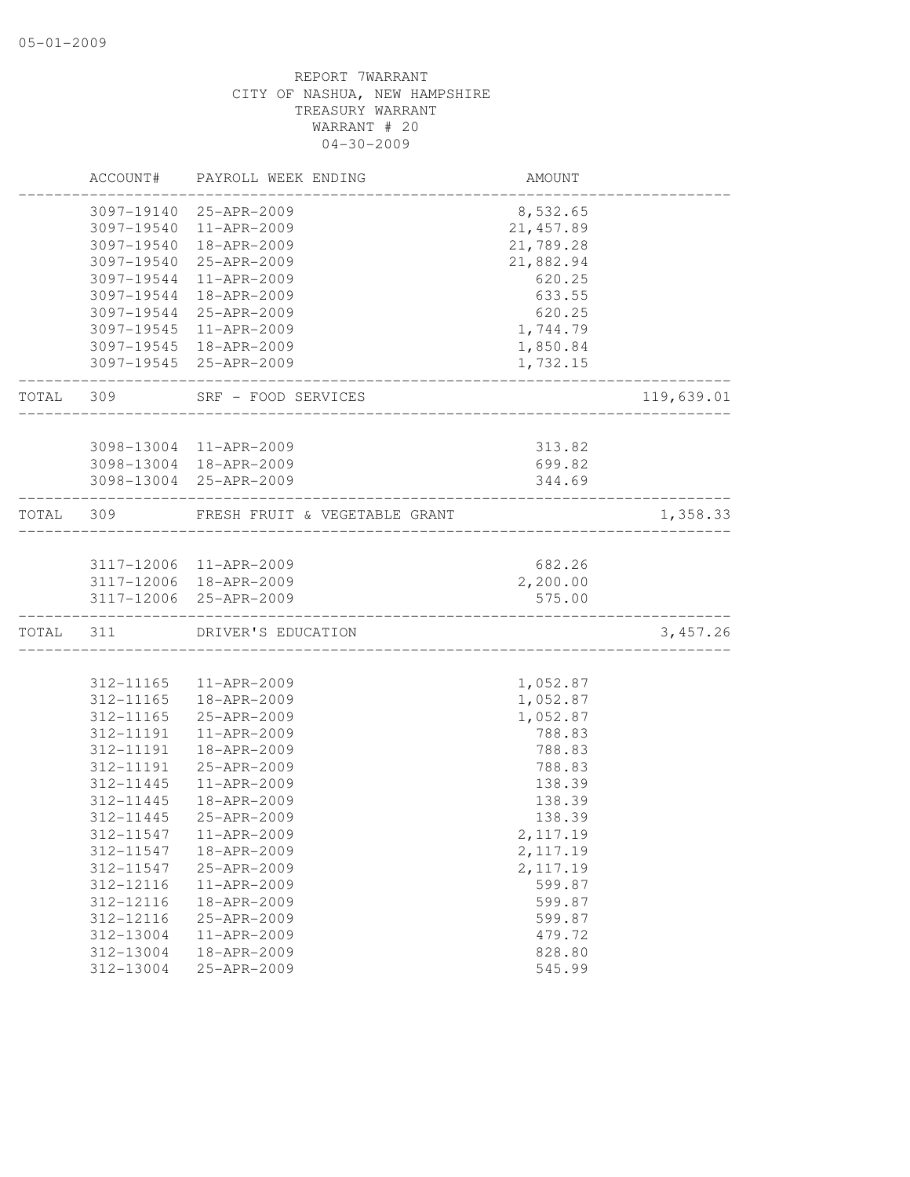|       | ACCOUNT#   | PAYROLL WEEK ENDING                               | AMOUNT          |            |
|-------|------------|---------------------------------------------------|-----------------|------------|
|       | 3097-19140 | 25-APR-2009                                       | 8,532.65        |            |
|       | 3097-19540 | 11-APR-2009                                       | 21, 457.89      |            |
|       | 3097-19540 | 18-APR-2009                                       | 21,789.28       |            |
|       | 3097-19540 | 25-APR-2009                                       | 21,882.94       |            |
|       | 3097-19544 | 11-APR-2009                                       | 620.25          |            |
|       | 3097-19544 | 18-APR-2009                                       | 633.55          |            |
|       | 3097-19544 | 25-APR-2009                                       | 620.25          |            |
|       | 3097-19545 | $11 - APR - 2009$                                 | 1,744.79        |            |
|       | 3097-19545 | 18-APR-2009                                       | 1,850.84        |            |
|       |            | 3097-19545 25-APR-2009                            | 1,732.15        |            |
| TOTAL | 309        | SRF - FOOD SERVICES<br><u> 2002 - Jan Bergera</u> |                 | 119,639.01 |
|       |            |                                                   |                 |            |
|       |            | 3098-13004 11-APR-2009                            | 313.82          |            |
|       |            | 3098-13004 18-APR-2009                            | 699.82          |            |
|       |            | 3098-13004 25-APR-2009                            | 344.69          |            |
| TOTAL | 309        | FRESH FRUIT & VEGETABLE GRANT                     | _______________ | 1,358.33   |
|       |            |                                                   |                 |            |
|       |            | 3117-12006 11-APR-2009                            | 682.26          |            |
|       |            | 3117-12006 18-APR-2009                            | 2,200.00        |            |
|       | 3117-12006 | 25-APR-2009                                       | 575.00          |            |
| TOTAL | 311        | DRIVER'S EDUCATION                                |                 | 3,457.26   |
|       |            |                                                   |                 |            |
|       | 312-11165  | 11-APR-2009                                       | 1,052.87        |            |
|       | 312-11165  | 18-APR-2009                                       | 1,052.87        |            |
|       | 312-11165  | 25-APR-2009                                       | 1,052.87        |            |
|       | 312-11191  | 11-APR-2009                                       | 788.83          |            |
|       | 312-11191  | 18-APR-2009                                       | 788.83          |            |
|       | 312-11191  | 25-APR-2009                                       | 788.83          |            |
|       | 312-11445  | 11-APR-2009                                       | 138.39          |            |
|       | 312-11445  | 18-APR-2009                                       | 138.39          |            |
|       | 312-11445  | 25-APR-2009                                       | 138.39          |            |
|       | 312-11547  | 11-APR-2009                                       | 2,117.19        |            |
|       | 312-11547  | 18-APR-2009                                       | 2, 117.19       |            |
|       | 312-11547  | 25-APR-2009                                       | 2, 117.19       |            |
|       | 312-12116  | $11 - APR - 2009$                                 | 599.87          |            |
|       | 312-12116  | 18-APR-2009                                       | 599.87          |            |
|       | 312-12116  | 25-APR-2009                                       | 599.87          |            |
|       | 312-13004  | 11-APR-2009                                       | 479.72          |            |
|       | 312-13004  | 18-APR-2009                                       | 828.80          |            |
|       | 312-13004  | 25-APR-2009                                       | 545.99          |            |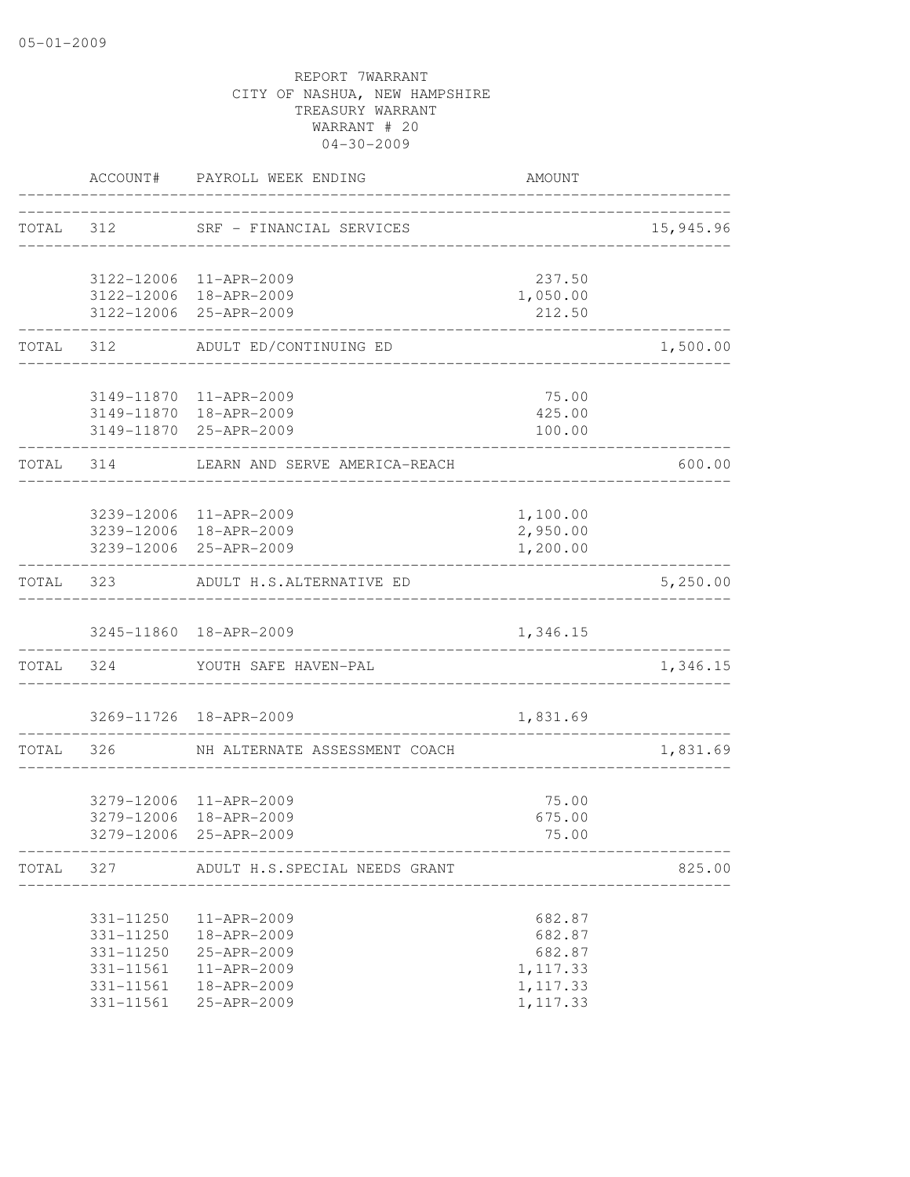|       |                        | ACCOUNT# PAYROLL WEEK ENDING                     | AMOUNT                 |           |
|-------|------------------------|--------------------------------------------------|------------------------|-----------|
|       |                        | TOTAL 312 SRF - FINANCIAL SERVICES               |                        | 15,945.96 |
|       |                        | 3122-12006 11-APR-2009                           | 237.50                 |           |
|       |                        | 3122-12006 18-APR-2009                           | 1,050.00               |           |
|       |                        | 3122-12006 25-APR-2009                           | 212.50                 |           |
|       | TOTAL 312              | ADULT ED/CONTINUING ED                           |                        | 1,500.00  |
|       |                        | 3149-11870  11-APR-2009                          | 75.00                  |           |
|       |                        | 3149-11870  18-APR-2009                          | 425.00                 |           |
|       |                        | 3149-11870 25-APR-2009                           | 100.00                 |           |
|       |                        | TOTAL 314 LEARN AND SERVE AMERICA-REACH          |                        | 600.00    |
|       |                        |                                                  |                        |           |
|       |                        | 3239-12006 11-APR-2009                           | 1,100.00               |           |
|       |                        | 3239-12006 18-APR-2009<br>3239-12006 25-APR-2009 | 2,950.00<br>1,200.00   |           |
|       |                        |                                                  |                        |           |
|       |                        | TOTAL 323 ADULT H.S.ALTERNATIVE ED               |                        | 5,250.00  |
|       |                        | 3245-11860  18-APR-2009                          | 1,346.15               |           |
|       |                        | TOTAL 324 YOUTH SAFE HAVEN-PAL                   |                        | 1,346.15  |
|       |                        | 3269-11726 18-APR-2009                           | 1,831.69               |           |
| TOTAL |                        | 326 MH ALTERNATE ASSESSMENT COACH                |                        | 1,831.69  |
|       |                        |                                                  |                        |           |
|       | 3279-12006             | 3279-12006 11-APR-2009<br>18-APR-2009            | 75.00<br>675.00        |           |
|       | 3279-12006             | 25-APR-2009                                      | 75.00                  |           |
|       | --------------------   | TOTAL 327 ADULT H.S.SPECIAL NEEDS GRANT          |                        | 825.00    |
|       |                        |                                                  |                        |           |
|       | 331-11250              | 11-APR-2009                                      | 682.87                 |           |
|       | 331-11250              | 18-APR-2009                                      | 682.87                 |           |
|       | 331-11250<br>331-11561 | 25-APR-2009<br>11-APR-2009                       | 682.87                 |           |
|       | 331-11561              | 18-APR-2009                                      | 1, 117.33<br>1, 117.33 |           |
|       | 331-11561              | 25-APR-2009                                      | 1,117.33               |           |
|       |                        |                                                  |                        |           |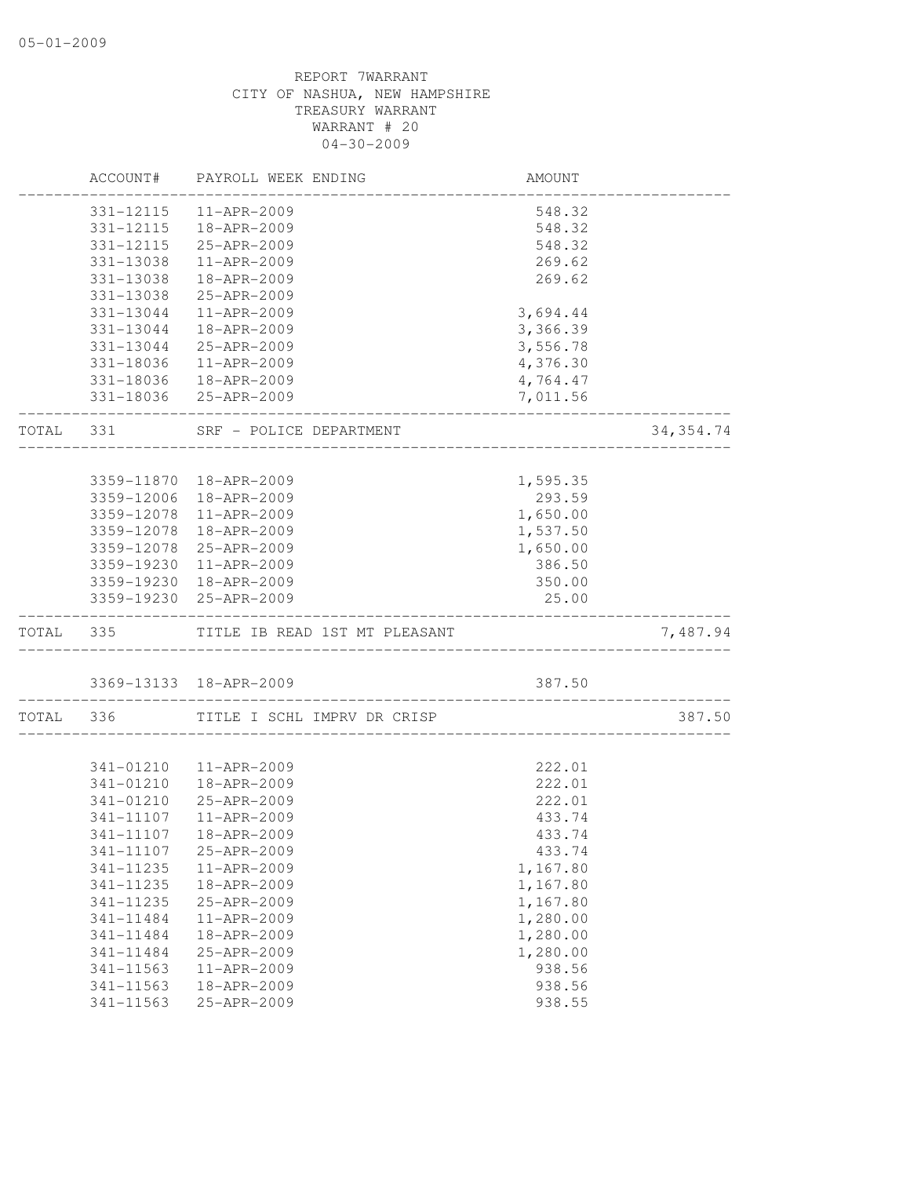| 331-12115<br>11-APR-2009<br>548.32<br>331-12115<br>18-APR-2009<br>548.32<br>331-12115<br>25-APR-2009<br>548.32<br>331-13038<br>11-APR-2009<br>269.62<br>331-13038<br>18-APR-2009<br>269.62<br>331-13038<br>25-APR-2009<br>331-13044<br>11-APR-2009<br>3,694.44<br>3,366.39<br>331-13044<br>18-APR-2009<br>331-13044<br>25-APR-2009<br>3,556.78<br>4,376.30<br>331-18036<br>$11 - APR - 2009$<br>18-APR-2009<br>331-18036<br>4,764.47<br>331-18036 25-APR-2009<br>7,011.56<br>TOTAL<br>331<br>SRF - POLICE DEPARTMENT<br>3359-11870<br>18-APR-2009<br>1,595.35<br>3359-12006<br>18-APR-2009<br>293.59<br>1,650.00<br>3359-12078<br>11-APR-2009<br>18-APR-2009<br>3359-12078<br>1,537.50<br>3359-12078<br>25-APR-2009<br>1,650.00<br>3359-19230<br>11-APR-2009<br>386.50<br>350.00<br>3359-19230<br>18-APR-2009<br>3359-19230<br>25-APR-2009<br>25.00<br>TOTAL 335<br>TITLE IB READ 1ST MT PLEASANT<br>7,487.94<br>3369-13133 18-APR-2009<br>387.50<br>TITLE I SCHL IMPRV DR CRISP<br>387.50<br>TOTAL<br>336<br>341-01210<br>11-APR-2009<br>222.01<br>222.01<br>341-01210<br>18-APR-2009<br>341-01210<br>25-APR-2009<br>222.01<br>341-11107<br>$11 - APR - 2009$<br>433.74<br>341-11107<br>18-APR-2009<br>433.74<br>341-11107<br>25-APR-2009<br>433.74<br>1,167.80<br>341-11235<br>11-APR-2009<br>341-11235<br>18-APR-2009<br>1,167.80<br>341-11235<br>25-APR-2009<br>1,167.80<br>1,280.00<br>341-11484<br>11-APR-2009<br>1,280.00<br>341-11484<br>18-APR-2009<br>1,280.00<br>341-11484<br>25-APR-2009<br>341-11563<br>$11 - APR - 2009$<br>938.56<br>341-11563<br>18-APR-2009<br>938.56<br>341-11563<br>25-APR-2009<br>938.55 | ACCOUNT# | PAYROLL WEEK ENDING | AMOUNT |             |
|------------------------------------------------------------------------------------------------------------------------------------------------------------------------------------------------------------------------------------------------------------------------------------------------------------------------------------------------------------------------------------------------------------------------------------------------------------------------------------------------------------------------------------------------------------------------------------------------------------------------------------------------------------------------------------------------------------------------------------------------------------------------------------------------------------------------------------------------------------------------------------------------------------------------------------------------------------------------------------------------------------------------------------------------------------------------------------------------------------------------------------------------------------------------------------------------------------------------------------------------------------------------------------------------------------------------------------------------------------------------------------------------------------------------------------------------------------------------------------------------------------------------------------------------------------------------------------------------------------------------------|----------|---------------------|--------|-------------|
|                                                                                                                                                                                                                                                                                                                                                                                                                                                                                                                                                                                                                                                                                                                                                                                                                                                                                                                                                                                                                                                                                                                                                                                                                                                                                                                                                                                                                                                                                                                                                                                                                              |          |                     |        |             |
|                                                                                                                                                                                                                                                                                                                                                                                                                                                                                                                                                                                                                                                                                                                                                                                                                                                                                                                                                                                                                                                                                                                                                                                                                                                                                                                                                                                                                                                                                                                                                                                                                              |          |                     |        |             |
|                                                                                                                                                                                                                                                                                                                                                                                                                                                                                                                                                                                                                                                                                                                                                                                                                                                                                                                                                                                                                                                                                                                                                                                                                                                                                                                                                                                                                                                                                                                                                                                                                              |          |                     |        |             |
|                                                                                                                                                                                                                                                                                                                                                                                                                                                                                                                                                                                                                                                                                                                                                                                                                                                                                                                                                                                                                                                                                                                                                                                                                                                                                                                                                                                                                                                                                                                                                                                                                              |          |                     |        |             |
|                                                                                                                                                                                                                                                                                                                                                                                                                                                                                                                                                                                                                                                                                                                                                                                                                                                                                                                                                                                                                                                                                                                                                                                                                                                                                                                                                                                                                                                                                                                                                                                                                              |          |                     |        |             |
|                                                                                                                                                                                                                                                                                                                                                                                                                                                                                                                                                                                                                                                                                                                                                                                                                                                                                                                                                                                                                                                                                                                                                                                                                                                                                                                                                                                                                                                                                                                                                                                                                              |          |                     |        |             |
|                                                                                                                                                                                                                                                                                                                                                                                                                                                                                                                                                                                                                                                                                                                                                                                                                                                                                                                                                                                                                                                                                                                                                                                                                                                                                                                                                                                                                                                                                                                                                                                                                              |          |                     |        |             |
|                                                                                                                                                                                                                                                                                                                                                                                                                                                                                                                                                                                                                                                                                                                                                                                                                                                                                                                                                                                                                                                                                                                                                                                                                                                                                                                                                                                                                                                                                                                                                                                                                              |          |                     |        |             |
|                                                                                                                                                                                                                                                                                                                                                                                                                                                                                                                                                                                                                                                                                                                                                                                                                                                                                                                                                                                                                                                                                                                                                                                                                                                                                                                                                                                                                                                                                                                                                                                                                              |          |                     |        |             |
|                                                                                                                                                                                                                                                                                                                                                                                                                                                                                                                                                                                                                                                                                                                                                                                                                                                                                                                                                                                                                                                                                                                                                                                                                                                                                                                                                                                                                                                                                                                                                                                                                              |          |                     |        |             |
|                                                                                                                                                                                                                                                                                                                                                                                                                                                                                                                                                                                                                                                                                                                                                                                                                                                                                                                                                                                                                                                                                                                                                                                                                                                                                                                                                                                                                                                                                                                                                                                                                              |          |                     |        |             |
|                                                                                                                                                                                                                                                                                                                                                                                                                                                                                                                                                                                                                                                                                                                                                                                                                                                                                                                                                                                                                                                                                                                                                                                                                                                                                                                                                                                                                                                                                                                                                                                                                              |          |                     |        |             |
|                                                                                                                                                                                                                                                                                                                                                                                                                                                                                                                                                                                                                                                                                                                                                                                                                                                                                                                                                                                                                                                                                                                                                                                                                                                                                                                                                                                                                                                                                                                                                                                                                              |          |                     |        | 34, 354. 74 |
|                                                                                                                                                                                                                                                                                                                                                                                                                                                                                                                                                                                                                                                                                                                                                                                                                                                                                                                                                                                                                                                                                                                                                                                                                                                                                                                                                                                                                                                                                                                                                                                                                              |          |                     |        |             |
|                                                                                                                                                                                                                                                                                                                                                                                                                                                                                                                                                                                                                                                                                                                                                                                                                                                                                                                                                                                                                                                                                                                                                                                                                                                                                                                                                                                                                                                                                                                                                                                                                              |          |                     |        |             |
|                                                                                                                                                                                                                                                                                                                                                                                                                                                                                                                                                                                                                                                                                                                                                                                                                                                                                                                                                                                                                                                                                                                                                                                                                                                                                                                                                                                                                                                                                                                                                                                                                              |          |                     |        |             |
|                                                                                                                                                                                                                                                                                                                                                                                                                                                                                                                                                                                                                                                                                                                                                                                                                                                                                                                                                                                                                                                                                                                                                                                                                                                                                                                                                                                                                                                                                                                                                                                                                              |          |                     |        |             |
|                                                                                                                                                                                                                                                                                                                                                                                                                                                                                                                                                                                                                                                                                                                                                                                                                                                                                                                                                                                                                                                                                                                                                                                                                                                                                                                                                                                                                                                                                                                                                                                                                              |          |                     |        |             |
|                                                                                                                                                                                                                                                                                                                                                                                                                                                                                                                                                                                                                                                                                                                                                                                                                                                                                                                                                                                                                                                                                                                                                                                                                                                                                                                                                                                                                                                                                                                                                                                                                              |          |                     |        |             |
|                                                                                                                                                                                                                                                                                                                                                                                                                                                                                                                                                                                                                                                                                                                                                                                                                                                                                                                                                                                                                                                                                                                                                                                                                                                                                                                                                                                                                                                                                                                                                                                                                              |          |                     |        |             |
|                                                                                                                                                                                                                                                                                                                                                                                                                                                                                                                                                                                                                                                                                                                                                                                                                                                                                                                                                                                                                                                                                                                                                                                                                                                                                                                                                                                                                                                                                                                                                                                                                              |          |                     |        |             |
|                                                                                                                                                                                                                                                                                                                                                                                                                                                                                                                                                                                                                                                                                                                                                                                                                                                                                                                                                                                                                                                                                                                                                                                                                                                                                                                                                                                                                                                                                                                                                                                                                              |          |                     |        |             |
|                                                                                                                                                                                                                                                                                                                                                                                                                                                                                                                                                                                                                                                                                                                                                                                                                                                                                                                                                                                                                                                                                                                                                                                                                                                                                                                                                                                                                                                                                                                                                                                                                              |          |                     |        |             |
|                                                                                                                                                                                                                                                                                                                                                                                                                                                                                                                                                                                                                                                                                                                                                                                                                                                                                                                                                                                                                                                                                                                                                                                                                                                                                                                                                                                                                                                                                                                                                                                                                              |          |                     |        |             |
|                                                                                                                                                                                                                                                                                                                                                                                                                                                                                                                                                                                                                                                                                                                                                                                                                                                                                                                                                                                                                                                                                                                                                                                                                                                                                                                                                                                                                                                                                                                                                                                                                              |          |                     |        |             |
|                                                                                                                                                                                                                                                                                                                                                                                                                                                                                                                                                                                                                                                                                                                                                                                                                                                                                                                                                                                                                                                                                                                                                                                                                                                                                                                                                                                                                                                                                                                                                                                                                              |          |                     |        |             |
|                                                                                                                                                                                                                                                                                                                                                                                                                                                                                                                                                                                                                                                                                                                                                                                                                                                                                                                                                                                                                                                                                                                                                                                                                                                                                                                                                                                                                                                                                                                                                                                                                              |          |                     |        |             |
|                                                                                                                                                                                                                                                                                                                                                                                                                                                                                                                                                                                                                                                                                                                                                                                                                                                                                                                                                                                                                                                                                                                                                                                                                                                                                                                                                                                                                                                                                                                                                                                                                              |          |                     |        |             |
|                                                                                                                                                                                                                                                                                                                                                                                                                                                                                                                                                                                                                                                                                                                                                                                                                                                                                                                                                                                                                                                                                                                                                                                                                                                                                                                                                                                                                                                                                                                                                                                                                              |          |                     |        |             |
|                                                                                                                                                                                                                                                                                                                                                                                                                                                                                                                                                                                                                                                                                                                                                                                                                                                                                                                                                                                                                                                                                                                                                                                                                                                                                                                                                                                                                                                                                                                                                                                                                              |          |                     |        |             |
|                                                                                                                                                                                                                                                                                                                                                                                                                                                                                                                                                                                                                                                                                                                                                                                                                                                                                                                                                                                                                                                                                                                                                                                                                                                                                                                                                                                                                                                                                                                                                                                                                              |          |                     |        |             |
|                                                                                                                                                                                                                                                                                                                                                                                                                                                                                                                                                                                                                                                                                                                                                                                                                                                                                                                                                                                                                                                                                                                                                                                                                                                                                                                                                                                                                                                                                                                                                                                                                              |          |                     |        |             |
|                                                                                                                                                                                                                                                                                                                                                                                                                                                                                                                                                                                                                                                                                                                                                                                                                                                                                                                                                                                                                                                                                                                                                                                                                                                                                                                                                                                                                                                                                                                                                                                                                              |          |                     |        |             |
|                                                                                                                                                                                                                                                                                                                                                                                                                                                                                                                                                                                                                                                                                                                                                                                                                                                                                                                                                                                                                                                                                                                                                                                                                                                                                                                                                                                                                                                                                                                                                                                                                              |          |                     |        |             |
|                                                                                                                                                                                                                                                                                                                                                                                                                                                                                                                                                                                                                                                                                                                                                                                                                                                                                                                                                                                                                                                                                                                                                                                                                                                                                                                                                                                                                                                                                                                                                                                                                              |          |                     |        |             |
|                                                                                                                                                                                                                                                                                                                                                                                                                                                                                                                                                                                                                                                                                                                                                                                                                                                                                                                                                                                                                                                                                                                                                                                                                                                                                                                                                                                                                                                                                                                                                                                                                              |          |                     |        |             |
|                                                                                                                                                                                                                                                                                                                                                                                                                                                                                                                                                                                                                                                                                                                                                                                                                                                                                                                                                                                                                                                                                                                                                                                                                                                                                                                                                                                                                                                                                                                                                                                                                              |          |                     |        |             |
|                                                                                                                                                                                                                                                                                                                                                                                                                                                                                                                                                                                                                                                                                                                                                                                                                                                                                                                                                                                                                                                                                                                                                                                                                                                                                                                                                                                                                                                                                                                                                                                                                              |          |                     |        |             |
|                                                                                                                                                                                                                                                                                                                                                                                                                                                                                                                                                                                                                                                                                                                                                                                                                                                                                                                                                                                                                                                                                                                                                                                                                                                                                                                                                                                                                                                                                                                                                                                                                              |          |                     |        |             |
|                                                                                                                                                                                                                                                                                                                                                                                                                                                                                                                                                                                                                                                                                                                                                                                                                                                                                                                                                                                                                                                                                                                                                                                                                                                                                                                                                                                                                                                                                                                                                                                                                              |          |                     |        |             |
|                                                                                                                                                                                                                                                                                                                                                                                                                                                                                                                                                                                                                                                                                                                                                                                                                                                                                                                                                                                                                                                                                                                                                                                                                                                                                                                                                                                                                                                                                                                                                                                                                              |          |                     |        |             |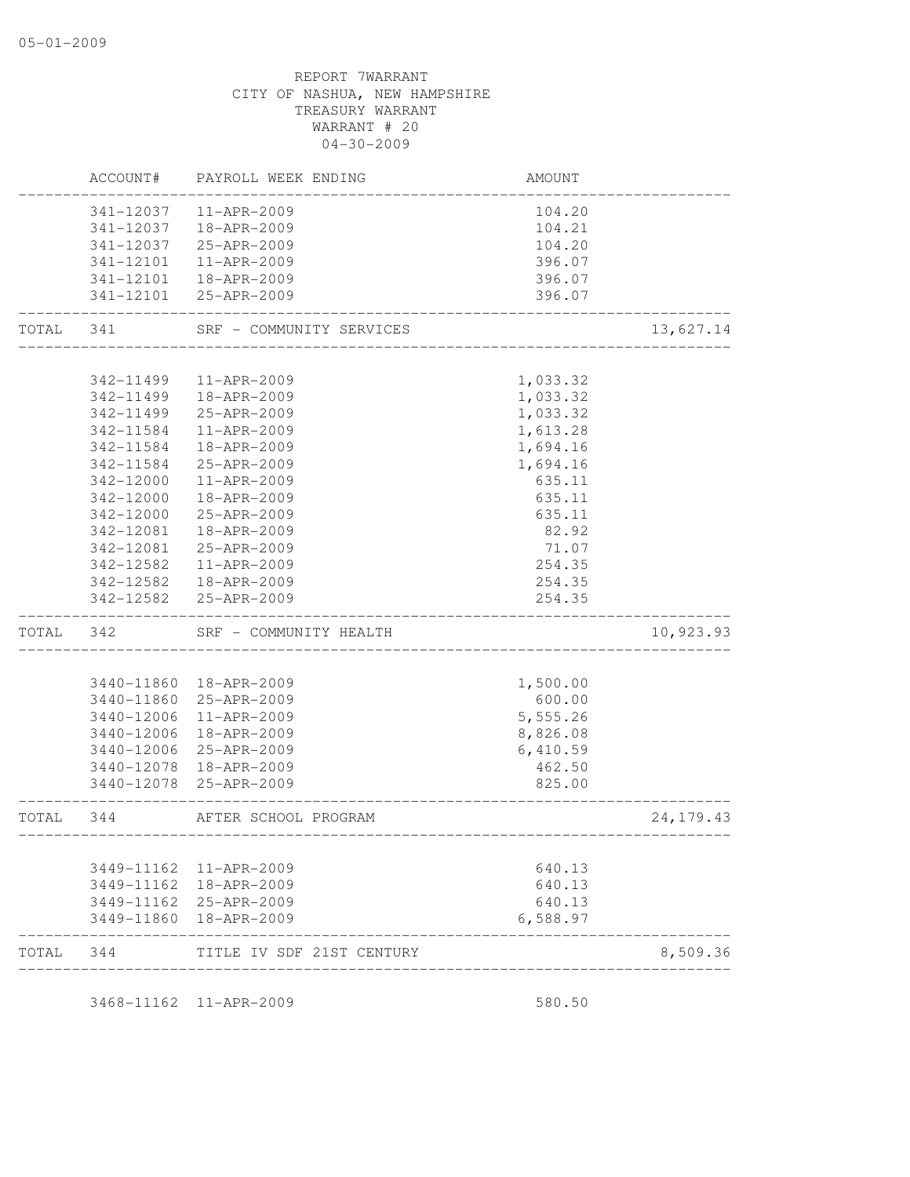# REPORT 7WARRANT CITY OF NASHUA, NEW HAMPSHIRE TREASURY WARRANT WARRANT # 20 04-30-2009 ACCOUNT# PAYROLL WEEK ENDING AMOUNT -------------------------------------------------------------------------------- 341-12037 11-APR-2009 104.20 341-12037 18-APR-2009 104.21 341-12037 25-APR-2009 104.20 341-12101 11-APR-2009 396.07 341-12101 18-APR-2009 396.07 341-12101 25-APR-2009 396.07 -------------------------------------------------------------------------------- TOTAL 341 SRF - COMMUNITY SERVICES 13,627.14 -------------------------------------------------------------------------------- 342-11499 11-APR-2009 1,033.32 342-11499 18-APR-2009 1,033.32 342-11499 25-APR-2009 1,033.32 342-11584 11-APR-2009 1,613.28 342-11584 18-APR-2009 1,694.16 342-11584 25-APR-2009 1,694.16 342-12000 11-APR-2009 635.11 342-12000 18-APR-2009 635.11 342-12000 25-APR-2009 635.11 342-12081 18-APR-2009 82.92 342-12081 25-APR-2009 71.07 342-12582 11-APR-2009 254.35 342-12582 18-APR-2009 254.35 342-12582 25-APR-2009 254.35 -------------------------------------------------------------------------------- TOTAL 342 SRF - COMMUNITY HEALTH 10,923.93 -------------------------------------------------------------------------------- 3440-11860 18-APR-2009 1,500.00 3440-11860 25-APR-2009 600.00 3440-12006 11-APR-2009 5,555.26 3440-12006 18-APR-2009 8,826.08 3440-12006 25-APR-2009 6,410.59 3440-12078 18-APR-2009 462.50 3440-12078 25-APR-2009 825.00 -------------------------------------------------------------------------------- TOTAL 344 AFTER SCHOOL PROGRAM 24,179.43 -------------------------------------------------------------------------------- 3449-11162 11-APR-2009 640.13 3449-11162 18-APR-2009 640.13 3449-11162 25-APR-2009 640.13 3449-11860 18-APR-2009 6,588.97 -------------------------------------------------------------------------------- TOTAL 344 TITLE IV SDF 21ST CENTURY 8,509.36 --------------------------------------------------------------------------------

3468-11162 11-APR-2009 580.50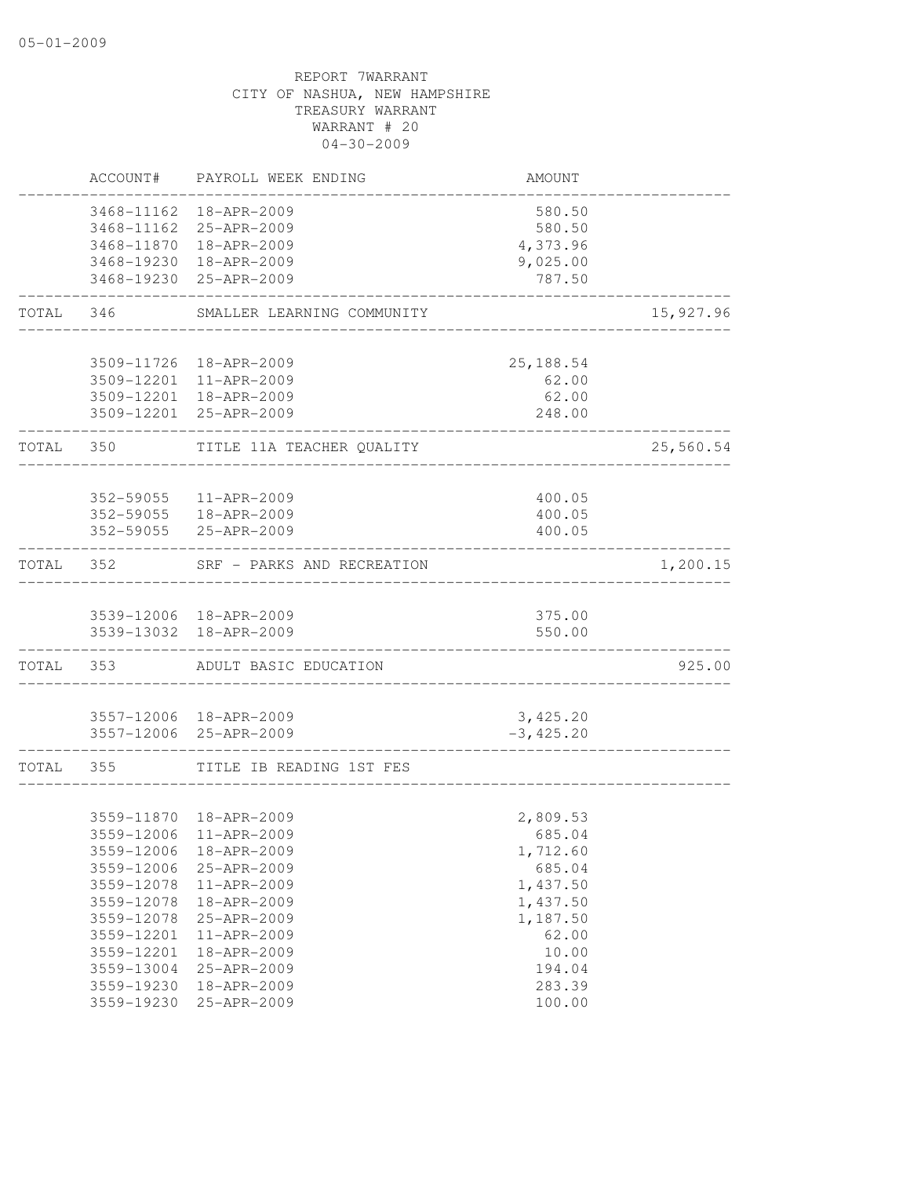|           | ACCOUNT#   | PAYROLL WEEK ENDING                              | AMOUNT                  |           |
|-----------|------------|--------------------------------------------------|-------------------------|-----------|
|           | 3468-11162 | 18-APR-2009                                      | 580.50                  |           |
|           |            | 3468-11162 25-APR-2009                           | 580.50                  |           |
|           | 3468-11870 | 18-APR-2009                                      | 4,373.96                |           |
|           |            | 3468-19230 18-APR-2009                           | 9,025.00                |           |
|           |            | 3468-19230 25-APR-2009                           | 787.50                  |           |
| TOTAL     | 346        | SMALLER LEARNING COMMUNITY                       |                         | 15,927.96 |
|           |            | 3509-11726 18-APR-2009                           | 25, 188.54              |           |
|           |            | 3509-12201 11-APR-2009                           | 62.00                   |           |
|           |            | 3509-12201 18-APR-2009                           | 62.00                   |           |
|           |            | 3509-12201 25-APR-2009                           | 248.00                  |           |
|           | TOTAL 350  | TITLE 11A TEACHER QUALITY                        |                         | 25,560.54 |
|           |            |                                                  |                         |           |
|           |            | 352-59055 11-APR-2009                            | 400.05                  |           |
|           |            | 352-59055  18-APR-2009                           | 400.05                  |           |
|           |            | 352-59055 25-APR-2009                            | 400.05                  |           |
| TOTAL     | 352        | SRF - PARKS AND RECREATION                       |                         | 1,200.15  |
|           |            | 3539-12006 18-APR-2009                           | 375.00                  |           |
|           |            | 3539-13032 18-APR-2009                           | 550.00                  |           |
|           |            | TOTAL 353 ADULT BASIC EDUCATION                  |                         | 925.00    |
|           |            |                                                  |                         |           |
|           |            | 3557-12006 18-APR-2009<br>3557-12006 25-APR-2009 | 3,425.20<br>$-3,425.20$ |           |
| TOTAL 355 |            | TITLE IB READING 1ST FES                         |                         |           |
|           |            |                                                  |                         |           |
|           |            | 3559-11870  18-APR-2009                          | 2,809.53                |           |
|           |            | 3559-12006 11-APR-2009                           | 685.04                  |           |
|           | 3559-12006 | 18-APR-2009                                      | 1,712.60                |           |
|           | 3559-12006 | 25-APR-2009                                      | 685.04                  |           |
|           | 3559-12078 | 11-APR-2009                                      | 1,437.50                |           |
|           | 3559-12078 | 18-APR-2009                                      | 1,437.50                |           |
|           | 3559-12078 | 25-APR-2009                                      | 1,187.50                |           |
|           | 3559-12201 | 11-APR-2009                                      | 62.00                   |           |
|           | 3559-12201 | 18-APR-2009                                      | 10.00                   |           |
|           | 3559-13004 | 25-APR-2009                                      | 194.04                  |           |
|           | 3559-19230 | 18-APR-2009                                      | 283.39                  |           |
|           | 3559-19230 | 25-APR-2009                                      | 100.00                  |           |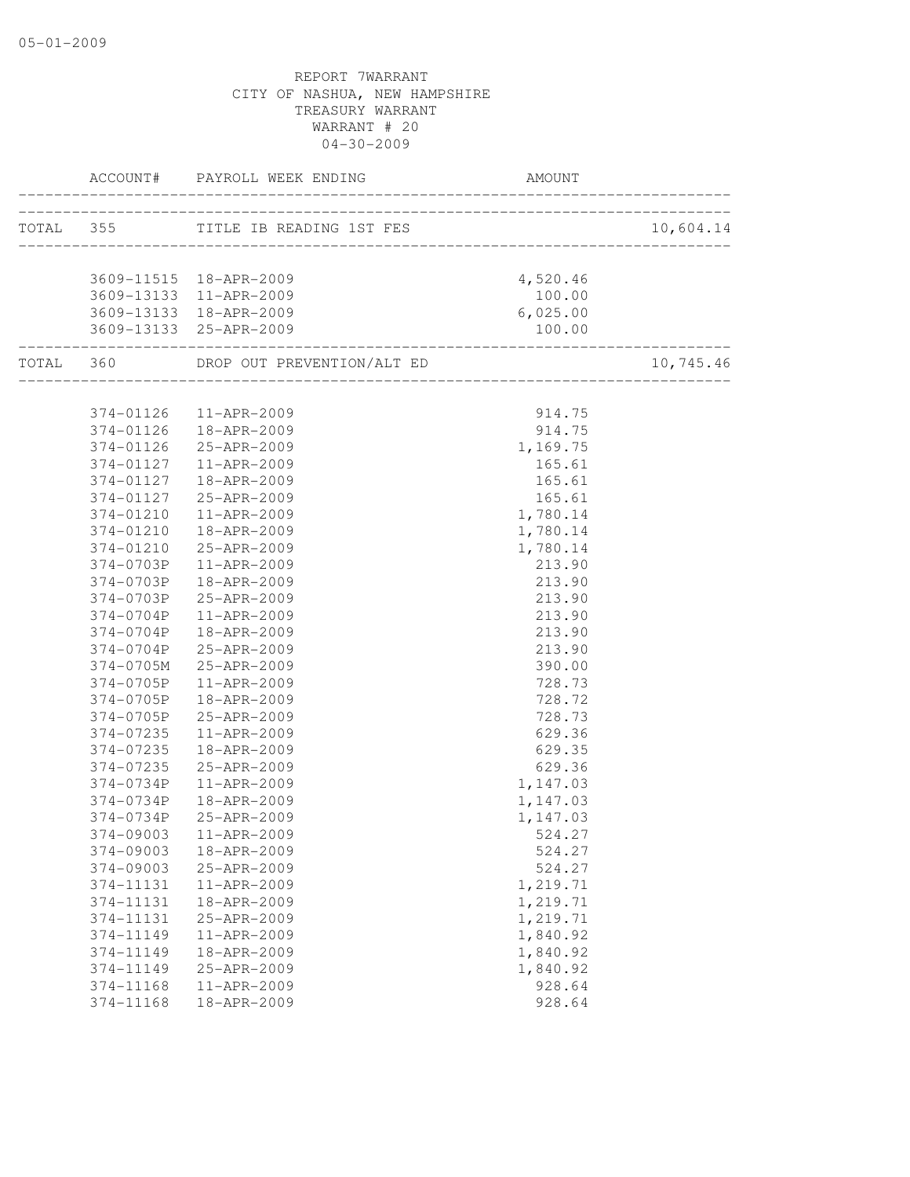|           | ACCOUNT# PAYROLL WEEK ENDING         | AMOUNT                            |           |
|-----------|--------------------------------------|-----------------------------------|-----------|
|           | TOTAL 355 TITLE IB READING 1ST FES   | _________________________________ | 10,604.14 |
|           |                                      |                                   |           |
|           | 3609-11515 18-APR-2009               | 4,520.46                          |           |
|           | 3609-13133 11-APR-2009               | 100.00                            |           |
|           | 3609-13133 18-APR-2009               | 6,025.00                          |           |
|           | 3609-13133 25-APR-2009               | 100.00                            |           |
|           | TOTAL 360 DROP OUT PREVENTION/ALT ED |                                   | 10,745.46 |
| 374-01126 | 11-APR-2009                          | 914.75                            |           |
|           | 374-01126  18-APR-2009               | 914.75                            |           |
|           | 374-01126 25-APR-2009                | 1,169.75                          |           |
| 374-01127 | 11-APR-2009                          | 165.61                            |           |
| 374-01127 | 18-APR-2009                          | 165.61                            |           |
| 374-01127 | 25-APR-2009                          | 165.61                            |           |
| 374-01210 | 11-APR-2009                          | 1,780.14                          |           |
| 374-01210 | 18-APR-2009                          | 1,780.14                          |           |
| 374-01210 | 25-APR-2009                          | 1,780.14                          |           |
| 374-0703P | 11-APR-2009                          | 213.90                            |           |
| 374-0703P | 18-APR-2009                          | 213.90                            |           |
| 374-0703P | 25-APR-2009                          | 213.90                            |           |
| 374-0704P | 11-APR-2009                          | 213.90                            |           |
| 374-0704P | 18-APR-2009                          | 213.90                            |           |
| 374-0704P | 25-APR-2009                          | 213.90                            |           |
| 374-0705M | 25-APR-2009                          | 390.00                            |           |
| 374-0705P | 11-APR-2009                          | 728.73                            |           |
| 374-0705P | 18-APR-2009                          | 728.72                            |           |
| 374-0705P | 25-APR-2009                          | 728.73                            |           |
| 374-07235 | 11-APR-2009                          | 629.36                            |           |
| 374-07235 | 18-APR-2009                          | 629.35                            |           |
| 374-07235 | 25-APR-2009                          | 629.36                            |           |
| 374-0734P | 11-APR-2009                          | 1,147.03                          |           |
| 374-0734P | 18-APR-2009                          | 1,147.03                          |           |
| 374-0734P | 25-APR-2009                          | 1,147.03                          |           |
|           | 374-09003  11-APR-2009               | 524.27                            |           |
| 374-09003 | 18-APR-2009                          | 524.27                            |           |
| 374-09003 | 25-APR-2009                          | 524.27                            |           |
| 374-11131 | 11-APR-2009                          | 1,219.71                          |           |
| 374-11131 | 18-APR-2009                          | 1,219.71                          |           |
| 374-11131 | 25-APR-2009                          | 1,219.71                          |           |
| 374-11149 | 11-APR-2009                          | 1,840.92                          |           |
| 374-11149 | 18-APR-2009                          | 1,840.92                          |           |
| 374-11149 | 25-APR-2009                          | 1,840.92                          |           |
| 374-11168 | 11-APR-2009                          | 928.64                            |           |
| 374-11168 | 18-APR-2009                          | 928.64                            |           |
|           |                                      |                                   |           |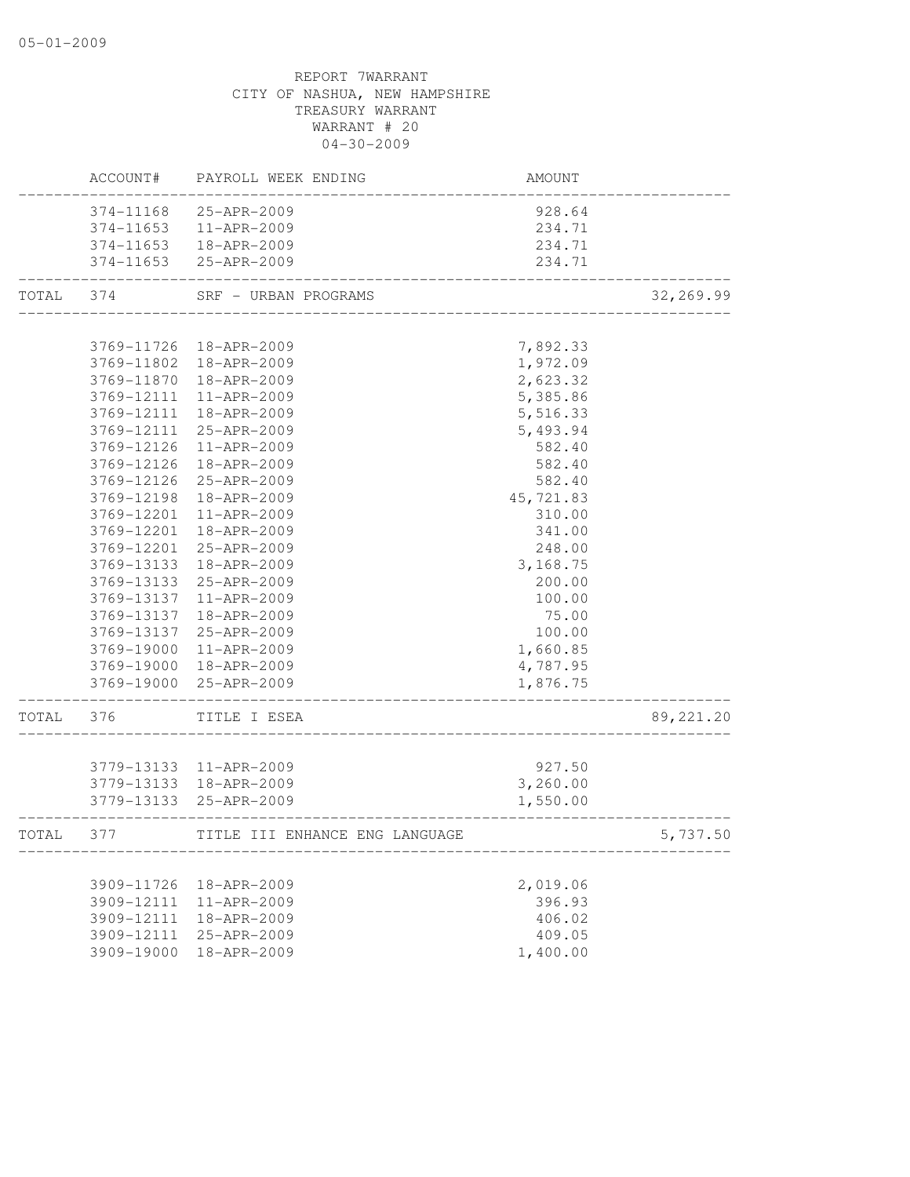# CITY OF NASHUA, NEW HAMPSHIRE TREASURY WARRANT WARRANT # 20 04-30-2009 ACCOUNT# PAYROLL WEEK ENDING AMOUNT -------------------------------------------------------------------------------- 374-11168 25-APR-2009 928.64 374-11653 11-APR-2009 234.71 374-11653 18-APR-2009 234.71 374-11653 25-APR-2009 234.71 -------------------------------------------------------------------------------- TOTAL 374 SRF – URBAN PROGRAMS 32,269.99 -------------------------------------------------------------------------------- 3769-11726 18-APR-2009 7,892.33 3769-11802 18-APR-2009 1,972.09 3769-11870 18-APR-2009 2,623.32 3769-12111 11-APR-2009 5,385.86 3769-12111 18-APR-2009 5,516.33 3769-12111 25-APR-2009 5,493.94 3769-12126 11-APR-2009 582.40 3769-12126 18-APR-2009 582.40 3769-12126 25-APR-2009 582.40 3769-12198 18-APR-2009 45,721.83 3769-12201 11-APR-2009 310.00 3769-12201 18-APR-2009 341.00 3769-12201 25-APR-2009 248.00 3769-13133 18-APR-2009 3,168.75 3769-13133 25-APR-2009 200.00 3769-13137 11-APR-2009 100.00 3769-13137 18-APR-2009 75.00 3769-13137 25-APR-2009 100.00 3769-19000 11-APR-2009 1,660.85 3769-19000 18-APR-2009 4,787.95 3769-19000 25-APR-2009 1,876.75 -------------------------------------------------------------------------------- TOTAL 376 TITLE I ESEA 89,221.20 -------------------------------------------------------------------------------- 3779-13133 11-APR-2009 927.50 3779-13133 18-APR-2009 3,260.00 3779-13133 25-APR-2009 1,550.00 -------------------------------------------------------------------------------- TOTAL 377 TITLE III ENHANCE ENG LANGUAGE 6,737.50 -------------------------------------------------------------------------------- 3909-11726 18-APR-2009 2,019.06 3909-12111 11-APR-2009 396.93 3909-12111 18-APR-2009 406.02 3909-12111 25-APR-2009 409.05 3909-19000 18-APR-2009 1,400.00

# REPORT 7WARRANT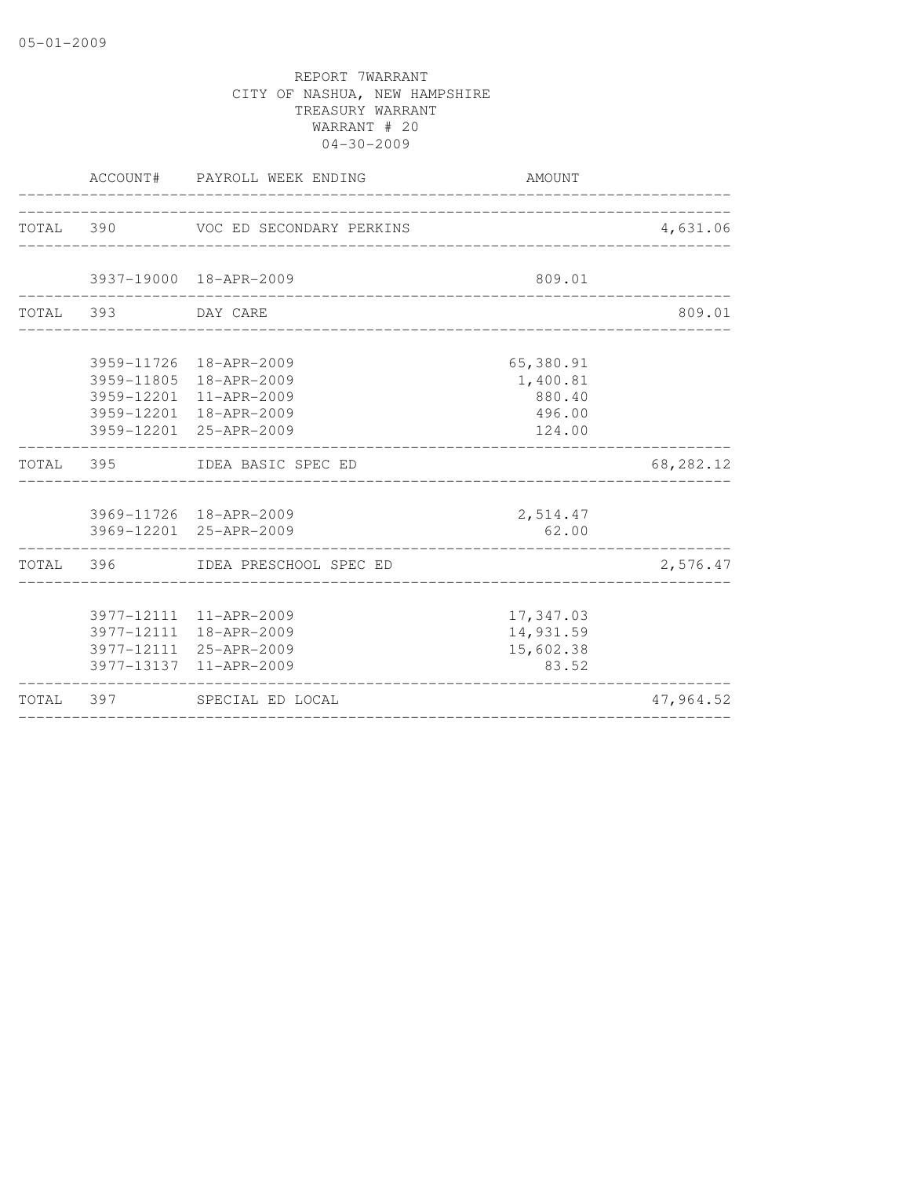| TOTAL 397 |                    | SPECIAL ED LOCAL                                 |                      | 47,964.52 |
|-----------|--------------------|--------------------------------------------------|----------------------|-----------|
|           |                    | 3977-13137 11-APR-2009                           | 83.52                |           |
|           |                    | 3977-12111 25-APR-2009                           | 15,602.38            |           |
|           |                    | 3977-12111 18-APR-2009                           | 14,931.59            |           |
|           |                    | 3977-12111 11-APR-2009                           | 17,347.03            |           |
|           |                    | TOTAL 396 IDEA PRESCHOOL SPEC ED                 |                      | 2,576.47  |
|           |                    | 3969-11726 18-APR-2009<br>3969-12201 25-APR-2009 | 2,514.47<br>62.00    |           |
|           |                    |                                                  |                      |           |
|           |                    | TOTAL 395 IDEA BASIC SPEC ED                     |                      | 68,282.12 |
|           |                    | 3959-12201 25-APR-2009                           | 124.00               |           |
|           |                    | 3959-12201 18-APR-2009                           | 496.00               |           |
|           |                    | 3959-11805 18-APR-2009<br>3959-12201 11-APR-2009 | 1,400.81<br>880.40   |           |
|           |                    | 3959-11726 18-APR-2009                           | 65,380.91            |           |
|           | TOTAL 393 DAY CARE |                                                  |                      | 809.01    |
|           |                    | 3937-19000 18-APR-2009                           | 809.01               |           |
|           |                    |                                                  | ____________________ |           |
|           |                    | TOTAL 390 VOC ED SECONDARY PERKINS               |                      | 4,631.06  |
|           |                    |                                                  |                      |           |
|           |                    | ACCOUNT# PAYROLL WEEK ENDING                     | AMOUNT               |           |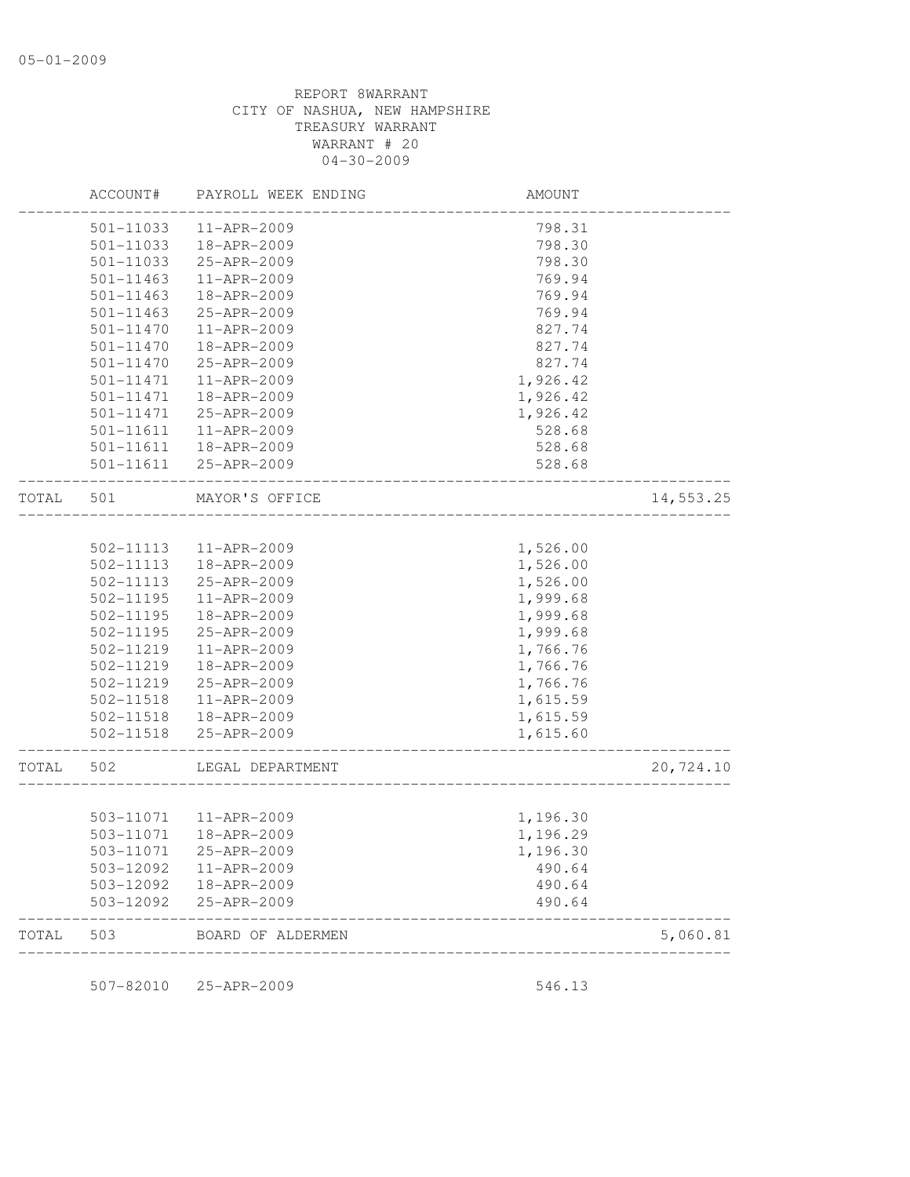|       | ACCOUNT#               | PAYROLL WEEK ENDING                   | AMOUNT                              |           |
|-------|------------------------|---------------------------------------|-------------------------------------|-----------|
|       | 501-11033              | 11-APR-2009                           | 798.31                              |           |
|       | 501-11033              | 18-APR-2009                           | 798.30                              |           |
|       | 501-11033              | 25-APR-2009                           | 798.30                              |           |
|       | $501 - 11463$          | 11-APR-2009                           | 769.94                              |           |
|       | $501 - 11463$          | 18-APR-2009                           | 769.94                              |           |
|       | 501-11463              | 25-APR-2009                           | 769.94                              |           |
|       | 501-11470              | 11-APR-2009                           | 827.74                              |           |
|       | $501 - 11470$          | 18-APR-2009                           | 827.74                              |           |
|       | 501-11470              | 25-APR-2009                           | 827.74                              |           |
|       | 501-11471              | 11-APR-2009                           | 1,926.42                            |           |
|       | 501-11471              | 18-APR-2009                           | 1,926.42                            |           |
|       | 501-11471              | 25-APR-2009                           | 1,926.42                            |           |
|       | 501-11611              | 11-APR-2009                           | 528.68                              |           |
|       | 501-11611              | 18-APR-2009                           | 528.68                              |           |
|       | 501-11611              | 25-APR-2009                           | 528.68                              |           |
| TOTAL | 501                    | MAYOR'S OFFICE                        |                                     | 14,553.25 |
|       |                        |                                       |                                     |           |
|       | 502-11113              | 11-APR-2009                           | 1,526.00                            |           |
|       | 502-11113              | 18-APR-2009                           | 1,526.00                            |           |
|       | 502-11113              | 25-APR-2009                           | 1,526.00                            |           |
|       | 502-11195              | 11-APR-2009                           | 1,999.68                            |           |
|       | 502-11195              | 18-APR-2009                           | 1,999.68                            |           |
|       | 502-11195              | 25-APR-2009                           | 1,999.68                            |           |
|       | 502-11219              | 11-APR-2009                           | 1,766.76                            |           |
|       | 502-11219              | 18-APR-2009                           | 1,766.76                            |           |
|       | 502-11219              | 25-APR-2009                           | 1,766.76                            |           |
|       | 502-11518              | 11-APR-2009                           | 1,615.59                            |           |
|       | 502-11518              | 18-APR-2009                           | 1,615.59                            |           |
|       | 502-11518              | 25-APR-2009                           | 1,615.60<br>_______________________ |           |
| TOTAL | 502                    | LEGAL DEPARTMENT                      |                                     | 20,724.10 |
|       |                        |                                       |                                     |           |
|       |                        | 503-11071  11-APR-2009<br>18-APR-2009 | 1,196.30                            |           |
|       | 503-11071              |                                       | 1,196.29                            |           |
|       | 503-11071              | 25-APR-2009                           | 1,196.30                            |           |
|       | 503-12092              | 11-APR-2009                           | 490.64                              |           |
|       | 503-12092<br>503-12092 | 18-APR-2009<br>25-APR-2009            | 490.64<br>490.64                    |           |
| TOTAL | 503                    | BOARD OF ALDERMEN                     |                                     | 5,060.81  |

507-82010 25-APR-2009 546.13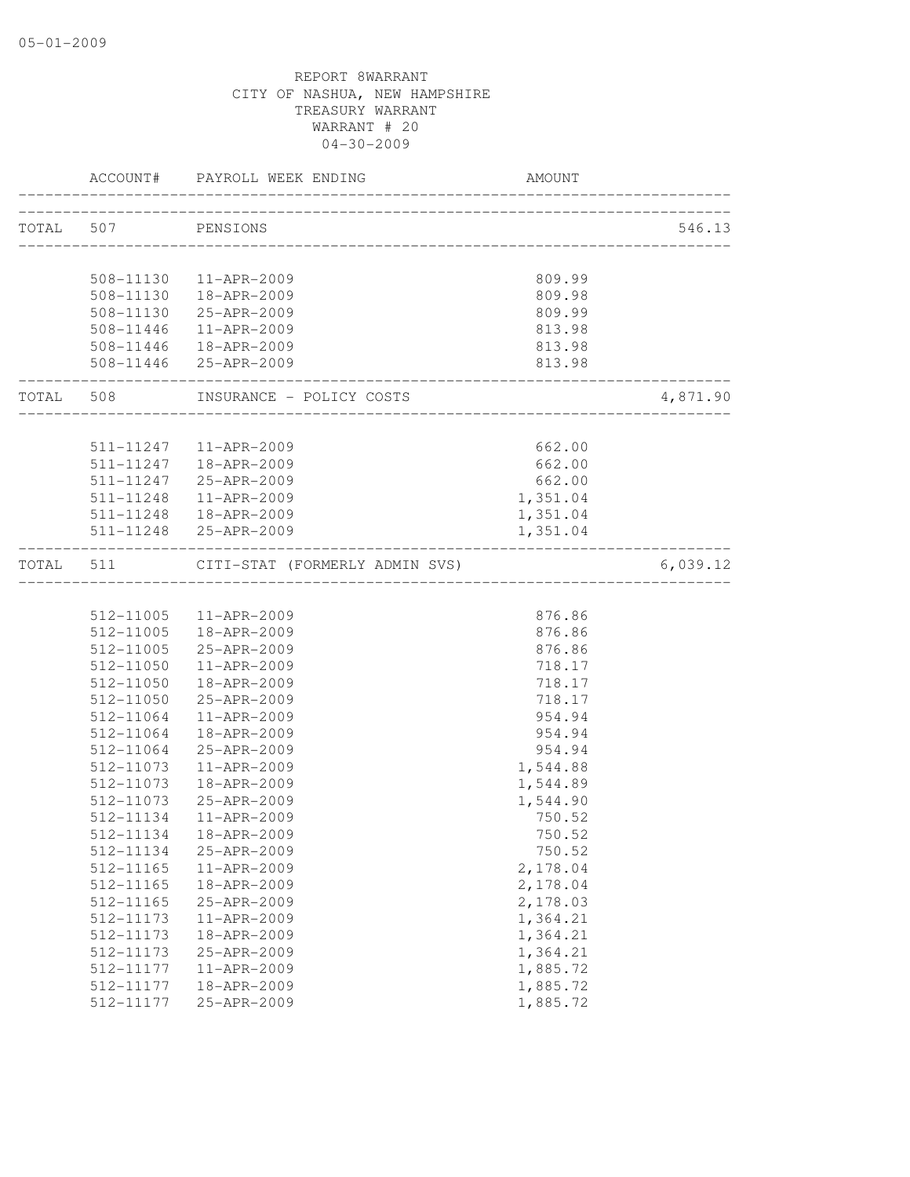|           |                            | ACCOUNT# PAYROLL WEEK ENDING          | AMOUNT                                  |          |
|-----------|----------------------------|---------------------------------------|-----------------------------------------|----------|
|           | TOTAL 507 PENSIONS         |                                       |                                         | 546.13   |
|           |                            |                                       |                                         |          |
|           |                            | 508-11130  11-APR-2009                | 809.99                                  |          |
|           |                            | 508-11130  18-APR-2009                | 809.98                                  |          |
|           |                            | 508-11130 25-APR-2009                 | 809.99                                  |          |
|           |                            | 508-11446  11-APR-2009                | 813.98                                  |          |
|           |                            | 508-11446  18-APR-2009                | 813.98                                  |          |
|           | __________________________ | 508-11446 25-APR-2009                 | 813.98<br>----------------------------- |          |
|           |                            | TOTAL 508 INSURANCE - POLICY COSTS    | _________________________________       | 4,871.90 |
|           |                            |                                       |                                         |          |
|           |                            | 511-11247   11-APR-2009               | 662.00                                  |          |
|           | 511-11247                  | 511-11247  18-APR-2009<br>25-APR-2009 | 662.00<br>662.00                        |          |
|           | 511-11248                  | 11-APR-2009                           | 1,351.04                                |          |
|           |                            | 511-11248  18-APR-2009                | 1,351.04                                |          |
|           |                            | 511-11248 25-APR-2009                 | 1,351.04                                |          |
| TOTAL 511 |                            | CITI-STAT (FORMERLY ADMIN SVS)        |                                         | 6,039.12 |
|           |                            |                                       |                                         |          |
|           |                            | 512-11005 11-APR-2009                 | 876.86                                  |          |
|           |                            | 512-11005  18-APR-2009                | 876.86                                  |          |
|           | 512-11005                  | 25-APR-2009                           | 876.86                                  |          |
|           | 512-11050                  | 11-APR-2009                           | 718.17                                  |          |
|           | 512-11050                  | 18-APR-2009                           | 718.17                                  |          |
|           | 512-11050                  | 25-APR-2009                           | 718.17                                  |          |
|           | 512-11064                  | 11-APR-2009                           | 954.94                                  |          |
|           | 512-11064                  | 18-APR-2009                           | 954.94                                  |          |
|           | 512-11064                  | 25-APR-2009                           | 954.94                                  |          |
|           | 512-11073                  | 11-APR-2009                           | 1,544.88                                |          |
|           | 512-11073                  | 18-APR-2009                           | 1,544.89                                |          |
|           | 512-11073                  | 25-APR-2009                           | 1,544.90                                |          |
|           | 512-11134                  | 11-APR-2009                           | 750.52                                  |          |
|           | 512-11134                  | 18-APR-2009                           | 750.52                                  |          |
|           | 512-11134                  | 25-APR-2009                           | 750.52                                  |          |
|           | 512-11165                  | 11-APR-2009                           | 2,178.04                                |          |
|           | 512-11165                  | 18-APR-2009                           | 2,178.04                                |          |
|           | 512-11165                  | 25-APR-2009                           | 2,178.03                                |          |
|           | 512-11173                  | 11-APR-2009                           | 1,364.21                                |          |
|           | 512-11173                  | 18-APR-2009                           | 1,364.21                                |          |
|           | 512-11173<br>512-11177     | 25-APR-2009                           | 1,364.21                                |          |
|           | 512-11177                  | 11-APR-2009<br>18-APR-2009            | 1,885.72<br>1,885.72                    |          |
|           | 512-11177                  | 25-APR-2009                           | 1,885.72                                |          |
|           |                            |                                       |                                         |          |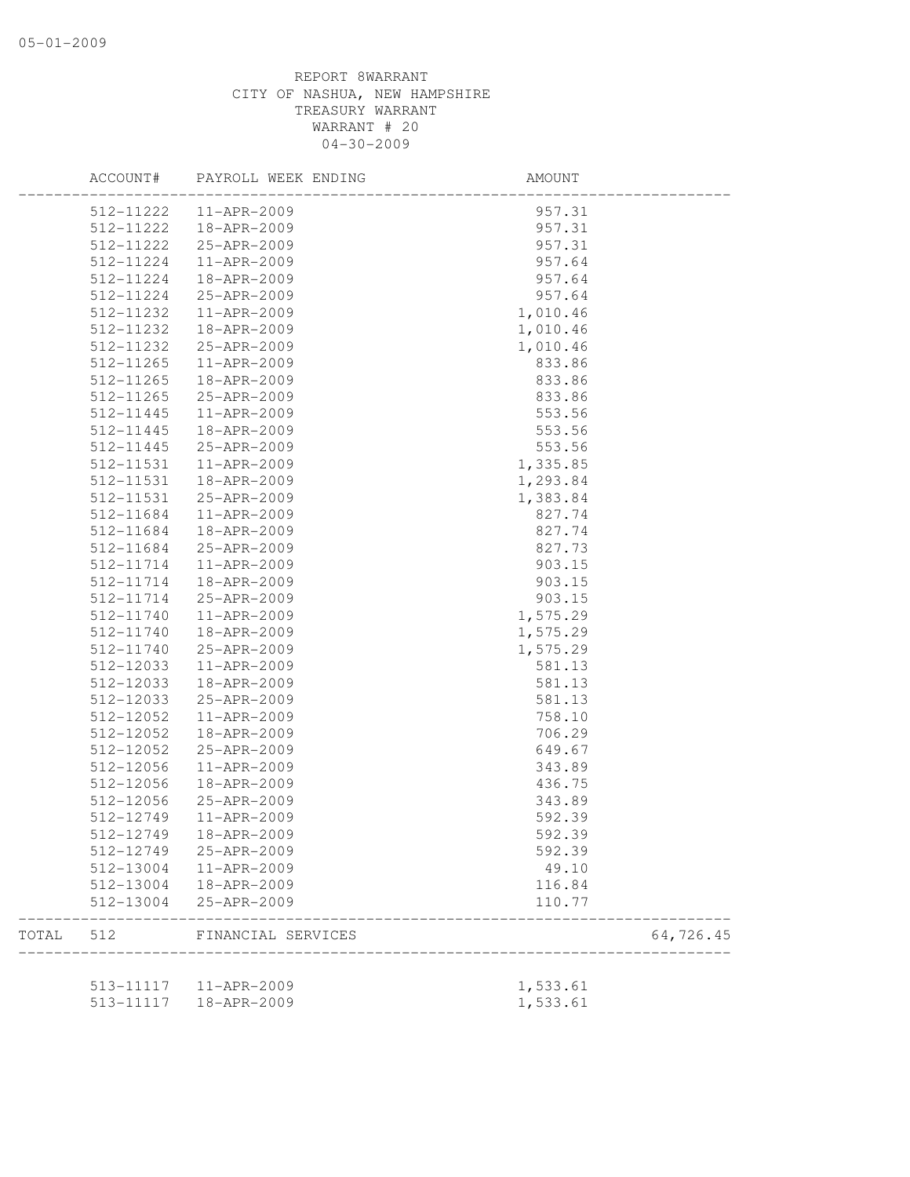|       | ACCOUNT#  | PAYROLL WEEK ENDING        | AMOUNT                    |           |
|-------|-----------|----------------------------|---------------------------|-----------|
|       | 512-11222 | 11-APR-2009                | 957.31                    |           |
|       | 512-11222 | 18-APR-2009                | 957.31                    |           |
|       | 512-11222 | 25-APR-2009                | 957.31                    |           |
|       | 512-11224 | 11-APR-2009                | 957.64                    |           |
|       | 512-11224 | 18-APR-2009                | 957.64                    |           |
|       | 512-11224 | 25-APR-2009                | 957.64                    |           |
|       | 512-11232 | 11-APR-2009                | 1,010.46                  |           |
|       | 512-11232 | 18-APR-2009                | 1,010.46                  |           |
|       | 512-11232 | 25-APR-2009                | 1,010.46                  |           |
|       | 512-11265 | 11-APR-2009                | 833.86                    |           |
|       | 512-11265 | 18-APR-2009                | 833.86                    |           |
|       | 512-11265 | 25-APR-2009                | 833.86                    |           |
|       | 512-11445 | 11-APR-2009                | 553.56                    |           |
|       | 512-11445 | 18-APR-2009                | 553.56                    |           |
|       | 512-11445 | 25-APR-2009                | 553.56                    |           |
|       | 512-11531 | 11-APR-2009                | 1,335.85                  |           |
|       | 512-11531 | 18-APR-2009                | 1,293.84                  |           |
|       | 512-11531 | 25-APR-2009                | 1,383.84                  |           |
|       | 512-11684 | 11-APR-2009                | 827.74                    |           |
|       | 512-11684 | 18-APR-2009                | 827.74                    |           |
|       | 512-11684 | 25-APR-2009                | 827.73                    |           |
|       |           | 11-APR-2009                |                           |           |
|       | 512-11714 |                            | 903.15                    |           |
|       | 512-11714 | 18-APR-2009<br>25-APR-2009 | 903.15                    |           |
|       | 512-11714 |                            | 903.15                    |           |
|       | 512-11740 | 11-APR-2009                | 1,575.29                  |           |
|       | 512-11740 | 18-APR-2009                | 1,575.29                  |           |
|       | 512-11740 | 25-APR-2009                | 1,575.29                  |           |
|       | 512-12033 | 11-APR-2009                | 581.13                    |           |
|       | 512-12033 | 18-APR-2009                | 581.13                    |           |
|       | 512-12033 | 25-APR-2009                | 581.13                    |           |
|       | 512-12052 | 11-APR-2009                | 758.10                    |           |
|       | 512-12052 | 18-APR-2009                | 706.29                    |           |
|       | 512-12052 | 25-APR-2009                | 649.67                    |           |
|       | 512-12056 | $11 - APR - 2009$          | 343.89                    |           |
|       | 512-12056 | 18-APR-2009                | 436.75                    |           |
|       | 512-12056 | 25-APR-2009                | 343.89                    |           |
|       | 512-12749 | 11-APR-2009                | 592.39                    |           |
|       |           | 512-12749  18-APR-2009     | 592.39                    |           |
|       | 512-12749 | 25-APR-2009                | 592.39                    |           |
|       | 512-13004 | 11-APR-2009                | 49.10                     |           |
|       | 512-13004 | 18-APR-2009                | 116.84                    |           |
|       | 512-13004 | 25-APR-2009                | 110.77                    |           |
| TOTAL | 512       | FINANCIAL SERVICES         | _________________________ | 64,726.45 |
|       |           |                            |                           |           |
|       |           | 513-11117   11-APR-2009    | 1,533.61                  |           |
|       | 513-11117 | 18-APR-2009                | 1,533.61                  |           |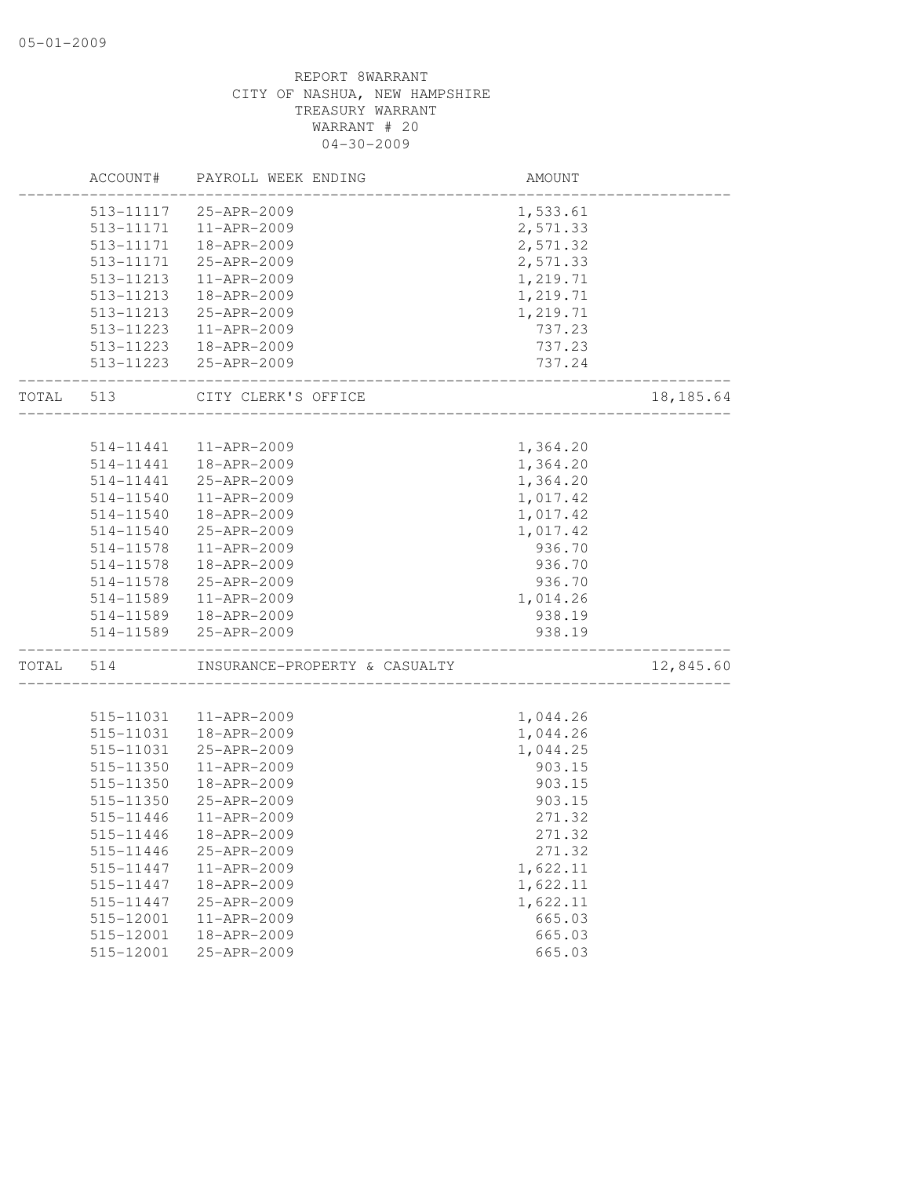|       | ACCOUNT#               | PAYROLL WEEK ENDING                       | AMOUNT               |           |
|-------|------------------------|-------------------------------------------|----------------------|-----------|
|       | 513-11117              | 25-APR-2009                               | 1,533.61             |           |
|       | 513-11171              | 11-APR-2009                               | 2,571.33             |           |
|       | 513-11171              | 18-APR-2009                               | 2,571.32             |           |
|       | 513-11171              | 25-APR-2009                               | 2,571.33             |           |
|       | 513-11213              | 11-APR-2009                               | 1,219.71             |           |
|       | 513-11213              | 18-APR-2009                               | 1,219.71             |           |
|       | 513-11213              | 25-APR-2009                               | 1,219.71             |           |
|       | 513-11223              | 11-APR-2009                               | 737.23               |           |
|       | 513-11223              | 18-APR-2009                               | 737.23               |           |
|       | 513-11223              | 25-APR-2009<br>-------------------------- | 737.24               |           |
| TOTAL | 513                    | CITY CLERK'S OFFICE<br>________________   |                      | 18,185.64 |
|       |                        |                                           |                      |           |
|       | 514-11441<br>514-11441 | 11-APR-2009                               | 1,364.20             |           |
|       |                        | 18-APR-2009                               | 1,364.20             |           |
|       | 514-11441<br>514-11540 | 25-APR-2009                               | 1,364.20             |           |
|       | 514-11540              | 11-APR-2009<br>18-APR-2009                | 1,017.42             |           |
|       |                        | 25-APR-2009                               | 1,017.42<br>1,017.42 |           |
|       | 514-11540              | 11-APR-2009                               | 936.70               |           |
|       | 514-11578<br>514-11578 | 18-APR-2009                               | 936.70               |           |
|       | 514-11578              | 25-APR-2009                               | 936.70               |           |
|       | 514-11589              | 11-APR-2009                               | 1,014.26             |           |
|       | 514-11589              | 18-APR-2009                               | 938.19               |           |
|       | 514-11589              | 25-APR-2009                               | 938.19               |           |
| TOTAL | 514                    | INSURANCE-PROPERTY & CASUALTY             |                      | 12,845.60 |
|       |                        |                                           |                      |           |
|       | 515-11031              | 11-APR-2009                               | 1,044.26             |           |
|       | 515-11031              | 18-APR-2009                               | 1,044.26             |           |
|       | 515-11031              | 25-APR-2009                               | 1,044.25             |           |
|       | 515-11350              | $11 - APR - 2009$                         | 903.15               |           |
|       | 515-11350              | 18-APR-2009                               | 903.15               |           |
|       | 515-11350              | 25-APR-2009                               | 903.15               |           |
|       | 515-11446              | 11-APR-2009                               | 271.32               |           |
|       | 515-11446              | 18-APR-2009                               | 271.32               |           |
|       | 515-11446              | 25-APR-2009                               | 271.32               |           |
|       | 515-11447              | 11-APR-2009                               | 1,622.11             |           |
|       | 515-11447              | 18-APR-2009                               | 1,622.11             |           |
|       | 515-11447              | 25-APR-2009                               | 1,622.11             |           |
|       | 515-12001              | 11-APR-2009                               | 665.03               |           |
|       | 515-12001              | 18-APR-2009                               | 665.03               |           |
|       | 515-12001              | 25-APR-2009                               | 665.03               |           |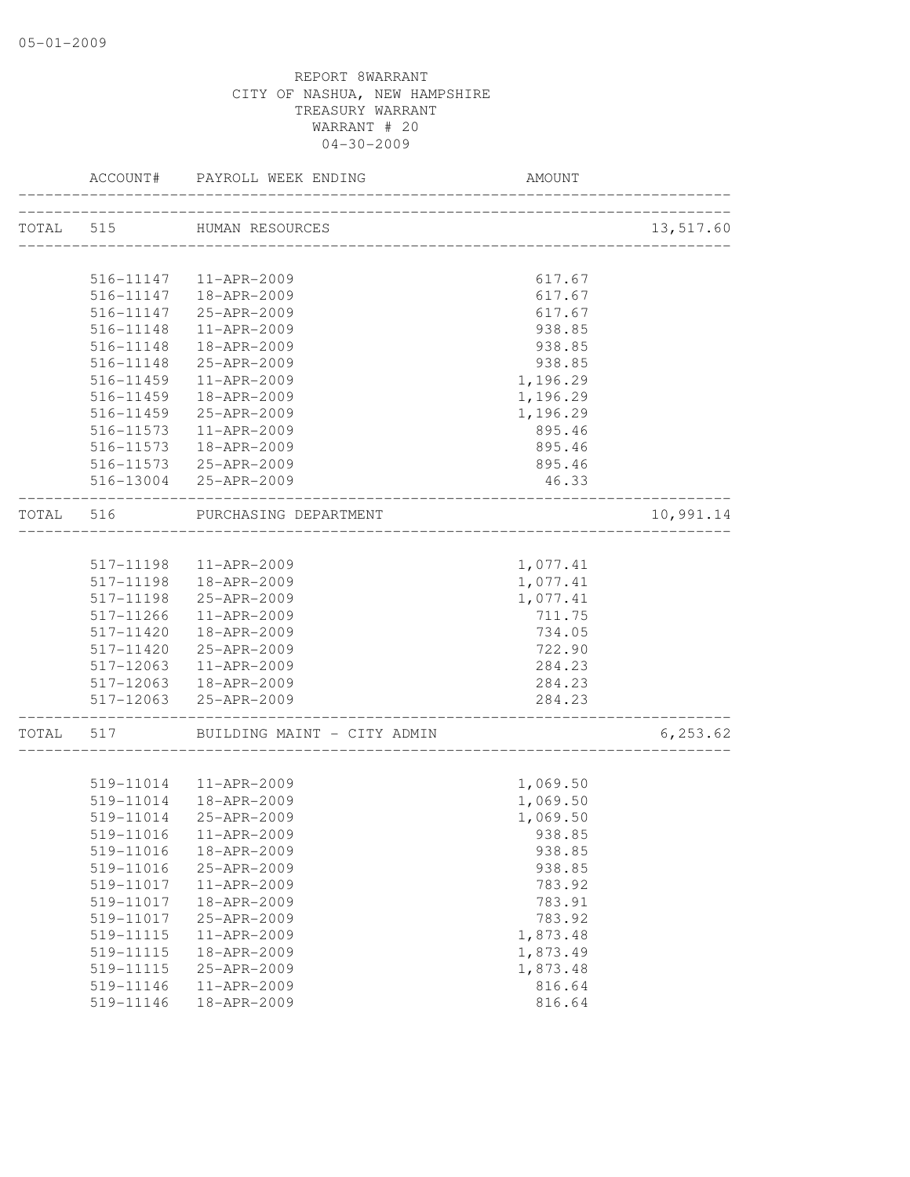|           | ACCOUNT#               | PAYROLL WEEK ENDING                         | AMOUNT                                                           |           |
|-----------|------------------------|---------------------------------------------|------------------------------------------------------------------|-----------|
|           |                        | TOTAL 515 HUMAN RESOURCES                   |                                                                  | 13,517.60 |
|           |                        |                                             |                                                                  |           |
|           | 516-11147              | 11-APR-2009                                 | 617.67                                                           |           |
|           |                        | 516-11147  18-APR-2009                      | 617.67                                                           |           |
|           | 516-11147              | 25-APR-2009                                 | 617.67                                                           |           |
|           | 516-11148              | 11-APR-2009                                 | 938.85                                                           |           |
|           | 516-11148              | 18-APR-2009                                 | 938.85                                                           |           |
|           | 516-11148              | 25-APR-2009                                 | 938.85                                                           |           |
|           | 516-11459              | 11-APR-2009                                 | 1,196.29                                                         |           |
|           | 516-11459              | 18-APR-2009                                 | 1,196.29                                                         |           |
|           | 516-11459              | 25-APR-2009                                 | 1,196.29                                                         |           |
|           | 516-11573              | 11-APR-2009                                 | 895.46                                                           |           |
|           | 516-11573              | 18-APR-2009                                 | 895.46                                                           |           |
|           |                        | 516-11573 25-APR-2009                       | 895.46                                                           |           |
|           |                        | 516-13004 25-APR-2009                       | 46.33                                                            |           |
| TOTAL 516 |                        | PURCHASING DEPARTMENT<br>__________________ |                                                                  | 10,991.14 |
|           |                        | 517-11198  11-APR-2009                      | 1,077.41                                                         |           |
|           | 517-11198              | 18-APR-2009                                 | 1,077.41                                                         |           |
|           | 517-11198              | 25-APR-2009                                 | 1,077.41                                                         |           |
|           | 517-11266              | 11-APR-2009                                 | 711.75                                                           |           |
|           | 517-11420              | 18-APR-2009                                 | 734.05                                                           |           |
|           | 517-11420              | 25-APR-2009                                 | 722.90                                                           |           |
|           | 517-12063              | 11-APR-2009                                 | 284.23                                                           |           |
|           | 517-12063              | 18-APR-2009                                 | 284.23                                                           |           |
|           |                        | 517-12063 25-APR-2009                       | 284.23                                                           |           |
| TOTAL 517 | ______________________ | BUILDING MAINT - CITY ADMIN                 | --------------------------<br>__________________________________ | 6, 253.62 |
|           |                        |                                             |                                                                  |           |
|           |                        | 519-11014  11-APR-2009                      | 1,069.50                                                         |           |
|           | 519-11014<br>519-11014 | 18-APR-2009<br>25-APR-2009                  | 1,069.50                                                         |           |
|           |                        |                                             | 1,069.50                                                         |           |
|           |                        | 519-11016  11-APR-2009                      | 938.85                                                           |           |
|           | 519-11016              | 18-APR-2009                                 | 938.85                                                           |           |
|           | 519-11016              | 25-APR-2009                                 | 938.85                                                           |           |
|           | 519-11017              | 11-APR-2009                                 | 783.92                                                           |           |
|           | 519-11017              | 18-APR-2009                                 | 783.91                                                           |           |
|           | 519-11017              | 25-APR-2009                                 | 783.92                                                           |           |
|           | 519-11115              | 11-APR-2009<br>18-APR-2009                  | 1,873.48                                                         |           |
|           | 519-11115              |                                             | 1,873.49                                                         |           |
|           | 519-11115              | 25-APR-2009                                 | 1,873.48<br>816.64                                               |           |
|           | 519-11146<br>519-11146 | 11-APR-2009<br>18-APR-2009                  | 816.64                                                           |           |
|           |                        |                                             |                                                                  |           |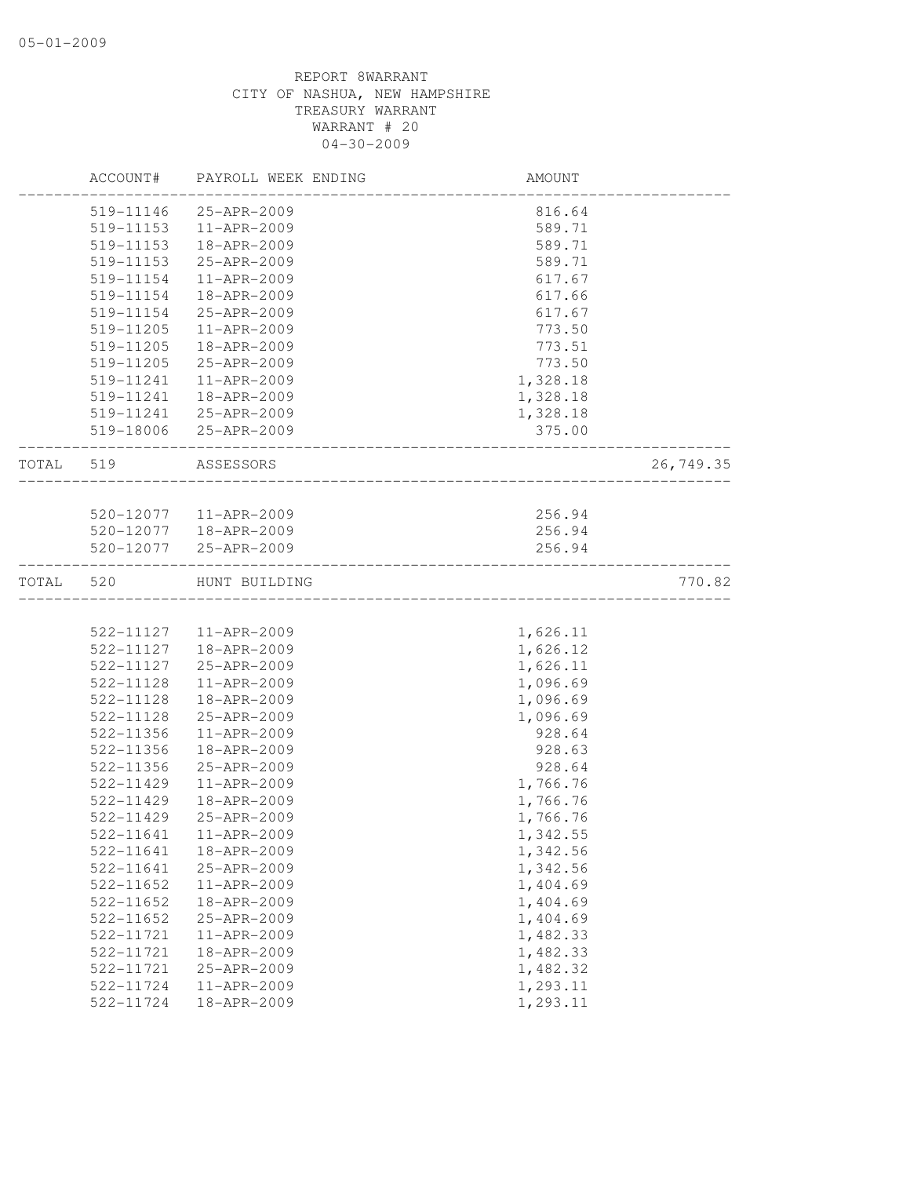|       | ACCOUNT#  | PAYROLL WEEK ENDING | AMOUNT   |           |
|-------|-----------|---------------------|----------|-----------|
|       | 519-11146 | 25-APR-2009         | 816.64   |           |
|       | 519-11153 | 11-APR-2009         | 589.71   |           |
|       | 519-11153 | 18-APR-2009         | 589.71   |           |
|       | 519-11153 | 25-APR-2009         | 589.71   |           |
|       | 519-11154 | 11-APR-2009         | 617.67   |           |
|       | 519-11154 | 18-APR-2009         | 617.66   |           |
|       | 519-11154 | 25-APR-2009         | 617.67   |           |
|       | 519-11205 | 11-APR-2009         | 773.50   |           |
|       | 519-11205 | 18-APR-2009         | 773.51   |           |
|       | 519-11205 | 25-APR-2009         | 773.50   |           |
|       | 519-11241 | 11-APR-2009         | 1,328.18 |           |
|       | 519-11241 | 18-APR-2009         | 1,328.18 |           |
|       | 519-11241 | 25-APR-2009         | 1,328.18 |           |
|       | 519-18006 | 25-APR-2009         | 375.00   |           |
| TOTAL | 519       | ASSESSORS           |          | 26,749.35 |
|       |           |                     |          |           |
|       | 520-12077 | 11-APR-2009         | 256.94   |           |
|       | 520-12077 | 18-APR-2009         | 256.94   |           |
|       | 520-12077 | 25-APR-2009         | 256.94   |           |
| TOTAL | 520       | HUNT BUILDING       |          | 770.82    |
|       |           |                     |          |           |
|       | 522-11127 | 11-APR-2009         | 1,626.11 |           |
|       | 522-11127 | 18-APR-2009         | 1,626.12 |           |
|       | 522-11127 | 25-APR-2009         | 1,626.11 |           |
|       | 522-11128 | 11-APR-2009         | 1,096.69 |           |
|       | 522-11128 | 18-APR-2009         | 1,096.69 |           |
|       | 522-11128 | 25-APR-2009         | 1,096.69 |           |
|       | 522-11356 | 11-APR-2009         | 928.64   |           |
|       | 522-11356 | 18-APR-2009         | 928.63   |           |
|       | 522-11356 | 25-APR-2009         | 928.64   |           |
|       | 522-11429 | 11-APR-2009         | 1,766.76 |           |
|       | 522-11429 | 18-APR-2009         | 1,766.76 |           |
|       | 522-11429 | 25-APR-2009         | 1,766.76 |           |
|       | 522-11641 | $11 - APR - 2009$   | 1,342.55 |           |
|       | 522-11641 | 18-APR-2009         | 1,342.56 |           |
|       | 522-11641 | 25-APR-2009         | 1,342.56 |           |
|       | 522-11652 | 11-APR-2009         | 1,404.69 |           |
|       | 522-11652 | 18-APR-2009         | 1,404.69 |           |
|       | 522-11652 | 25-APR-2009         | 1,404.69 |           |
|       | 522-11721 | 11-APR-2009         | 1,482.33 |           |
|       | 522-11721 | 18-APR-2009         | 1,482.33 |           |
|       | 522-11721 | 25-APR-2009         | 1,482.32 |           |
|       | 522-11724 | 11-APR-2009         | 1,293.11 |           |
|       | 522-11724 | 18-APR-2009         | 1,293.11 |           |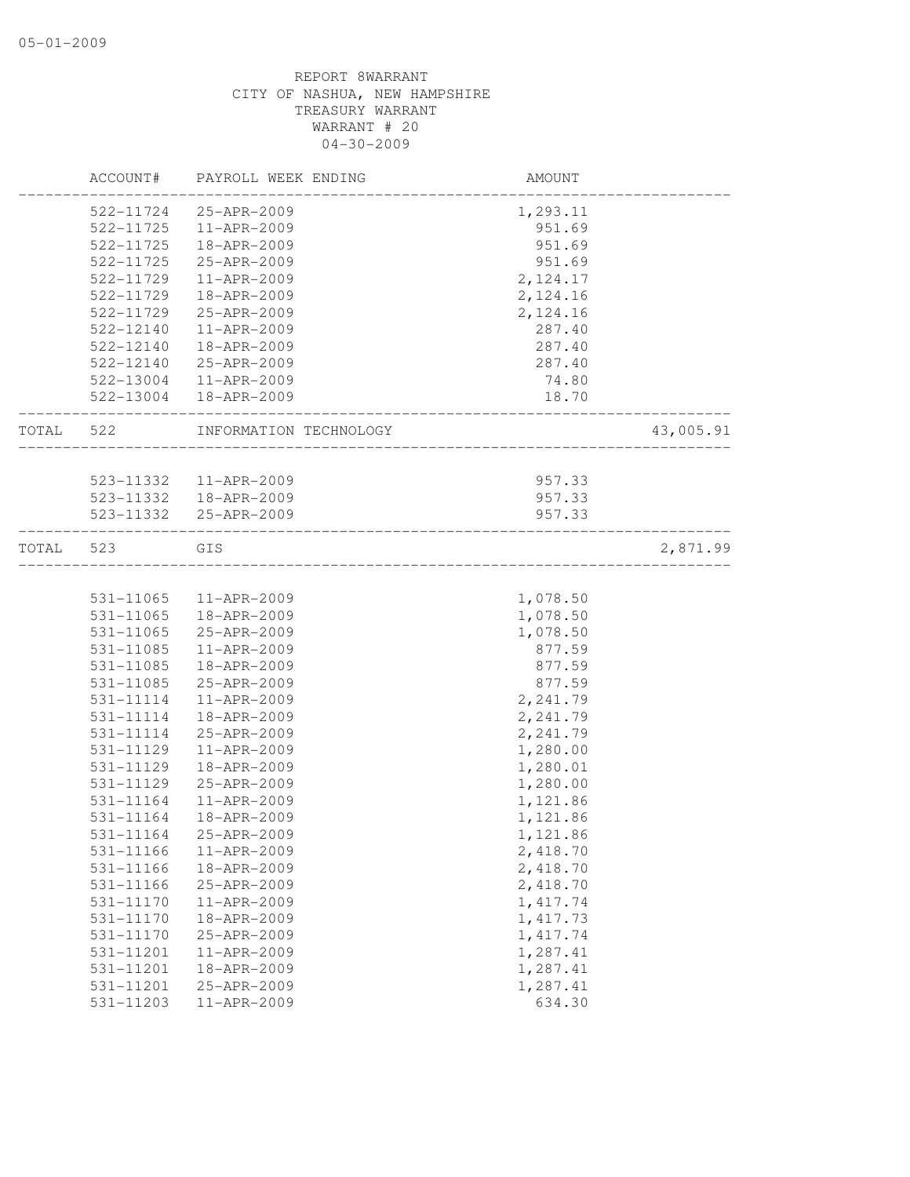|       | ACCOUNT#  | PAYROLL WEEK ENDING                   | AMOUNT                        |           |
|-------|-----------|---------------------------------------|-------------------------------|-----------|
|       | 522-11724 | 25-APR-2009                           | 1,293.11                      |           |
|       | 522-11725 | 11-APR-2009                           | 951.69                        |           |
|       | 522-11725 | 18-APR-2009                           | 951.69                        |           |
|       | 522-11725 | 25-APR-2009                           | 951.69                        |           |
|       | 522-11729 | 11-APR-2009                           | 2,124.17                      |           |
|       | 522-11729 | 18-APR-2009                           | 2,124.16                      |           |
|       | 522-11729 | 25-APR-2009                           | 2,124.16                      |           |
|       | 522-12140 | 11-APR-2009                           | 287.40                        |           |
|       | 522-12140 | 18-APR-2009                           | 287.40                        |           |
|       | 522-12140 | 25-APR-2009                           | 287.40                        |           |
|       | 522-13004 | 11-APR-2009                           | 74.80                         |           |
|       |           | 522-13004  18-APR-2009                | 18.70<br>____________________ |           |
| TOTAL | 522       | INFORMATION TECHNOLOGY                |                               | 43,005.91 |
|       |           |                                       |                               |           |
|       | 523-11332 | 11-APR-2009<br>523-11332  18-APR-2009 | 957.33                        |           |
|       |           |                                       | 957.33                        |           |
|       |           | 523-11332 25-APR-2009                 | 957.33                        |           |
| TOTAL | 523       | GIS                                   |                               | 2,871.99  |
|       |           |                                       |                               |           |
|       | 531-11065 | 11-APR-2009                           | 1,078.50                      |           |
|       | 531-11065 | 18-APR-2009                           | 1,078.50                      |           |
|       | 531-11065 | 25-APR-2009                           | 1,078.50                      |           |
|       | 531-11085 | 11-APR-2009                           | 877.59                        |           |
|       | 531-11085 | 18-APR-2009                           | 877.59                        |           |
|       | 531-11085 | 25-APR-2009                           | 877.59                        |           |
|       | 531-11114 | 11-APR-2009                           | 2,241.79                      |           |
|       | 531-11114 | 18-APR-2009                           | 2,241.79                      |           |
|       | 531-11114 | 25-APR-2009                           | 2,241.79                      |           |
|       | 531-11129 | 11-APR-2009                           | 1,280.00                      |           |
|       | 531-11129 | 18-APR-2009                           | 1,280.01                      |           |
|       | 531-11129 | 25-APR-2009                           | 1,280.00                      |           |
|       | 531-11164 | 11-APR-2009                           | 1,121.86                      |           |
|       | 531-11164 | 18-APR-2009                           | 1,121.86                      |           |
|       | 531-11164 | $25 - APR - 2009$                     | 1,121.86                      |           |
|       | 531-11166 | 11-APR-2009                           | 2,418.70                      |           |
|       | 531-11166 | 18-APR-2009                           | 2,418.70                      |           |
|       | 531-11166 | 25-APR-2009                           | 2,418.70                      |           |
|       | 531-11170 | 11-APR-2009                           | 1, 417.74                     |           |
|       | 531-11170 | 18-APR-2009                           | 1, 417.73                     |           |
|       | 531-11170 | 25-APR-2009                           | 1, 417.74                     |           |
|       | 531-11201 | 11-APR-2009                           | 1,287.41                      |           |
|       | 531-11201 | 18-APR-2009                           | 1,287.41                      |           |
|       | 531-11201 | 25-APR-2009                           | 1,287.41                      |           |
|       | 531-11203 | 11-APR-2009                           | 634.30                        |           |
|       |           |                                       |                               |           |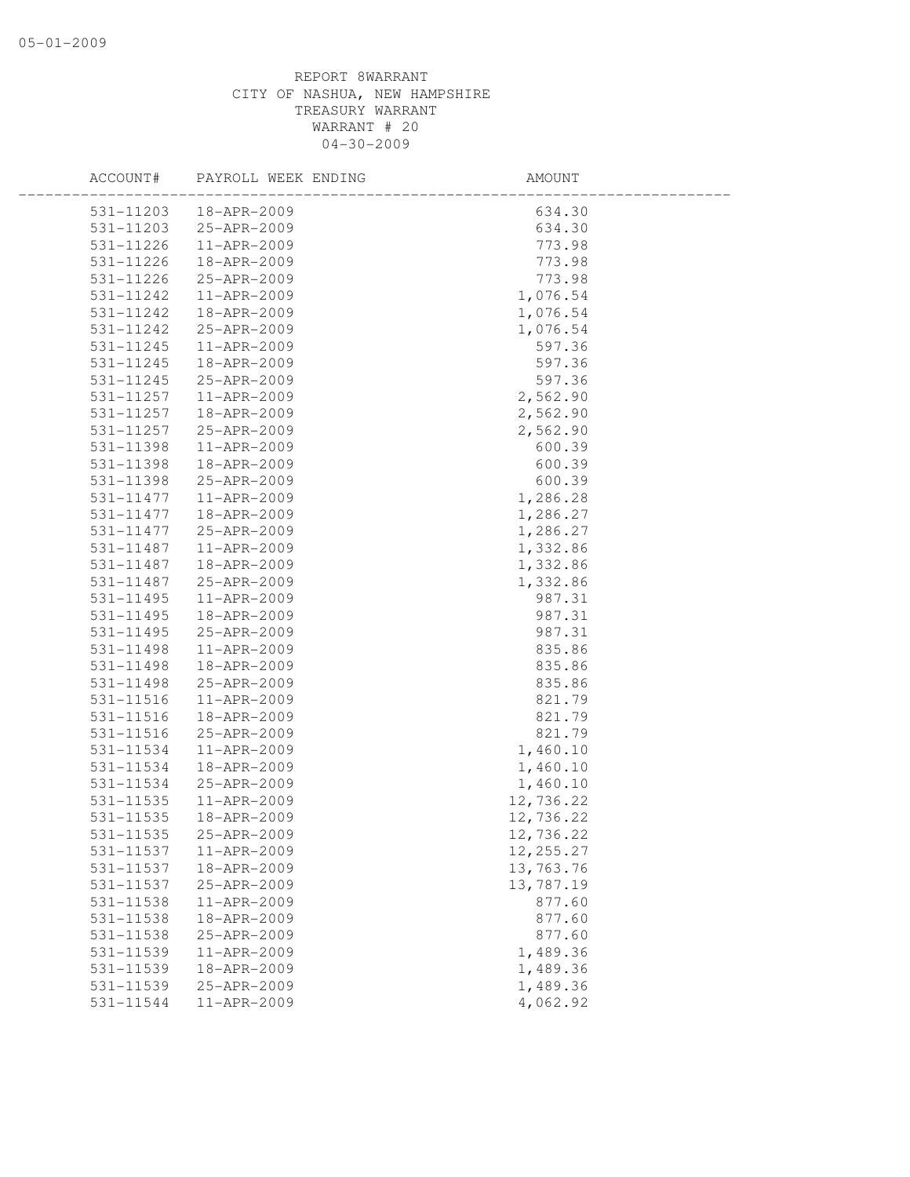| ACCOUNT#      | PAYROLL WEEK ENDING | AMOUNT    |  |
|---------------|---------------------|-----------|--|
| 531-11203     | 18-APR-2009         | 634.30    |  |
| 531-11203     | 25-APR-2009         | 634.30    |  |
| 531-11226     | 11-APR-2009         | 773.98    |  |
| 531-11226     | 18-APR-2009         | 773.98    |  |
| 531-11226     | 25-APR-2009         | 773.98    |  |
| 531-11242     | 11-APR-2009         | 1,076.54  |  |
| 531-11242     | 18-APR-2009         | 1,076.54  |  |
| 531-11242     | 25-APR-2009         | 1,076.54  |  |
| 531-11245     | 11-APR-2009         | 597.36    |  |
| $531 - 11245$ | 18-APR-2009         | 597.36    |  |
| 531-11245     | 25-APR-2009         | 597.36    |  |
| 531-11257     | 11-APR-2009         | 2,562.90  |  |
| 531-11257     | 18-APR-2009         | 2,562.90  |  |
| 531-11257     | 25-APR-2009         | 2,562.90  |  |
| 531-11398     | 11-APR-2009         | 600.39    |  |
| 531-11398     | 18-APR-2009         | 600.39    |  |
| 531-11398     | 25-APR-2009         | 600.39    |  |
| 531-11477     | 11-APR-2009         | 1,286.28  |  |
| 531-11477     | 18-APR-2009         | 1,286.27  |  |
| 531-11477     | 25-APR-2009         | 1,286.27  |  |
| 531-11487     | 11-APR-2009         | 1,332.86  |  |
| 531-11487     | 18-APR-2009         | 1,332.86  |  |
| 531-11487     | 25-APR-2009         | 1,332.86  |  |
| $531 - 11495$ | 11-APR-2009         | 987.31    |  |
| 531-11495     | 18-APR-2009         | 987.31    |  |
| 531-11495     | 25-APR-2009         | 987.31    |  |
| 531-11498     | 11-APR-2009         | 835.86    |  |
| 531-11498     | 18-APR-2009         | 835.86    |  |
| 531-11498     | 25-APR-2009         | 835.86    |  |
| 531-11516     | 11-APR-2009         | 821.79    |  |
| 531-11516     | 18-APR-2009         | 821.79    |  |
| 531-11516     | 25-APR-2009         | 821.79    |  |
| 531-11534     | 11-APR-2009         | 1,460.10  |  |
| 531-11534     | 18-APR-2009         | 1,460.10  |  |
| 531-11534     | 25-APR-2009         | 1,460.10  |  |
| 531-11535     | 11-APR-2009         | 12,736.22 |  |
| 531-11535     | 18-APR-2009         | 12,736.22 |  |
| 531-11535     | 25-APR-2009         | 12,736.22 |  |
| 531-11537     | 11-APR-2009         | 12,255.27 |  |
| 531-11537     | 18-APR-2009         | 13,763.76 |  |
| 531-11537     | 25-APR-2009         | 13,787.19 |  |
| 531-11538     | 11-APR-2009         | 877.60    |  |
| 531-11538     | 18-APR-2009         | 877.60    |  |
| 531-11538     | 25-APR-2009         | 877.60    |  |
| 531-11539     | 11-APR-2009         | 1,489.36  |  |
| 531-11539     | 18-APR-2009         | 1,489.36  |  |
| 531-11539     | 25-APR-2009         | 1,489.36  |  |
| 531-11544     | 11-APR-2009         | 4,062.92  |  |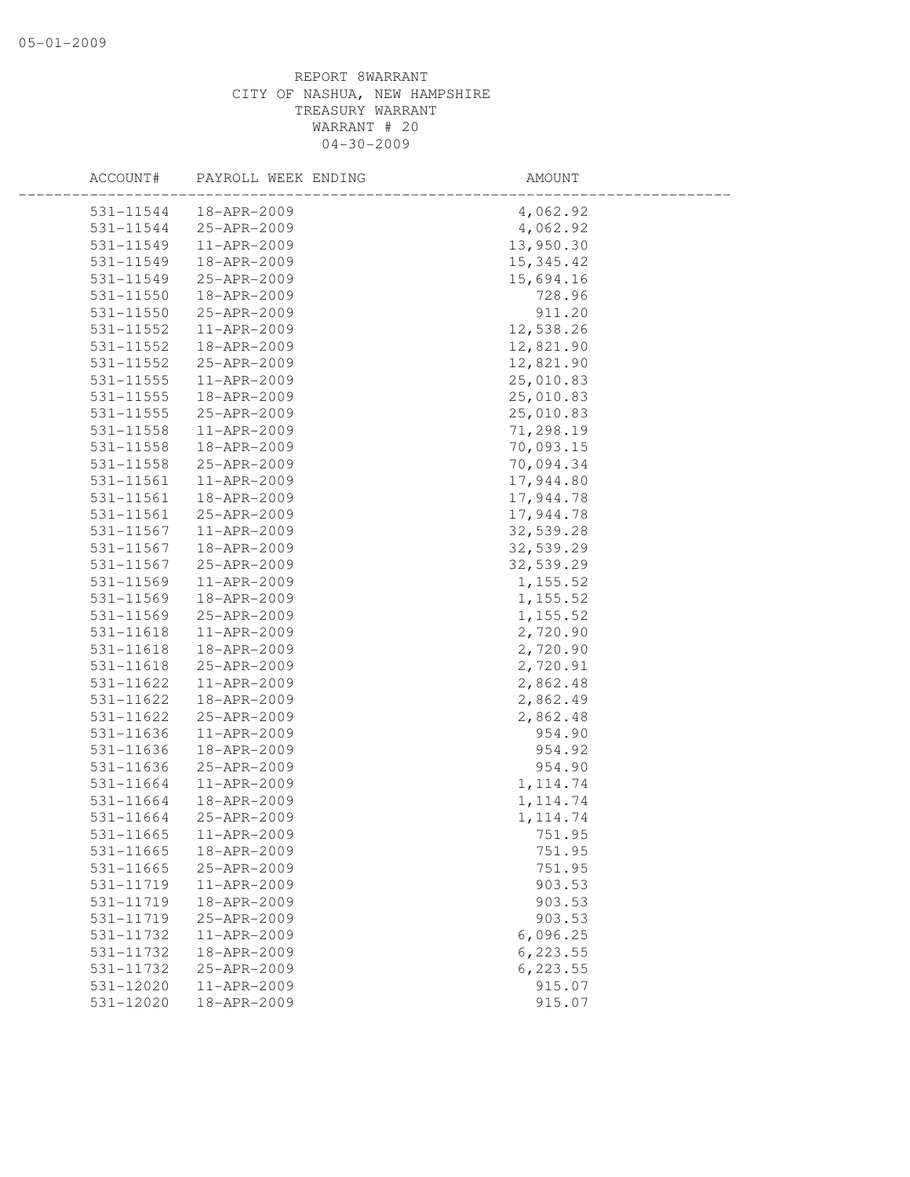| ACCOUNT#      | PAYROLL WEEK ENDING | AMOUNT     |
|---------------|---------------------|------------|
| 531-11544     | 18-APR-2009         | 4,062.92   |
| 531-11544     | 25-APR-2009         | 4,062.92   |
| 531-11549     | 11-APR-2009         | 13,950.30  |
| 531-11549     | 18-APR-2009         | 15, 345.42 |
| 531-11549     | 25-APR-2009         | 15,694.16  |
| 531-11550     | 18-APR-2009         | 728.96     |
| 531-11550     | 25-APR-2009         | 911.20     |
| 531-11552     | 11-APR-2009         | 12,538.26  |
| 531-11552     | 18-APR-2009         | 12,821.90  |
| 531-11552     | 25-APR-2009         | 12,821.90  |
| 531-11555     | 11-APR-2009         | 25,010.83  |
| 531-11555     | 18-APR-2009         | 25,010.83  |
| 531-11555     | 25-APR-2009         | 25,010.83  |
| 531-11558     | 11-APR-2009         | 71,298.19  |
| 531-11558     | 18-APR-2009         | 70,093.15  |
| 531-11558     | 25-APR-2009         | 70,094.34  |
| 531-11561     | 11-APR-2009         | 17,944.80  |
| 531-11561     | 18-APR-2009         | 17,944.78  |
| 531-11561     | 25-APR-2009         | 17,944.78  |
| 531-11567     | 11-APR-2009         | 32,539.28  |
| 531-11567     | 18-APR-2009         | 32,539.29  |
| 531-11567     | 25-APR-2009         | 32,539.29  |
| 531-11569     | 11-APR-2009         | 1,155.52   |
| 531-11569     | 18-APR-2009         | 1,155.52   |
| 531-11569     | 25-APR-2009         | 1,155.52   |
| 531-11618     | 11-APR-2009         | 2,720.90   |
| 531-11618     | 18-APR-2009         | 2,720.90   |
| 531-11618     | 25-APR-2009         | 2,720.91   |
| 531-11622     | 11-APR-2009         | 2,862.48   |
| 531-11622     | 18-APR-2009         | 2,862.49   |
| 531-11622     | 25-APR-2009         | 2,862.48   |
| 531-11636     | 11-APR-2009         | 954.90     |
| 531-11636     | 18-APR-2009         | 954.92     |
| 531-11636     | 25-APR-2009         | 954.90     |
| 531-11664     | 11-APR-2009         | 1, 114.74  |
| 531-11664     | 18-APR-2009         | 1, 114.74  |
| 531-11664     | 25-APR-2009         | 1, 114.74  |
| 531-11665     | 11-APR-2009         | 751.95     |
| 531-11665     | 18-APR-2009         | 751.95     |
| 531-11665     | 25-APR-2009         | 751.95     |
| 531-11719     | 11-APR-2009         | 903.53     |
| 531-11719     | 18-APR-2009         | 903.53     |
| 531-11719     | 25-APR-2009         | 903.53     |
| 531-11732     | 11-APR-2009         | 6,096.25   |
| 531-11732     | 18-APR-2009         | 6, 223.55  |
| 531-11732     | 25-APR-2009         | 6,223.55   |
| 531-12020     | $11 - APR - 2009$   | 915.07     |
| $531 - 12020$ | 18-APR-2009         | 915.07     |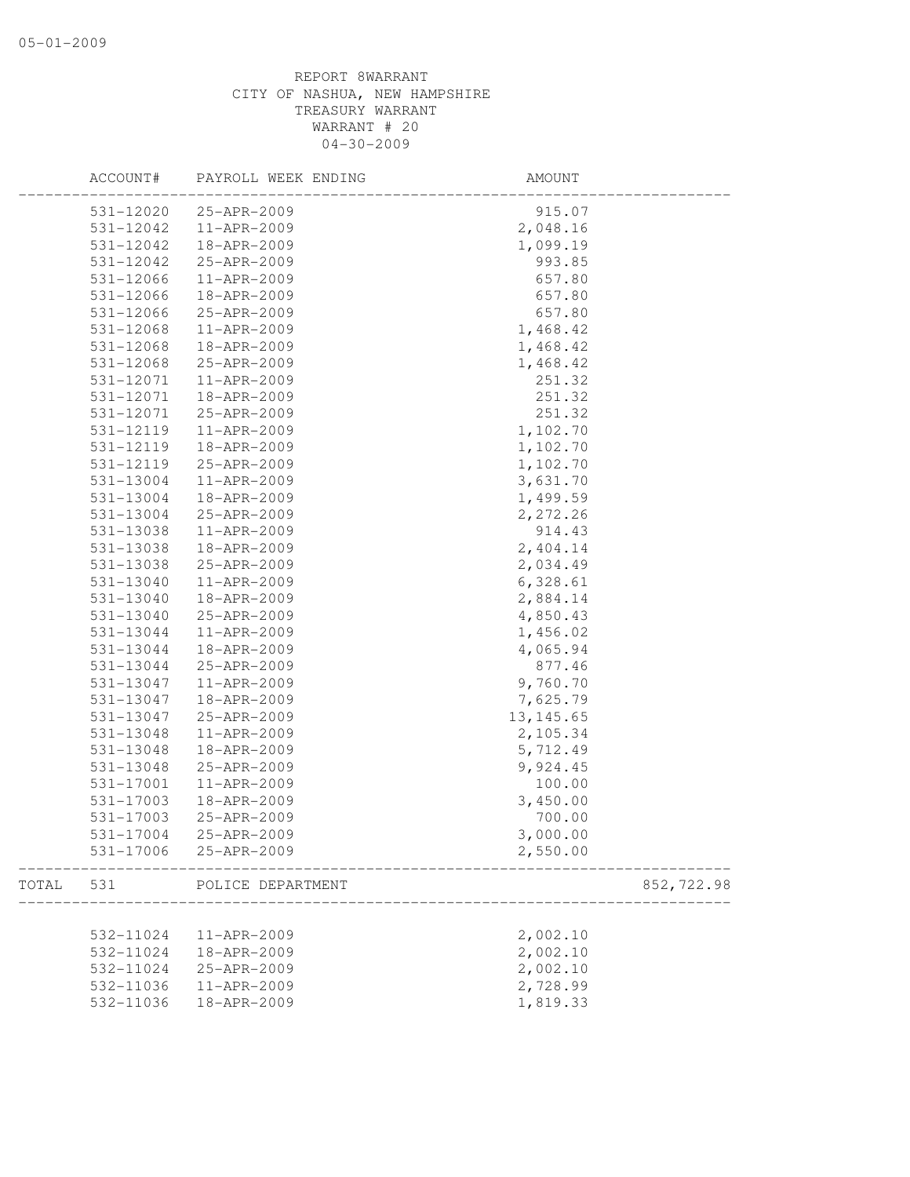|       | ACCOUNT#  | PAYROLL WEEK ENDING | AMOUNT     |            |
|-------|-----------|---------------------|------------|------------|
|       | 531-12020 | 25-APR-2009         | 915.07     |            |
|       | 531-12042 | 11-APR-2009         | 2,048.16   |            |
|       | 531-12042 | 18-APR-2009         | 1,099.19   |            |
|       | 531-12042 | 25-APR-2009         | 993.85     |            |
|       | 531-12066 | 11-APR-2009         | 657.80     |            |
|       | 531-12066 | 18-APR-2009         | 657.80     |            |
|       | 531-12066 | 25-APR-2009         | 657.80     |            |
|       | 531-12068 | 11-APR-2009         | 1,468.42   |            |
|       | 531-12068 | 18-APR-2009         | 1,468.42   |            |
|       | 531-12068 | 25-APR-2009         | 1,468.42   |            |
|       | 531-12071 | 11-APR-2009         | 251.32     |            |
|       | 531-12071 | 18-APR-2009         | 251.32     |            |
|       | 531-12071 | 25-APR-2009         | 251.32     |            |
|       | 531-12119 | 11-APR-2009         | 1,102.70   |            |
|       | 531-12119 | 18-APR-2009         | 1,102.70   |            |
|       | 531-12119 | 25-APR-2009         | 1,102.70   |            |
|       | 531-13004 | 11-APR-2009         | 3,631.70   |            |
|       | 531-13004 | 18-APR-2009         | 1,499.59   |            |
|       | 531-13004 | 25-APR-2009         | 2,272.26   |            |
|       | 531-13038 | 11-APR-2009         | 914.43     |            |
|       | 531-13038 | 18-APR-2009         | 2,404.14   |            |
|       | 531-13038 | 25-APR-2009         | 2,034.49   |            |
|       | 531-13040 | 11-APR-2009         | 6,328.61   |            |
|       | 531-13040 | 18-APR-2009         | 2,884.14   |            |
|       | 531-13040 | 25-APR-2009         | 4,850.43   |            |
|       | 531-13044 | 11-APR-2009         | 1,456.02   |            |
|       |           |                     |            |            |
|       | 531-13044 | 18-APR-2009         | 4,065.94   |            |
|       | 531-13044 | 25-APR-2009         | 877.46     |            |
|       | 531-13047 | 11-APR-2009         | 9,760.70   |            |
|       | 531-13047 | 18-APR-2009         | 7,625.79   |            |
|       | 531-13047 | 25-APR-2009         | 13, 145.65 |            |
|       | 531-13048 | 11-APR-2009         | 2,105.34   |            |
|       | 531-13048 | 18-APR-2009         | 5,712.49   |            |
|       | 531-13048 | 25-APR-2009         | 9,924.45   |            |
|       | 531-17001 | 11-APR-2009         | 100.00     |            |
|       | 531-17003 | 18-APR-2009         | 3,450.00   |            |
|       | 531-17003 | 25-APR-2009         | 700.00     |            |
|       | 531-17004 | $25 - APR - 2009$   | 3,000.00   |            |
|       | 531-17006 | 25-APR-2009         | 2,550.00   |            |
| TOTAL | 531       | POLICE DEPARTMENT   |            | 852,722.98 |
|       |           |                     |            |            |
|       | 532-11024 | 11-APR-2009         | 2,002.10   |            |
|       | 532-11024 | 18-APR-2009         | 2,002.10   |            |
|       | 532-11024 | 25-APR-2009         | 2,002.10   |            |
|       | 532-11036 | 11-APR-2009         | 2,728.99   |            |
|       | 532-11036 | 18-APR-2009         | 1,819.33   |            |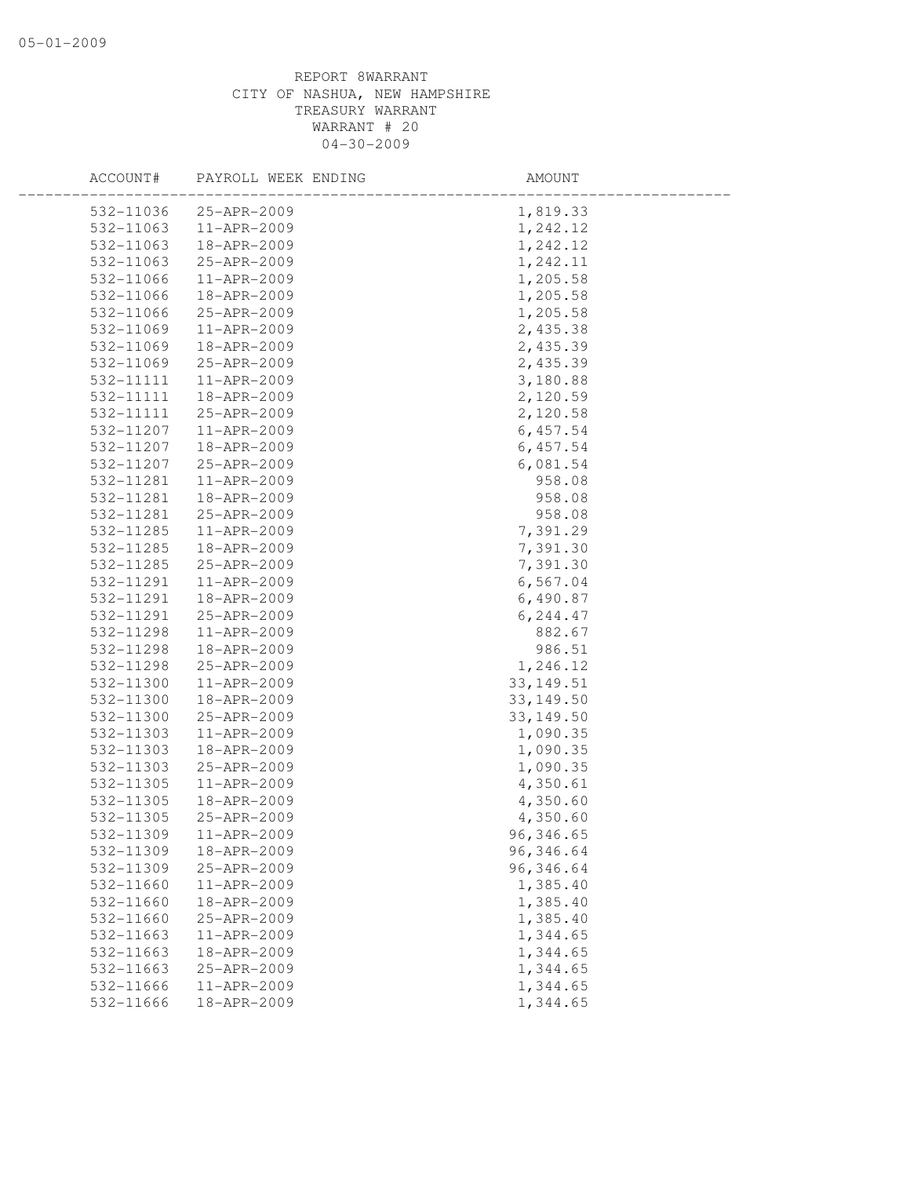| ACCOUNT#  | PAYROLL WEEK ENDING | AMOUNT     |  |
|-----------|---------------------|------------|--|
| 532-11036 | 25-APR-2009         | 1,819.33   |  |
| 532-11063 | 11-APR-2009         | 1,242.12   |  |
| 532-11063 | 18-APR-2009         | 1,242.12   |  |
| 532-11063 | 25-APR-2009         | 1,242.11   |  |
| 532-11066 | 11-APR-2009         | 1,205.58   |  |
| 532-11066 | 18-APR-2009         | 1,205.58   |  |
| 532-11066 | 25-APR-2009         | 1,205.58   |  |
| 532-11069 | 11-APR-2009         | 2,435.38   |  |
| 532-11069 | 18-APR-2009         | 2,435.39   |  |
| 532-11069 | 25-APR-2009         | 2,435.39   |  |
| 532-11111 | $11 - APR - 2009$   | 3,180.88   |  |
| 532-11111 | 18-APR-2009         | 2,120.59   |  |
| 532-11111 | 25-APR-2009         | 2,120.58   |  |
| 532-11207 | 11-APR-2009         | 6,457.54   |  |
| 532-11207 | 18-APR-2009         | 6,457.54   |  |
| 532-11207 | 25-APR-2009         | 6,081.54   |  |
| 532-11281 | 11-APR-2009         | 958.08     |  |
| 532-11281 | 18-APR-2009         | 958.08     |  |
| 532-11281 | 25-APR-2009         | 958.08     |  |
| 532-11285 | $11 - APR - 2009$   | 7,391.29   |  |
| 532-11285 | 18-APR-2009         | 7,391.30   |  |
| 532-11285 | 25-APR-2009         | 7,391.30   |  |
| 532-11291 | 11-APR-2009         | 6,567.04   |  |
| 532-11291 | 18-APR-2009         | 6,490.87   |  |
| 532-11291 | 25-APR-2009         | 6,244.47   |  |
| 532-11298 | 11-APR-2009         | 882.67     |  |
| 532-11298 | 18-APR-2009         | 986.51     |  |
| 532-11298 | 25-APR-2009         | 1,246.12   |  |
| 532-11300 | 11-APR-2009         | 33, 149.51 |  |
| 532-11300 | 18-APR-2009         | 33, 149.50 |  |
| 532-11300 | 25-APR-2009         | 33, 149.50 |  |
| 532-11303 | 11-APR-2009         | 1,090.35   |  |
| 532-11303 | 18-APR-2009         | 1,090.35   |  |
| 532-11303 | 25-APR-2009         | 1,090.35   |  |
| 532-11305 | 11-APR-2009         | 4,350.61   |  |
| 532-11305 | 18-APR-2009         | 4,350.60   |  |
| 532-11305 | 25-APR-2009         | 4,350.60   |  |
| 532-11309 | 11-APR-2009         | 96,346.65  |  |
| 532-11309 | 18-APR-2009         | 96,346.64  |  |
| 532-11309 | 25-APR-2009         | 96,346.64  |  |
| 532-11660 | 11-APR-2009         | 1,385.40   |  |
| 532-11660 | 18-APR-2009         | 1,385.40   |  |
| 532-11660 | 25-APR-2009         | 1,385.40   |  |
| 532-11663 | 11-APR-2009         | 1,344.65   |  |
| 532-11663 | 18-APR-2009         | 1,344.65   |  |
| 532-11663 | 25-APR-2009         | 1,344.65   |  |
| 532-11666 | 11-APR-2009         | 1,344.65   |  |
| 532-11666 | 18-APR-2009         | 1,344.65   |  |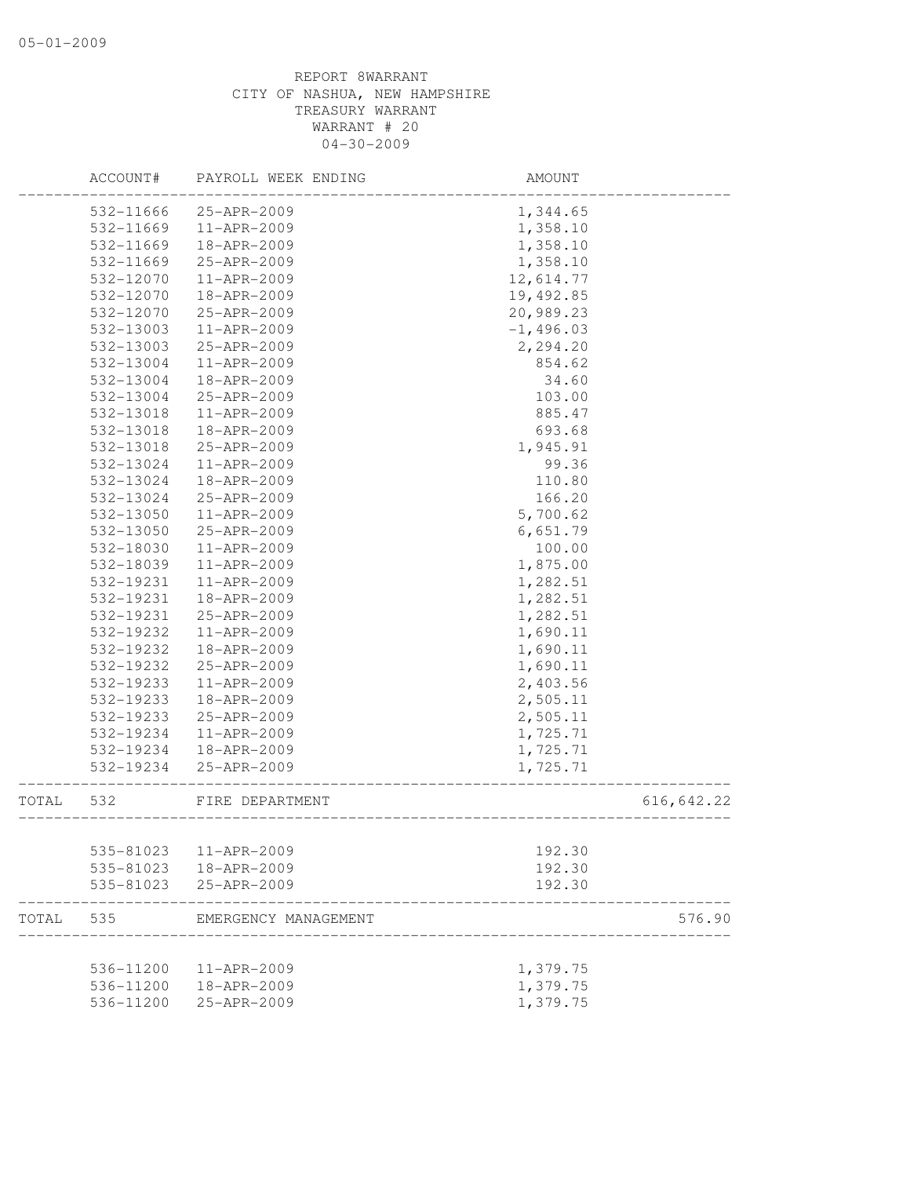|       | ACCOUNT#               | PAYROLL WEEK ENDING        | AMOUNT               |            |
|-------|------------------------|----------------------------|----------------------|------------|
|       | 532-11666              | 25-APR-2009                | 1,344.65             |            |
|       | 532-11669              | 11-APR-2009                | 1,358.10             |            |
|       | 532-11669              | 18-APR-2009                | 1,358.10             |            |
|       | 532-11669              | 25-APR-2009                | 1,358.10             |            |
|       | 532-12070              | 11-APR-2009                | 12,614.77            |            |
|       | 532-12070              | 18-APR-2009                | 19,492.85            |            |
|       | 532-12070              | 25-APR-2009                | 20,989.23            |            |
|       | 532-13003              | 11-APR-2009                | $-1,496.03$          |            |
|       | 532-13003              | 25-APR-2009                | 2,294.20             |            |
|       | 532-13004              | 11-APR-2009                | 854.62               |            |
|       | 532-13004              | 18-APR-2009                | 34.60                |            |
|       | 532-13004              | 25-APR-2009                | 103.00               |            |
|       | 532-13018              | 11-APR-2009                | 885.47               |            |
|       | 532-13018              | 18-APR-2009                | 693.68               |            |
|       | 532-13018              | 25-APR-2009                | 1,945.91             |            |
|       | 532-13024              | $11 - APR - 2009$          | 99.36                |            |
|       | 532-13024              | 18-APR-2009                | 110.80               |            |
|       | 532-13024              | 25-APR-2009                | 166.20               |            |
|       | 532-13050              | 11-APR-2009                | 5,700.62             |            |
|       | 532-13050              | 25-APR-2009                | 6,651.79             |            |
|       | 532-18030              | $11 - APR - 2009$          | 100.00               |            |
|       | 532-18039              | 11-APR-2009                | 1,875.00             |            |
|       | 532-19231              | 11-APR-2009                | 1,282.51             |            |
|       | 532-19231              | 18-APR-2009                | 1,282.51             |            |
|       | 532-19231              | 25-APR-2009                | 1,282.51             |            |
|       | 532-19232              | 11-APR-2009                | 1,690.11             |            |
|       | 532-19232              | 18-APR-2009                | 1,690.11             |            |
|       | 532-19232              | 25-APR-2009                | 1,690.11             |            |
|       | 532-19233              | 11-APR-2009                | 2,403.56             |            |
|       | 532-19233              | 18-APR-2009                | 2,505.11             |            |
|       | 532-19233              | 25-APR-2009                | 2,505.11             |            |
|       | 532-19234              | 11-APR-2009                | 1,725.71             |            |
|       | 532-19234              | 18-APR-2009                | 1,725.71             |            |
|       | 532-19234              | 25-APR-2009                | 1,725.71             |            |
| TOTAL | 532                    | FIRE DEPARTMENT            |                      | 616,642.22 |
|       |                        |                            |                      |            |
|       | 535-81023              | 11-APR-2009                | 192.30               |            |
|       | 535-81023              | 18-APR-2009                | 192.30               |            |
|       | 535-81023              | 25-APR-2009                | 192.30               |            |
| TOTAL | 535                    | EMERGENCY MANAGEMENT       |                      | 576.90     |
|       |                        |                            |                      |            |
|       | 536-11200<br>536-11200 | 11-APR-2009<br>18-APR-2009 | 1,379.75<br>1,379.75 |            |
|       |                        | 25-APR-2009                | 1,379.75             |            |
|       | 536-11200              |                            |                      |            |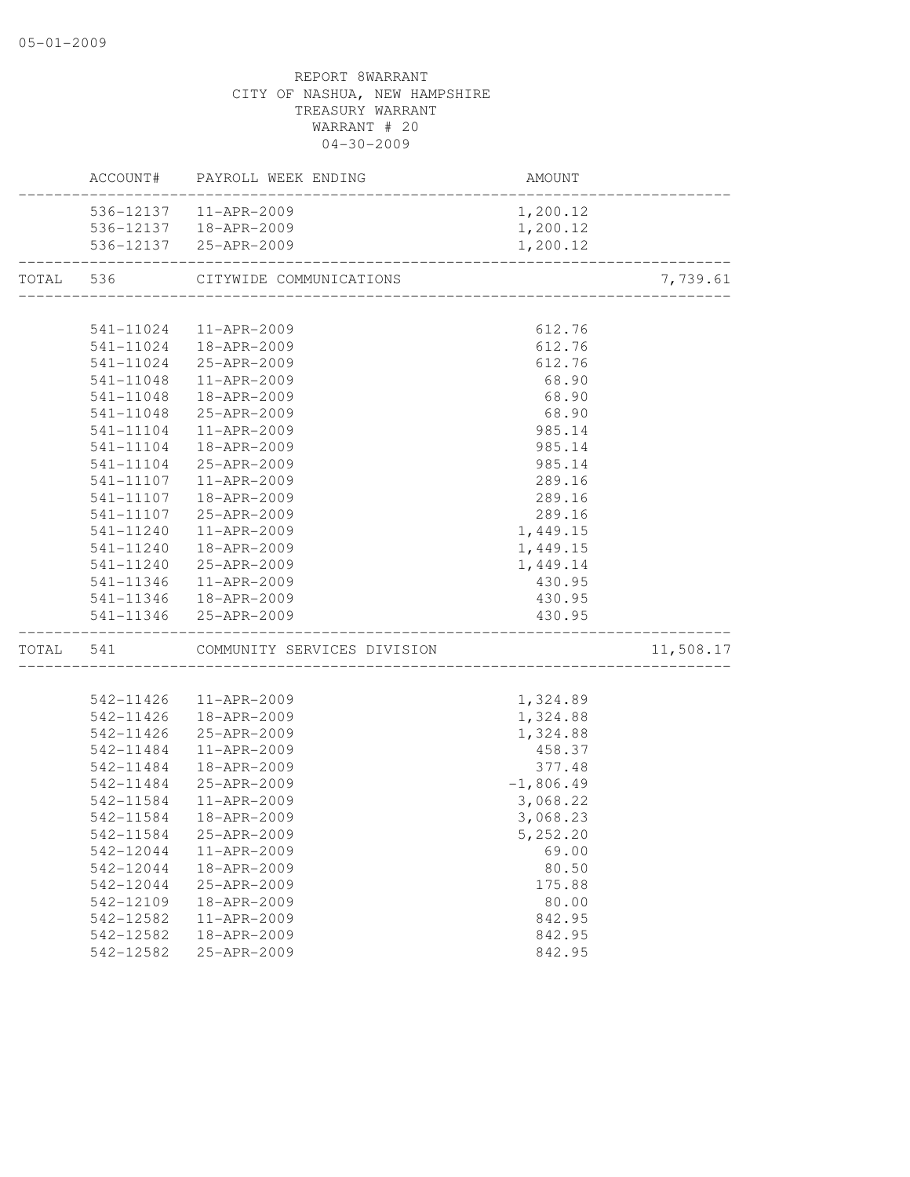|           |           | ACCOUNT# PAYROLL WEEK ENDING | AMOUNT                                 |           |
|-----------|-----------|------------------------------|----------------------------------------|-----------|
|           |           | 536-12137   11-APR-2009      | 1,200.12                               |           |
|           |           | 536-12137  18-APR-2009       | 1,200.12                               |           |
|           |           | 536-12137 25-APR-2009        | 1,200.12                               |           |
| TOTAL     | 536       | CITYWIDE COMMUNICATIONS      |                                        | 7,739.61  |
|           |           | 541-11024  11-APR-2009       | 612.76                                 |           |
|           |           | 541-11024  18-APR-2009       | 612.76                                 |           |
|           |           | 541-11024 25-APR-2009        | 612.76                                 |           |
|           | 541-11048 | 11-APR-2009                  |                                        |           |
|           |           |                              | 68.90                                  |           |
|           | 541-11048 | 18-APR-2009                  | 68.90                                  |           |
|           | 541-11048 | 25-APR-2009                  | 68.90                                  |           |
|           | 541-11104 | 11-APR-2009                  | 985.14                                 |           |
|           | 541-11104 | 18-APR-2009                  | 985.14                                 |           |
|           | 541-11104 | 25-APR-2009                  | 985.14                                 |           |
|           | 541-11107 | 11-APR-2009                  | 289.16                                 |           |
|           | 541-11107 | 18-APR-2009                  | 289.16                                 |           |
|           | 541-11107 | 25-APR-2009                  | 289.16                                 |           |
|           | 541-11240 | 11-APR-2009                  | 1,449.15                               |           |
|           | 541-11240 | 18-APR-2009                  | 1,449.15                               |           |
|           | 541-11240 | 25-APR-2009                  | 1,449.14                               |           |
|           |           | 541-11346  11-APR-2009       | 430.95                                 |           |
|           |           | 541-11346  18-APR-2009       | 430.95                                 |           |
|           |           | 541-11346 25-APR-2009        | 430.95<br>---------------------------- |           |
| TOTAL 541 |           | COMMUNITY SERVICES DIVISION  |                                        | 11,508.17 |
|           |           | 542-11426  11-APR-2009       | 1,324.89                               |           |
|           | 542-11426 | 18-APR-2009                  | 1,324.88                               |           |
|           | 542-11426 | 25-APR-2009                  | 1,324.88                               |           |
|           | 542-11484 | 11-APR-2009                  | 458.37                                 |           |
|           | 542-11484 | 18-APR-2009                  | 377.48                                 |           |
|           | 542-11484 | 25-APR-2009                  | $-1,806.49$                            |           |
|           | 542-11584 | 11-APR-2009                  | 3,068.22                               |           |
|           | 542-11584 | 18-APR-2009                  |                                        |           |
|           |           |                              | 3,068.23                               |           |
|           | 542-11584 | 25-APR-2009                  | 5,252.20                               |           |
|           | 542-12044 | 11-APR-2009                  | 69.00                                  |           |
|           | 542-12044 | 18-APR-2009                  | 80.50                                  |           |
|           | 542-12044 | 25-APR-2009                  | 175.88                                 |           |
|           | 542-12109 | 18-APR-2009                  | 80.00                                  |           |
|           | 542-12582 | 11-APR-2009                  | 842.95                                 |           |
|           | 542-12582 | 18-APR-2009                  | 842.95                                 |           |
|           | 542-12582 | 25-APR-2009                  | 842.95                                 |           |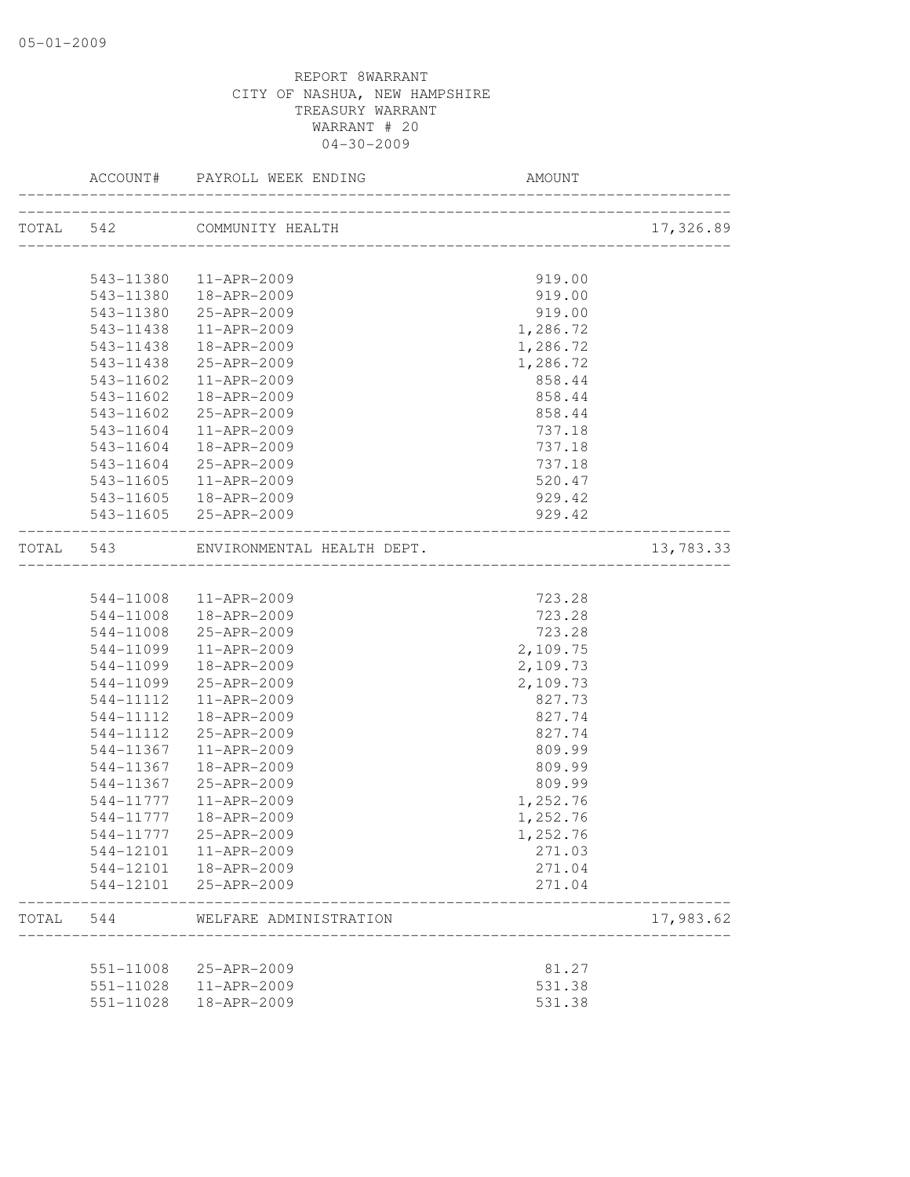|       | ACCOUNT#  | PAYROLL WEEK ENDING                               | AMOUNT   |           |
|-------|-----------|---------------------------------------------------|----------|-----------|
|       |           | TOTAL 542 COMMUNITY HEALTH                        |          | 17,326.89 |
|       | 543-11380 | 11-APR-2009                                       | 919.00   |           |
|       | 543-11380 | 18-APR-2009                                       | 919.00   |           |
|       | 543-11380 | 25-APR-2009                                       | 919.00   |           |
|       | 543-11438 | 11-APR-2009                                       | 1,286.72 |           |
|       | 543-11438 | 18-APR-2009                                       | 1,286.72 |           |
|       | 543-11438 | 25-APR-2009                                       | 1,286.72 |           |
|       | 543-11602 | 11-APR-2009                                       | 858.44   |           |
|       | 543-11602 | 18-APR-2009                                       | 858.44   |           |
|       | 543-11602 | 25-APR-2009                                       | 858.44   |           |
|       | 543-11604 | 11-APR-2009                                       | 737.18   |           |
|       | 543-11604 | 18-APR-2009                                       | 737.18   |           |
|       | 543-11604 | 25-APR-2009                                       | 737.18   |           |
|       | 543-11605 | 11-APR-2009                                       | 520.47   |           |
|       | 543-11605 | 18-APR-2009                                       | 929.42   |           |
|       | 543-11605 | 25-APR-2009                                       | 929.42   |           |
| TOTAL | 543       | ENVIRONMENTAL HEALTH DEPT.                        |          | 13,783.33 |
|       |           |                                                   |          |           |
|       | 544-11008 | 11-APR-2009                                       | 723.28   |           |
|       | 544-11008 | 18-APR-2009                                       | 723.28   |           |
|       | 544-11008 | 25-APR-2009                                       | 723.28   |           |
|       | 544-11099 | 11-APR-2009                                       | 2,109.75 |           |
|       | 544-11099 | 18-APR-2009                                       | 2,109.73 |           |
|       | 544-11099 | 25-APR-2009                                       | 2,109.73 |           |
|       | 544-11112 | 11-APR-2009                                       | 827.73   |           |
|       | 544-11112 | 18-APR-2009                                       | 827.74   |           |
|       | 544-11112 | 25-APR-2009                                       | 827.74   |           |
|       | 544-11367 | 11-APR-2009                                       | 809.99   |           |
|       | 544-11367 | 18-APR-2009                                       | 809.99   |           |
|       | 544-11367 | 25-APR-2009                                       | 809.99   |           |
|       | 544-11777 | 11-APR-2009                                       | 1,252.76 |           |
|       | 544-11777 | 18-APR-2009                                       | 1,252.76 |           |
|       | 544-11777 | 25-APR-2009                                       | 1,252.76 |           |
|       |           |                                                   | 271.03   |           |
|       |           | 544-12101  18-APR-2009                            | 271.04   |           |
|       |           | 544-12101 25-APR-2009                             | 271.04   |           |
| TOTAL | 544       | WELFARE ADMINISTRATION<br>_______________________ |          | 17,983.62 |
|       |           | 551-11008 25-APR-2009                             | 81.27    |           |
|       |           |                                                   | 531.38   |           |
|       |           | 551-11028  11-APR-2009                            |          |           |
|       | 551-11028 | 18-APR-2009                                       | 531.38   |           |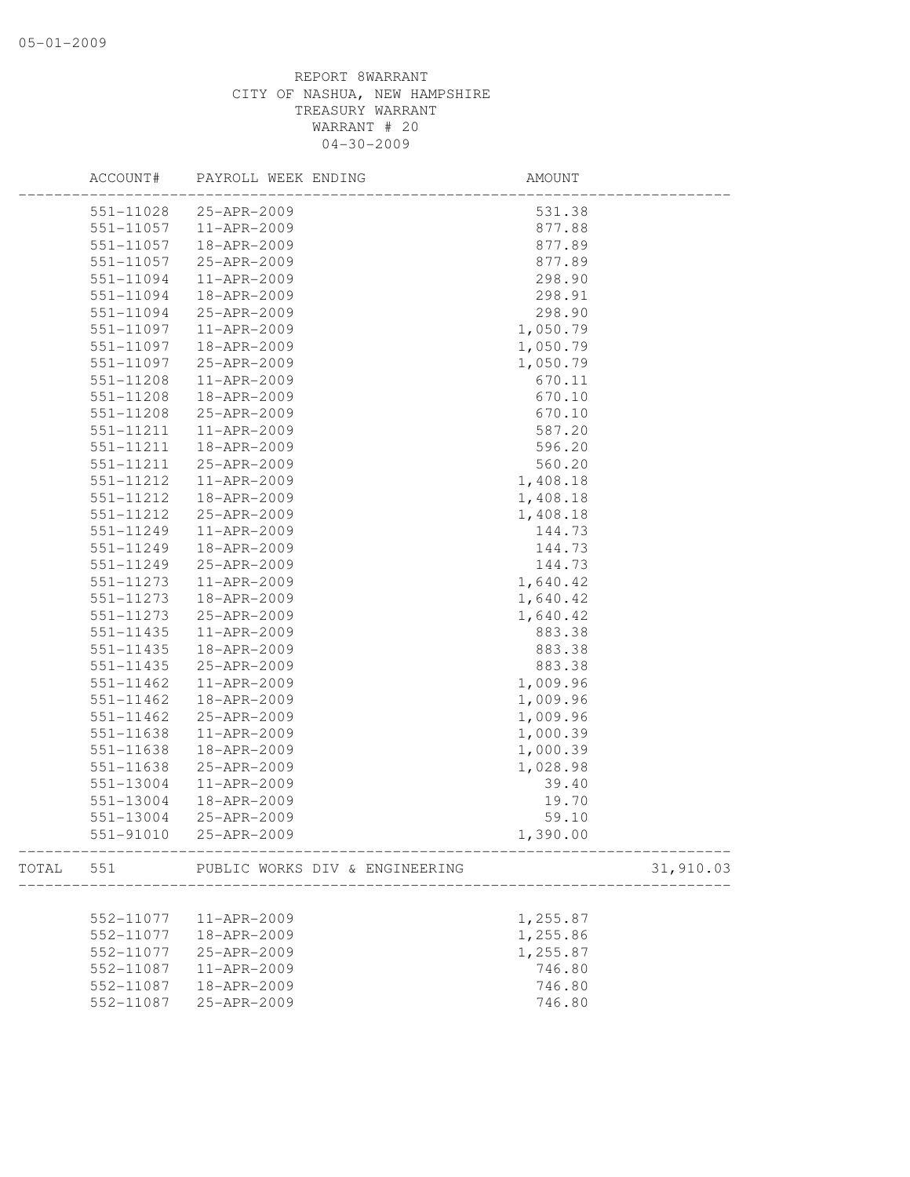| ACCOUNT#  | PAYROLL WEEK ENDING                                   | AMOUNT   |           |
|-----------|-------------------------------------------------------|----------|-----------|
| 551-11028 | 25-APR-2009                                           | 531.38   |           |
| 551-11057 | 11-APR-2009                                           | 877.88   |           |
| 551-11057 | 18-APR-2009                                           | 877.89   |           |
| 551-11057 | 25-APR-2009                                           | 877.89   |           |
| 551-11094 | 11-APR-2009                                           | 298.90   |           |
| 551-11094 | 18-APR-2009                                           | 298.91   |           |
| 551-11094 | 25-APR-2009                                           | 298.90   |           |
| 551-11097 | 11-APR-2009                                           | 1,050.79 |           |
| 551-11097 | 18-APR-2009                                           | 1,050.79 |           |
| 551-11097 | 25-APR-2009                                           | 1,050.79 |           |
| 551-11208 | 11-APR-2009                                           | 670.11   |           |
| 551-11208 | 18-APR-2009                                           | 670.10   |           |
| 551-11208 | 25-APR-2009                                           | 670.10   |           |
| 551-11211 | 11-APR-2009                                           | 587.20   |           |
| 551-11211 | 18-APR-2009                                           | 596.20   |           |
| 551-11211 | 25-APR-2009                                           | 560.20   |           |
| 551-11212 | 11-APR-2009                                           | 1,408.18 |           |
| 551-11212 | 18-APR-2009                                           | 1,408.18 |           |
| 551-11212 | 25-APR-2009                                           | 1,408.18 |           |
| 551-11249 | 11-APR-2009                                           | 144.73   |           |
| 551-11249 | 18-APR-2009                                           | 144.73   |           |
| 551-11249 | 25-APR-2009                                           | 144.73   |           |
| 551-11273 | 11-APR-2009                                           | 1,640.42 |           |
| 551-11273 | 18-APR-2009                                           | 1,640.42 |           |
| 551-11273 | 25-APR-2009                                           | 1,640.42 |           |
| 551-11435 | 11-APR-2009                                           | 883.38   |           |
| 551-11435 | 18-APR-2009                                           | 883.38   |           |
| 551-11435 | 25-APR-2009                                           | 883.38   |           |
| 551-11462 | 11-APR-2009                                           | 1,009.96 |           |
| 551-11462 | 18-APR-2009                                           | 1,009.96 |           |
| 551-11462 | 25-APR-2009                                           | 1,009.96 |           |
| 551-11638 | 11-APR-2009                                           | 1,000.39 |           |
| 551-11638 | 18-APR-2009                                           | 1,000.39 |           |
| 551-11638 | 25-APR-2009                                           | 1,028.98 |           |
| 551-13004 | 11-APR-2009                                           | 39.40    |           |
| 551-13004 | 18-APR-2009                                           | 19.70    |           |
| 551-13004 | 25-APR-2009                                           | 59.10    |           |
| 551-91010 | 25-APR-2009<br>-------------------------------------- | 1,390.00 |           |
|           | TOTAL 551 PUBLIC WORKS DIV & ENGINEERING              |          | 31,910.03 |
|           |                                                       |          |           |
| 552-11077 | 11-APR-2009                                           | 1,255.87 |           |
| 552-11077 | 18-APR-2009                                           | 1,255.86 |           |
| 552-11077 | 25-APR-2009                                           | 1,255.87 |           |
| 552-11087 | 11-APR-2009                                           | 746.80   |           |
| 552-11087 | 18-APR-2009                                           | 746.80   |           |
| 552-11087 | 25-APR-2009                                           | 746.80   |           |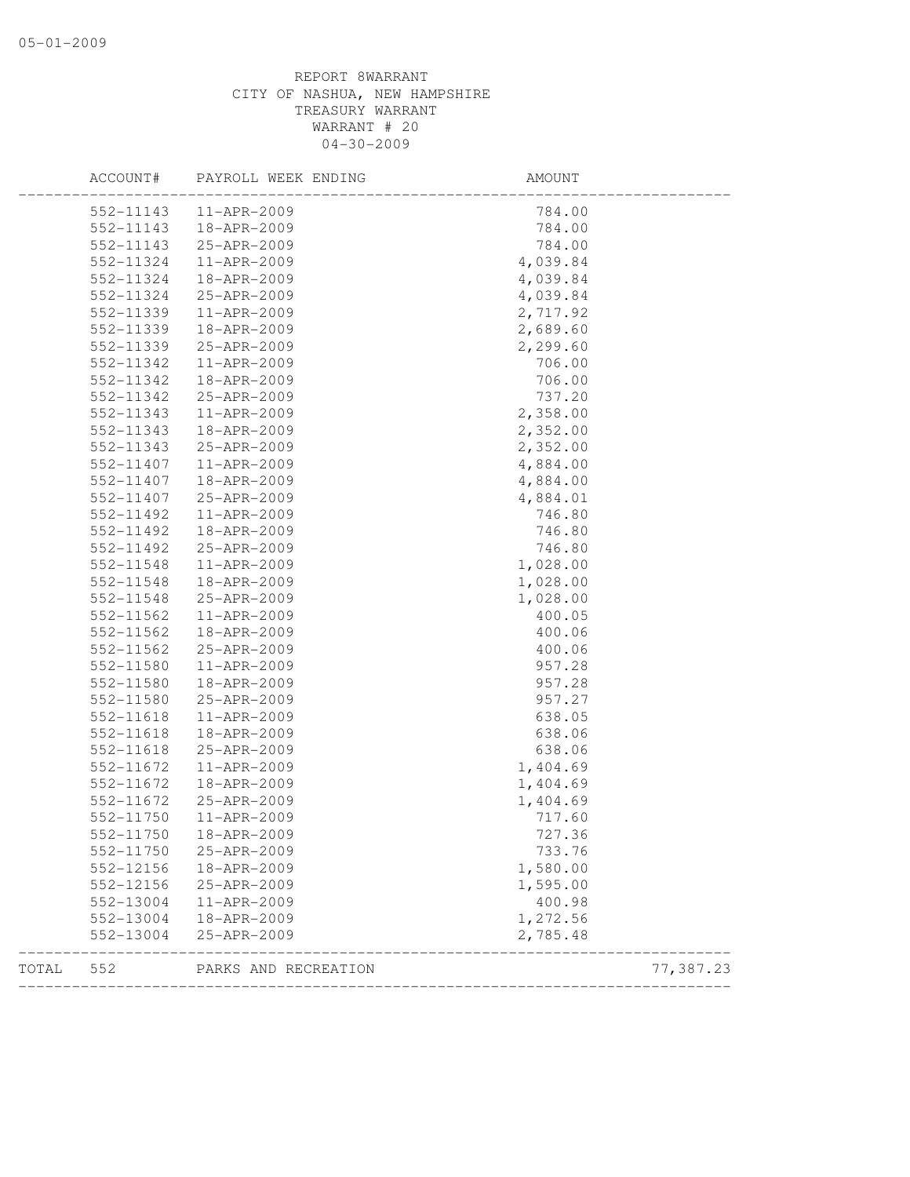|       | ACCOUNT#  | PAYROLL WEEK ENDING    | AMOUNT   |           |
|-------|-----------|------------------------|----------|-----------|
|       | 552-11143 | 11-APR-2009            | 784.00   |           |
|       | 552-11143 | 18-APR-2009            | 784.00   |           |
|       | 552-11143 | 25-APR-2009            | 784.00   |           |
|       | 552-11324 | 11-APR-2009            | 4,039.84 |           |
|       | 552-11324 | 18-APR-2009            | 4,039.84 |           |
|       | 552-11324 | 25-APR-2009            | 4,039.84 |           |
|       | 552-11339 | 11-APR-2009            | 2,717.92 |           |
|       | 552-11339 | 18-APR-2009            | 2,689.60 |           |
|       | 552-11339 | 25-APR-2009            | 2,299.60 |           |
|       | 552-11342 | 11-APR-2009            | 706.00   |           |
|       | 552-11342 | 18-APR-2009            | 706.00   |           |
|       | 552-11342 | 25-APR-2009            | 737.20   |           |
|       | 552-11343 | 11-APR-2009            | 2,358.00 |           |
|       | 552-11343 | 18-APR-2009            | 2,352.00 |           |
|       | 552-11343 | 25-APR-2009            | 2,352.00 |           |
|       | 552-11407 | $11 - APR - 2009$      | 4,884.00 |           |
|       | 552-11407 | 18-APR-2009            | 4,884.00 |           |
|       | 552-11407 | 25-APR-2009            | 4,884.01 |           |
|       | 552-11492 | 11-APR-2009            | 746.80   |           |
|       | 552-11492 | 18-APR-2009            | 746.80   |           |
|       | 552-11492 | 25-APR-2009            | 746.80   |           |
|       | 552-11548 | 11-APR-2009            | 1,028.00 |           |
|       | 552-11548 | 18-APR-2009            | 1,028.00 |           |
|       | 552-11548 | 25-APR-2009            | 1,028.00 |           |
|       | 552-11562 | 11-APR-2009            | 400.05   |           |
|       | 552-11562 | 18-APR-2009            | 400.06   |           |
|       | 552-11562 | 25-APR-2009            | 400.06   |           |
|       | 552-11580 | 11-APR-2009            | 957.28   |           |
|       | 552-11580 | 18-APR-2009            | 957.28   |           |
|       | 552-11580 | 25-APR-2009            | 957.27   |           |
|       | 552-11618 | 11-APR-2009            | 638.05   |           |
|       | 552-11618 | 18-APR-2009            | 638.06   |           |
|       | 552-11618 | 25-APR-2009            | 638.06   |           |
|       | 552-11672 | 11-APR-2009            | 1,404.69 |           |
|       | 552-11672 | 18-APR-2009            | 1,404.69 |           |
|       | 552-11672 | 25-APR-2009            | 1,404.69 |           |
|       | 552-11750 | 11-APR-2009            | 717.60   |           |
|       |           | 552-11750  18-APR-2009 | 727.36   |           |
|       | 552-11750 | 25-APR-2009            | 733.76   |           |
|       | 552-12156 | 18-APR-2009            | 1,580.00 |           |
|       | 552-12156 | 25-APR-2009            | 1,595.00 |           |
|       | 552-13004 | 11-APR-2009            | 400.98   |           |
|       | 552-13004 | 18-APR-2009            | 1,272.56 |           |
|       | 552-13004 | 25-APR-2009            | 2,785.48 |           |
| TOTAL | 552       | PARKS AND RECREATION   |          | 77,387.23 |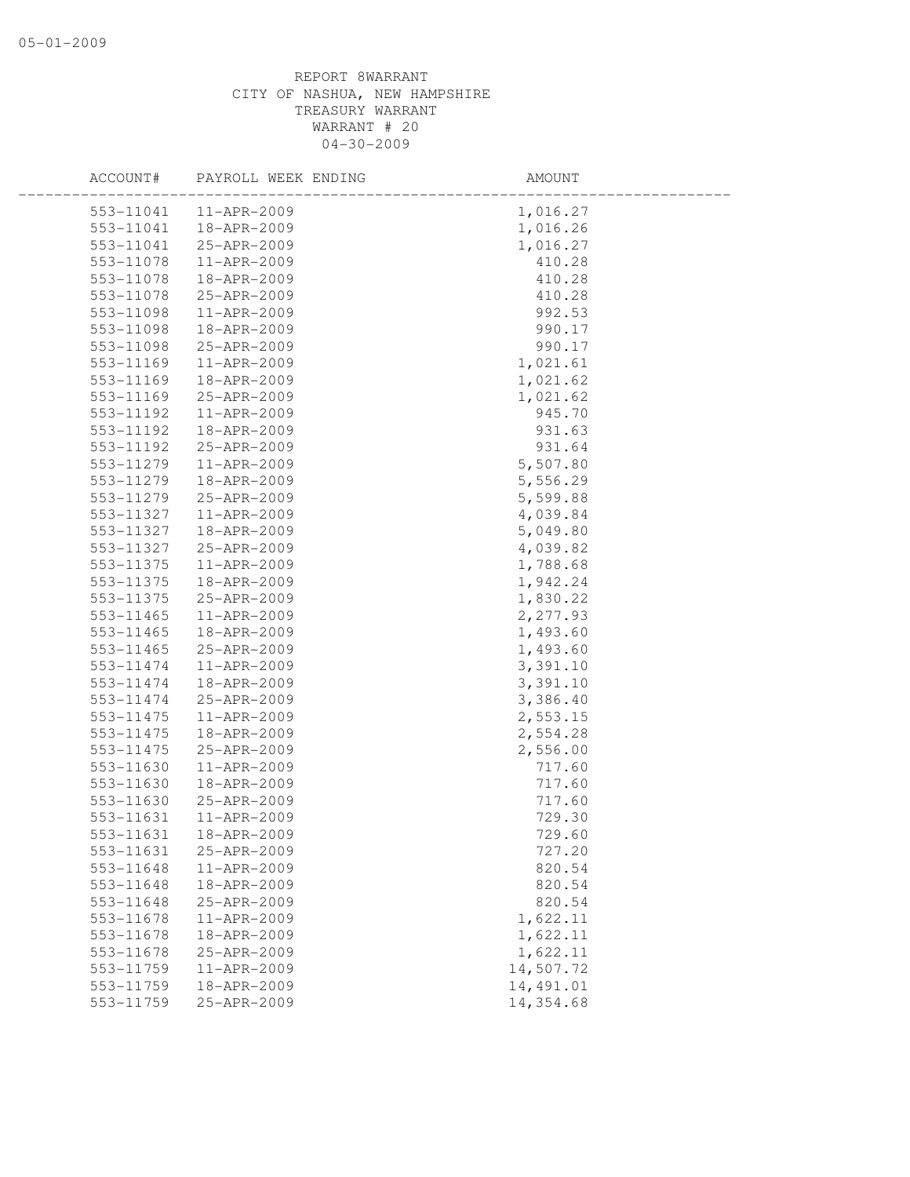| ACCOUNT#  | PAYROLL WEEK ENDING | AMOUNT    |  |
|-----------|---------------------|-----------|--|
| 553-11041 | 11-APR-2009         | 1,016.27  |  |
| 553-11041 | 18-APR-2009         | 1,016.26  |  |
| 553-11041 | 25-APR-2009         | 1,016.27  |  |
| 553-11078 | 11-APR-2009         | 410.28    |  |
| 553-11078 | 18-APR-2009         | 410.28    |  |
| 553-11078 | 25-APR-2009         | 410.28    |  |
| 553-11098 | 11-APR-2009         | 992.53    |  |
| 553-11098 | 18-APR-2009         | 990.17    |  |
| 553-11098 | 25-APR-2009         | 990.17    |  |
| 553-11169 | $11 - APR - 2009$   | 1,021.61  |  |
| 553-11169 | 18-APR-2009         | 1,021.62  |  |
| 553-11169 | 25-APR-2009         | 1,021.62  |  |
| 553-11192 | 11-APR-2009         | 945.70    |  |
| 553-11192 | 18-APR-2009         | 931.63    |  |
| 553-11192 | 25-APR-2009         | 931.64    |  |
| 553-11279 | 11-APR-2009         | 5,507.80  |  |
| 553-11279 | 18-APR-2009         | 5,556.29  |  |
| 553-11279 | 25-APR-2009         | 5,599.88  |  |
| 553-11327 | 11-APR-2009         | 4,039.84  |  |
| 553-11327 | 18-APR-2009         | 5,049.80  |  |
| 553-11327 | 25-APR-2009         | 4,039.82  |  |
| 553-11375 | 11-APR-2009         | 1,788.68  |  |
| 553-11375 | 18-APR-2009         | 1,942.24  |  |
| 553-11375 | 25-APR-2009         | 1,830.22  |  |
| 553-11465 | 11-APR-2009         | 2,277.93  |  |
| 553-11465 | 18-APR-2009         | 1,493.60  |  |
| 553-11465 | 25-APR-2009         | 1,493.60  |  |
| 553-11474 | 11-APR-2009         | 3,391.10  |  |
| 553-11474 | 18-APR-2009         | 3,391.10  |  |
| 553-11474 | 25-APR-2009         | 3,386.40  |  |
| 553-11475 | 11-APR-2009         | 2,553.15  |  |
| 553-11475 | 18-APR-2009         | 2,554.28  |  |
| 553-11475 | 25-APR-2009         | 2,556.00  |  |
| 553-11630 | 11-APR-2009         | 717.60    |  |
| 553-11630 | 18-APR-2009         | 717.60    |  |
| 553-11630 | 25-APR-2009         | 717.60    |  |
| 553-11631 | 11-APR-2009         | 729.30    |  |
| 553-11631 | 18-APR-2009         | 729.60    |  |
| 553-11631 | 25-APR-2009         | 727.20    |  |
| 553-11648 | 11-APR-2009         | 820.54    |  |
| 553-11648 | 18-APR-2009         | 820.54    |  |
| 553-11648 | 25-APR-2009         | 820.54    |  |
| 553-11678 | 11-APR-2009         | 1,622.11  |  |
| 553-11678 | 18-APR-2009         | 1,622.11  |  |
| 553-11678 | 25-APR-2009         | 1,622.11  |  |
| 553-11759 | 11-APR-2009         | 14,507.72 |  |
| 553-11759 | 18-APR-2009         | 14,491.01 |  |
| 553-11759 | 25-APR-2009         | 14,354.68 |  |
|           |                     |           |  |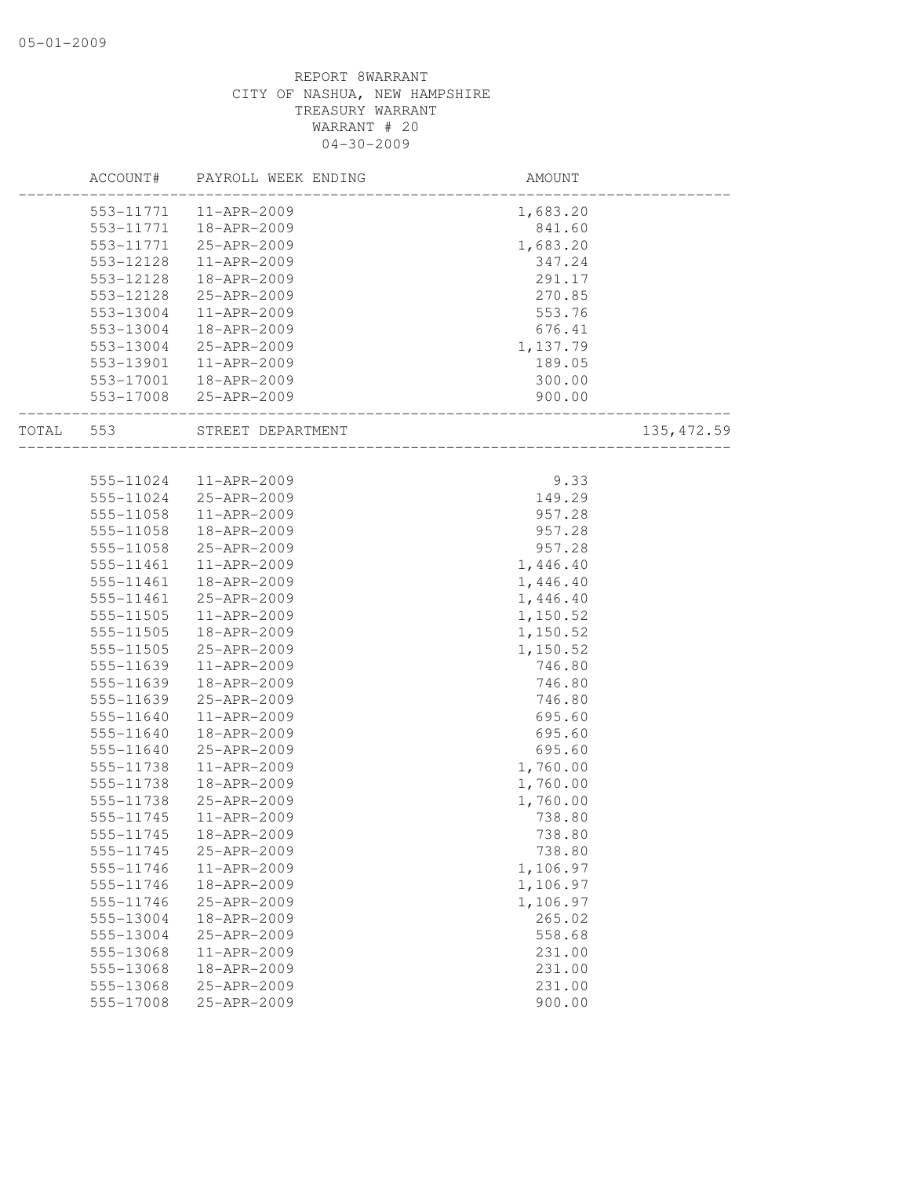|       | ACCOUNT#  | PAYROLL WEEK ENDING | <b>AMOUNT</b>                                  |             |
|-------|-----------|---------------------|------------------------------------------------|-------------|
|       | 553-11771 | 11-APR-2009         | 1,683.20                                       |             |
|       | 553-11771 | 18-APR-2009         | 841.60                                         |             |
|       | 553-11771 | 25-APR-2009         | 1,683.20                                       |             |
|       | 553-12128 | $11 - APR - 2009$   | 347.24                                         |             |
|       | 553-12128 | 18-APR-2009         | 291.17                                         |             |
|       | 553-12128 | 25-APR-2009         | 270.85                                         |             |
|       | 553-13004 | 11-APR-2009         | 553.76                                         |             |
|       | 553-13004 | 18-APR-2009         | 676.41                                         |             |
|       | 553-13004 | 25-APR-2009         | 1,137.79                                       |             |
|       | 553-13901 | 11-APR-2009         | 189.05                                         |             |
|       | 553-17001 | 18-APR-2009         | 300.00                                         |             |
|       | 553-17008 | 25-APR-2009         | 900.00                                         |             |
| TOTAL | 553       | STREET DEPARTMENT   | _______________________<br>___________________ | 135, 472.59 |
|       |           |                     |                                                |             |
|       | 555-11024 | 11-APR-2009         | 9.33                                           |             |
|       | 555-11024 | 25-APR-2009         | 149.29                                         |             |
|       | 555-11058 | 11-APR-2009         | 957.28                                         |             |
|       | 555-11058 | 18-APR-2009         | 957.28                                         |             |
|       | 555-11058 | 25-APR-2009         | 957.28                                         |             |
|       | 555-11461 | 11-APR-2009         | 1,446.40                                       |             |
|       | 555-11461 | 18-APR-2009         | 1,446.40                                       |             |
|       | 555-11461 | 25-APR-2009         | 1,446.40                                       |             |
|       | 555-11505 | 11-APR-2009         | 1,150.52                                       |             |
|       | 555-11505 | 18-APR-2009         | 1,150.52                                       |             |
|       | 555-11505 | 25-APR-2009         | 1,150.52                                       |             |
|       | 555-11639 | 11-APR-2009         | 746.80                                         |             |
|       | 555-11639 | 18-APR-2009         | 746.80                                         |             |
|       | 555-11639 | 25-APR-2009         | 746.80                                         |             |
|       | 555-11640 | 11-APR-2009         | 695.60                                         |             |
|       | 555-11640 | 18-APR-2009         | 695.60                                         |             |
|       | 555-11640 | 25-APR-2009         | 695.60                                         |             |
|       | 555-11738 | 11-APR-2009         | 1,760.00                                       |             |
|       | 555-11738 | 18-APR-2009         | 1,760.00                                       |             |
|       | 555-11738 | 25-APR-2009         | 1,760.00                                       |             |
|       | 555-11745 | $11 - APR - 2009$   | 738.80                                         |             |
|       | 555-11745 | 18-APR-2009         | 738.80                                         |             |
|       | 555-11745 | 25-APR-2009         | 738.80                                         |             |
|       | 555-11746 | 11-APR-2009         | 1,106.97                                       |             |
|       | 555-11746 | 18-APR-2009         | 1,106.97                                       |             |
|       | 555-11746 | 25-APR-2009         | 1,106.97                                       |             |
|       | 555-13004 | 18-APR-2009         | 265.02                                         |             |
|       | 555-13004 | 25-APR-2009         | 558.68                                         |             |
|       | 555-13068 | 11-APR-2009         | 231.00                                         |             |
|       | 555-13068 | 18-APR-2009         | 231.00                                         |             |
|       |           |                     | 231.00                                         |             |
|       | 555-13068 | 25-APR-2009         |                                                |             |
|       | 555-17008 | 25-APR-2009         | 900.00                                         |             |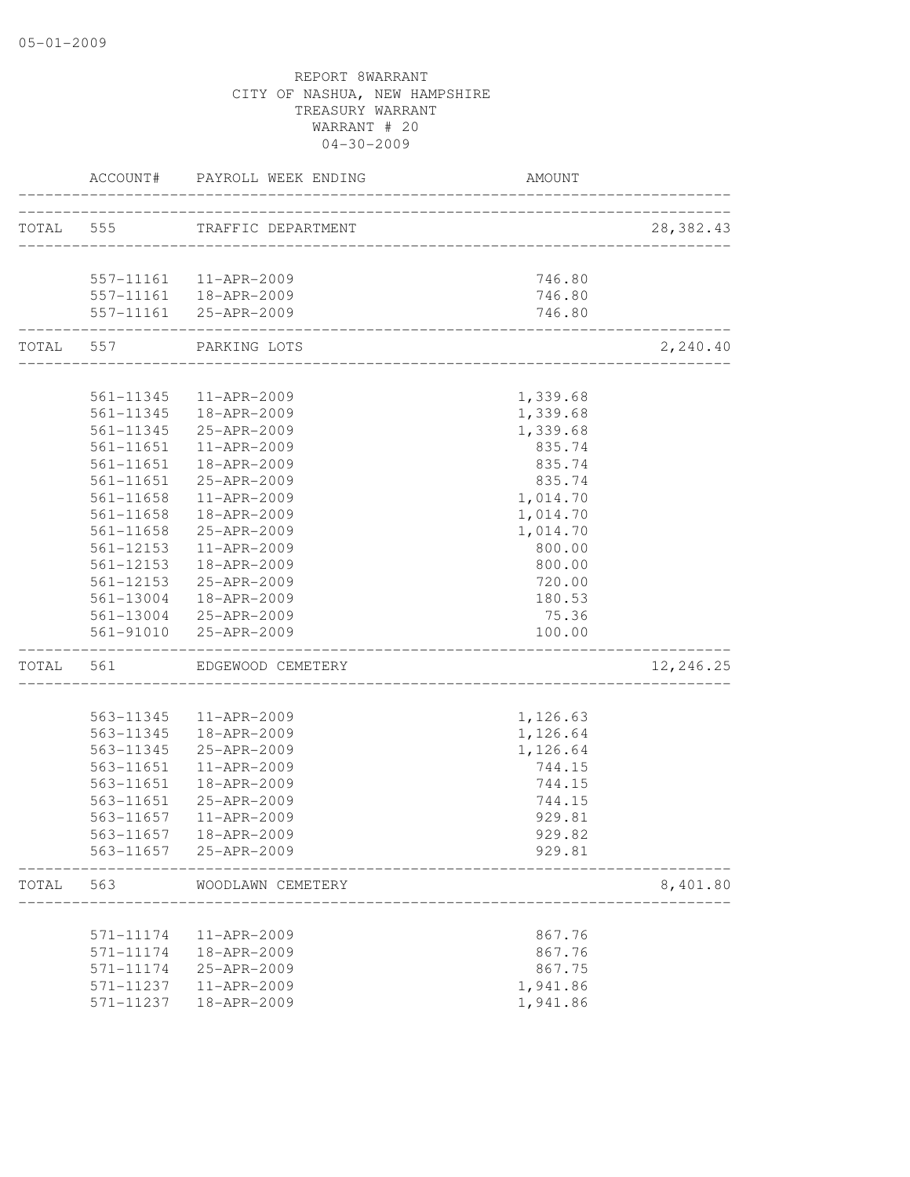|           | ACCOUNT#                       | PAYROLL WEEK ENDING        | AMOUNT                           |            |
|-----------|--------------------------------|----------------------------|----------------------------------|------------|
| TOTAL 555 |                                | TRAFFIC DEPARTMENT         |                                  | 28, 382.43 |
|           |                                |                            | -------------------------------- |            |
|           |                                | 557-11161  11-APR-2009     | 746.80                           |            |
|           |                                | 557-11161  18-APR-2009     | 746.80                           |            |
|           |                                | 557-11161 25-APR-2009      | 746.80                           |            |
|           | -----------------<br>TOTAL 557 | PARKING LOTS               | --------------------------       | 2, 240.40  |
|           |                                |                            |                                  |            |
|           |                                | 561-11345  11-APR-2009     | 1,339.68                         |            |
|           |                                | 561-11345  18-APR-2009     | 1,339.68                         |            |
|           | $561 - 11345$                  | 25-APR-2009                | 1,339.68                         |            |
|           | 561-11651                      | 11-APR-2009                | 835.74                           |            |
|           | 561-11651                      | 18-APR-2009                | 835.74                           |            |
|           | 561-11651                      | 25-APR-2009                | 835.74                           |            |
|           | $561 - 11658$                  | 11-APR-2009                | 1,014.70                         |            |
|           | 561-11658                      | 18-APR-2009                | 1,014.70                         |            |
|           | 561-11658                      | 25-APR-2009                | 1,014.70                         |            |
|           | 561-12153                      | 11-APR-2009                | 800.00                           |            |
|           | 561-12153                      | 18-APR-2009                | 800.00                           |            |
|           | 561-12153                      | 25-APR-2009                | 720.00                           |            |
|           |                                | 561-13004  18-APR-2009     | 180.53                           |            |
|           |                                | 561-13004 25-APR-2009      | 75.36                            |            |
|           |                                | 561-91010 25-APR-2009      | 100.00                           |            |
| TOTAL     | 561                            | EDGEWOOD CEMETERY          |                                  | 12,246.25  |
|           |                                |                            |                                  |            |
|           | 563-11345                      | 11-APR-2009                | 1,126.63                         |            |
|           | 563-11345                      | 18-APR-2009                | 1,126.64                         |            |
|           | 563-11345                      | 25-APR-2009                | 1,126.64                         |            |
|           | 563-11651                      | 11-APR-2009                | 744.15                           |            |
|           | 563-11651                      | 18-APR-2009                | 744.15                           |            |
|           | 563-11651                      | 25-APR-2009                | 744.15                           |            |
|           | 563-11657                      | 11-APR-2009                | 929.81                           |            |
|           | 563-11657<br>563-11657         | 18-APR-2009<br>25-APR-2009 | 929.82<br>929.81                 |            |
|           |                                |                            |                                  |            |
| TOTAL     | 563                            | WOODLAWN CEMETERY          |                                  | 8,401.80   |
|           |                                |                            |                                  |            |
|           | 571-11174                      | 11-APR-2009                | 867.76                           |            |
|           | 571-11174                      | 18-APR-2009                | 867.76                           |            |
|           | 571-11174                      | 25-APR-2009                | 867.75                           |            |
|           | 571-11237                      | 11-APR-2009                | 1,941.86                         |            |
|           | 571-11237                      | 18-APR-2009                | 1,941.86                         |            |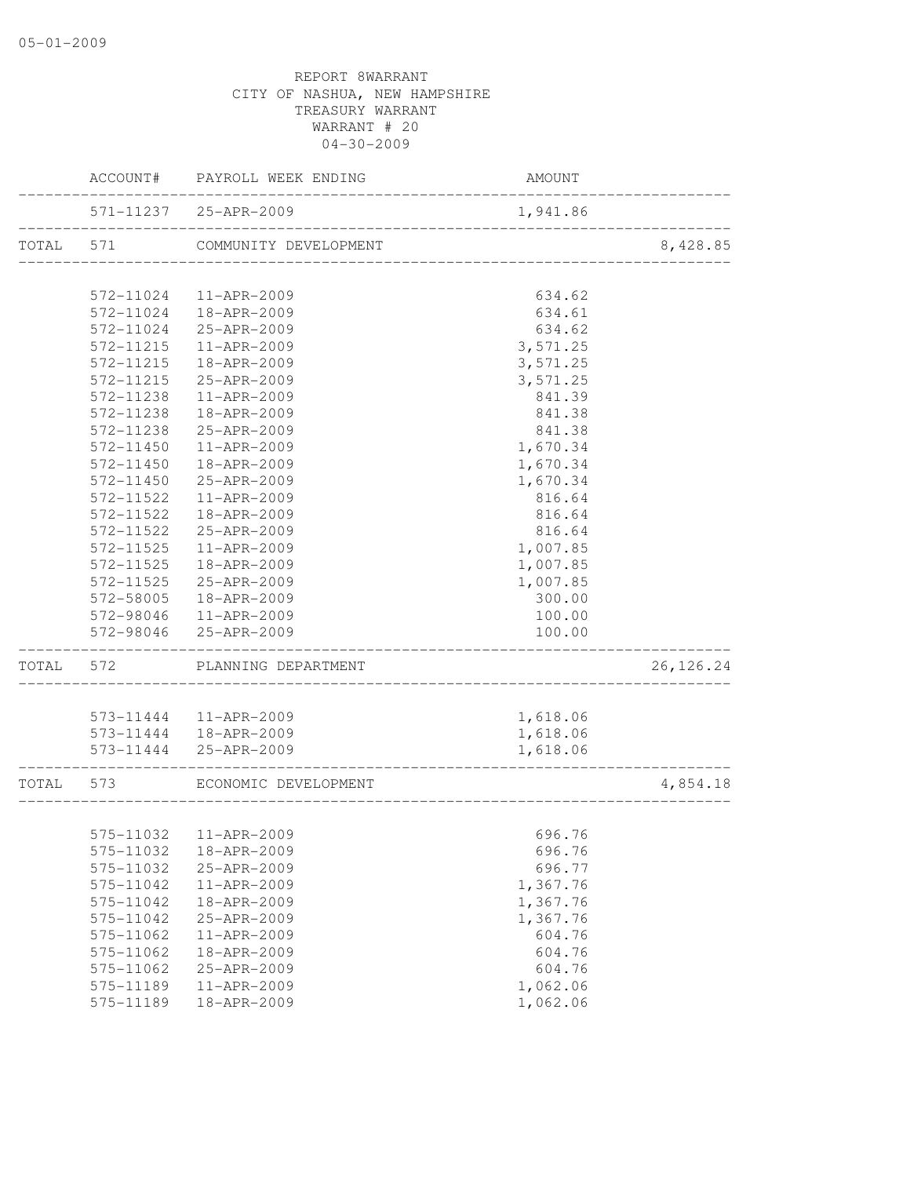|           |                   | ACCOUNT# PAYROLL WEEK ENDING   | AMOUNT                                       |                 |
|-----------|-------------------|--------------------------------|----------------------------------------------|-----------------|
|           |                   | 571-11237 25-APR-2009          | 1,941.86                                     | _______________ |
| TOTAL 571 |                   | COMMUNITY DEVELOPMENT          |                                              | 8,428.85        |
|           |                   |                                |                                              |                 |
|           | 572-11024         | 11-APR-2009                    | 634.62                                       |                 |
|           | 572-11024         | 18-APR-2009                    | 634.61                                       |                 |
|           | 572-11024         | 25-APR-2009                    | 634.62                                       |                 |
|           | 572-11215         | 11-APR-2009                    | 3,571.25                                     |                 |
|           | 572-11215         | 18-APR-2009                    | 3,571.25                                     |                 |
|           | 572-11215         | 25-APR-2009                    | 3,571.25                                     |                 |
|           | 572-11238         | 11-APR-2009                    | 841.39                                       |                 |
|           | 572-11238         | 18-APR-2009                    | 841.38                                       |                 |
|           | 572-11238         | 25-APR-2009                    | 841.38                                       |                 |
|           | 572-11450         | 11-APR-2009                    | 1,670.34                                     |                 |
|           | 572-11450         | 18-APR-2009                    | 1,670.34                                     |                 |
|           | 572-11450         | 25-APR-2009                    | 1,670.34                                     |                 |
|           | 572-11522         | 11-APR-2009                    | 816.64                                       |                 |
|           | 572-11522         | 18-APR-2009                    | 816.64                                       |                 |
|           | 572-11522         | 25-APR-2009                    | 816.64                                       |                 |
|           | 572-11525         | 11-APR-2009                    | 1,007.85                                     |                 |
|           | 572-11525         | 18-APR-2009                    | 1,007.85                                     |                 |
|           | 572-11525         | 25-APR-2009                    | 1,007.85                                     |                 |
|           | 572-58005         | 18-APR-2009                    | 300.00                                       |                 |
|           | 572-98046         | 11-APR-2009                    | 100.00                                       |                 |
|           | 572-98046         | 25-APR-2009                    | 100.00<br>__________________________________ |                 |
|           | ----------------- | TOTAL 572 PLANNING DEPARTMENT  |                                              | 26, 126. 24     |
|           |                   |                                |                                              |                 |
|           |                   | 573-11444   11-APR-2009        | 1,618.06                                     |                 |
|           |                   | 573-11444   18-APR-2009        | 1,618.06                                     |                 |
|           |                   | 573-11444 25-APR-2009          | 1,618.06<br>________________________         |                 |
|           |                   | TOTAL 573 ECONOMIC DEVELOPMENT | ------------------------                     | 4,854.18        |
|           |                   |                                |                                              |                 |
|           |                   | 575-11032    11-APR-2009       | 696.76                                       |                 |
|           | 575-11032         | 18-APR-2009                    | 696.76                                       |                 |
|           | 575-11032         | 25-APR-2009                    | 696.77                                       |                 |
|           | 575-11042         | 11-APR-2009                    | 1,367.76                                     |                 |
|           | 575-11042         | 18-APR-2009                    | 1,367.76                                     |                 |
|           | 575-11042         | 25-APR-2009                    | 1,367.76                                     |                 |
|           | 575-11062         | 11-APR-2009                    | 604.76                                       |                 |
|           | 575-11062         | 18-APR-2009                    | 604.76                                       |                 |
|           | 575-11062         | 25-APR-2009                    | 604.76                                       |                 |
|           | 575-11189         | 11-APR-2009                    | 1,062.06                                     |                 |
|           | 575-11189         | 18-APR-2009                    | 1,062.06                                     |                 |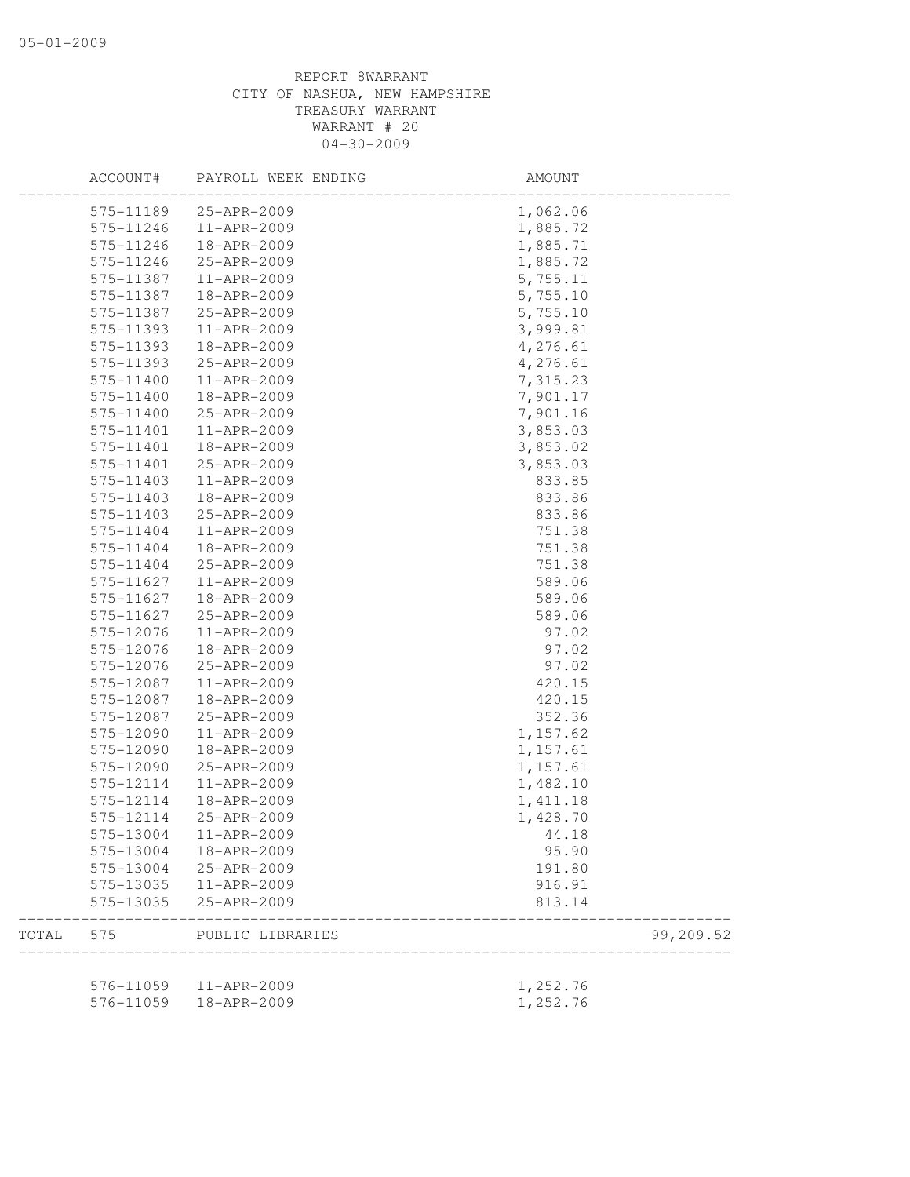|       | ACCOUNT#  | PAYROLL WEEK ENDING    | AMOUNT    |           |
|-------|-----------|------------------------|-----------|-----------|
|       | 575-11189 | 25-APR-2009            | 1,062.06  |           |
|       | 575-11246 | 11-APR-2009            | 1,885.72  |           |
|       | 575-11246 | 18-APR-2009            | 1,885.71  |           |
|       | 575-11246 | 25-APR-2009            | 1,885.72  |           |
|       | 575-11387 | 11-APR-2009            | 5,755.11  |           |
|       | 575-11387 | 18-APR-2009            | 5,755.10  |           |
|       | 575-11387 | 25-APR-2009            | 5,755.10  |           |
|       | 575-11393 | 11-APR-2009            | 3,999.81  |           |
|       | 575-11393 | 18-APR-2009            | 4,276.61  |           |
|       | 575-11393 | 25-APR-2009            | 4,276.61  |           |
|       | 575-11400 | 11-APR-2009            | 7,315.23  |           |
|       | 575-11400 | 18-APR-2009            | 7,901.17  |           |
|       | 575-11400 | 25-APR-2009            | 7,901.16  |           |
|       | 575-11401 | 11-APR-2009            | 3,853.03  |           |
|       | 575-11401 | 18-APR-2009            | 3,853.02  |           |
|       | 575-11401 | 25-APR-2009            | 3,853.03  |           |
|       | 575-11403 | 11-APR-2009            | 833.85    |           |
|       | 575-11403 | 18-APR-2009            | 833.86    |           |
|       | 575-11403 | 25-APR-2009            | 833.86    |           |
|       | 575-11404 | $11 - APR - 2009$      | 751.38    |           |
|       | 575-11404 | 18-APR-2009            | 751.38    |           |
|       | 575-11404 | 25-APR-2009            | 751.38    |           |
|       | 575-11627 | 11-APR-2009            | 589.06    |           |
|       | 575-11627 | 18-APR-2009            | 589.06    |           |
|       | 575-11627 | 25-APR-2009            | 589.06    |           |
|       | 575-12076 | 11-APR-2009            | 97.02     |           |
|       | 575-12076 | 18-APR-2009            | 97.02     |           |
|       | 575-12076 | 25-APR-2009            | 97.02     |           |
|       | 575-12087 | 11-APR-2009            |           |           |
|       |           | 18-APR-2009            | 420.15    |           |
|       | 575-12087 |                        | 420.15    |           |
|       | 575-12087 | 25-APR-2009            | 352.36    |           |
|       | 575-12090 | 11-APR-2009            | 1,157.62  |           |
|       | 575-12090 | 18-APR-2009            | 1,157.61  |           |
|       | 575-12090 | 25-APR-2009            | 1,157.61  |           |
|       | 575-12114 | 11-APR-2009            | 1,482.10  |           |
|       | 575-12114 | 18-APR-2009            | 1, 411.18 |           |
|       | 575-12114 | 25-APR-2009            | 1,428.70  |           |
|       |           | 575-13004  11-APR-2009 | 44.18     |           |
|       | 575-13004 | 18-APR-2009            | 95.90     |           |
|       | 575-13004 | 25-APR-2009            | 191.80    |           |
|       | 575-13035 | 11-APR-2009            | 916.91    |           |
|       | 575-13035 | 25-APR-2009            | 813.14    |           |
| TOTAL | 575       | PUBLIC LIBRARIES       |           | 99,209.52 |
|       |           |                        |           |           |
|       |           | 576-11059  11-APR-2009 | 1,252.76  |           |
|       | 576-11059 | 18-APR-2009            | 1,252.76  |           |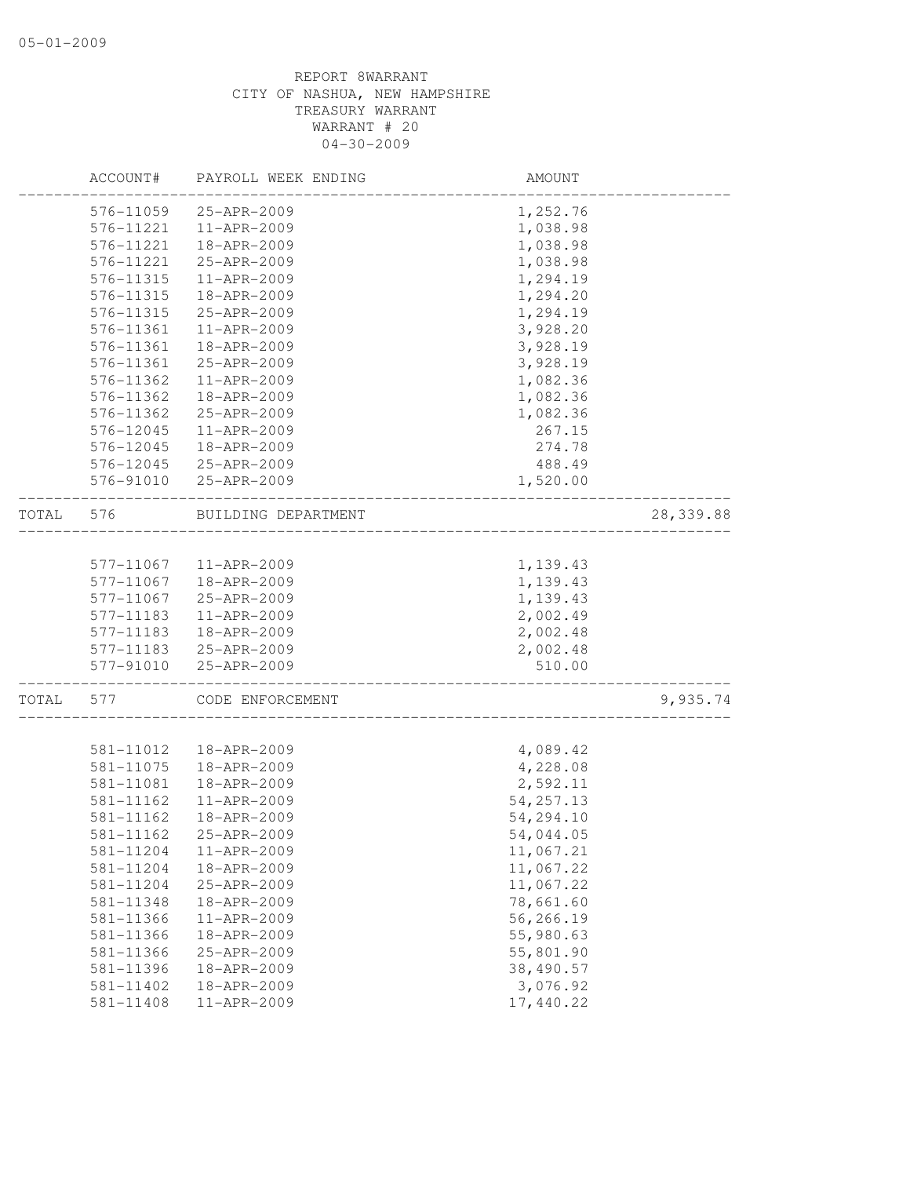|       | ACCOUNT#  | PAYROLL WEEK ENDING | <b>AMOUNT</b>    |           |
|-------|-----------|---------------------|------------------|-----------|
|       | 576-11059 | 25-APR-2009         | 1,252.76         |           |
|       | 576-11221 | $11 - APR - 2009$   | 1,038.98         |           |
|       | 576-11221 | 18-APR-2009         | 1,038.98         |           |
|       | 576-11221 | 25-APR-2009         | 1,038.98         |           |
|       | 576-11315 | 11-APR-2009         | 1,294.19         |           |
|       | 576-11315 | 18-APR-2009         | 1,294.20         |           |
|       | 576-11315 | 25-APR-2009         | 1,294.19         |           |
|       | 576-11361 | 11-APR-2009         | 3,928.20         |           |
|       | 576-11361 | 18-APR-2009         | 3,928.19         |           |
|       | 576-11361 | 25-APR-2009         | 3,928.19         |           |
|       | 576-11362 | 11-APR-2009         | 1,082.36         |           |
|       | 576-11362 | 18-APR-2009         | 1,082.36         |           |
|       | 576-11362 | 25-APR-2009         | 1,082.36         |           |
|       | 576-12045 | 11-APR-2009         | 267.15           |           |
|       | 576-12045 | 18-APR-2009         | 274.78           |           |
|       | 576-12045 | 25-APR-2009         | 488.49           |           |
|       | 576-91010 | 25-APR-2009         | 1,520.00         |           |
| TOTAL | 576       | BUILDING DEPARTMENT | ________________ | 28,339.88 |
|       |           |                     |                  |           |
|       | 577-11067 | 11-APR-2009         | 1,139.43         |           |
|       | 577-11067 | 18-APR-2009         | 1,139.43         |           |
|       | 577-11067 | 25-APR-2009         | 1,139.43         |           |
|       | 577-11183 | 11-APR-2009         | 2,002.49         |           |
|       | 577-11183 | 18-APR-2009         | 2,002.48         |           |
|       | 577-11183 | 25-APR-2009         | 2,002.48         |           |
|       | 577-91010 | 25-APR-2009         | 510.00           |           |
| TOTAL | 577       | CODE ENFORCEMENT    |                  | 9,935.74  |
|       |           |                     |                  |           |
|       | 581-11012 | 18-APR-2009         | 4,089.42         |           |
|       | 581-11075 | 18-APR-2009         | 4,228.08         |           |
|       | 581-11081 | 18-APR-2009         | 2,592.11         |           |
|       | 581-11162 | 11-APR-2009         | 54, 257.13       |           |
|       | 581-11162 | 18-APR-2009         | 54,294.10        |           |
|       | 581-11162 | 25-APR-2009         | 54,044.05        |           |
|       | 581-11204 | 11-APR-2009         | 11,067.21        |           |
|       | 581-11204 | 18-APR-2009         | 11,067.22        |           |
|       | 581-11204 | 25-APR-2009         | 11,067.22        |           |
|       | 581-11348 | 18-APR-2009         | 78,661.60        |           |
|       | 581-11366 | 11-APR-2009         | 56,266.19        |           |
|       | 581-11366 | 18-APR-2009         | 55,980.63        |           |
|       | 581-11366 | 25-APR-2009         | 55,801.90        |           |
|       | 581-11396 | 18-APR-2009         | 38,490.57        |           |
|       | 581-11402 | 18-APR-2009         | 3,076.92         |           |
|       | 581-11408 | 11-APR-2009         | 17,440.22        |           |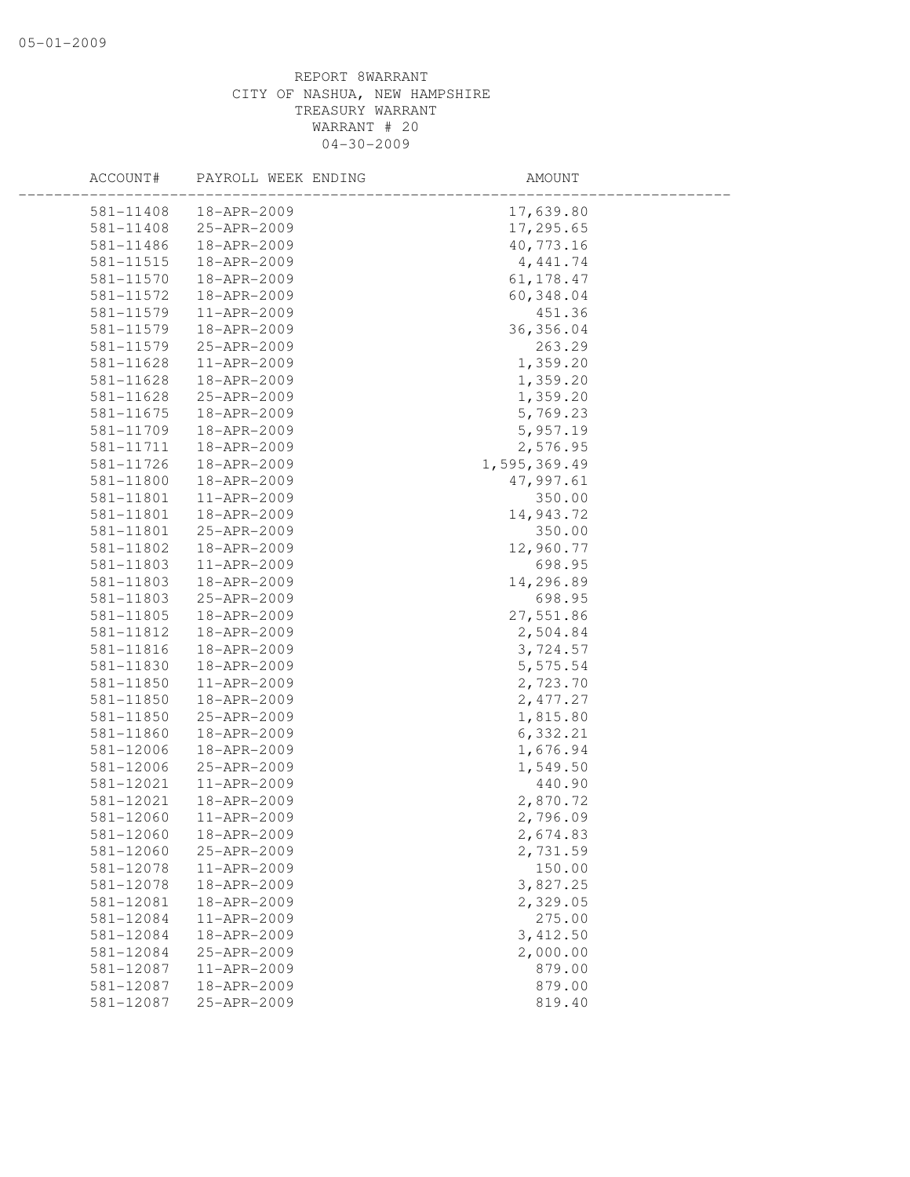| ACCOUNT#  | PAYROLL WEEK ENDING | AMOUNT       |  |
|-----------|---------------------|--------------|--|
| 581-11408 | 18-APR-2009         | 17,639.80    |  |
| 581-11408 | 25-APR-2009         | 17,295.65    |  |
| 581-11486 | 18-APR-2009         | 40, 773.16   |  |
| 581-11515 | 18-APR-2009         | 4, 441.74    |  |
| 581-11570 | 18-APR-2009         | 61,178.47    |  |
| 581-11572 | 18-APR-2009         | 60,348.04    |  |
| 581-11579 | 11-APR-2009         | 451.36       |  |
| 581-11579 | 18-APR-2009         | 36, 356.04   |  |
| 581-11579 | 25-APR-2009         | 263.29       |  |
| 581-11628 | 11-APR-2009         | 1,359.20     |  |
| 581-11628 | 18-APR-2009         | 1,359.20     |  |
| 581-11628 | 25-APR-2009         | 1,359.20     |  |
| 581-11675 | 18-APR-2009         | 5,769.23     |  |
| 581-11709 | 18-APR-2009         | 5,957.19     |  |
| 581-11711 | 18-APR-2009         | 2,576.95     |  |
| 581-11726 | 18-APR-2009         | 1,595,369.49 |  |
| 581-11800 | 18-APR-2009         | 47,997.61    |  |
| 581-11801 | 11-APR-2009         | 350.00       |  |
| 581-11801 | 18-APR-2009         | 14,943.72    |  |
| 581-11801 | 25-APR-2009         | 350.00       |  |
| 581-11802 | 18-APR-2009         | 12,960.77    |  |
| 581-11803 | 11-APR-2009         | 698.95       |  |
| 581-11803 | 18-APR-2009         | 14,296.89    |  |
| 581-11803 | 25-APR-2009         | 698.95       |  |
| 581-11805 | 18-APR-2009         | 27,551.86    |  |
| 581-11812 | 18-APR-2009         | 2,504.84     |  |
| 581-11816 | 18-APR-2009         | 3,724.57     |  |
| 581-11830 | 18-APR-2009         | 5,575.54     |  |
| 581-11850 | 11-APR-2009         | 2,723.70     |  |
| 581-11850 | 18-APR-2009         | 2,477.27     |  |
| 581-11850 | 25-APR-2009         | 1,815.80     |  |
| 581-11860 | 18-APR-2009         | 6,332.21     |  |
| 581-12006 | 18-APR-2009         | 1,676.94     |  |
| 581-12006 | 25-APR-2009         | 1,549.50     |  |
| 581-12021 | $11 - APR - 2009$   | 440.90       |  |
| 581-12021 | 18-APR-2009         | 2,870.72     |  |
| 581-12060 | $11 - APR - 2009$   | 2,796.09     |  |
| 581-12060 | 18-APR-2009         | 2,674.83     |  |
| 581-12060 | 25-APR-2009         | 2,731.59     |  |
| 581-12078 | 11-APR-2009         | 150.00       |  |
| 581-12078 | 18-APR-2009         | 3,827.25     |  |
| 581-12081 | 18-APR-2009         | 2,329.05     |  |
| 581-12084 | 11-APR-2009         | 275.00       |  |
| 581-12084 | 18-APR-2009         | 3,412.50     |  |
| 581-12084 | 25-APR-2009         | 2,000.00     |  |
| 581-12087 | 11-APR-2009         | 879.00       |  |
| 581-12087 | 18-APR-2009         | 879.00       |  |
| 581-12087 | 25-APR-2009         | 819.40       |  |
|           |                     |              |  |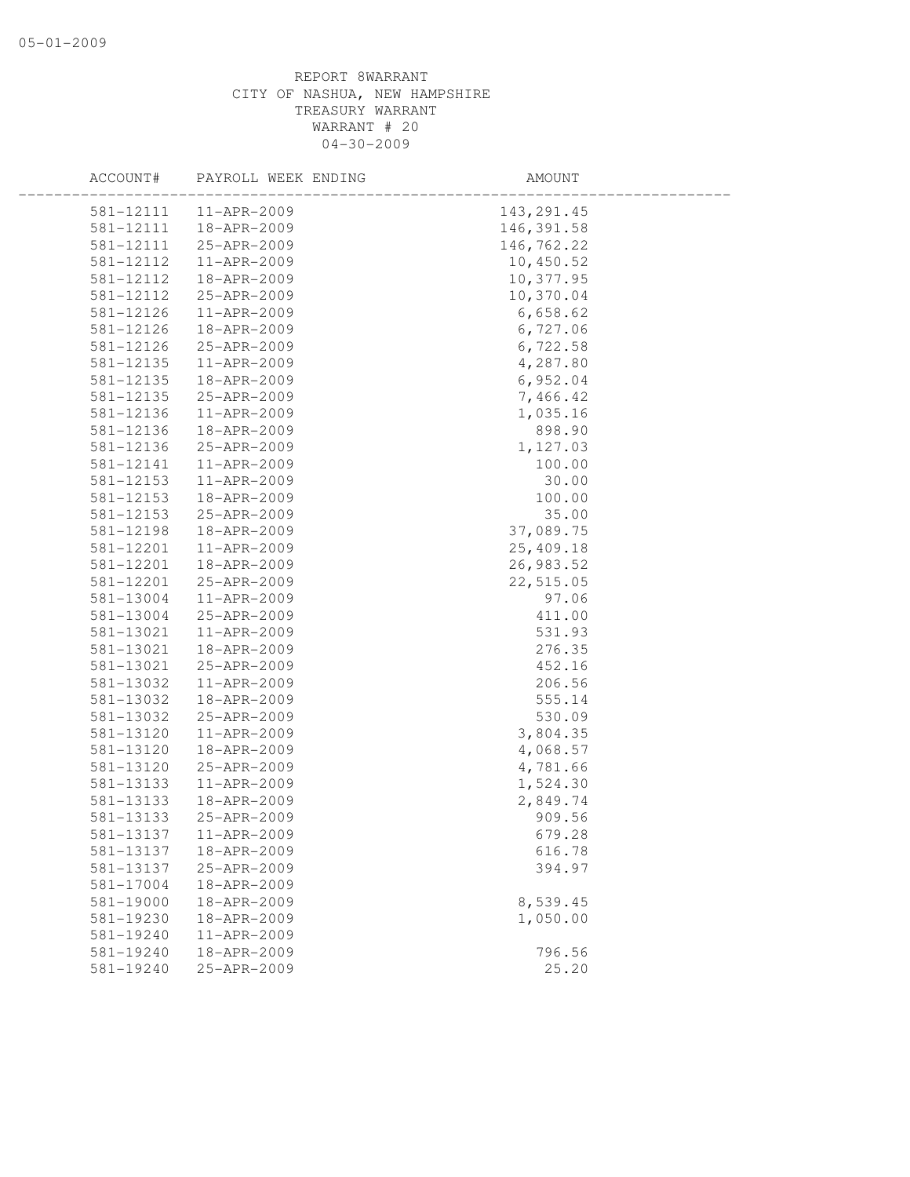| 581-12111<br>11-APR-2009<br>143, 291.45<br>581-12111<br>18-APR-2009<br>146,391.58<br>581-12111<br>25-APR-2009<br>146,762.22<br>581-12112<br>11-APR-2009<br>10,450.52<br>581-12112<br>18-APR-2009<br>10,377.95<br>10,370.04<br>581-12112<br>25-APR-2009<br>6,658.62<br>581-12126<br>11-APR-2009<br>6,727.06<br>581-12126<br>18-APR-2009<br>6,722.58<br>581-12126<br>25-APR-2009<br>4,287.80<br>581-12135<br>11-APR-2009<br>18-APR-2009<br>581-12135<br>6,952.04<br>581-12135<br>25-APR-2009<br>7,466.42<br>581-12136<br>11-APR-2009<br>1,035.16<br>581-12136<br>18-APR-2009<br>898.90<br>581-12136<br>25-APR-2009<br>1,127.03<br>100.00<br>581-12141<br>11-APR-2009<br>581-12153<br>11-APR-2009<br>30.00<br>581-12153<br>18-APR-2009<br>100.00<br>581-12153<br>25-APR-2009<br>35.00<br>581-12198<br>18-APR-2009<br>37,089.75<br>581-12201<br>11-APR-2009<br>25,409.18<br>581-12201<br>18-APR-2009<br>26,983.52<br>581-12201<br>22,515.05<br>25-APR-2009<br>97.06<br>581-13004<br>11-APR-2009<br>581-13004<br>25-APR-2009<br>411.00<br>581-13021<br>531.93<br>$11 - APR - 2009$<br>581-13021<br>18-APR-2009<br>276.35<br>581-13021<br>25-APR-2009<br>452.16<br>581-13032<br>11-APR-2009<br>206.56<br>581-13032<br>18-APR-2009<br>555.14<br>581-13032<br>25-APR-2009<br>530.09<br>581-13120<br>11-APR-2009<br>3,804.35<br>581-13120<br>18-APR-2009<br>4,068.57<br>4,781.66<br>581-13120<br>25-APR-2009<br>1,524.30<br>581-13133<br>$11 - APR - 2009$<br>18-APR-2009<br>2,849.74<br>581-13133<br>581-13133<br>25-APR-2009<br>909.56<br>581-13137<br>11-APR-2009<br>679.28<br>581-13137<br>18-APR-2009<br>616.78<br>581-13137<br>25-APR-2009<br>394.97<br>581-17004<br>18-APR-2009<br>581-19000<br>18-APR-2009<br>8,539.45<br>1,050.00<br>581-19230<br>18-APR-2009<br>581-19240<br>11-APR-2009<br>796.56<br>581-19240<br>18-APR-2009<br>25.20<br>581-19240<br>25-APR-2009 | ACCOUNT# | PAYROLL WEEK ENDING | AMOUNT |  |
|----------------------------------------------------------------------------------------------------------------------------------------------------------------------------------------------------------------------------------------------------------------------------------------------------------------------------------------------------------------------------------------------------------------------------------------------------------------------------------------------------------------------------------------------------------------------------------------------------------------------------------------------------------------------------------------------------------------------------------------------------------------------------------------------------------------------------------------------------------------------------------------------------------------------------------------------------------------------------------------------------------------------------------------------------------------------------------------------------------------------------------------------------------------------------------------------------------------------------------------------------------------------------------------------------------------------------------------------------------------------------------------------------------------------------------------------------------------------------------------------------------------------------------------------------------------------------------------------------------------------------------------------------------------------------------------------------------------------------------------------------------------------------------------------------------------------------------------------------------------------|----------|---------------------|--------|--|
|                                                                                                                                                                                                                                                                                                                                                                                                                                                                                                                                                                                                                                                                                                                                                                                                                                                                                                                                                                                                                                                                                                                                                                                                                                                                                                                                                                                                                                                                                                                                                                                                                                                                                                                                                                                                                                                                      |          |                     |        |  |
|                                                                                                                                                                                                                                                                                                                                                                                                                                                                                                                                                                                                                                                                                                                                                                                                                                                                                                                                                                                                                                                                                                                                                                                                                                                                                                                                                                                                                                                                                                                                                                                                                                                                                                                                                                                                                                                                      |          |                     |        |  |
|                                                                                                                                                                                                                                                                                                                                                                                                                                                                                                                                                                                                                                                                                                                                                                                                                                                                                                                                                                                                                                                                                                                                                                                                                                                                                                                                                                                                                                                                                                                                                                                                                                                                                                                                                                                                                                                                      |          |                     |        |  |
|                                                                                                                                                                                                                                                                                                                                                                                                                                                                                                                                                                                                                                                                                                                                                                                                                                                                                                                                                                                                                                                                                                                                                                                                                                                                                                                                                                                                                                                                                                                                                                                                                                                                                                                                                                                                                                                                      |          |                     |        |  |
|                                                                                                                                                                                                                                                                                                                                                                                                                                                                                                                                                                                                                                                                                                                                                                                                                                                                                                                                                                                                                                                                                                                                                                                                                                                                                                                                                                                                                                                                                                                                                                                                                                                                                                                                                                                                                                                                      |          |                     |        |  |
|                                                                                                                                                                                                                                                                                                                                                                                                                                                                                                                                                                                                                                                                                                                                                                                                                                                                                                                                                                                                                                                                                                                                                                                                                                                                                                                                                                                                                                                                                                                                                                                                                                                                                                                                                                                                                                                                      |          |                     |        |  |
|                                                                                                                                                                                                                                                                                                                                                                                                                                                                                                                                                                                                                                                                                                                                                                                                                                                                                                                                                                                                                                                                                                                                                                                                                                                                                                                                                                                                                                                                                                                                                                                                                                                                                                                                                                                                                                                                      |          |                     |        |  |
|                                                                                                                                                                                                                                                                                                                                                                                                                                                                                                                                                                                                                                                                                                                                                                                                                                                                                                                                                                                                                                                                                                                                                                                                                                                                                                                                                                                                                                                                                                                                                                                                                                                                                                                                                                                                                                                                      |          |                     |        |  |
|                                                                                                                                                                                                                                                                                                                                                                                                                                                                                                                                                                                                                                                                                                                                                                                                                                                                                                                                                                                                                                                                                                                                                                                                                                                                                                                                                                                                                                                                                                                                                                                                                                                                                                                                                                                                                                                                      |          |                     |        |  |
|                                                                                                                                                                                                                                                                                                                                                                                                                                                                                                                                                                                                                                                                                                                                                                                                                                                                                                                                                                                                                                                                                                                                                                                                                                                                                                                                                                                                                                                                                                                                                                                                                                                                                                                                                                                                                                                                      |          |                     |        |  |
|                                                                                                                                                                                                                                                                                                                                                                                                                                                                                                                                                                                                                                                                                                                                                                                                                                                                                                                                                                                                                                                                                                                                                                                                                                                                                                                                                                                                                                                                                                                                                                                                                                                                                                                                                                                                                                                                      |          |                     |        |  |
|                                                                                                                                                                                                                                                                                                                                                                                                                                                                                                                                                                                                                                                                                                                                                                                                                                                                                                                                                                                                                                                                                                                                                                                                                                                                                                                                                                                                                                                                                                                                                                                                                                                                                                                                                                                                                                                                      |          |                     |        |  |
|                                                                                                                                                                                                                                                                                                                                                                                                                                                                                                                                                                                                                                                                                                                                                                                                                                                                                                                                                                                                                                                                                                                                                                                                                                                                                                                                                                                                                                                                                                                                                                                                                                                                                                                                                                                                                                                                      |          |                     |        |  |
|                                                                                                                                                                                                                                                                                                                                                                                                                                                                                                                                                                                                                                                                                                                                                                                                                                                                                                                                                                                                                                                                                                                                                                                                                                                                                                                                                                                                                                                                                                                                                                                                                                                                                                                                                                                                                                                                      |          |                     |        |  |
|                                                                                                                                                                                                                                                                                                                                                                                                                                                                                                                                                                                                                                                                                                                                                                                                                                                                                                                                                                                                                                                                                                                                                                                                                                                                                                                                                                                                                                                                                                                                                                                                                                                                                                                                                                                                                                                                      |          |                     |        |  |
|                                                                                                                                                                                                                                                                                                                                                                                                                                                                                                                                                                                                                                                                                                                                                                                                                                                                                                                                                                                                                                                                                                                                                                                                                                                                                                                                                                                                                                                                                                                                                                                                                                                                                                                                                                                                                                                                      |          |                     |        |  |
|                                                                                                                                                                                                                                                                                                                                                                                                                                                                                                                                                                                                                                                                                                                                                                                                                                                                                                                                                                                                                                                                                                                                                                                                                                                                                                                                                                                                                                                                                                                                                                                                                                                                                                                                                                                                                                                                      |          |                     |        |  |
|                                                                                                                                                                                                                                                                                                                                                                                                                                                                                                                                                                                                                                                                                                                                                                                                                                                                                                                                                                                                                                                                                                                                                                                                                                                                                                                                                                                                                                                                                                                                                                                                                                                                                                                                                                                                                                                                      |          |                     |        |  |
|                                                                                                                                                                                                                                                                                                                                                                                                                                                                                                                                                                                                                                                                                                                                                                                                                                                                                                                                                                                                                                                                                                                                                                                                                                                                                                                                                                                                                                                                                                                                                                                                                                                                                                                                                                                                                                                                      |          |                     |        |  |
|                                                                                                                                                                                                                                                                                                                                                                                                                                                                                                                                                                                                                                                                                                                                                                                                                                                                                                                                                                                                                                                                                                                                                                                                                                                                                                                                                                                                                                                                                                                                                                                                                                                                                                                                                                                                                                                                      |          |                     |        |  |
|                                                                                                                                                                                                                                                                                                                                                                                                                                                                                                                                                                                                                                                                                                                                                                                                                                                                                                                                                                                                                                                                                                                                                                                                                                                                                                                                                                                                                                                                                                                                                                                                                                                                                                                                                                                                                                                                      |          |                     |        |  |
|                                                                                                                                                                                                                                                                                                                                                                                                                                                                                                                                                                                                                                                                                                                                                                                                                                                                                                                                                                                                                                                                                                                                                                                                                                                                                                                                                                                                                                                                                                                                                                                                                                                                                                                                                                                                                                                                      |          |                     |        |  |
|                                                                                                                                                                                                                                                                                                                                                                                                                                                                                                                                                                                                                                                                                                                                                                                                                                                                                                                                                                                                                                                                                                                                                                                                                                                                                                                                                                                                                                                                                                                                                                                                                                                                                                                                                                                                                                                                      |          |                     |        |  |
|                                                                                                                                                                                                                                                                                                                                                                                                                                                                                                                                                                                                                                                                                                                                                                                                                                                                                                                                                                                                                                                                                                                                                                                                                                                                                                                                                                                                                                                                                                                                                                                                                                                                                                                                                                                                                                                                      |          |                     |        |  |
|                                                                                                                                                                                                                                                                                                                                                                                                                                                                                                                                                                                                                                                                                                                                                                                                                                                                                                                                                                                                                                                                                                                                                                                                                                                                                                                                                                                                                                                                                                                                                                                                                                                                                                                                                                                                                                                                      |          |                     |        |  |
|                                                                                                                                                                                                                                                                                                                                                                                                                                                                                                                                                                                                                                                                                                                                                                                                                                                                                                                                                                                                                                                                                                                                                                                                                                                                                                                                                                                                                                                                                                                                                                                                                                                                                                                                                                                                                                                                      |          |                     |        |  |
|                                                                                                                                                                                                                                                                                                                                                                                                                                                                                                                                                                                                                                                                                                                                                                                                                                                                                                                                                                                                                                                                                                                                                                                                                                                                                                                                                                                                                                                                                                                                                                                                                                                                                                                                                                                                                                                                      |          |                     |        |  |
|                                                                                                                                                                                                                                                                                                                                                                                                                                                                                                                                                                                                                                                                                                                                                                                                                                                                                                                                                                                                                                                                                                                                                                                                                                                                                                                                                                                                                                                                                                                                                                                                                                                                                                                                                                                                                                                                      |          |                     |        |  |
|                                                                                                                                                                                                                                                                                                                                                                                                                                                                                                                                                                                                                                                                                                                                                                                                                                                                                                                                                                                                                                                                                                                                                                                                                                                                                                                                                                                                                                                                                                                                                                                                                                                                                                                                                                                                                                                                      |          |                     |        |  |
|                                                                                                                                                                                                                                                                                                                                                                                                                                                                                                                                                                                                                                                                                                                                                                                                                                                                                                                                                                                                                                                                                                                                                                                                                                                                                                                                                                                                                                                                                                                                                                                                                                                                                                                                                                                                                                                                      |          |                     |        |  |
|                                                                                                                                                                                                                                                                                                                                                                                                                                                                                                                                                                                                                                                                                                                                                                                                                                                                                                                                                                                                                                                                                                                                                                                                                                                                                                                                                                                                                                                                                                                                                                                                                                                                                                                                                                                                                                                                      |          |                     |        |  |
|                                                                                                                                                                                                                                                                                                                                                                                                                                                                                                                                                                                                                                                                                                                                                                                                                                                                                                                                                                                                                                                                                                                                                                                                                                                                                                                                                                                                                                                                                                                                                                                                                                                                                                                                                                                                                                                                      |          |                     |        |  |
|                                                                                                                                                                                                                                                                                                                                                                                                                                                                                                                                                                                                                                                                                                                                                                                                                                                                                                                                                                                                                                                                                                                                                                                                                                                                                                                                                                                                                                                                                                                                                                                                                                                                                                                                                                                                                                                                      |          |                     |        |  |
|                                                                                                                                                                                                                                                                                                                                                                                                                                                                                                                                                                                                                                                                                                                                                                                                                                                                                                                                                                                                                                                                                                                                                                                                                                                                                                                                                                                                                                                                                                                                                                                                                                                                                                                                                                                                                                                                      |          |                     |        |  |
|                                                                                                                                                                                                                                                                                                                                                                                                                                                                                                                                                                                                                                                                                                                                                                                                                                                                                                                                                                                                                                                                                                                                                                                                                                                                                                                                                                                                                                                                                                                                                                                                                                                                                                                                                                                                                                                                      |          |                     |        |  |
|                                                                                                                                                                                                                                                                                                                                                                                                                                                                                                                                                                                                                                                                                                                                                                                                                                                                                                                                                                                                                                                                                                                                                                                                                                                                                                                                                                                                                                                                                                                                                                                                                                                                                                                                                                                                                                                                      |          |                     |        |  |
|                                                                                                                                                                                                                                                                                                                                                                                                                                                                                                                                                                                                                                                                                                                                                                                                                                                                                                                                                                                                                                                                                                                                                                                                                                                                                                                                                                                                                                                                                                                                                                                                                                                                                                                                                                                                                                                                      |          |                     |        |  |
|                                                                                                                                                                                                                                                                                                                                                                                                                                                                                                                                                                                                                                                                                                                                                                                                                                                                                                                                                                                                                                                                                                                                                                                                                                                                                                                                                                                                                                                                                                                                                                                                                                                                                                                                                                                                                                                                      |          |                     |        |  |
|                                                                                                                                                                                                                                                                                                                                                                                                                                                                                                                                                                                                                                                                                                                                                                                                                                                                                                                                                                                                                                                                                                                                                                                                                                                                                                                                                                                                                                                                                                                                                                                                                                                                                                                                                                                                                                                                      |          |                     |        |  |
|                                                                                                                                                                                                                                                                                                                                                                                                                                                                                                                                                                                                                                                                                                                                                                                                                                                                                                                                                                                                                                                                                                                                                                                                                                                                                                                                                                                                                                                                                                                                                                                                                                                                                                                                                                                                                                                                      |          |                     |        |  |
|                                                                                                                                                                                                                                                                                                                                                                                                                                                                                                                                                                                                                                                                                                                                                                                                                                                                                                                                                                                                                                                                                                                                                                                                                                                                                                                                                                                                                                                                                                                                                                                                                                                                                                                                                                                                                                                                      |          |                     |        |  |
|                                                                                                                                                                                                                                                                                                                                                                                                                                                                                                                                                                                                                                                                                                                                                                                                                                                                                                                                                                                                                                                                                                                                                                                                                                                                                                                                                                                                                                                                                                                                                                                                                                                                                                                                                                                                                                                                      |          |                     |        |  |
|                                                                                                                                                                                                                                                                                                                                                                                                                                                                                                                                                                                                                                                                                                                                                                                                                                                                                                                                                                                                                                                                                                                                                                                                                                                                                                                                                                                                                                                                                                                                                                                                                                                                                                                                                                                                                                                                      |          |                     |        |  |
|                                                                                                                                                                                                                                                                                                                                                                                                                                                                                                                                                                                                                                                                                                                                                                                                                                                                                                                                                                                                                                                                                                                                                                                                                                                                                                                                                                                                                                                                                                                                                                                                                                                                                                                                                                                                                                                                      |          |                     |        |  |
|                                                                                                                                                                                                                                                                                                                                                                                                                                                                                                                                                                                                                                                                                                                                                                                                                                                                                                                                                                                                                                                                                                                                                                                                                                                                                                                                                                                                                                                                                                                                                                                                                                                                                                                                                                                                                                                                      |          |                     |        |  |
|                                                                                                                                                                                                                                                                                                                                                                                                                                                                                                                                                                                                                                                                                                                                                                                                                                                                                                                                                                                                                                                                                                                                                                                                                                                                                                                                                                                                                                                                                                                                                                                                                                                                                                                                                                                                                                                                      |          |                     |        |  |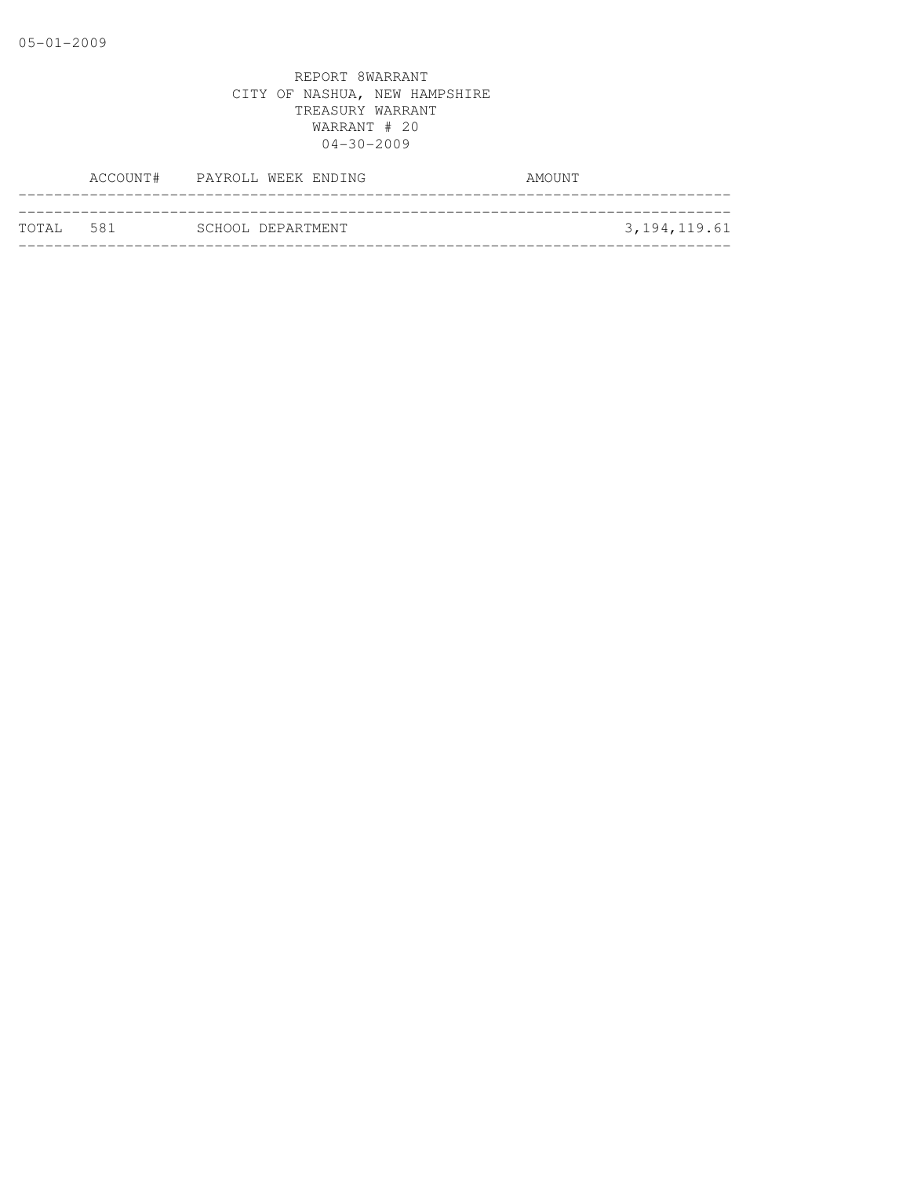|            | ACCOUNT# PAYROLL WEEK ENDING | AMOUNT       |
|------------|------------------------------|--------------|
|            |                              |              |
| тотат. 581 | SCHOOL DEPARTMENT            | 3,194,119.61 |
|            |                              |              |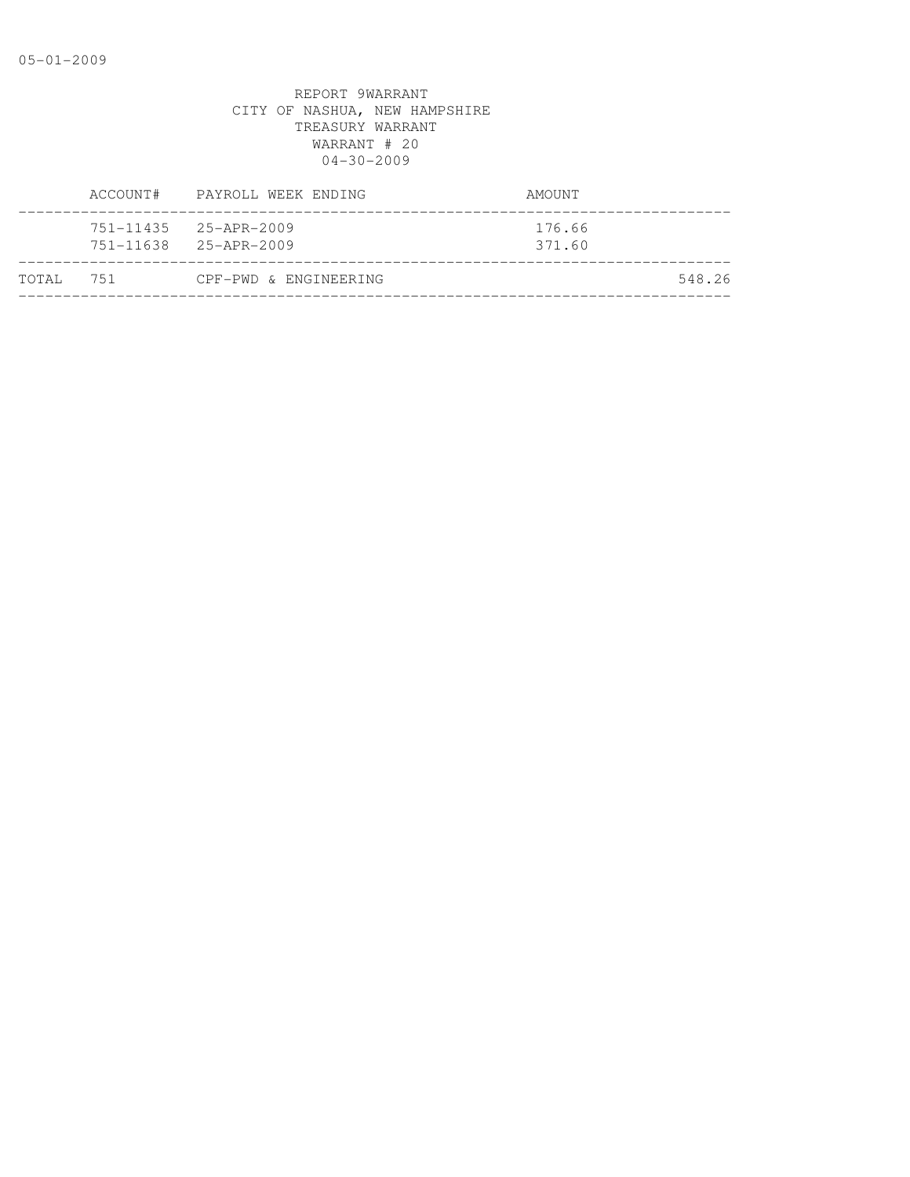|           | ACCOUNT# PAYROLL WEEK ENDING                             | AMOUNT           |
|-----------|----------------------------------------------------------|------------------|
|           | $751 - 11435$ $25 - APR - 2009$<br>751-11638 25-APR-2009 | 176.66<br>371.60 |
| TOTAL 751 | CPF-PWD & ENGINEERING                                    | 548.26           |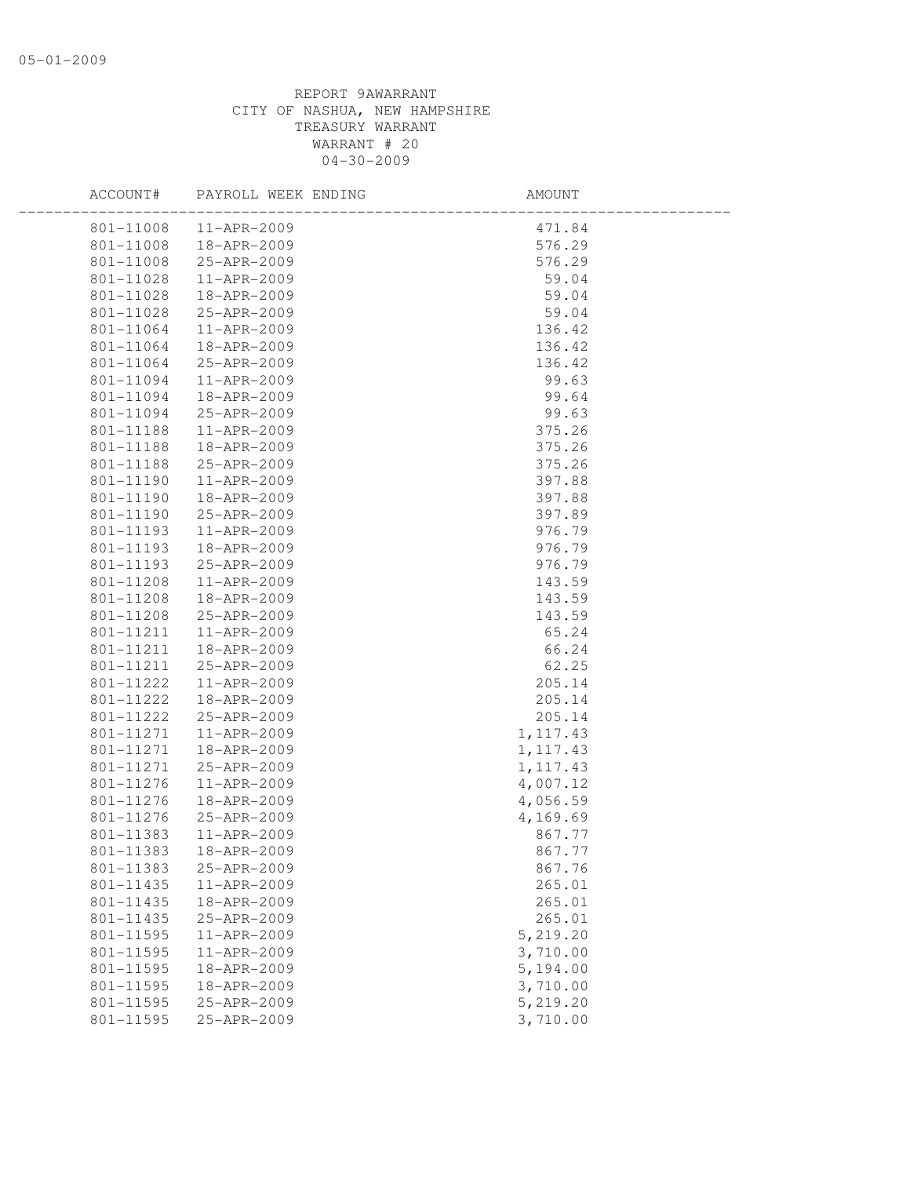| ACCOUNT#  | PAYROLL WEEK ENDING | AMOUNT    |
|-----------|---------------------|-----------|
| 801-11008 | 11-APR-2009         | 471.84    |
| 801-11008 | 18-APR-2009         | 576.29    |
| 801-11008 | 25-APR-2009         | 576.29    |
| 801-11028 | 11-APR-2009         | 59.04     |
| 801-11028 | 18-APR-2009         | 59.04     |
| 801-11028 | 25-APR-2009         | 59.04     |
| 801-11064 | 11-APR-2009         | 136.42    |
| 801-11064 | 18-APR-2009         | 136.42    |
| 801-11064 | 25-APR-2009         | 136.42    |
| 801-11094 | 11-APR-2009         | 99.63     |
| 801-11094 | 18-APR-2009         | 99.64     |
| 801-11094 | 25-APR-2009         | 99.63     |
| 801-11188 | 11-APR-2009         | 375.26    |
| 801-11188 | 18-APR-2009         | 375.26    |
| 801-11188 | 25-APR-2009         | 375.26    |
| 801-11190 | 11-APR-2009         | 397.88    |
| 801-11190 | 18-APR-2009         | 397.88    |
| 801-11190 | 25-APR-2009         | 397.89    |
| 801-11193 | 11-APR-2009         | 976.79    |
| 801-11193 | 18-APR-2009         | 976.79    |
| 801-11193 | 25-APR-2009         | 976.79    |
| 801-11208 | 11-APR-2009         | 143.59    |
| 801-11208 | 18-APR-2009         | 143.59    |
| 801-11208 | 25-APR-2009         | 143.59    |
| 801-11211 | 11-APR-2009         | 65.24     |
| 801-11211 | 18-APR-2009         | 66.24     |
| 801-11211 | 25-APR-2009         | 62.25     |
| 801-11222 | 11-APR-2009         | 205.14    |
| 801-11222 | 18-APR-2009         | 205.14    |
| 801-11222 | 25-APR-2009         | 205.14    |
| 801-11271 | 11-APR-2009         | 1,117.43  |
| 801-11271 | 18-APR-2009         | 1, 117.43 |
| 801-11271 | 25-APR-2009         | 1,117.43  |
| 801-11276 | 11-APR-2009         | 4,007.12  |
| 801-11276 | 18-APR-2009         | 4,056.59  |
| 801-11276 | 25-APR-2009         | 4,169.69  |
| 801-11383 | $11 - APR - 2009$   | 867.77    |
| 801-11383 | 18-APR-2009         | 867.77    |
| 801-11383 | 25-APR-2009         | 867.76    |
| 801-11435 | 11-APR-2009         | 265.01    |
| 801-11435 | 18-APR-2009         | 265.01    |
| 801-11435 | 25-APR-2009         | 265.01    |
| 801-11595 | 11-APR-2009         | 5,219.20  |
| 801-11595 | $11 - APR - 2009$   | 3,710.00  |
| 801-11595 | 18-APR-2009         | 5,194.00  |
| 801-11595 | 18-APR-2009         | 3,710.00  |
| 801-11595 | 25-APR-2009         | 5,219.20  |
| 801-11595 | 25-APR-2009         | 3,710.00  |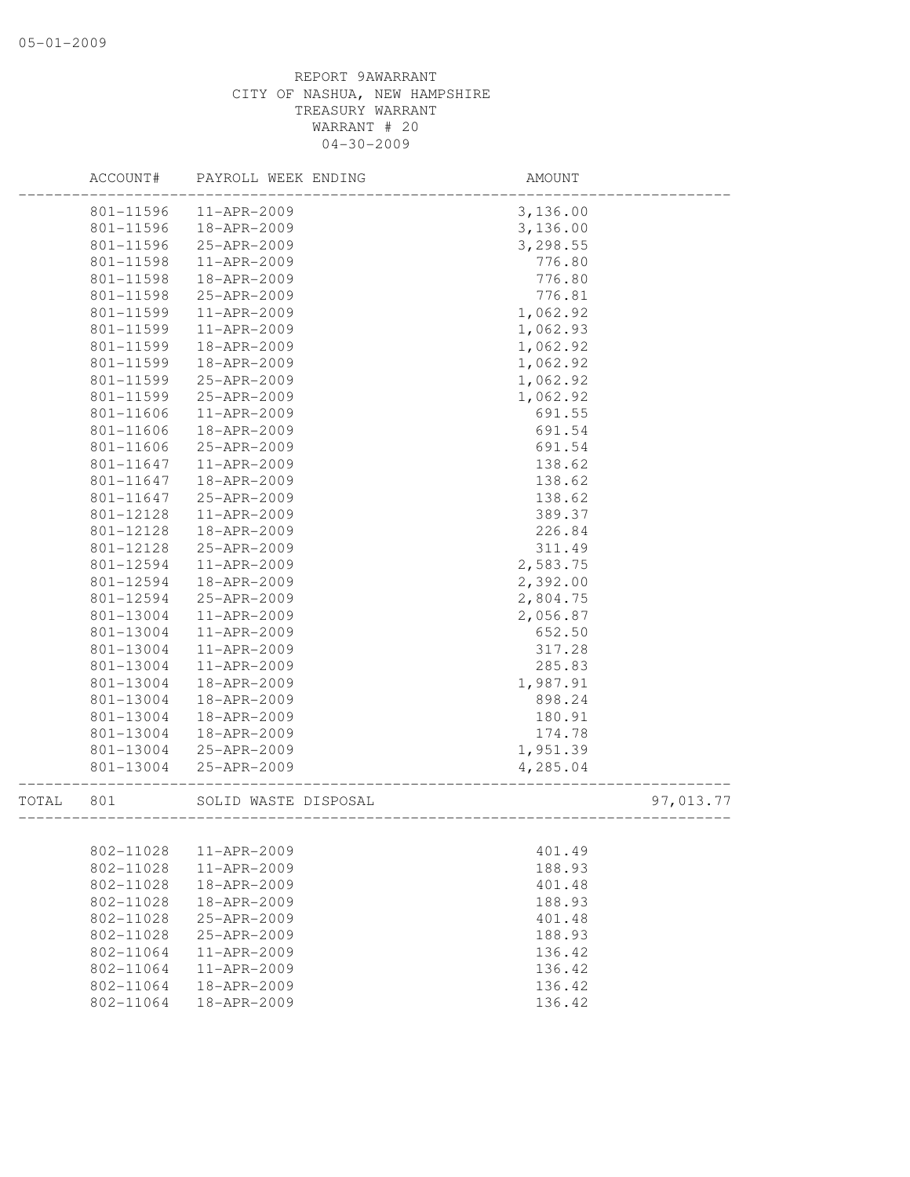|       | ACCOUNT#  | PAYROLL WEEK ENDING  | <b>AMOUNT</b> |           |
|-------|-----------|----------------------|---------------|-----------|
|       | 801-11596 | 11-APR-2009          | 3,136.00      |           |
|       | 801-11596 | 18-APR-2009          | 3,136.00      |           |
|       | 801-11596 | 25-APR-2009          | 3,298.55      |           |
|       | 801-11598 | 11-APR-2009          | 776.80        |           |
|       | 801-11598 | 18-APR-2009          | 776.80        |           |
|       | 801-11598 | 25-APR-2009          | 776.81        |           |
|       | 801-11599 | 11-APR-2009          | 1,062.92      |           |
|       | 801-11599 | 11-APR-2009          | 1,062.93      |           |
|       | 801-11599 | 18-APR-2009          | 1,062.92      |           |
|       | 801-11599 | 18-APR-2009          | 1,062.92      |           |
|       | 801-11599 | 25-APR-2009          | 1,062.92      |           |
|       | 801-11599 | 25-APR-2009          | 1,062.92      |           |
|       | 801-11606 | 11-APR-2009          | 691.55        |           |
|       | 801-11606 | 18-APR-2009          | 691.54        |           |
|       | 801-11606 | 25-APR-2009          | 691.54        |           |
|       | 801-11647 | 11-APR-2009          | 138.62        |           |
|       | 801-11647 | 18-APR-2009          | 138.62        |           |
|       | 801-11647 | 25-APR-2009          | 138.62        |           |
|       | 801-12128 | 11-APR-2009          | 389.37        |           |
|       | 801-12128 | 18-APR-2009          | 226.84        |           |
|       | 801-12128 | 25-APR-2009          | 311.49        |           |
|       | 801-12594 | 11-APR-2009          | 2,583.75      |           |
|       | 801-12594 | 18-APR-2009          | 2,392.00      |           |
|       | 801-12594 | 25-APR-2009          | 2,804.75      |           |
|       | 801-13004 | 11-APR-2009          | 2,056.87      |           |
|       | 801-13004 | 11-APR-2009          | 652.50        |           |
|       | 801-13004 | 11-APR-2009          | 317.28        |           |
|       | 801-13004 | 11-APR-2009          | 285.83        |           |
|       | 801-13004 | 18-APR-2009          | 1,987.91      |           |
|       | 801-13004 | 18-APR-2009          | 898.24        |           |
|       | 801-13004 | 18-APR-2009          | 180.91        |           |
|       | 801-13004 | 18-APR-2009          | 174.78        |           |
|       | 801-13004 | 25-APR-2009          | 1,951.39      |           |
|       | 801-13004 | 25-APR-2009          | 4,285.04      |           |
| TOTAL | 801       | SOLID WASTE DISPOSAL |               | 97,013.77 |
|       |           |                      |               |           |
|       | 802-11028 | 11-APR-2009          | 401.49        |           |
|       | 802-11028 | 11-APR-2009          | 188.93        |           |
|       | 802-11028 | 18-APR-2009          | 401.48        |           |
|       | 802-11028 | 18-APR-2009          | 188.93        |           |
|       | 802-11028 | 25-APR-2009          | 401.48        |           |
|       | 802-11028 | 25-APR-2009          | 188.93        |           |
|       | 802-11064 | 11-APR-2009          | 136.42        |           |
|       | 802-11064 | 11-APR-2009          | 136.42        |           |
|       | 802-11064 | 18-APR-2009          | 136.42        |           |
|       | 802-11064 | 18-APR-2009          | 136.42        |           |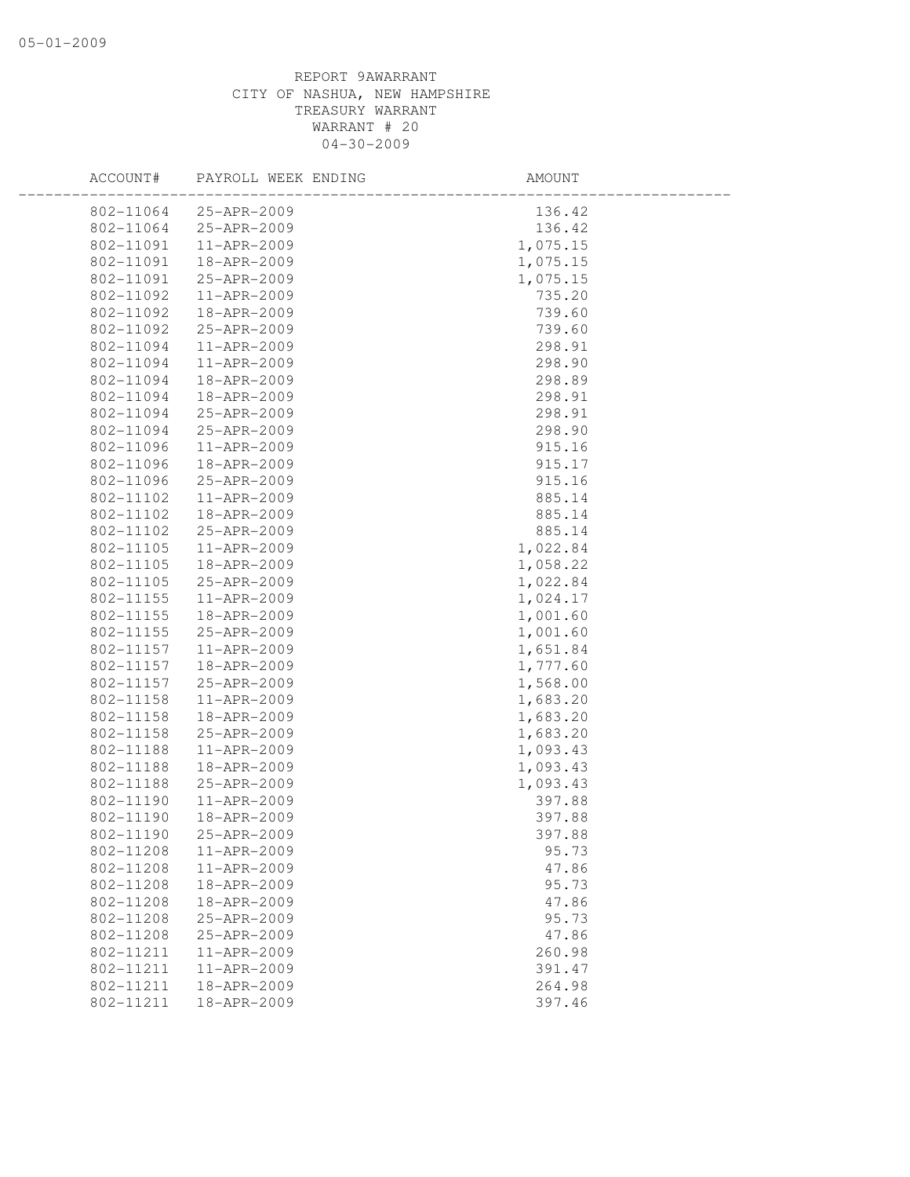| ACCOUNT#  | PAYROLL WEEK ENDING | AMOUNT   |  |
|-----------|---------------------|----------|--|
| 802-11064 | 25-APR-2009         | 136.42   |  |
| 802-11064 | 25-APR-2009         | 136.42   |  |
| 802-11091 | 11-APR-2009         | 1,075.15 |  |
| 802-11091 | 18-APR-2009         | 1,075.15 |  |
| 802-11091 | 25-APR-2009         | 1,075.15 |  |
| 802-11092 | 11-APR-2009         | 735.20   |  |
| 802-11092 | 18-APR-2009         | 739.60   |  |
| 802-11092 | 25-APR-2009         | 739.60   |  |
| 802-11094 | 11-APR-2009         | 298.91   |  |
| 802-11094 | 11-APR-2009         | 298.90   |  |
| 802-11094 | 18-APR-2009         | 298.89   |  |
| 802-11094 | 18-APR-2009         | 298.91   |  |
| 802-11094 | 25-APR-2009         | 298.91   |  |
| 802-11094 | 25-APR-2009         | 298.90   |  |
| 802-11096 | 11-APR-2009         | 915.16   |  |
| 802-11096 | 18-APR-2009         | 915.17   |  |
| 802-11096 | 25-APR-2009         | 915.16   |  |
| 802-11102 | 11-APR-2009         | 885.14   |  |
| 802-11102 | 18-APR-2009         | 885.14   |  |
| 802-11102 | 25-APR-2009         | 885.14   |  |
| 802-11105 | $11 - APR - 2009$   | 1,022.84 |  |
| 802-11105 | 18-APR-2009         | 1,058.22 |  |
| 802-11105 | 25-APR-2009         | 1,022.84 |  |
| 802-11155 | 11-APR-2009         | 1,024.17 |  |
| 802-11155 | 18-APR-2009         | 1,001.60 |  |
| 802-11155 | 25-APR-2009         | 1,001.60 |  |
| 802-11157 | 11-APR-2009         | 1,651.84 |  |
| 802-11157 | 18-APR-2009         | 1,777.60 |  |
| 802-11157 | 25-APR-2009         | 1,568.00 |  |
| 802-11158 | 11-APR-2009         | 1,683.20 |  |
| 802-11158 | 18-APR-2009         | 1,683.20 |  |
| 802-11158 | 25-APR-2009         | 1,683.20 |  |
| 802-11188 | 11-APR-2009         | 1,093.43 |  |
| 802-11188 | 18-APR-2009         | 1,093.43 |  |
| 802-11188 | 25-APR-2009         | 1,093.43 |  |
| 802-11190 | 11-APR-2009         | 397.88   |  |
| 802-11190 | 18-APR-2009         | 397.88   |  |
| 802-11190 | 25-APR-2009         | 397.88   |  |
| 802-11208 | 11-APR-2009         | 95.73    |  |
| 802-11208 | 11-APR-2009         | 47.86    |  |
| 802-11208 | 18-APR-2009         | 95.73    |  |
| 802-11208 | 18-APR-2009         | 47.86    |  |
| 802-11208 | 25-APR-2009         | 95.73    |  |
| 802-11208 | 25-APR-2009         | 47.86    |  |
| 802-11211 | 11-APR-2009         | 260.98   |  |
| 802-11211 | 11-APR-2009         | 391.47   |  |
| 802-11211 | 18-APR-2009         | 264.98   |  |
| 802-11211 | 18-APR-2009         | 397.46   |  |
|           |                     |          |  |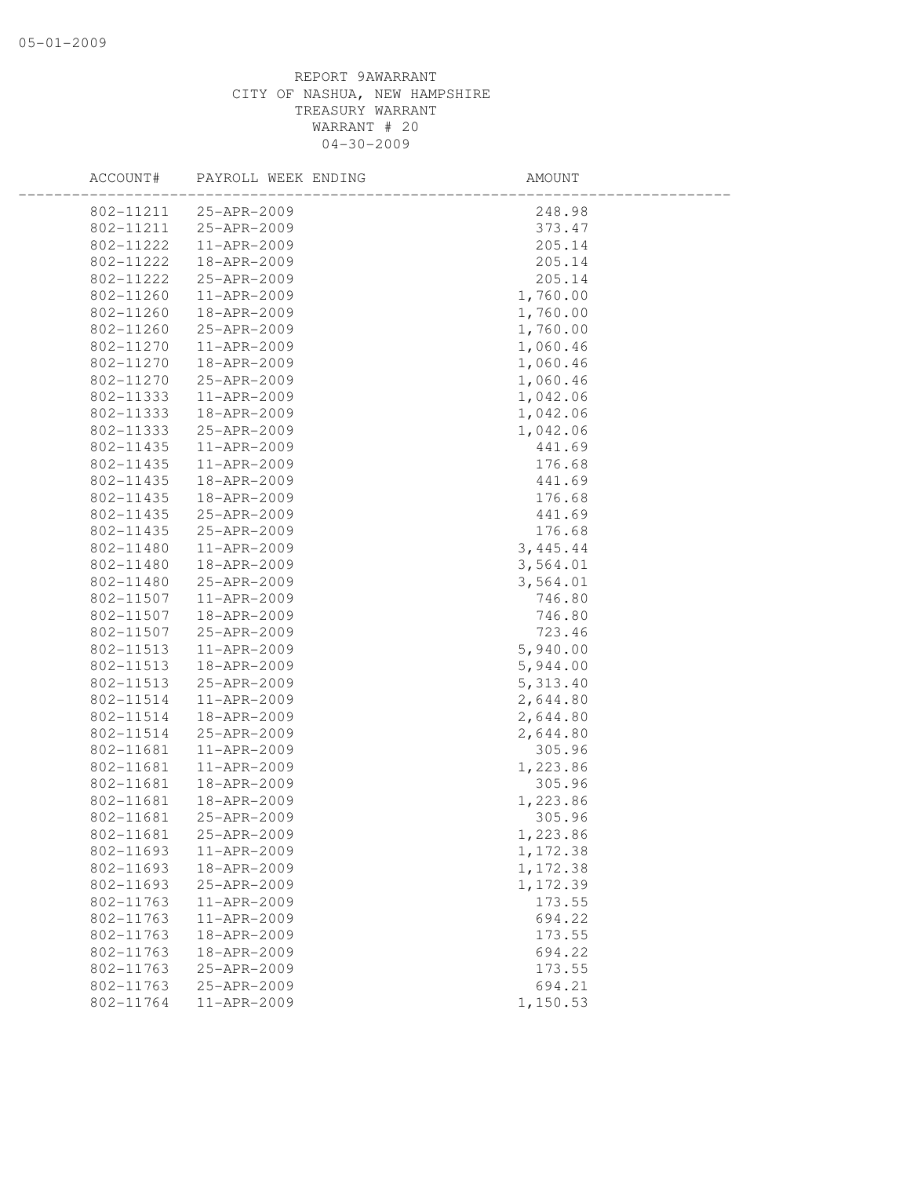| ACCOUNT#               | PAYROLL WEEK ENDING        | AMOUNT             |  |
|------------------------|----------------------------|--------------------|--|
| 802-11211              | 25-APR-2009                | 248.98             |  |
| 802-11211              | 25-APR-2009                | 373.47             |  |
| 802-11222              | 11-APR-2009                | 205.14             |  |
| 802-11222              | 18-APR-2009                | 205.14             |  |
| 802-11222              | 25-APR-2009                | 205.14             |  |
| 802-11260              | 11-APR-2009                | 1,760.00           |  |
| 802-11260              | 18-APR-2009                | 1,760.00           |  |
| 802-11260              | 25-APR-2009                | 1,760.00           |  |
| 802-11270              | 11-APR-2009                | 1,060.46           |  |
| 802-11270              | 18-APR-2009                | 1,060.46           |  |
| 802-11270              | 25-APR-2009                | 1,060.46           |  |
| 802-11333              | 11-APR-2009                | 1,042.06           |  |
| 802-11333              | 18-APR-2009                | 1,042.06           |  |
| 802-11333              | 25-APR-2009                | 1,042.06           |  |
| 802-11435              | 11-APR-2009                | 441.69             |  |
| 802-11435              | 11-APR-2009                | 176.68             |  |
| 802-11435              | 18-APR-2009                | 441.69             |  |
| 802-11435              | 18-APR-2009                | 176.68             |  |
| 802-11435              | 25-APR-2009                | 441.69             |  |
| 802-11435              | 25-APR-2009                | 176.68             |  |
| 802-11480              | 11-APR-2009                | 3, 445.44          |  |
| 802-11480              | 18-APR-2009                | 3,564.01           |  |
| 802-11480              | 25-APR-2009                | 3,564.01           |  |
| 802-11507              | 11-APR-2009                | 746.80             |  |
| 802-11507              | 18-APR-2009                | 746.80             |  |
| 802-11507              | 25-APR-2009                | 723.46             |  |
| 802-11513              | 11-APR-2009                | 5,940.00           |  |
| 802-11513              | 18-APR-2009                | 5,944.00           |  |
| 802-11513              | 25-APR-2009                | 5,313.40           |  |
| 802-11514              | 11-APR-2009                | 2,644.80           |  |
| 802-11514              | 18-APR-2009                | 2,644.80           |  |
| 802-11514<br>802-11681 | 25-APR-2009<br>11-APR-2009 | 2,644.80<br>305.96 |  |
| 802-11681              | 11-APR-2009                | 1,223.86           |  |
| 802-11681              | 18-APR-2009                | 305.96             |  |
| 802-11681              | 18-APR-2009                | 1,223.86           |  |
| 802-11681              | 25-APR-2009                | 305.96             |  |
| 802-11681              | 25-APR-2009                | 1,223.86           |  |
| 802-11693              | 11-APR-2009                | 1,172.38           |  |
| 802-11693              | 18-APR-2009                | 1,172.38           |  |
| 802-11693              | 25-APR-2009                | 1,172.39           |  |
| 802-11763              | 11-APR-2009                | 173.55             |  |
| 802-11763              | 11-APR-2009                | 694.22             |  |
| 802-11763              | 18-APR-2009                | 173.55             |  |
| 802-11763              | 18-APR-2009                | 694.22             |  |
| 802-11763              | 25-APR-2009                | 173.55             |  |
| 802-11763              | 25-APR-2009                | 694.21             |  |
| 802-11764              | $11 - APR - 2009$          | 1,150.53           |  |
|                        |                            |                    |  |